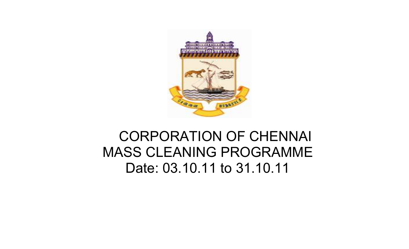

# MASS CLEANING PROGRAMMEDate: 03.10.11 to 31.10.11CORPORATION OF CHENNAI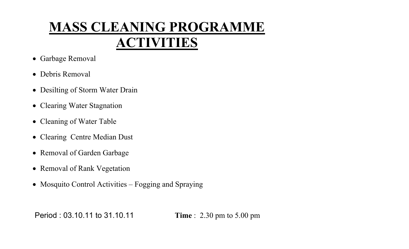# MASS CLEANING PROGRAMMEACTIVITIES

- Garbage Removal
- Debris Removal
- Desilting of Storm Water Drain
- Clearing Water Stagnation
- Cleaning of Water Table
- Clearing Centre Median Dust
- Removal of Garden Garbage
- Removal of Rank Vegetation
- Mosquito Control Activities Fogging and Spraying

Period : 03.10.11 to 31.10.11 Time : 2.30 pm to 5.00 pm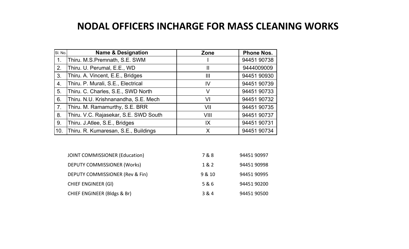## NODAL OFFICERS INCHARGE FOR MASS CLEANING WORKS

| SI. No. | <b>Name &amp; Designation</b>         | Zone         | <b>Phone Nos.</b> |
|---------|---------------------------------------|--------------|-------------------|
| 1.      | Thiru. M.S.Premnath, S.E. SWM         |              | 94451 90738       |
| 2.      | Thiru. U. Perumal, E.E., WD           | $\mathsf{I}$ | 9444009009        |
| 3.      | Thiru. A. Vincent, E.E., Bridges      | Ш            | 94451 90930       |
| 4.      | Thiru. P. Murali, S.E., Electrical    | IV           | 94451 90739       |
| 5.      | Thiru. C. Charles, S.E., SWD North    | V            | 94451 90733       |
| 6.      | Thiru. N.U. Krishnanandha, S.E. Mech  | VI           | 94451 90732       |
| 7.      | Thiru. M. Ramamurthy, S.E. BRR        | VII          | 94451 90735       |
| 8.      | Thiru. V.C. Rajasekar, S.E. SWD South | VIII         | 94451 90737       |
| 9.      | Thiru. J.Atlee, S.E., Bridges         | IX           | 94451 90731       |
| 10.     | Thiru. R. Kumaresan, S.E., Buildings  | X            | 94451 90734       |

| <b>JOINT COMMISSIONER (Education)</b>  | 7&8    | 94451 90997 |
|----------------------------------------|--------|-------------|
| DEPUTY COMMISSIONER (Works)            | 1 & 2  | 94451 90998 |
| DEPUTY COMMISSIONER (Rev & Fin)        | 9 & 10 | 94451 90995 |
| <b>CHIEF ENGINEER (GI)</b>             | 5 & 6  | 94451 90200 |
| <b>CHIEF ENGINEER (Bldgs &amp; Br)</b> | 3 & 4  | 94451 90500 |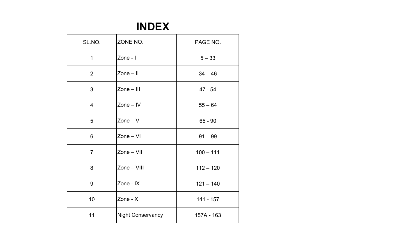## INDEX

| SL.NO.         | ZONE NO.                 | PAGE NO.    |
|----------------|--------------------------|-------------|
| $\mathbf 1$    | Zone - I                 | $5 - 33$    |
| 2              | $Zone - II$              | $34 - 46$   |
| 3              | $Zone - III$             | $47 - 54$   |
| $\overline{4}$ | $Zone - IV$              | $55 - 64$   |
| 5              | $Zone-V$                 | $65 - 90$   |
| 6              | $Zone - VI$              | $91 - 99$   |
| $\overline{7}$ | Zone - VII               | $100 - 111$ |
| 8              | Zone - VIII              | $112 - 120$ |
| 9              | Zone - IX                | $121 - 140$ |
| 10             | Zone - $X$               | $141 - 157$ |
| 11             | <b>Night Conservancy</b> | 157A - 163  |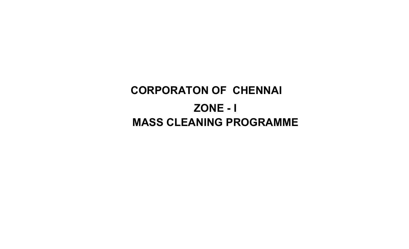# ZONE - ICORPORATON OF CHENNAI MASS CLEANING PROGRAMME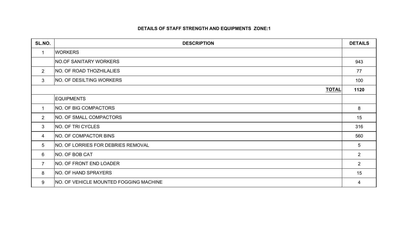#### DETAILS OF STAFF STRENGTH AND EQUIPMENTS ZONE:1

| SL.NO.          | <b>DESCRIPTION</b>                        | <b>DETAILS</b> |
|-----------------|-------------------------------------------|----------------|
| $\mathbf 1$     | <b>WORKERS</b>                            |                |
|                 | <b>NO.OF SANITARY WORKERS</b>             | 943            |
| $\overline{2}$  | <b>NO. OF ROAD THOZHILALIES</b>           | 77             |
| $\mathbf{3}$    | <b>NO. OF DESILTING WORKERS</b>           | 100            |
|                 | <b>TOTAL</b>                              | 1120           |
|                 | <b>EQUIPMENTS</b>                         |                |
| 1               | NO. OF BIG COMPACTORS                     | 8              |
| $2^{\circ}$     | <b>NO. OF SMALL COMPACTORS</b>            | 15             |
| 3               | NO. OF TRI CYCLES                         | 316            |
| 4               | NO. OF COMPACTOR BINS                     | 560            |
| $5\overline{)}$ | <b>NO. OF LORRIES FOR DEBRIES REMOVAL</b> | 5              |
| 6               | NO. OF BOB CAT                            | $\overline{2}$ |
| $\overline{7}$  | NO. OF FRONT END LOADER                   | $\overline{2}$ |
| 8               | NO. OF HAND SPRAYERS                      | 15             |
| 9               | NO. OF VEHICLE MOUNTED FOGGING MACHINE    | 4              |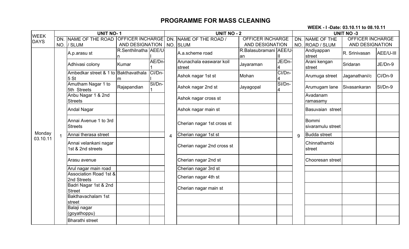WEEK - I -Date: 03.10.11 to 08.10.11

| <b>WEEK</b> |              | <b>UNIT NO-1</b>                                        |                      |        | UNIT $NO - 2$  |                                    |                               |                                   |   | <b>UNIT NO -3</b>          |                         |           |  |
|-------------|--------------|---------------------------------------------------------|----------------------|--------|----------------|------------------------------------|-------------------------------|-----------------------------------|---|----------------------------|-------------------------|-----------|--|
| <b>DAYS</b> |              | DN. NAME OF THE ROAD OFFICER INCHARGE                   |                      |        |                | DN. NAME OF THE ROAD /             | <b>OFFICER INCHARGE</b>       |                                   |   | DN. NAME OF THE            | <b>OFFICER INCHARGE</b> |           |  |
|             |              | NO. / SLUM                                              | AND DESIGNATION      |        |                | NO. SLUM                           | AND DESIGNATION               |                                   |   | NO. ROAD / SLUM            | AND DESIGNATION         |           |  |
|             |              | A.p.arasu st                                            | R.Senthilnatha AEE/U |        |                | A.a.scheme road                    | R.Balasubramani AEE/U-<br>lan | Ш                                 |   | Andiyappan<br>street       | R. Srinivasan           | AEE/U-III |  |
|             |              | Adhivasi colony                                         | Kumar                | AE/Dn- |                | Arunachala easwarar koil<br>street | Jayaraman                     | JE/Dn-<br>$\overline{\mathbf{4}}$ |   | Arani kengan<br>street     | Sridaran                | JE/Dn-9   |  |
|             |              | Ambedkar street & 1 to Bakthavathala<br>5 <sub>st</sub> | ım                   | CI/Dn- |                | Ashok nagar 1st st                 | Mohan                         | CI/Dn-                            |   | Arumuga street             | Jaganathani/c           | CI/Dn-9   |  |
|             |              | Amutham Nagar 1 to<br>5th Streets                       | Rajapandian          | SI/Dn- |                | Ashok nagar 2nd st                 | Jayagopal                     | SI/Dn-                            |   | Arumugam lane              | Sivasankaran            | SI/Dn-9   |  |
|             |              | Anbu Nagar 1 & 2nd<br><b>Streets</b>                    |                      |        |                | Ashok nagar cross st               |                               |                                   |   | Avadanam<br>ramasamy       |                         |           |  |
|             |              | Andal Nagar                                             |                      |        |                | Ashok nagar main st                |                               |                                   |   | <b>Basuvaian</b> street    |                         |           |  |
|             |              | Annai Avenue 1 to 3rd<br><b>Streets</b>                 |                      |        |                | Cherian nagar 1st cross st         |                               |                                   |   | Bommi<br>sivaramulu street |                         |           |  |
| Monday      | $\mathbf{1}$ | Annai therasa street                                    |                      |        | $\overline{4}$ | Cherian nagar 1st st               |                               |                                   | 9 | <b>Budda street</b>        |                         |           |  |
| 03.10.11    |              | Annai velankani nagar<br>1st & 2nd streets              |                      |        |                | Cherian nagar 2nd cross st         |                               |                                   |   | Chinnathambi<br>street     |                         |           |  |
|             |              | Arasu avenue                                            |                      |        |                | Cherian nagar 2nd st               |                               |                                   |   | Chooresan street           |                         |           |  |
|             |              | Arul nagar main road                                    |                      |        |                | Cherian nagar 3rd st               |                               |                                   |   |                            |                         |           |  |
|             |              | <b>Association Road 1st &amp;</b><br>2nd Streets        |                      |        |                | Cherian nagar 4th st               |                               |                                   |   |                            |                         |           |  |
|             |              | Badri Nagar 1st & 2nd<br><b>Street</b>                  |                      |        |                | Cherian nagar main st              |                               |                                   |   |                            |                         |           |  |
|             |              | Bakthavachalam 1st<br>street                            |                      |        |                |                                    |                               |                                   |   |                            |                         |           |  |
|             |              | Balaji nagar<br>(goyathoppu)                            |                      |        |                |                                    |                               |                                   |   |                            |                         |           |  |
|             |              | <b>Bharathi street</b>                                  |                      |        |                |                                    |                               |                                   |   |                            |                         |           |  |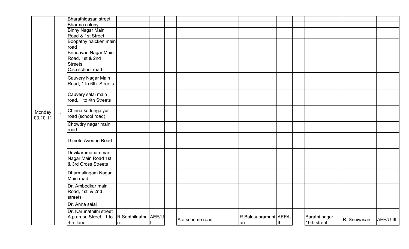|          |                | Bharathidasan street                        |     |  |                 |                        |   |               |               |           |
|----------|----------------|---------------------------------------------|-----|--|-----------------|------------------------|---|---------------|---------------|-----------|
|          |                | Bharma colony                               |     |  |                 |                        |   |               |               |           |
|          |                | <b>Binny Nagar Main</b>                     |     |  |                 |                        |   |               |               |           |
|          |                | Road & 1st Street                           |     |  |                 |                        |   |               |               |           |
|          |                | Boopathy naicken main                       |     |  |                 |                        |   |               |               |           |
|          |                | road                                        |     |  |                 |                        |   |               |               |           |
|          |                | Brindavan Nagar Main                        |     |  |                 |                        |   |               |               |           |
|          |                | Road, 1st & 2nd<br><b>Streets</b>           |     |  |                 |                        |   |               |               |           |
|          |                | C.s.i school road                           |     |  |                 |                        |   |               |               |           |
|          |                |                                             |     |  |                 |                        |   |               |               |           |
|          |                | Cauvery Nagar Main                          |     |  |                 |                        |   |               |               |           |
|          |                | Road, 1 to 6th Streets                      |     |  |                 |                        |   |               |               |           |
|          |                | Cauvery salai main                          |     |  |                 |                        |   |               |               |           |
|          |                | road, 1 to 4th Streets                      |     |  |                 |                        |   |               |               |           |
|          |                |                                             |     |  |                 |                        |   |               |               |           |
| Monday   |                | Chinna kodungaiyur                          |     |  |                 |                        |   |               |               |           |
| 03.10.11 | $\overline{1}$ | road (school road)                          |     |  |                 |                        |   |               |               |           |
|          |                | Chowdry nagar main                          |     |  |                 |                        |   |               |               |           |
|          |                | road                                        |     |  |                 |                        |   |               |               |           |
|          |                |                                             |     |  |                 |                        |   |               |               |           |
|          |                | D mote Avenue Road                          |     |  |                 |                        |   |               |               |           |
|          |                |                                             |     |  |                 |                        |   |               |               |           |
|          |                | Devikarumariamman                           |     |  |                 |                        |   |               |               |           |
|          |                | Nagar Main Road 1st                         |     |  |                 |                        |   |               |               |           |
|          |                | & 3rd Cross Streets                         |     |  |                 |                        |   |               |               |           |
|          |                | Dharmalingam Nagar                          |     |  |                 |                        |   |               |               |           |
|          |                | Main road                                   |     |  |                 |                        |   |               |               |           |
|          |                | Dr. Ambedkar main                           |     |  |                 |                        |   |               |               |           |
|          |                | Road, 1st & 2nd                             |     |  |                 |                        |   |               |               |           |
|          |                | streets                                     |     |  |                 |                        |   |               |               |           |
|          |                | Dr. Anna salai                              |     |  |                 |                        |   |               |               |           |
|          |                | Dr. Karunathithi street                     |     |  |                 |                        |   |               |               |           |
|          |                | A.p.arasu Street, 1 to R.Senthilnatha AEE/U |     |  |                 | R.Balasubramani AEE/U- |   | Barathi nagar |               |           |
|          |                | 4th lane                                    | In. |  | A.a.scheme road | an                     | Ш | 10th street   | R. Srinivasan | AEE/U-III |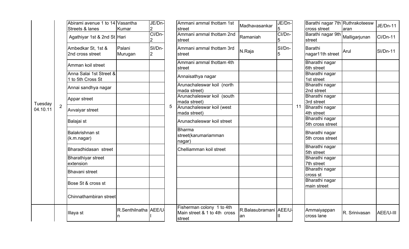|          |                | Abirami avenue 1 to 14 Vasantha<br>Streets & lanes<br>Agathiyar 1st & 2nd St Hari | Kumar                     | JE/Dn-<br>$\overline{2}$<br>CI/Dn-         |                         | Ammani ammal thottam 1st<br>street<br>Ammani ammal thottam 2nd      | Madhavasankar<br>Ramaniah   | JE/Dn-<br>5<br>CI/Dn- |                                     | Barathi nagar 7<br>cross street<br>Barathi nagar 9 |                                    |
|----------|----------------|-----------------------------------------------------------------------------------|---------------------------|--------------------------------------------|-------------------------|---------------------------------------------------------------------|-----------------------------|-----------------------|-------------------------------------|----------------------------------------------------|------------------------------------|
|          |                | Ambedkar St, 1st &<br>2nd cross street                                            | Palani<br>Murugan         | $\overline{2}$<br>SI/Dn-<br>$\overline{2}$ |                         | street<br>Ammani ammal thottam 3rd<br>street                        | N.Raja                      | 5<br>SI/Dn-           |                                     | street<br>Barathi<br>nagar11th stree               |                                    |
|          |                | Amman koil street                                                                 |                           |                                            |                         | Ammani ammal thottam 4th<br>street                                  |                             |                       |                                     | Bharathi nagar<br>6th street                       |                                    |
|          |                | Anna Salai 1st Street &<br>1 to 5th Cross St                                      |                           |                                            |                         | Annaisathya nagar                                                   |                             |                       |                                     | Bharathi nagar<br>1st street                       |                                    |
|          |                | Annai sandhya nagar                                                               |                           |                                            |                         | Arunachaleswar koil (north<br>mada street)                          |                             |                       |                                     | Bharathi nagar<br>2nd street                       |                                    |
| Tuesday  |                | Appar street                                                                      |                           |                                            |                         | Arunachaleswar koil (south<br>mada street)                          |                             |                       |                                     | Bharathi nagar<br>3rd street                       |                                    |
| 04.10.11 | $\overline{2}$ | Avvaiyar street                                                                   |                           |                                            | 5                       | Arunachaleswar koil (west<br>mada street)                           |                             |                       | 11                                  | Bharathi nagar<br>4th street                       |                                    |
|          |                | Balajai st                                                                        |                           |                                            |                         |                                                                     | Arunachaleswar koil street  |                       |                                     |                                                    | Bharathi nagar<br>5th cross street |
|          |                | Balakrishnan st<br>(k.m.nagar)                                                    |                           |                                            |                         | Bharma<br>street(karumariamman<br>nagar)                            |                             |                       |                                     | Bharathi nagar<br>5th cross street                 |                                    |
|          |                | Bharadhidasan street                                                              |                           |                                            | Chelliamman koil street |                                                                     |                             |                       | <b>Bharathi nagar</b><br>5th street |                                                    |                                    |
|          |                | <b>Bharathiyar street</b><br>extension                                            |                           |                                            |                         |                                                                     |                             |                       |                                     | Bharathi nagar<br>7th street                       |                                    |
|          |                | Bhavani street                                                                    |                           |                                            |                         |                                                                     |                             |                       |                                     | Bharathi nagar<br>cross st                         |                                    |
|          |                | Bose St & cross st                                                                |                           |                                            |                         |                                                                     |                             |                       |                                     | Bharathi nagar<br>main street                      |                                    |
|          |                | Chinnathambiran street                                                            |                           |                                            |                         |                                                                     |                             |                       |                                     |                                                    |                                    |
|          |                | Illaya st                                                                         | R.Senthilnatha AEE/U<br>n |                                            |                         | Fisherman colony 1 to 4th<br>Main street & 1 to 4th cross<br>street | R.Balasubramani AEE/U<br>an | Ш                     |                                     | Ammaiyappan<br>cross lane                          |                                    |

| avenue 1 to 14   Vasantha<br>& lanes | Kumar                      | JE/Dn-<br>2              |   | Ammani ammal thottam 1st<br>street                                  | Madhavasankar                | JE/Dn-<br>5 |    | Barathi nagar 7th Ruthrakoteesw<br>cross street | aran          | <b>JE/Dn-11</b> |
|--------------------------------------|----------------------------|--------------------------|---|---------------------------------------------------------------------|------------------------------|-------------|----|-------------------------------------------------|---------------|-----------------|
| ar 1st & 2nd St Hari                 |                            | CI/Dn-                   |   | Ammani ammal thottam 2nd<br>street                                  | Ramaniah                     | CI/Dn-<br>5 |    | Barathi nagar 9th Malligarjunan<br>street       |               | <b>CI/Dn-11</b> |
| ar St, 1st &<br>s street             | Palani<br>Murugan          | SI/Dn-<br>$\overline{2}$ |   | Ammani ammal thottam 3rd<br>street                                  | N.Raja                       | SI/Dn-<br>5 |    | Barathi<br>nagar11th street                     | Arul          | <b>SI/Dn-11</b> |
| koil street                          |                            |                          |   | Ammani ammal thottam 4th<br>street                                  |                              |             |    | Bharathi nagar<br>6th street                    |               |                 |
| lai 1st Street &<br>Cross St         |                            |                          |   | Annaisathya nagar                                                   |                              |             |    | Bharathi nagar<br>1st street                    |               |                 |
| ndhya nagar                          |                            |                          |   | Arunachaleswar koil (north<br>mada street)                          |                              |             |    | Bharathi nagar<br>2nd street                    |               |                 |
| reet                                 |                            |                          |   | Arunachaleswar koil (south<br>mada street)                          |                              |             |    | Bharathi nagar<br>3rd street                    |               |                 |
| street                               |                            |                          | 5 | Arunachaleswar koil (west<br>mada street)                           |                              |             | 11 | Bharathi nagar<br>4th street                    |               |                 |
|                                      |                            |                          |   | Arunachaleswar koil street                                          |                              |             |    | Bharathi nagar<br>5th cross street              |               |                 |
| าnan st<br>ar)                       |                            |                          |   | <b>Bharma</b><br>street(karumariamman<br>nagar)                     |                              |             |    | Bharathi nagar<br>5th cross street              |               |                 |
| idasan street                        |                            |                          |   | Chelliamman koil street                                             |                              |             |    | Bharathi nagar<br>5th street                    |               |                 |
| yar street<br>n                      |                            |                          |   |                                                                     |                              |             |    | Bharathi nagar<br>7th street                    |               |                 |
| street                               |                            |                          |   |                                                                     |                              |             |    | Bharathi nagar<br>cross st                      |               |                 |
| & cross st                           |                            |                          |   |                                                                     |                              |             |    | Bharathi nagar<br>main street                   |               |                 |
| ambiran street                       |                            |                          |   |                                                                     |                              |             |    |                                                 |               |                 |
|                                      | R.Senthilnatha AEE/U<br>In |                          |   | Fisherman colony 1 to 4th<br>Main street & 1 to 4th cross<br>street | R.Balasubramani AEE/U-<br>an | Ш           |    | Ammaiyappan<br>cross lane                       | R. Srinivasan | AEE/U-III       |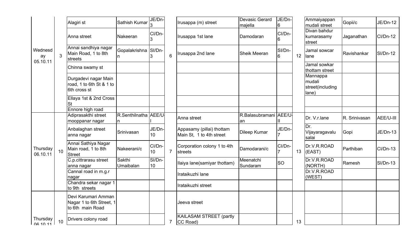|                           |                 | Alagiri st                                                          | Sathish Kumar              | JE/Dn-                    |                | Irusappa (m) street                                   | <b>Devasic Gerard</b><br>majella | JE/Dn-<br>6  |    | Ammaiyappan<br>mudali street                    | Gopii/c       | JE/Dn-12        |
|---------------------------|-----------------|---------------------------------------------------------------------|----------------------------|---------------------------|----------------|-------------------------------------------------------|----------------------------------|--------------|----|-------------------------------------------------|---------------|-----------------|
|                           |                 | Anna street                                                         | Nakeeran                   | CI/Dn-<br>3               |                | Irusappa 1st lane                                     | Damodaran                        | CI/Dn-<br>16 |    | Divan bahdur<br>kumarasamy<br>street            | Jaganathan    | CI/Dn-12        |
| Wednesd<br>ay<br>05.10.11 | 3               | Annai sandhiya nagar<br>Main Road, 1 to 8th<br>streets              | Gopalakrishna SI/Dn-       | 3                         | 6              | Irusappa 2nd lane                                     | Sheik Meeran                     | SI/Dn-<br>6  | 12 | Jamal sowcar<br>lane                            | Ravishankar   | <b>SI/Dn-12</b> |
|                           |                 | Chinna swamy st                                                     |                            |                           |                |                                                       |                                  |              |    | Jamal sowkar<br>thottam street                  |               |                 |
|                           |                 | Durgadevi nagar Main<br>road, 1 to 6th St & 1 to<br>6th cross st    |                            |                           |                |                                                       |                                  |              |    | Mannappa<br>mudali<br>street(including<br>lane) |               |                 |
|                           |                 | Ellaya 1st & 2nd Cross<br>St                                        |                            |                           |                |                                                       |                                  |              |    |                                                 |               |                 |
|                           |                 | Ennore high road                                                    |                            |                           |                |                                                       |                                  |              |    |                                                 |               |                 |
|                           |                 | Adiprasakthi street<br>mooppanar nagar                              | R.Senthilnatha AEE/U<br>In |                           |                | Anna street                                           | R.Balasubramani AEE/U-<br>an     |              |    | Dr. V.r.lane                                    | R. Srinivasan | AEE/U-III       |
|                           |                 | Anbalaghan street<br>anna nagar                                     | Srinivasan                 | JE/Dn-<br>10              |                | Appasamy (pillai) thottam<br>Main St, 1 to 4th street | Dileep Kumar                     | JE/Dn-       |    | Dr.<br>Vijayaragavalu<br>salai                  | Gopi          | <b>JE/Dn-13</b> |
| Thursday<br>06.10.11      | 10 <sup>1</sup> | Annai Sathiya Nagar<br>Main road, 1 to 8th<br><b>Street</b>         | Nakeerani/c                | CI/Dn-<br>10 <sup>1</sup> | $\overline{7}$ | Corporation colony 1 to 4th<br>streets                | Damodarani/c                     | CI/Dn-<br>7  | 13 | Dr.V.R.ROAD<br>(EAST)                           | Parthiban     | CI/Dn-13        |
|                           |                 | C.p.cittrarasu street<br>anna nagar                                 | Sakthi<br>Umaibalan        | SI/Dn-<br>10 <sup>1</sup> |                | Ilaiya lane(samiyar thottam)                          | Meenatchi<br>Sundaram            | <b>SO</b>    |    | Dr.V.R.ROAD<br>(NORTH)                          | Ramesh        | <b>SI/Dn-13</b> |
|                           |                 | Cannal road in m.g.r<br>nagar                                       |                            |                           |                | Irataikuzhi lane                                      |                                  |              |    | Dr.V.R.ROAD<br>(WEST)                           |               |                 |
|                           |                 | Chandra sekar nagar 1<br>to 9th streets                             |                            |                           |                | Irataikuzhi street                                    |                                  |              |    |                                                 |               |                 |
|                           |                 | Devi Karumari Amman<br>Nagar 1 to 6th Street, 1<br>to 6th main Road |                            |                           |                | Jeeva street                                          |                                  |              |    |                                                 |               |                 |
| Thursday<br>OR 10 11      | 10              | Drivers colony road                                                 |                            |                           | $\overline{7}$ | <b>KAILASAM STREET (partly</b><br>CC Road)            |                                  |              | 13 |                                                 |               |                 |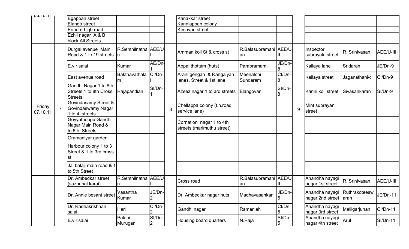| <b>UU. IU. I I</b> | Egappan street                                                    |                      |                           |   | Kanakkar street                                        |                             |              |   |                                                       |               |                 |
|--------------------|-------------------------------------------------------------------|----------------------|---------------------------|---|--------------------------------------------------------|-----------------------------|--------------|---|-------------------------------------------------------|---------------|-----------------|
|                    | Elango street                                                     |                      |                           |   | Kanniappan colony                                      |                             |              |   |                                                       |               |                 |
|                    | Ennore high road                                                  |                      |                           |   | Kesavan street                                         |                             |              |   |                                                       |               |                 |
|                    | Ezhil nagar A & B                                                 |                      |                           |   |                                                        |                             |              |   |                                                       |               |                 |
|                    | block All Streets                                                 |                      |                           |   |                                                        |                             |              |   |                                                       |               |                 |
|                    | Durgai avenue Main<br>Road & 1 to 19 streets  n                   | R.Senthilnatha AEE/U |                           |   | Amman koil St & cross st                               | R.Balasubramani AEE/U<br>an | Ш            |   | Inspector<br>subrayalu street                         | R. Srinivasan | AEE/U-III       |
|                    | E.v.r.salai                                                       | Kumar                | AE/Dn-                    |   | Appai thottam (huts)                                   | Parabramam                  | JE/Dn-<br>8  |   | Kailaya lane                                          | Sridaran      | JE/Dn-9         |
|                    | East avenue road                                                  | Bakthavathala<br>Im. | CI/Dn-                    |   | Arani gengan & Rangaiyan<br>lanes, Street & 1st lane   | Meenatchi<br>Sundaram       | CI/Dn-<br>18 |   | Kailaya street                                        | Jaganathani/c | CI/Dn-9         |
|                    | Gandhi Nagar 1 to 8th<br>Streets 1 to 8th Cross<br><b>Streets</b> | Rajapandian          | SI/Dn-                    |   | Azeez nagar 1 to 3rd streets                           | Elangovan                   | SI/Dn-<br>18 |   | Kanni koil street                                     | Sivasankaran  | SI/Dn-9         |
| Friday<br>07.10.11 | Govindasamy Street &<br>Govindaswamy Nagar<br>1 to 4 streets      |                      |                           | 8 | Chellappa colony (t.h.road<br>service lane)            |                             |              | 9 | Mint subrayan<br>street                               |               |                 |
|                    | Goyyathoppu Gandhi<br>Nagar Main Road & 1<br>to 6th Streets       |                      |                           |   | Cornation nagar 1 to 4th<br>streets (marimuthu street) |                             |              |   |                                                       |               |                 |
|                    | Gramaniyar garden                                                 |                      |                           |   |                                                        |                             |              |   |                                                       |               |                 |
|                    | Harbour colony 1 to 3<br>Street & 1 to 3rd cross<br>st            |                      |                           |   |                                                        |                             |              |   |                                                       |               |                 |
|                    | Jai balaji main road & 1<br>to 5th Street                         |                      |                           |   |                                                        |                             |              |   |                                                       |               |                 |
|                    | Dr. Ambedkar street<br>(suzpunal karai)                           | R.Senthilnatha AEE/U |                           |   | <b>Cross road</b>                                      | R.Balasubramani AEE/U<br>an |              |   | Anandha nayagi<br>nagar 1st street                    | R. Srinivasan | AEE/U-III       |
|                    | Dr. Annie besant street                                           | Vasantha<br>Kumar    | JE/Dn-<br>$\vert 2 \vert$ |   | Dr. Ambedkar nagar huts                                | Madhavasankar               | JE/Dn-<br>15 |   | Anandha nayagi Ruthrakoteesw<br>nagar 2nd street aran |               | JE/Dn-11        |
|                    | Dr. Radhakrishnan<br>salai                                        | Hari                 | CI/Dn-<br>2               |   | Gandhi nagar                                           | Ramaniah                    | CI/Dn-<br>15 |   | Anandha nayagi<br>nagar 3rd street                    | Malligarjunan | CI/Dn-11        |
|                    | E.v.r.salai                                                       | Palani<br>Murugan    | SI/Dn-<br>$\overline{2}$  |   | Housing board quarters                                 | N.Raja                      | SI/Dn-<br>5  |   | Anandha nayagi<br>nagar 4th street                    | Arul          | <b>SI/Dn-11</b> |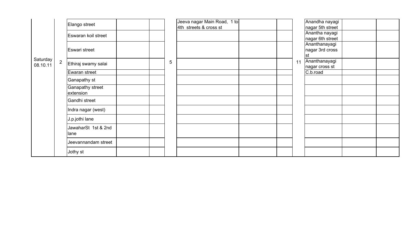|          |                | Elango street        |  |   | Jeeva nagar Main Road, 1 to |  |    | Anandha nayagi   |  |
|----------|----------------|----------------------|--|---|-----------------------------|--|----|------------------|--|
|          |                |                      |  |   | 4th streets & cross st      |  |    | nagar 5th street |  |
|          |                | Eswaran koil street  |  |   |                             |  |    | Anantha nayagi   |  |
|          |                |                      |  |   |                             |  |    | nagar 6th street |  |
|          |                |                      |  |   |                             |  |    | Ananthanayagi    |  |
|          |                | <b>Eswari street</b> |  |   |                             |  |    | nagar 3rd cross  |  |
|          |                |                      |  |   |                             |  |    | lst              |  |
| Saturday | $\overline{2}$ |                      |  | 5 |                             |  | 11 | Ananthanayagi    |  |
| 08.10.11 |                | Ethiraj swamy salai  |  |   |                             |  |    | nagar cross st   |  |
|          |                | Ewaran street        |  |   |                             |  |    | C.b.road         |  |
|          |                | Ganapathy st         |  |   |                             |  |    |                  |  |
|          |                | Ganapathy street     |  |   |                             |  |    |                  |  |
|          |                | extension            |  |   |                             |  |    |                  |  |
|          |                | Gandhi street        |  |   |                             |  |    |                  |  |
|          |                |                      |  |   |                             |  |    |                  |  |
|          |                | Indra nagar (west)   |  |   |                             |  |    |                  |  |
|          |                | J.p.jothi lane       |  |   |                             |  |    |                  |  |
|          |                | JawaharSt 1st & 2nd  |  |   |                             |  |    |                  |  |
|          |                | lane                 |  |   |                             |  |    |                  |  |
|          |                |                      |  |   |                             |  |    |                  |  |
|          |                | Jeevannandam street  |  |   |                             |  |    |                  |  |
|          |                | Jothy st             |  |   |                             |  |    |                  |  |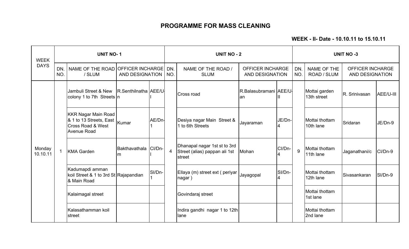WEEK - II- Date - 10.10.11 to 15.10.11

| <b>WEEK</b><br><b>DAYS</b> |            | <b>UNIT NO-1</b>                                                                          |                            |        | <b>UNIT NO - 2</b> |                                                                         |                               |                                                   |   | <b>UNIT NO -3</b>            |                      |                                   |                                            |  |
|----------------------------|------------|-------------------------------------------------------------------------------------------|----------------------------|--------|--------------------|-------------------------------------------------------------------------|-------------------------------|---------------------------------------------------|---|------------------------------|----------------------|-----------------------------------|--------------------------------------------|--|
|                            | DN.<br>NO. | NAME OF THE ROAD OFFICER INCHARGE<br>/ SLUM                                               | <b>AND DESIGNATION</b>     |        | DN.<br>NO.         | NAME OF THE ROAD /<br><b>SLUM</b>                                       |                               | <b>OFFICER INCHARGE</b><br><b>AND DESIGNATION</b> |   |                              |                      | <b>NAME OF THE</b><br>ROAD / SLUM | <b>OFFICER INCHARGE</b><br>AND DESIGNATION |  |
|                            |            | Jambuli Street & New<br>colony 1 to 7th Streets n                                         | R.Senthilnatha AEE/U       |        |                    | Cross road                                                              | R.Balasubramani AEE/U-<br>lan | Ш                                                 |   | Mottai garden<br>13th street | <b>R.</b> Srinivasan | AEE/U-III                         |                                            |  |
|                            |            | <b>KKR Nagar Main Road</b><br>& 1 to 13 Streets, East<br>Cross Road & West<br>Avenue Road | Kumar                      | AE/Dn- |                    | Desiya nagar Main Street &<br>1 to 6th Streets                          | Jayaraman                     | JE/Dn-                                            |   | Mottai thottam<br>10th lane  | Sridaran             | JE/Dn-9                           |                                            |  |
| Monday<br>10.10.11         |            | <b>KMA Garden</b>                                                                         | Bakthavathala CI/Dn-<br>Im |        | $\overline{4}$     | Dhanapal nagar 1st st to 3rd<br>Street (alias) pappan ali 1st<br>street | Mohan                         | CI/Dn-                                            | 9 | Mottai thottam<br>11th lane  | Jaganathani/c        | CI/Dn-9                           |                                            |  |
|                            |            | Kadumapdi amman<br>koil Street & 1 to 3rd St Rajapandian<br>& Main Road                   |                            | SI/Dn- |                    | Ellaya (m) street ext (periyar<br>nagar)                                | Jayagopal                     | SI/Dn-<br>4                                       |   | Mottai thottam<br>12th lane  | Sivasankaran         | $SI/Dn-9$                         |                                            |  |
|                            |            | Kalaimagal street                                                                         |                            |        |                    | Govindaraj street                                                       |                               |                                                   |   | Mottai thottam<br>1st lane   |                      |                                   |                                            |  |
|                            |            | Kalasathamman koil<br><b>street</b>                                                       |                            |        |                    | Indira gandhi nagar 1 to 12th<br>lane                                   |                               |                                                   |   | Mottai thottam<br>2nd lane   |                      |                                   |                                            |  |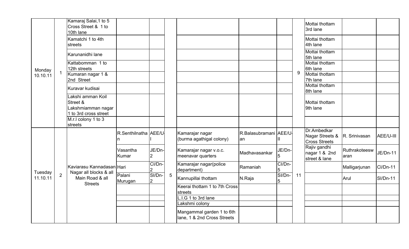|          |                | Kamaraj Salai, 1 to 5<br>Cross Street & 1 to<br>10th lane                    |                      |                          |                 |                                                          |                              |             |    | Mottai thottam<br>3rd lane                             |                       |                 |
|----------|----------------|------------------------------------------------------------------------------|----------------------|--------------------------|-----------------|----------------------------------------------------------|------------------------------|-------------|----|--------------------------------------------------------|-----------------------|-----------------|
|          |                | Kamatchi 1 to 4th<br>streets                                                 |                      |                          |                 |                                                          |                              |             |    | Mottai thottam<br>4th lane                             |                       |                 |
|          |                | Karunanidhi lane                                                             |                      |                          |                 |                                                          |                              |             |    | Mottai thottam<br>5th lane                             |                       |                 |
| Monday   |                | Kattabomman 1 to<br>12th streets                                             |                      |                          |                 |                                                          |                              |             |    | Mottai thottam<br>6th lane                             |                       |                 |
| 10.10.11 | $\mathbf 1$    | Kumaran nagar 1 &<br>2nd Street                                              |                      |                          |                 |                                                          |                              |             | 9  | Mottai thottam<br>7th lane                             |                       |                 |
|          |                | Kuravar kudisai                                                              |                      |                          |                 |                                                          |                              |             |    | Mottai thottam<br>8th lane                             |                       |                 |
|          |                | Lakshi amman Koil<br>Street &<br>Lakshmiamman nagar<br>1 to 3rd cross street |                      |                          |                 |                                                          |                              |             |    | Mottai thottam<br>9th lane                             |                       |                 |
|          |                | M.r.I colony 1 to 3<br>streets                                               |                      |                          |                 |                                                          |                              |             |    |                                                        |                       |                 |
|          |                |                                                                              | R.Senthilnatha AEE/U |                          |                 | Kamarajar nagar<br>(burma agathigal colony)              | R.Balasubramani AEE/U<br>lan | Ш           |    | Dr.Ambedkar<br>Nagar Streets &<br><b>Cross Streets</b> | R. Srinivasan         | AEE/U-III       |
|          |                |                                                                              | Vasantha<br>Kumar    | JE/Dn-<br>$\overline{2}$ |                 | Kamarajar nagar v.o.c.<br>meenavar quarters              | Madhavasankar                | JE/Dn-<br>5 |    | Rajiv gandhi<br>nagar 1 & 2nd<br>street & lane         | Ruthrakoteesw<br>aran | JE/Dn-11        |
| Tuesday  |                | Kaviarasu Kannadasan Hari<br>Nagar all blocks & all                          |                      | CI/Dn-<br>2              |                 | Kamarajar nagar(police<br>department)                    | Ramaniah                     | CI/Dn-      |    |                                                        | Malligarjunan         | <b>CI/Dn-11</b> |
| 11.10.11 | $\overline{2}$ | Main Road & all<br><b>Streets</b>                                            | Palani<br>Murugan    | SI/Dn-<br>2              | $5\overline{5}$ | Kannupillai thottam                                      | N.Raja                       | SI/Dn-<br>5 | 11 |                                                        | Arul                  | <b>SI/Dn-11</b> |
|          |                |                                                                              |                      |                          |                 | Keerai thottam 1 to 7th Cross<br>streets                 |                              |             |    |                                                        |                       |                 |
|          |                |                                                                              |                      |                          |                 | L.I.G 1 to 3rd lane                                      |                              |             |    |                                                        |                       |                 |
|          |                |                                                                              |                      |                          |                 | Lakshmi colony                                           |                              |             |    |                                                        |                       |                 |
|          |                |                                                                              |                      |                          |                 | Mangammal garden 1 to 6th<br>lane, 1 & 2nd Cross Streets |                              |             |    |                                                        |                       |                 |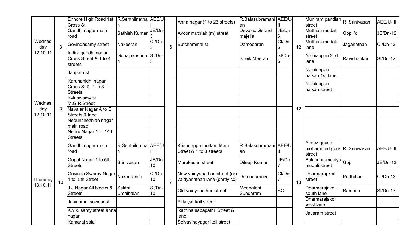|                      |                | Ennore High Road 1st R.Senthilnatha AEE/U<br><b>Cross St</b>  |                      |              |                | Anna nagar (1 to 23 streets)                                  | R.Balasubramani AEE/U-<br>an |                          |    | Muniram pandian<br>street                            | R. Srinivasan | AEE/U-III       |
|----------------------|----------------|---------------------------------------------------------------|----------------------|--------------|----------------|---------------------------------------------------------------|------------------------------|--------------------------|----|------------------------------------------------------|---------------|-----------------|
|                      |                | Gandhi nagar main<br>road                                     | Sathish Kumar        | JE/Dn-       |                | Avoor muthiah (m) street                                      | Devasic Gerard<br>majella    | JE/Dn-<br>6              |    | Muthiah mudali<br>street                             | Gopii/c       | JE/Dn-12        |
| Wednes<br>day        | 3              | Govindasamy street                                            | Nakeeran             | CI/Dn-<br>Ι3 | 6              | <b>Butchammal st</b>                                          | Damodaran                    | CI/Dn-<br>6              | 12 | Muthiah mudali<br>lane                               | Jaganathan    | <b>CI/Dn-12</b> |
| 12.10.11             |                | Indira gandhi nagar<br>Cross Street & 1 to 4<br>streets       | Gopalakrishna SI/Dn- | 13           |                |                                                               | Sheik Meeran                 | SI/Dn-<br>6              |    | Nainiappan 2nd<br>lane                               | Ravishankar   | $SI/Dn-12$      |
|                      |                | Janpath st                                                    |                      |              |                |                                                               |                              |                          |    | Nainiappan<br>naikan 1st lane                        |               |                 |
|                      |                | Karunanidhi nagar<br>Cross St & 1 to 3<br><b>Streets</b>      |                      |              |                |                                                               |                              |                          |    | Nainiappan<br>naikan street                          |               |                 |
|                      |                | Kvk swamy st                                                  |                      |              |                |                                                               |                              |                          |    |                                                      |               |                 |
| Wednes               |                | M.G.R.Street                                                  |                      |              |                |                                                               |                              |                          |    |                                                      |               |                 |
| day                  | 3 <sup>1</sup> | Navalar Nagar A to E                                          |                      |              |                |                                                               |                              |                          | 12 |                                                      |               |                 |
| 12.10.11             |                | Streets & lane                                                |                      |              |                |                                                               |                              |                          |    |                                                      |               |                 |
|                      |                | Nedunchezhian nagar<br>main road                              |                      |              |                |                                                               |                              |                          |    |                                                      |               |                 |
|                      |                | Nehru Nagar 1 to 14th<br><b>Streets</b>                       |                      |              |                |                                                               |                              |                          |    |                                                      |               |                 |
|                      |                | Gandhi nagar main<br>road                                     | R.Senthilnatha AEE/U |              |                | Krishnappa thottam Main<br>Street & 1 to 3 streets            | R.Balasubramani AEE/U-<br>an | Ш                        |    | Azeez gouse<br>mohammed gous R. Srinivasan<br>street |               | AEE/U-III       |
|                      |                | Gopal Nagar 1 to 5th<br><b>Streets</b>                        | Srinivasan           | JE/Dn-<br>10 |                | Murukesan street                                              | Dileep Kumar                 | JE/Dn-                   |    | Balasubramaniya<br>mudali street                     | Gopi          | <b>JE/Dn-13</b> |
| Thursday<br>13.10.11 | 10             | Govinda Swamy Nagar <sub>Nakeerani/c</sub><br>1 to 5th Street |                      | CI/Dn-<br>10 | $\overline{7}$ | New vaidyanathan street (or)<br>vaidyanathan lane (partly cc) | Damodarani/c                 | CI/Dn-<br>$\overline{7}$ | 13 | Dharmaraj koil<br>street                             | Parthiban     | <b>CI/Dn-13</b> |
|                      |                | J.J.Nagar All blocks &<br><b>Streets</b>                      | Sakthi<br>Umaibalan  | SI/Dn-<br>10 |                | Old vaidyanathan street                                       | Meenatchi<br>Sundaram        | <b>SO</b>                |    | Dharmarajakoil<br>south lane                         | Ramesh        | $SI/Dn-13$      |
|                      |                | Jawanmul sowcar st                                            |                      |              |                | Pillaiyar koil street                                         |                              |                          |    | Dharmarajakoil<br>west lane                          |               |                 |
|                      |                | K.v.k. samy street anna<br>nagar                              |                      |              |                | Rathina sabapathi Street &<br>lane                            |                              |                          |    | Jayaram street                                       |               |                 |
|                      |                | Kamaraj salai                                                 |                      |              |                | Selvavinayagar koil street                                    |                              |                          |    |                                                      |               |                 |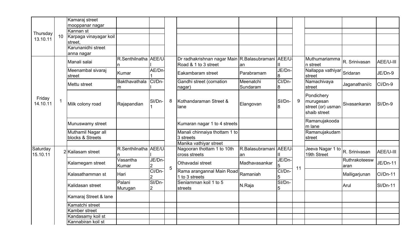|          |                 | Kamaraj street         |                      |             |   |                                                    |                       |             |    |                   |               |                 |
|----------|-----------------|------------------------|----------------------|-------------|---|----------------------------------------------------|-----------------------|-------------|----|-------------------|---------------|-----------------|
|          |                 | mooppanar nagar        |                      |             |   |                                                    |                       |             |    |                   |               |                 |
| Thursday |                 | Kannan st              |                      |             |   |                                                    |                       |             |    |                   |               |                 |
| 13.10.11 | 10 <sup>°</sup> | Karpaga vinayagar koil |                      |             |   |                                                    |                       |             |    |                   |               |                 |
|          |                 | street,                |                      |             |   |                                                    |                       |             |    |                   |               |                 |
|          |                 | Karunanidhi street     |                      |             |   |                                                    |                       |             |    |                   |               |                 |
|          |                 | anna nagar             |                      |             |   |                                                    |                       |             |    |                   |               |                 |
|          |                 | Manali salai           | R.Senthilnatha AEE/U |             |   | Dr radhakrishnan nagar Main R.Balasubramani AEE/U- |                       |             |    | Muthumariamma     | R. Srinivasan | AEE/U-III       |
|          |                 |                        | n                    |             |   | Road & 1 to 3 street                               | an                    |             |    | In street         |               |                 |
|          |                 | Meenambal sivaraj      | Kumar                | AE/Dn-      |   | Eakambaram street                                  | Parabramam            | JE/Dn-      |    | Nallappa vathiyar | Sridaran      | JE/Dn-9         |
|          |                 | street                 |                      |             |   |                                                    |                       | 8           |    | street            |               |                 |
|          |                 | Mettu street           | Bakthavathala        | CI/Dn-      |   | Gandhi street (cornation                           | Meenatchi             | CI/Dn-      |    | Namachivaya       | Jaganathani/c | CI/Dn-9         |
|          |                 |                        | m                    |             |   | nagar)                                             | Sundaram              | 8           |    | street            |               |                 |
|          |                 |                        |                      |             |   |                                                    |                       |             |    | Pondichery        |               |                 |
| Friday   | $\mathbf{1}$    |                        |                      | SI/Dn-      | 8 | Kothandaraman Street &                             |                       | SI/Dn-      | 9  | murugesan         |               |                 |
| 14.10.11 |                 | Milk colony road       | Rajapandian          |             |   | lane                                               | Elangovan             | 8           |    | street (or) usman | Sivasankaran  | SI/Dn-9         |
|          |                 |                        |                      |             |   |                                                    |                       |             |    | shaib street      |               |                 |
|          |                 |                        |                      |             |   |                                                    |                       |             |    |                   |               |                 |
|          |                 | Munuswamy street       |                      |             |   | Kumaran nagar 1 to 4 streets                       |                       |             |    | Ramanujakooda     |               |                 |
|          |                 |                        |                      |             |   |                                                    |                       |             |    | m lane            |               |                 |
|          |                 | Muthamil Nagar all     |                      |             |   | Manali chinnaiya thottam 1 to                      |                       |             |    | Ramanujakudam     |               |                 |
|          |                 | blocks & Streets       |                      |             |   | 3 streets                                          |                       |             |    | street            |               |                 |
|          |                 |                        |                      |             |   | Manika vathiyar street                             |                       |             |    |                   |               |                 |
| Saturday |                 | 2 Kailasam street      | R.Senthilnatha AEE/U |             |   | Nagooran thottam 1 to 10th                         | R.Balasubramani AEE/U |             |    | Jeeva Nagar 1 to  | R. Srinivasan | AEE/U-III       |
| 15.10.11 |                 |                        |                      |             |   | cross streets                                      | an                    |             |    | 19th Street       |               |                 |
|          |                 | Kalamegam street       | Vasantha             | JE/Dn-      |   | Othavadai street                                   | Madhavasankar         | JE/Dn-      |    |                   | Ruthrakoteesw | JE/Dn-11        |
|          |                 |                        | Kumar                | 2<br>CI/Dn- | 5 |                                                    |                       | 5           | 11 |                   | aran          |                 |
|          |                 | Kalasathamman st       | Hari                 |             |   | Rama arangannal Main Road                          | Ramaniah              | CI/Dn-      |    |                   | Malligarjunan | <b>CI/Dn-11</b> |
|          |                 |                        |                      | SI/Dn-      |   | 1 to 3 streets<br>Seniamman koil 1 to 5            |                       | 5<br>SI/Dn- |    |                   |               |                 |
|          |                 | Kalidasan street       | Palani               |             |   |                                                    | N.Raja                |             |    |                   | Arul          | <b>SI/Dn-11</b> |
|          |                 |                        | Murugan              | 2           |   | streets                                            |                       | 5           |    |                   |               |                 |
|          |                 | Kamaraj Street & lane  |                      |             |   |                                                    |                       |             |    |                   |               |                 |
|          |                 | Kamatchi street        |                      |             |   |                                                    |                       |             |    |                   |               |                 |
|          |                 | Kamber street          |                      |             |   |                                                    |                       |             |    |                   |               |                 |
|          |                 | Kandasamy koil st      |                      |             |   |                                                    |                       |             |    |                   |               |                 |
|          |                 | Kannabiran koil st     |                      |             |   |                                                    |                       |             |    |                   |               |                 |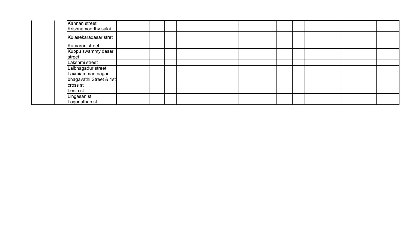| Kannan street                                           |  |  |  |  |  |
|---------------------------------------------------------|--|--|--|--|--|
| Krishnamoorthy salai                                    |  |  |  |  |  |
| Kulasekaradasar stret                                   |  |  |  |  |  |
| Kumaran street                                          |  |  |  |  |  |
| Kuppu swammy dasar<br>street                            |  |  |  |  |  |
| Lakshmi street                                          |  |  |  |  |  |
| Lalbhagadur street                                      |  |  |  |  |  |
| Laxmiamman nagar<br>bhagavathi Street & 1st<br>cross st |  |  |  |  |  |
| Lenin st                                                |  |  |  |  |  |
| Lingasan st                                             |  |  |  |  |  |
| Loganathan st                                           |  |  |  |  |  |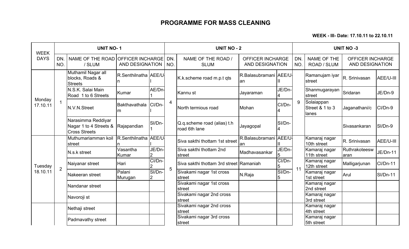WEEK - III- Date: 17.10.11 to 22.10.11

| <b>WEEK</b>        |                | <b>UNIT NO-1</b>                                                                 |                        |        |            | <b>UNIT NO - 2</b>                           |                                                   |               |                  |                                         | <b>UNIT NO -3</b>                          |                 |
|--------------------|----------------|----------------------------------------------------------------------------------|------------------------|--------|------------|----------------------------------------------|---------------------------------------------------|---------------|------------------|-----------------------------------------|--------------------------------------------|-----------------|
| <b>DAYS</b>        | DN.<br>NO.     | NAME OF THE ROAD OFFICER INCHARGE<br>/ SLUM                                      | <b>AND DESIGNATION</b> |        | DN.<br>NO. | NAME OF THE ROAD /<br><b>SLUM</b>            | <b>OFFICER INCHARGE</b><br><b>AND DESIGNATION</b> |               | <b>DN</b><br>NO. | NAME OF THE<br>ROAD / SLUM              | <b>OFFICER INCHARGE</b><br>AND DESIGNATION |                 |
|                    |                | Muthamil Nagar all<br>blocks, Roads &<br><b>Streets</b>                          | R.Senthilnatha AEE/U   |        |            | K.k.scheme road m.p.t qts                    | R.Balasubramani AEE/U<br>lan                      | Ш             |                  | Ramanujam iyar<br>street                | R. Srinivasan                              | AEE/U-III       |
|                    |                | N.S.K. Salai Main<br>Road 1 to 6 Streets                                         | Kumar                  | AE/Dn  |            | Kannu st                                     | Jayaraman                                         | JE/Dn-        |                  | Shanmugarayan<br>street                 | Sridaran                                   | JE/Dn-9         |
| Monday<br>17.10.11 | 1              | N.V.N.Street                                                                     | Bakthavathala<br>ım    | CI/Dn- | 4          | North termious road                          | Mohan                                             | CI/Dn-        | 9                | Solaiappan<br>Street & 1 to 3<br>llanes | Jaganathani/c                              | CI/Dn-9         |
|                    |                | Narasimma Reddiyar<br>Nagar 1 to 4 Streets & Rajapandian<br><b>Cross Streets</b> |                        | SI/Dn- |            | Q.q.scheme road (alias) t.h<br>road 6th lane | Jayagopal                                         | SI/Dn-<br>14  |                  |                                         | Sivasankaran                               | SI/Dn-9         |
|                    |                | Muthumariamman koil R.Senthilnatha AEE/U<br>street                               |                        |        |            | Siva sakthi thottam 1st street               | R.Balasubramani<br>lan                            | <b>AEE/U-</b> |                  | Kamaraj nagar<br>10th street            | R. Srinivasan                              | AEE/U-III       |
|                    |                | N.s.k street                                                                     | Vasantha<br>Kumar      | JE/Dn- |            | Siva sakthi thottam 2nd<br>street            | Madhavasankar                                     | JE/Dn-<br>5   |                  | Kamaraj nagar<br>11th street            | Ruthrakoteesw<br>aran                      | JE/Dn-11        |
| Tuesday            | $\overline{2}$ | Naiyanar street                                                                  | Hari                   | CI/Dn- | 5          | Siva sakthi thottam 3rd street Ramaniah      |                                                   | CI/Dn-<br>5   | 11               | Kamaraj nagar<br>12th street            | Malligarjunan                              | CI/Dn-11        |
| 18.10.11           |                | Nakeeran street                                                                  | Palani<br>Murugan      | SI/Dn- |            | Sivakami nagar 1st cross<br>street           | N.Raja                                            | SI/Dn-        |                  | Kamaraj nagar<br>1st street             | Arul                                       | <b>SI/Dn-11</b> |
|                    |                | Nandanar street                                                                  |                        |        |            | Sivakami nagar 1st cross<br>street           |                                                   |               |                  | Kamaraj nagar<br>2nd street             |                                            |                 |
|                    |                | Navoroji st                                                                      |                        |        |            | Sivakami nagar 2nd cross<br>street           |                                                   |               |                  | Kamaraj nagar<br>3rd street             |                                            |                 |
|                    |                | Nethaji street                                                                   |                        |        |            | Sivakami nagar 2nd cross<br>street           |                                                   |               |                  | Kamaraj nagar<br>4th street             |                                            |                 |
|                    |                | Padmavathy street                                                                |                        |        |            | Sivakami nagar 3rd cross<br>street           |                                                   |               |                  | Kamaraj nagar<br>5th street             |                                            |                 |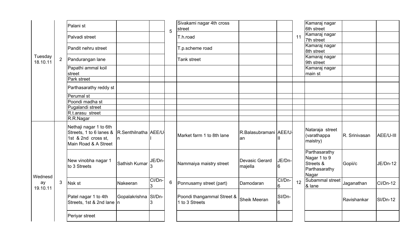|                           |                | Palani <sub>st</sub>                                                                             |                      |             |                | Sivakami nagar 4th cross<br>street           |                               |                           |    | Kamaraj nagar<br>6th street                                          |               |                 |
|---------------------------|----------------|--------------------------------------------------------------------------------------------------|----------------------|-------------|----------------|----------------------------------------------|-------------------------------|---------------------------|----|----------------------------------------------------------------------|---------------|-----------------|
|                           |                |                                                                                                  |                      |             | 5              |                                              |                               |                           |    | Kamaraj nagar                                                        |               |                 |
|                           |                | Palvadi street                                                                                   |                      |             |                | T.h.road                                     |                               |                           | 11 | 7th street                                                           |               |                 |
|                           |                | Pandit nehru street                                                                              |                      |             |                | T.p.scheme road                              |                               |                           |    | Kamaraj nagar                                                        |               |                 |
|                           |                |                                                                                                  |                      |             |                |                                              |                               |                           |    | 8th street                                                           |               |                 |
| Tuesday                   | $\overline{2}$ | Pandurangan lane                                                                                 |                      |             |                | Tank street                                  |                               |                           |    | Kamaraj nagar                                                        |               |                 |
| 18.10.11                  |                |                                                                                                  |                      |             |                |                                              |                               |                           |    | 9th street                                                           |               |                 |
|                           |                | Papathi ammal koil                                                                               |                      |             |                |                                              |                               |                           |    | Kamaraj nagar                                                        |               |                 |
|                           |                | street<br>Park street                                                                            |                      |             |                |                                              |                               |                           |    | main st                                                              |               |                 |
|                           |                |                                                                                                  |                      |             |                |                                              |                               |                           |    |                                                                      |               |                 |
|                           |                | Parthasarathy reddy st                                                                           |                      |             |                |                                              |                               |                           |    |                                                                      |               |                 |
|                           |                | Perumal st                                                                                       |                      |             |                |                                              |                               |                           |    |                                                                      |               |                 |
|                           |                | Poondi madha st                                                                                  |                      |             |                |                                              |                               |                           |    |                                                                      |               |                 |
|                           |                | Pugalandi street                                                                                 |                      |             |                |                                              |                               |                           |    |                                                                      |               |                 |
|                           |                | R.t.arasu street                                                                                 |                      |             |                |                                              |                               |                           |    |                                                                      |               |                 |
|                           |                | R.R.Nagar                                                                                        |                      |             |                |                                              |                               |                           |    |                                                                      |               |                 |
|                           |                | Nethaji nagar 1 to 6th<br>Streets, 1 to 6 lanes &<br>1st & 2nd cross st,<br>Main Road & A Street | R.Senthilnatha AEE/U |             |                | Market farm 1 to 8th lane                    | R.Balasubramani AEE/U-<br>lan |                           |    | Nataraja street<br>(varathappa<br>maistry)                           | R. Srinivasan | AEE/U-III       |
|                           |                | New vinobha nagar 1<br>to 3 Streets                                                              | Sathish Kumar        | JE/Dn-      |                | Nammaiya maistry street                      | Devasic Gerard<br>majella     | JE/Dn-<br>16              |    | Parthasarathy<br>Nagar 1 to 9<br>Streets &<br>Parthasarathy<br>Nagar | Gopii/c       | <b>JE/Dn-12</b> |
| Wednesd<br>ay<br>19.10.11 | 3              | Nsk st                                                                                           | Nakeeran             | CI/Dn-<br>3 | $6\phantom{a}$ | Ponnusamy street (part)                      | Damodaran                     | CI/Dn-<br>$6\overline{6}$ | 12 | Subammal street<br>& lane                                            | Jaganathan    | $Cl/Dn-12$      |
|                           |                | Patel nagar 1 to 4th<br>Streets, 1st & 2nd lane n                                                | Gopalakrishna SI/Dn- | З           |                | Poondi thangammal Street &<br>1 to 3 Streets | <b>Sheik Meeran</b>           | SI/Dn-<br>$6\overline{6}$ |    |                                                                      | Ravishankar   | $SI/Dn-12$      |
|                           |                | Periyar street                                                                                   |                      |             |                |                                              |                               |                           |    |                                                                      |               |                 |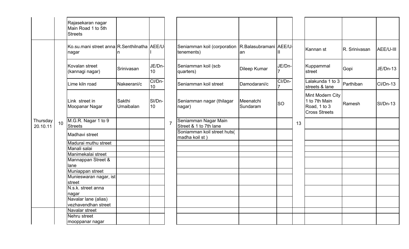|                      |    | Rajasekaran nagar<br>Main Road 1 to 5th<br><b>Streets</b> |                     |              |                |                                                                 |                       |           |    |                                                                           |               |            |
|----------------------|----|-----------------------------------------------------------|---------------------|--------------|----------------|-----------------------------------------------------------------|-----------------------|-----------|----|---------------------------------------------------------------------------|---------------|------------|
|                      |    | Ko.su.mani street anna R.Senthilnatha AEE/U<br>nagar      |                     |              |                | Seniamman koil (corporation R.Balasubramani AEE/U<br>tenements) | an                    |           |    | Kannan st                                                                 | R. Srinivasan | AEE/U-III  |
|                      |    | Kovalan street<br>(kannagi nagar)                         | Srinivasan          | JE/Dn-<br>10 |                | Seniamman koil (scb<br>quarters)                                | Dileep Kumar          | JE/Dn-    |    | Kuppammal<br><b>street</b>                                                | Gopi          | JE/Dn-13   |
|                      |    | Lime kiln road                                            | Nakeerani/c         | CI/Dn-<br>10 |                | Seniamman koil street                                           | Damodarani/c          | CI/Dn-    |    | Lalakunda 1 to 3<br>streets & lane                                        | Parthiban     | Cl/Dn-13   |
|                      |    | Link street in<br>Moopanar Nagar                          | Sakthi<br>Umaibalan | SI/Dn-<br>10 |                | Seniamman nagar (thilagar<br>nagar)                             | Meenatchi<br>Sundaram | <b>SO</b> |    | Mint Modern City<br>1 to 7th Main<br>Road, 1 to 3<br><b>Cross Streets</b> | Ramesh        | $SI/Dn-13$ |
| Thursday<br>20.10.11 | 10 | M.G.R. Nagar 1 to 9<br><b>Streets</b>                     |                     |              | $\overline{7}$ | Seniamman Nagar Main<br>Street & 1 to 7th lane                  |                       |           | 13 |                                                                           |               |            |
|                      |    | Madhavi street                                            |                     |              |                | Soniamman koil street huts(<br>madha koil st)                   |                       |           |    |                                                                           |               |            |
|                      |    | Madurai muthu street                                      |                     |              |                |                                                                 |                       |           |    |                                                                           |               |            |
|                      |    | Manali salai                                              |                     |              |                |                                                                 |                       |           |    |                                                                           |               |            |
|                      |    | Manimekalai street                                        |                     |              |                |                                                                 |                       |           |    |                                                                           |               |            |
|                      |    | Mannappan Street &                                        |                     |              |                |                                                                 |                       |           |    |                                                                           |               |            |
|                      |    | lane<br>Muniappan street                                  |                     |              |                |                                                                 |                       |           |    |                                                                           |               |            |
|                      |    | Munieswaran nagar, ist                                    |                     |              |                |                                                                 |                       |           |    |                                                                           |               |            |
|                      |    | street                                                    |                     |              |                |                                                                 |                       |           |    |                                                                           |               |            |
|                      |    | N.s.k. street anna                                        |                     |              |                |                                                                 |                       |           |    |                                                                           |               |            |
|                      |    | nagar                                                     |                     |              |                |                                                                 |                       |           |    |                                                                           |               |            |
|                      |    | Navalar lane (alias)                                      |                     |              |                |                                                                 |                       |           |    |                                                                           |               |            |
|                      |    | vezhavendhan street                                       |                     |              |                |                                                                 |                       |           |    |                                                                           |               |            |
|                      |    | Navalar street                                            |                     |              |                |                                                                 |                       |           |    |                                                                           |               |            |
|                      |    | Nehru street                                              |                     |              |                |                                                                 |                       |           |    |                                                                           |               |            |
|                      |    | mooppanar nagar                                           |                     |              |                |                                                                 |                       |           |    |                                                                           |               |            |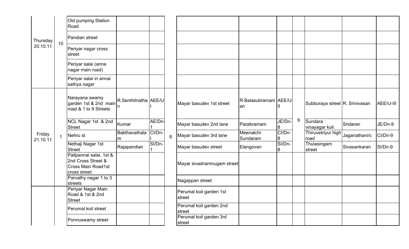|                    |              | Old pumping Station<br>Road                                                         |                            |        |   |                                   |                             |             |       |                                |               |           |
|--------------------|--------------|-------------------------------------------------------------------------------------|----------------------------|--------|---|-----------------------------------|-----------------------------|-------------|-------|--------------------------------|---------------|-----------|
| Thursday           | 10           | Pandian street                                                                      |                            |        |   |                                   |                             |             |       |                                |               |           |
| 20.10.11           |              | Periyar nagar cross<br>street                                                       |                            |        |   |                                   |                             |             |       |                                |               |           |
|                    |              | Periyar salai (anna<br>nagar main road)                                             |                            |        |   |                                   |                             |             |       |                                |               |           |
|                    |              | Periyar salai in annai<br>sathya nagar                                              |                            |        |   |                                   |                             |             |       |                                |               |           |
|                    |              | Narayana swamy<br>garden 1st & 2nd main<br>road & 1 to 9 Streets                    | R.Senthilnatha AEE/U<br>In |        |   | Mayar basudev 1st street          | R.Balasubramani AEE/U<br>an |             |       | Subburaya street R. Srinivasan |               | AEE/U-III |
|                    |              | NCL Nagar 1st & 2nd<br><b>Street</b>                                                | Kumar                      | AE/Dn- |   | Mayar basudev 2nd lane            | Parabramam                  | JE/Dn-<br>8 | $9\,$ | Sundara<br>vinayagar koil      | Sridaran      | JE/Dn-9   |
| Friday<br>21.10.11 | $\mathbf{1}$ | Nehru st                                                                            | Bakthavathala<br>m         | CI/Dn- | 8 | Mayar basudev 3rd lane            | Meenatchi<br>Sundaram       | CI/Dn-<br>8 |       | Thiruvetriyur high<br>road     | Jaganathani/c | CI/Dn-9   |
|                    |              | Nethaji Nagar 1st<br><b>Street</b>                                                  | Rajapandian                | SI/Dn- |   | Mayar basudev street              | Elangovan                   | SI/Dn-<br>8 |       | Thulasingam<br>street          | Sivasankaran  | SI/Dn-9   |
|                    |              | Pallpannai salai, 1st &<br>2nd Cross Street &<br>Cross Main Road1st<br>cross street |                            |        |   | Mayar sivashanmugam street        |                             |             |       |                                |               |           |
|                    |              | Parvathy nagar 1 to 3<br>streets                                                    |                            |        |   | Nagappan street                   |                             |             |       |                                |               |           |
|                    |              | Periyar Nagar Main<br>Road & 1st & 2nd<br><b>Street</b>                             |                            |        |   | Perumal koil garden 1st<br>street |                             |             |       |                                |               |           |
|                    |              | Perumal koil street                                                                 |                            |        |   | Perumal koil garden 2nd<br>street |                             |             |       |                                |               |           |
|                    |              | Ponnuswamy street                                                                   |                            |        |   | Perumal koil garden 3rd<br>street |                             |             |       |                                |               |           |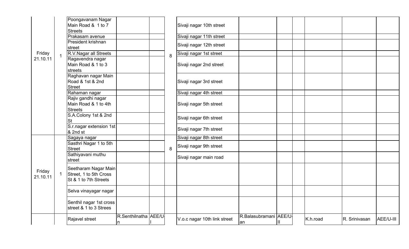|                    |             | Poongavanam Nagar<br>Main Road & 1 to 7<br><b>Streets</b>               |                           |   | Sivaji nagar 10th street     |                              |   |          |               |           |
|--------------------|-------------|-------------------------------------------------------------------------|---------------------------|---|------------------------------|------------------------------|---|----------|---------------|-----------|
|                    |             | Prakasam avenue                                                         |                           |   | Sivaji nagar 11th street     |                              |   |          |               |           |
|                    |             | President krishnan<br>street                                            |                           |   | Sivaji nagar 12th street     |                              |   |          |               |           |
| Friday             |             | R.V. Nagar all Streets                                                  |                           | 8 | Sivaji nagar 1st street      |                              |   |          |               |           |
| 21.10.11           |             | Ragavendra nagar<br>Main Road & 1 to 3<br>streets                       |                           |   | Sivaji nagar 2nd street      |                              |   |          |               |           |
|                    |             | Raghavan nagar Main<br>Road & 1st & 2nd<br><b>Street</b>                |                           |   | Sivaji nagar 3rd street      |                              |   |          |               |           |
|                    |             | Rahaman nagar                                                           |                           |   | Sivaji nagar 4th street      |                              |   |          |               |           |
|                    |             | Rajiv gandhi nagar<br>Main Road & 1 to 4th<br><b>Streets</b>            |                           |   | Sivaji nagar 5th street      |                              |   |          |               |           |
|                    |             | S.A.Colony 1st & 2nd<br><b>St</b>                                       |                           |   | Sivaji nagar 6th street      |                              |   |          |               |           |
|                    |             | S.r.nagar extension 1st<br>& 2nd st                                     |                           |   | Sivaji nagar 7th street      |                              |   |          |               |           |
|                    |             | Sagaya nagar                                                            |                           |   | Sivaji nagar 8th street      |                              |   |          |               |           |
|                    |             | Sasthri Nagar 1 to 5th<br><b>Street</b>                                 |                           | 8 | Sivaji nagar 9th street      |                              |   |          |               |           |
|                    |             | Sathiyavani muthu<br>street                                             |                           |   | Sivaji nagar main road       |                              |   |          |               |           |
| Friday<br>21.10.11 | $\mathbf 1$ | Seetharam Nagar Main<br>Street, 1 to 5th Cross<br>St & 1 to 7th Streets |                           |   |                              |                              |   |          |               |           |
|                    |             | Selva vinayagar nagar                                                   |                           |   |                              |                              |   |          |               |           |
|                    |             | Senthil nagar 1st cross<br>street & 1 to 3 Strees                       |                           |   |                              |                              |   |          |               |           |
|                    |             | Rajavel street                                                          | R.Senthilnatha AEE/U<br>n |   | V.o.c nagar 10th link street | R.Balasubramani AEE/U-<br>an | Ш | K.h.road | R. Srinivasan | AEE/U-III |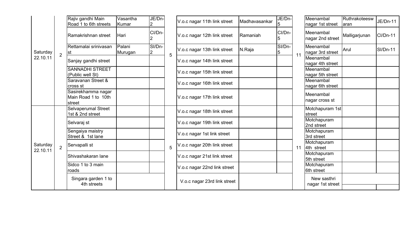|                      |                | Rajiv gandhi Main<br>Road 1 to 6th streets          | Vasantha<br>Kumar | JE/Dn-<br>$\overline{2}$ |   | V.o.c nagar 11th link street | Madhavasankar | JE/Dn-<br>15 |    | Meenambal<br>nagar 1st street    | Ruthrakoteesw<br>laran | JE/Dn-11   |
|----------------------|----------------|-----------------------------------------------------|-------------------|--------------------------|---|------------------------------|---------------|--------------|----|----------------------------------|------------------------|------------|
|                      |                | Ramakrishnan street                                 | Hari              | CI/Dn-                   |   | V.o.c nagar 12th link street | Ramaniah      | CI/Dn-       |    | Meenambal<br>nagar 2nd street    | Malligarjunan          | CI/Dn-11   |
| Saturday             | $\overline{2}$ | Rettamalai srinivasan<br> st                        | Palani<br>Murugan | SI/Dn-<br>$\overline{2}$ | 5 | V.o.c nagar 13th link street | N.Raja        | SI/Dn-<br>5  | 11 | Meenambal<br>nagar 3rd street    | Arul                   | $SI/Dn-11$ |
| 22.10.11             |                | Sanjay gandhi street                                |                   |                          |   | V.o.c nagar 14th link street |               |              |    | Meenambal<br>nagar 4th street    |                        |            |
|                      |                | <b>SANNADHI STREET</b><br>(Public well St)          |                   |                          |   | V.o.c nagar 15th link street |               |              |    | Meenambal<br>nagar 5th street    |                        |            |
|                      |                | Saravanan Street &<br>cross st                      |                   |                          |   | V.o.c nagar 16th link street |               |              |    | Meenambal<br>nagar 6th street    |                        |            |
|                      |                | Sasirekhamma nagar<br>Main Road 1 to 10th<br>street |                   |                          |   | V.o.c nagar 17th link street |               |              |    | Meenambal<br>nagar cross st      |                        |            |
|                      |                | <b>Selvaperumal Street</b><br>1st & 2nd street      |                   |                          |   | V.o.c nagar 18th link street |               |              |    | Motchapuram 1st<br><b>street</b> |                        |            |
|                      |                | Selvaraj st                                         |                   |                          |   | V.o.c nagar 19th link street |               |              |    | Motchapuram<br>2nd street        |                        |            |
|                      |                | Sengaiya maistry<br>Street & 1st lane               |                   |                          |   | V.o.c nagar 1st link street  |               |              |    | Motchapuram<br>3rd street        |                        |            |
| Saturday<br>22.10.11 | $\overline{2}$ | Servapalli st                                       |                   |                          | 5 | V.o.c nagar 20th link street |               |              | 11 | Motchapuram<br>4th street        |                        |            |
|                      |                | Shivashakaran lane                                  |                   |                          |   | V.o.c nagar 21st link street |               |              |    | Motchapuram<br>5th street        |                        |            |
|                      |                | Sidco 1 to 3 main<br>roads                          |                   |                          |   | V.o.c nagar 22nd link street |               |              |    | Motchapuram<br>6th street        |                        |            |
|                      |                | Singara garden 1 to<br>4th streets                  |                   |                          |   | V.o.c nagar 23rd link street |               |              |    | New sasthri<br>nagar 1st street  |                        |            |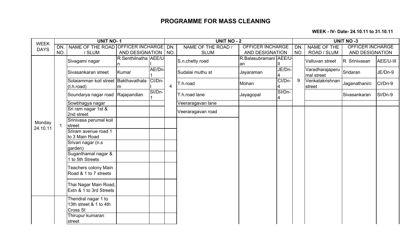WEEK - IV- Date- 24.10.11 to 31.10.11

| <b>WEEK</b> |     | <b>UNIT NO-1</b>                                                 |                      |        |                | <b>UNIT NO - 2</b> |                              |        |     |                               | <b>UNIT NO -3</b>       |           |
|-------------|-----|------------------------------------------------------------------|----------------------|--------|----------------|--------------------|------------------------------|--------|-----|-------------------------------|-------------------------|-----------|
| <b>DAYS</b> | DN. | NAME OF THE ROAD OFFICER INCHARGE                                |                      |        | DN.            | NAME OF THE ROAD / | <b>OFFICER INCHARGE</b>      |        | DN. | <b>NAME OF THE</b>            | <b>OFFICER INCHARGE</b> |           |
|             | NO. | / SLUM                                                           | AND DESIGNATION      |        | NO.            | <b>SLUM</b>        | AND DESIGNATION              |        | NO. | ROAD / SLUM                   | AND DESIGNATION         |           |
|             |     | Sivagami nagar                                                   | R.Senthilnatha AEE/U |        |                | S.n.chetty road    | R.Balasubramani AEE/U-<br>an |        |     | Valluvan street               | R. Srinivasan           | AEE/U-III |
|             |     | Sivasankaran street                                              | Kumar                | AE/Dn- |                | Sudalai muthu st   | Jayaraman                    | JE/Dn- |     | Varadharajaperu<br>mal street | Sridaran                | JE/Dn-9   |
|             |     | Solaiamman koil street Bakthavathala CI/Dn-<br>(t.h.read)        | m                    |        | $\overline{4}$ | T.h.road           | Mohan                        | CI/Dn- | 9   | Venkatakrishnan<br>street     | Jaganathani/c           | CI/Dn-9   |
|             |     | Soundarya nagar road Rajapandian                                 |                      | SI/Dn- |                | T.h.road lane      | Jayagopal                    | SI/Dn- |     |                               | Sivasankaran            | SI/Dn-9   |
|             |     | Sowbhagya nagar                                                  |                      |        |                | Veeraragavan lane  |                              |        |     |                               |                         |           |
|             |     | Sri ram nagar 1st &<br>2nd street                                |                      |        |                | Veeraragavan road  |                              |        |     |                               |                         |           |
| Monday      |     | Srinivasa perumal koil<br>street                                 |                      |        |                |                    |                              |        |     |                               |                         |           |
| 24.10.11    |     | Sriram avenue road 1<br>to 3 Main Road                           |                      |        |                |                    |                              |        |     |                               |                         |           |
|             |     | Srivari nagar (n.s.<br>garden)                                   |                      |        |                |                    |                              |        |     |                               |                         |           |
|             |     | Suganthamal nagar &<br>1 to 5th Streets                          |                      |        |                |                    |                              |        |     |                               |                         |           |
|             |     | <b>Teachers colony Main</b><br>Road & 1 to 7 streets             |                      |        |                |                    |                              |        |     |                               |                         |           |
|             |     | Thai Nagar Main Road,<br>Extn & 1 to 3rd Streets                 |                      |        |                |                    |                              |        |     |                               |                         |           |
|             |     | Thendral nagar 1 to<br>13th street & 1 to 4th<br><b>Cross St</b> |                      |        |                |                    |                              |        |     |                               |                         |           |
|             |     | Thirupur kumaran<br>street                                       |                      |        |                |                    |                              |        |     |                               |                         |           |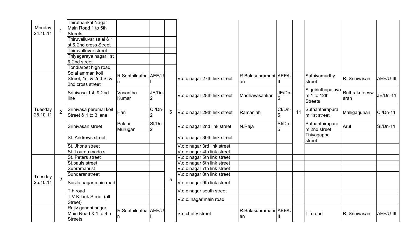| Monday<br>24.10.11  |                | <b>Thiruthankal Nagar</b><br>Main Road 1 to 5th<br><b>Streets</b><br>Thiruvalluvar salai & 1<br>st & 2nd cross Street<br>Thiruvalluvar street<br>Thiyagaraya nagar 1st<br>& 2nd street<br>Tondiarpet high road |                        |                          |                 |                              |                               |        |    |                                                    |                       |                 |
|---------------------|----------------|----------------------------------------------------------------------------------------------------------------------------------------------------------------------------------------------------------------|------------------------|--------------------------|-----------------|------------------------------|-------------------------------|--------|----|----------------------------------------------------|-----------------------|-----------------|
|                     |                | Solai amman koil<br>Street, 1st & 2nd St &<br>2nd cross street                                                                                                                                                 | R.Senthilnatha   AEE/U |                          |                 | V.o.c nagar 27th link street | R.Balasubramani AEE/U-<br>an  |        |    | Sathiyamurthy<br>street                            | R. Srinivasan         | AEE/U-III       |
|                     |                | Srinivasa 1st & 2nd<br>line                                                                                                                                                                                    | Vasantha<br>Kumar      | JE/Dn-<br>2              |                 | V.o.c nagar 28th link street | Madhavasankar                 | JE/Dn- |    | Siggirinthapalaya<br>m 1 to 12th<br><b>Streets</b> | Ruthrakoteesw<br>aran | JE/Dn-11        |
| Tuesday<br>25.10.11 | $\overline{2}$ | Srinivasa perumal koil<br>Street & 1 to 3 lane                                                                                                                                                                 | Hari                   | CI/Dn-<br>2              | $5\phantom{.0}$ | V.o.c nagar 29th link street | Ramaniah                      | CI/Dn- | 11 | Suthanthirapura<br>m 1st street                    | Malligarjunan         | <b>Cl/Dn-11</b> |
|                     |                | Srinivasan street                                                                                                                                                                                              | Palani<br>Murugan      | SI/Dn-<br>$\overline{2}$ |                 | V.o.c nagar 2nd link street  | N.Raja                        | SI/Dn- |    | Suthanthirapura<br>m 2nd street                    | Arul                  | <b>SI/Dn-11</b> |
|                     |                | St. Andrews street                                                                                                                                                                                             |                        |                          |                 | V.o.c nagar 30th link street |                               |        |    | Thiyagappa<br>street                               |                       |                 |
|                     |                | St. Jhons street                                                                                                                                                                                               |                        |                          |                 | V.o.c nagar 3rd link street  |                               |        |    |                                                    |                       |                 |
|                     |                | St. Lourdu mada st                                                                                                                                                                                             |                        |                          |                 | V.o.c nagar 4th link street  |                               |        |    |                                                    |                       |                 |
|                     |                | St. Peters street                                                                                                                                                                                              |                        |                          |                 | V.o.c nagar 5th link street  |                               |        |    |                                                    |                       |                 |
|                     |                | St.pauls street                                                                                                                                                                                                |                        |                          |                 | V.o.c nagar 6th link street  |                               |        |    |                                                    |                       |                 |
|                     |                | Subramani st                                                                                                                                                                                                   |                        |                          |                 | V.o.c nagar 7th link street  |                               |        |    |                                                    |                       |                 |
|                     |                | Sundarar street                                                                                                                                                                                                |                        |                          |                 | V.o.c nagar 8th link street  |                               |        |    |                                                    |                       |                 |
| Tuesday<br>25.10.11 | $\overline{2}$ | Susila nagar main road                                                                                                                                                                                         |                        |                          | 5               | V.o.c nagar 9th link street  |                               |        |    |                                                    |                       |                 |
|                     |                | T.h.road                                                                                                                                                                                                       |                        |                          |                 | V.o.c nagar south street     |                               |        |    |                                                    |                       |                 |
|                     |                | T.V.K.Link Street (all<br>Street)                                                                                                                                                                              |                        |                          |                 | V.o.c. nagar main road       |                               |        |    |                                                    |                       |                 |
|                     |                | Rajiv gandhi nagar<br>Main Road & 1 to 4th<br>Streets                                                                                                                                                          | R.Senthilnatha AEE/U   |                          |                 | S.n.chetty street            | R.Balasubramani AEE/U-<br>lan |        |    | T.h.road                                           | R. Srinivasan         | AEE/U-III       |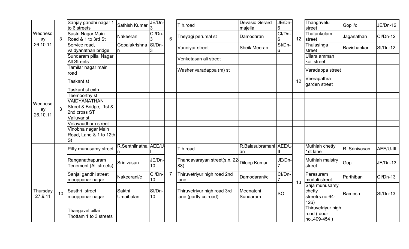|                     |                 | Sanjay gandhi nagar 1<br>to 6 streets          | Sathish Kumar        | JE/Dn-<br>13 |                | T.h.road                                             | <b>Devasic Gerard</b><br>majella | JE/Dn-<br>6              |                 | Thangavelu<br>street                                 | Gopii/c       | JE/Dn-12        |
|---------------------|-----------------|------------------------------------------------|----------------------|--------------|----------------|------------------------------------------------------|----------------------------------|--------------------------|-----------------|------------------------------------------------------|---------------|-----------------|
| Wednesd<br>ay       | 3               | Sastri Nagar Main<br>Road & 1 to 3rd St        | Nakeeran             | CI/Dn-<br>IЗ | $6\phantom{1}$ | Theyagi perumal st                                   | Damodaran                        | CI/Dn-<br>6              | 12 <sub>2</sub> | Thatankulam<br>street                                | Jaganathan    | $Cl/Dn-12$      |
| 26.10.11            |                 | Service road,<br>vaidyanathan bridge           | Gopalakrishna SI/Dn- | 3            |                | Vanniyar street                                      | <b>Sheik Meeran</b>              | SI/Dn-<br>6              |                 | Thulasinga<br>street                                 | Ravishankar   | $SI/Dn-12$      |
|                     |                 | Sundaram pillai Nagar<br><b>All Streets</b>    |                      |              |                | Venketasan ali street                                |                                  |                          |                 | Ullara amman<br>koil street                          |               |                 |
|                     |                 | Tamilar nagar main<br>road                     |                      |              |                | Washer varadappa (m) st                              |                                  |                          |                 | Varadappa street                                     |               |                 |
|                     |                 | Taskant st                                     |                      |              |                |                                                      |                                  |                          | 12              | Veerapathra<br>garden street                         |               |                 |
|                     |                 | <b>Faskant st extn</b><br><b>Feemoorthy st</b> |                      |              |                |                                                      |                                  |                          |                 |                                                      |               |                 |
|                     |                 | VAIDYANATHAN                                   |                      |              |                |                                                      |                                  |                          |                 |                                                      |               |                 |
| Wednesd             |                 | Street & Bridge, 1st &                         |                      |              |                |                                                      |                                  |                          |                 |                                                      |               |                 |
| ay                  | 3               | 2nd cross ST                                   |                      |              |                |                                                      |                                  |                          |                 |                                                      |               |                 |
| 26.10.11            |                 | Valluvar st                                    |                      |              |                |                                                      |                                  |                          |                 |                                                      |               |                 |
|                     |                 | Velayaudham street                             |                      |              |                |                                                      |                                  |                          |                 |                                                      |               |                 |
|                     |                 | Vinobha nagar Main                             |                      |              |                |                                                      |                                  |                          |                 |                                                      |               |                 |
|                     |                 | Road, Lane & 1 to 12th<br><b>St</b>            |                      |              |                |                                                      |                                  |                          |                 |                                                      |               |                 |
|                     |                 | Pitty munusamy street                          | R.Senthilnatha AEE/U |              |                | T.h.road                                             | R.Balasubramani AEE/U-<br>an     | Ш                        |                 | Muthiah chetty<br>1st lane                           | R. Srinivasan | AEE/U-III       |
|                     |                 | Ranganathapuram<br>Tenement (All streets)      | Srinivasan           | JE/Dn-<br>10 |                | Thandavarayan street(s.n. 22-<br>88)                 | Dileep Kumar                     | JE/Dn-<br>$\overline{7}$ |                 | Muthiah maistry<br>street                            | Gopi          | <b>JE/Dn-13</b> |
|                     |                 | Sanjai gandhi street<br>mooppanar nagar        | Nakeerani/c          | CI/Dn-<br>10 | $\overline{7}$ | Thiruvetriyur high road 2nd<br>lane                  | Damodarani/c                     | CI/Dn-                   | 13              | Parasuram<br>mudali street                           | Parthiban     | $Cl/Dn-13$      |
| Thursday<br>27.9.11 | 10 <sup>1</sup> | Sasthri street<br>mooppanar nagar              | Sakthi<br>Umaibalan  | SI/Dn-<br>10 |                | Thiruvetriyur high road 3rd<br>lane (partly cc road) | Meenatchi<br>Sundaram            | <b>SO</b>                |                 | Saja munusamy<br>chetty<br>street(s.no.64-<br>126)   | Ramesh        | $SI/Dn-13$      |
|                     |                 | Thangavel pillai<br>Thottam 1 to 3 streets     |                      |              |                |                                                      |                                  |                          |                 | <b>Thiruvetriyur high</b><br>road (door<br>no409-454 |               |                 |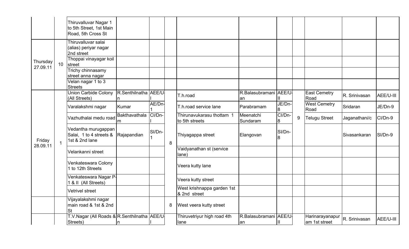|                      |                 | Thiruvalluvar Nagar 1<br>to 5th Street, 1st Main<br>Road, 5th Cross St |                           |        |   |                                             |                               |              |   |                                  |               |           |
|----------------------|-----------------|------------------------------------------------------------------------|---------------------------|--------|---|---------------------------------------------|-------------------------------|--------------|---|----------------------------------|---------------|-----------|
|                      |                 | Thiruvalluvar salai<br>(alias) periyar nagar<br>2nd street             |                           |        |   |                                             |                               |              |   |                                  |               |           |
| Thursday<br>27.09.11 | 10 <sup>1</sup> | Thoppai vinayagar koil<br>street                                       |                           |        |   |                                             |                               |              |   |                                  |               |           |
|                      |                 | Trichy chinnasamy<br>street anna nagar                                 |                           |        |   |                                             |                               |              |   |                                  |               |           |
|                      |                 | Velan nagar 1 to 3<br><b>Streets</b>                                   |                           |        |   |                                             |                               |              |   |                                  |               |           |
|                      |                 | <b>Union Carbide Colony</b><br>(All Streets)                           | R.Senthilnatha AEE/U<br>n |        |   | T.h.road                                    | R.Balasubramani AEE/U-<br>lan |              |   | <b>East Cemetry</b><br>Road      | R. Srinivasan | AEE/U-III |
|                      |                 | Varalakshmi nagar                                                      | Kumar                     | AE/Dn- |   | T.h.road service lane                       | Parabramam                    | JE/Dn-<br>8  |   | <b>West Cemetry</b><br>Road      | Sridaran      | JE/Dn-9   |
|                      |                 | Vazhuthalai medu road                                                  | Bakthavathala<br>lm.      | CI/Dn- |   | Thirunavukarasu thottam 1<br>to 5th streets | Meenatchi<br>Sundaram         | CI/Dn-<br>18 | 9 | <b>Telugu Street</b>             | Jaganathani/c | CI/Dn-9   |
| Friday<br>28.09.11   | $\mathbf{1}$    | Vedantha murugappan<br>Salai, 1 to 4 streets &<br>1st & 2nd lane       | Rajapandian               | SI/Dn- | 8 | Thiyagappa street                           | Elangovan                     | SI/Dn-<br>l8 |   |                                  | Sivasankaran  | SI/Dn-9   |
|                      |                 | Velankanni street                                                      |                           |        |   | Vaidyanathan st (service<br>lane)           |                               |              |   |                                  |               |           |
|                      |                 | Venkateswara Colony<br>1 to 12th Streets                               |                           |        |   | Veera kutty lane                            |                               |              |   |                                  |               |           |
|                      |                 | Venkateswara Nagar P-<br>1 & II (All Streets)                          |                           |        |   | Veera kutty street                          |                               |              |   |                                  |               |           |
|                      |                 | Vetrivel street                                                        |                           |        |   | West krishnappa garden 1st<br>& 2nd street  |                               |              |   |                                  |               |           |
|                      |                 | Vijayalakshmi nagar<br>main road & 1st & 2nd<br>St                     |                           |        | 8 | West veera kutty street                     |                               |              |   |                                  |               |           |
|                      |                 | T.V.Nagar (All Roads & R.Senthilnatha AEE/U<br>Streets)                | In                        |        |   | Thiruvetriyur high road 4th<br>lane         | R.Balasubramani AEE/U-<br>lan | Ш            |   | Harinarayanapur<br>am 1st street | R. Srinivasan | AEE/U-III |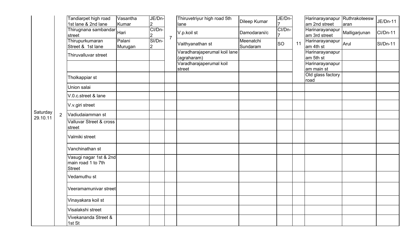|                      |                | Tandiarpet high road<br>1st lane & 2nd lane                   | Vasantha<br>Kumar | JE/Dn-<br>$\overline{2}$ |                | Thiruvetriyur high road 5th<br>lane         | Dileep Kumar          | JE/Dn-                   |    | Harinarayanapur Ruthrakoteesw<br>am 2nd street | aran          | <b>JE/Dn-11</b> |
|----------------------|----------------|---------------------------------------------------------------|-------------------|--------------------------|----------------|---------------------------------------------|-----------------------|--------------------------|----|------------------------------------------------|---------------|-----------------|
|                      |                | Thirugnana sambandar<br>Thirugnana sambandar<br>street        |                   | CI/Dn-<br>$\overline{2}$ |                | V.p.koil st                                 | Damodarani/c          | CI/Dn-<br>$\overline{7}$ |    | Harinarayanapur<br>am 3rd street               | Malligarjunan | <b>CI/Dn-11</b> |
|                      |                | Thirupurkumaran<br>Street & 1st lane                          | Palani<br>Murugan | SI/Dn-<br>$\overline{2}$ | $\overline{7}$ | Vaithyanathan st                            | Meenatchi<br>Sundaram | <b>SO</b>                | 11 | Harinarayanapur Arul<br>am 4th st              |               | <b>SI/Dn-11</b> |
|                      |                | Thiruvalluvar street                                          |                   |                          |                | Varadharajaperumal koil lane<br>(agraharam) |                       |                          |    | Harinarayanapur<br>am 5th st                   |               |                 |
|                      |                |                                                               |                   |                          |                | Varadharajaperumal koil<br>street           |                       |                          |    | Harinarayanapur<br>am main st                  |               |                 |
|                      |                | Tholkappiar st                                                |                   |                          |                |                                             |                       |                          |    | Old glass factory<br>road                      |               |                 |
|                      |                | Union salai                                                   |                   |                          |                |                                             |                       |                          |    |                                                |               |                 |
|                      |                | V.0.c.street & lane                                           |                   |                          |                |                                             |                       |                          |    |                                                |               |                 |
|                      |                | V.v.giri street                                               |                   |                          |                |                                             |                       |                          |    |                                                |               |                 |
| Saturday<br>29.10.11 | $\overline{2}$ | Vadiudaiamman st                                              |                   |                          |                |                                             |                       |                          |    |                                                |               |                 |
|                      |                | <b>Valluvar Street &amp; cross</b><br>street                  |                   |                          |                |                                             |                       |                          |    |                                                |               |                 |
|                      |                | Valmiki street                                                |                   |                          |                |                                             |                       |                          |    |                                                |               |                 |
|                      |                | Vanchinathan st                                               |                   |                          |                |                                             |                       |                          |    |                                                |               |                 |
|                      |                | Vasugi nagar 1st & 2nd<br>main road 1 to 7th<br><b>Street</b> |                   |                          |                |                                             |                       |                          |    |                                                |               |                 |
|                      |                | Vedamuthu st                                                  |                   |                          |                |                                             |                       |                          |    |                                                |               |                 |
|                      |                | Veeramamunivar street                                         |                   |                          |                |                                             |                       |                          |    |                                                |               |                 |
|                      |                | Vinayakara koil st                                            |                   |                          |                |                                             |                       |                          |    |                                                |               |                 |
|                      |                | Visalakshi street                                             |                   |                          |                |                                             |                       |                          |    |                                                |               |                 |
|                      |                | Vivekananda Street &<br>1st St                                |                   |                          |                |                                             |                       |                          |    |                                                |               |                 |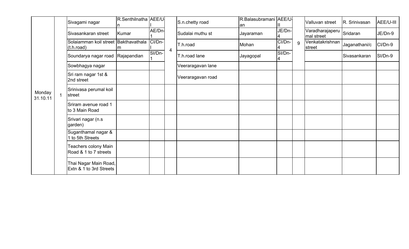|                    | Sivagami nagar                                     | R.Senthilnatha AEE/U |        |                | S.n.chetty road   | R.Balasubramani AEE/U<br>lan |                            |   | Valluvan street               | R. Srinivasan | AEE/U-III |
|--------------------|----------------------------------------------------|----------------------|--------|----------------|-------------------|------------------------------|----------------------------|---|-------------------------------|---------------|-----------|
|                    | Sivasankaran street                                | Kumar                | AE/Dn- |                | Sudalai muthu st  | Jayaraman                    | JE/Dn-                     |   | Varadharajaperu<br>mal street | Sridaran      | JE/Dn-9   |
|                    | Solaiamman koil street Bakthavathala<br>(t.h.read) | m                    | CI/Dn- | $\overline{4}$ | T.h.road          | Mohan                        | CI/Dn-                     | 9 | Venkatakrishnan<br>street     | Jaganathani/c | CI/Dn-9   |
|                    | Soundarya nagar road                               | Rajapandian          | SI/Dn- |                | T.h.road lane     | Jayagopal                    | $\overline{S}$ I/Dn-<br>Ι4 |   |                               | Sivasankaran  | SI/Dn-9   |
|                    | Sowbhagya nagar                                    |                      |        |                | Veeraragavan lane |                              |                            |   |                               |               |           |
|                    | Sri ram nagar 1st &<br>2nd street                  |                      |        |                | Veeraragavan road |                              |                            |   |                               |               |           |
| Monday<br>31.10.11 | Srinivasa perumal koil<br>street                   |                      |        |                |                   |                              |                            |   |                               |               |           |
|                    | Sriram avenue road 1<br>to 3 Main Road             |                      |        |                |                   |                              |                            |   |                               |               |           |
|                    | Srivari nagar (n.s.<br>garden)                     |                      |        |                |                   |                              |                            |   |                               |               |           |
|                    | Suganthamal nagar &<br>1 to 5th Streets            |                      |        |                |                   |                              |                            |   |                               |               |           |
|                    | Teachers colony Main<br>Road & 1 to 7 streets      |                      |        |                |                   |                              |                            |   |                               |               |           |
|                    | Thai Nagar Main Road,<br>Extn & 1 to 3rd Streets   |                      |        |                |                   |                              |                            |   |                               |               |           |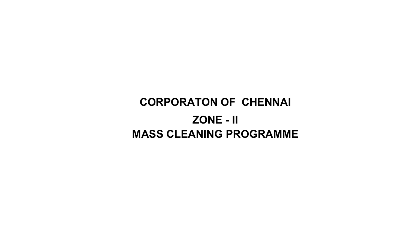## CORPORATON OF CHENNAI ZONE - IIMASS CLEANING PROGRAMME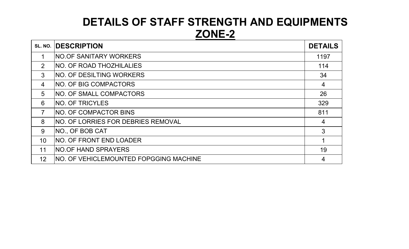## DETAILS OF STAFF STRENGTH AND EQUIPMENTSZONE-2

| SL. NO.         | <b>IDESCRIPTION</b>                           | <b>DETAILS</b> |
|-----------------|-----------------------------------------------|----------------|
|                 | <b>NO.OF SANITARY WORKERS</b>                 | 1197           |
| $\overline{2}$  | <b>NO. OF ROAD THOZHILALIES</b>               | 114            |
| 3               | INO. OF DESILTING WORKERS                     | 34             |
| $\overline{4}$  | <b>NO. OF BIG COMPACTORS</b>                  | $\overline{4}$ |
| 5               | <b>NO. OF SMALL COMPACTORS</b>                | 26             |
| 6               | <b>INO. OF TRICYLES</b>                       | 329            |
| $\overline{7}$  | <b>INO. OF COMPACTOR BINS</b>                 | 811            |
| 8               | INO. OF LORRIES FOR DEBRIES REMOVAL           | 4              |
| 9               | NO., OF BOB CAT                               | 3              |
| 10              | INO. OF FRONT END LOADER                      |                |
| 11              | <b>NO.OF HAND SPRAYERS</b>                    | 19             |
| 12 <sub>2</sub> | <b>NO. OF VEHICLEMOUNTED FOPGGING MACHINE</b> | 4              |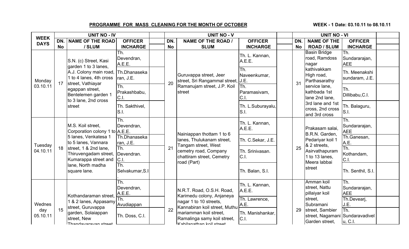### PROGRAMME FOR MASS CLEANING FOR THE MONTH OF OCTOBER

#### WEEK - 1 Date: 03.10.11 to 08.10.11

| <b>WEEK</b>     |           | <b>UNIT NO - IV</b>                                                    |                             |           | <b>UNIT NO - V</b>                                                                |                              |           | <b>UNIT NO - VI</b>                                                  |                                    |  |
|-----------------|-----------|------------------------------------------------------------------------|-----------------------------|-----------|-----------------------------------------------------------------------------------|------------------------------|-----------|----------------------------------------------------------------------|------------------------------------|--|
| <b>DAYS</b>     | DN.       | <b>NAME OF THE ROAD</b>                                                | <b>OFFICER</b>              | DN.       | <b>NAME OF THE ROAD /</b>                                                         | <b>OFFICER</b>               | DN.       | <b>NAME OF THE</b>                                                   | <b>OFFICER</b>                     |  |
|                 | <b>No</b> | / SLUM                                                                 | <b>INCHARGE</b>             | <b>No</b> | <b>SLUM</b>                                                                       | <b>INCHARGE</b>              | <b>No</b> | <b>ROAD / SLUM</b>                                                   | <b>INCHARGE</b>                    |  |
|                 |           | S.N. (c) Street, Kasi<br>garden 1 to 3 lanes,                          | Th.<br>Devendran,<br>A.E.E. |           |                                                                                   | Th. L. Kannan,<br>A.E.E.     |           | <b>Basin Bridge</b><br>road, Ramdoss<br>nagar                        | Th.<br>Sundararajan,<br><b>AEE</b> |  |
| Monday          | 17        | A.J. Colony main road,<br>1 to 4 lanes, 4th cross<br>street, Vathiayar | Th.Dhanaseka<br>ran, J.E.   | 20        | Guruvappa street, Jeer<br>street, Sri Rangammal street, J.E.                      | Th.<br>Naveenkumar,          | 31        | kathivakkam<br>High road,<br>Parthasarathy                           | Th. Meenakshi<br>sundaram, J.E.    |  |
| 03.10.11        |           | egappan street,<br>Bentelemen garden 1<br>to 3 lane, 2nd cross         | Th.<br>Prakashbabu,<br>C.1  |           | Ramanujam street, J.P. Koil<br>street                                             | ITh.<br>Paramasivam,<br>C.I. |           | service lane,<br>kathbada 1st<br>lane 2nd lane.                      | Th.<br>Dillibabu, C.I.             |  |
|                 |           | street                                                                 | Th. Sakthivel,<br>S.I.      |           |                                                                                   | Th. L.Suburayalu,<br>S.I.    |           | 3rd lane and 1st<br>cross, 2nd cross<br>and 3rd cross                | Th. Balaguru,<br>S.I.              |  |
|                 |           | M.S. Koil street.<br>Corporation colony 1 to A.E.E.                    | Th.<br>Devendran,           |           | Nainiappan thottam 1 to 6                                                         | Th. L. Kannan,<br>A.E.E.     |           | Prakasam salai,<br>B.R.N. Garden,                                    | Th.<br>Sundararajan,<br><b>AEE</b> |  |
| Tuesday         |           | 5 lanes, Venkatesa 1<br>to 5 lanes, Vannara                            | Th.Dhanaseka<br>ran, J.E.   |           | lanes, Thulukanam street,<br>Tangam street, West                                  | Th. C.Sekar, J.E.            |           | Pedariyar koil 1<br>& 2 streets,                                     | Th.Ganesan,<br>A.E.                |  |
| 04.10.11        | 18        | street, 1 & 2nd lane,<br>Thiruvengadam street,<br>Kumarappa street and | Th.<br>Devendran.<br>C.I.   | 21        | cemetry road, Company<br>chattiram street, Cemetry<br>road (Part)                 | Th. Srinivasan.<br>C.I.      | 25        | Asirvathapuram<br>1 to 13 lanes,<br>Meera labbai                     | Th.<br>Kothandam,<br>C.I.          |  |
|                 |           | lane, North madha<br>square lane.                                      | Th.<br>Selvakumar, S.I      |           |                                                                                   | Th. Balan, S.I.              |           | street                                                               | Th. Senthil, S.I.                  |  |
|                 |           | Kothandaraman street,                                                  | Th.<br>Devendran,<br>A.E.E. |           | N.R.T. Road, O.S.H. Road,<br>Karimedu colony, Anjaneya                            | Th. L. Kannan,<br>A.E.E.     |           | Amman koil<br>street, Nattu<br>pillaiyar koil                        | Th.<br>Sundararajan,<br><b>AEE</b> |  |
| Wednes          |           | 1 & 2 lanes, Appasamy<br>street, Guruvappa                             | Th.<br>Avudiappan           |           | nagar 1 to 10 streets,<br>Kannabiran koil street, Muthu                           | Th. Lawrence,<br>A.E.        |           | street.<br>Subramani                                                 | Th.Devearj,<br>J.E.                |  |
| day<br>05.10.11 | 15        | garden, Solaiappan<br>street, New<br>Thandawarawan etraat              | Th. Doss, C.I.              | 22        | mariamman koil street.<br>Ramalinga samy koil street,<br>Kahilanathan koil etroot | Th. Manishankar,<br>C.I.     | 29        | street, Sambier<br>street, Nagamani Sundaravadivel<br>Garden street, | Th.<br>u, C.I.                     |  |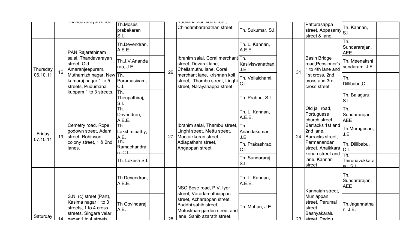|                    |    | i manuavarayan succu                                                                                                       | Th.Moses<br>prabakaran<br>S.I.         |    | iraniidhaman <mark>nui succi,</mark><br>Chindambaranathan street.                                                | Th. Sukumar, S.I.        |    | Patturasappa<br>street, Appasamy<br>street & lane,                       | Th. Kannan,<br>S.I.                 |  |
|--------------------|----|----------------------------------------------------------------------------------------------------------------------------|----------------------------------------|----|------------------------------------------------------------------------------------------------------------------|--------------------------|----|--------------------------------------------------------------------------|-------------------------------------|--|
|                    |    | PAN Rajarathinam                                                                                                           | Th.Devendran,<br>A.E.E.                |    |                                                                                                                  | Th. L. Kannan,<br>A.E.E. |    |                                                                          | Th.<br>Sundararajan,<br><b>AEE</b>  |  |
| Thursday           | 16 | salai, Thandavarayan<br>street, Old<br>Amaranjeepuram,                                                                     | Th.J.V.Ananda<br>rao, J.E.             | 26 | Ibrahim salai, Coral merchant Th.<br>street, Devaraj lane,<br>Chellamuthu lane, Coral                            | Kasiviswanathan,<br>J.E. | 31 | <b>Basin Bridge</b><br>road, Pensioner's<br>1 to 4th lane and            | Th. Meenakshi<br>sundaram, J.E.     |  |
| 06.10.11           |    | Muthamizh nagar, New Th.<br>kamaraj nagar 1 to 5<br>streets, Pudumanai                                                     | Paramasivam,<br>C.I.                   |    | merchant lane, krishnan koil<br>street, Thambu street, Linghi<br>street, Narayanappa street                      | Th. Vellaichami,<br>C.I. |    | 1st cross, 2nd<br>cross and 3rd<br>cross street,                         | Th.<br>Dillibabu, C.I.              |  |
|                    |    | kuppam 1 to 3 streets.                                                                                                     | Th.<br>Thirupathiraj,<br>S.I.          |    |                                                                                                                  | Th. Prabhu, S.I.         |    |                                                                          | Th. Balaguru,<br>S.I.               |  |
|                    |    |                                                                                                                            | Th.<br>Devendran,<br>A.E.E.            |    |                                                                                                                  | Th. L. Kannan,<br>A.E.E. |    | Old jail road,<br>Portuguese<br>church street,                           | lTh.<br>Sundararajan,<br><b>AEE</b> |  |
| Friday<br>07.10.11 | 19 | Cemetry road, Rope<br>godown street, Adam<br>street, Robinson                                                              | Th<br>Lakshmipathy,<br>A.E.            | 27 | Ibrahim salai, Thambu street, Th.<br>Linghi street, Mettu street,<br>Mootaikkaran street,                        | Anandakumar,<br>J.E.     | 24 | Barracks 1st and<br>2nd lane,<br>Barracks street,                        | Th.Murugesan,<br>J.E.               |  |
|                    |    | colony street, 1 & 2nd<br>lanes.                                                                                           | Th.<br>Ramachandra<br>n C <sub>1</sub> |    | Adiapatham street,<br>Angappan street                                                                            | Th. Prakashrao,<br>C.I.  |    | Parmanandan<br>street, Anaikkara   C.I.<br>konan street and Hn.          | Th. Dillibabu,                      |  |
|                    |    |                                                                                                                            | Th. Lokesh S.I.                        |    |                                                                                                                  | Th. Sundararaj,<br>S.I.  |    | lane, Kannan<br>street                                                   | Thirunavukkara<br>$\sin S1$         |  |
|                    |    |                                                                                                                            | Th.Devendran,<br>A.E.E.                |    | NSC Bose road, P.V. Iyer<br>street, Varadamuthiappan                                                             | Th. L. Kannan,<br>A.E.E. |    | Kannaiah street,                                                         | ITh.<br>Sundararajan,<br><b>AEE</b> |  |
| Saturday           | 14 | S.N. (c) street (Part),<br>Kasima nagar 1 to 3<br>streets, 1 to 4 cross<br>streets, Singara velar<br>Inagar 1 to 4 streets | Th Govindaraj,<br>A.E.                 | 28 | street, Acharappan street,<br>Buddhi sahib street.<br>Mofuskhan garden street and<br>lane, Sahib azarath street, | Th. Mohan, J.E.          | 23 | Muniappan<br>street, Perumal<br>street,<br>Bashyakaralu<br>Istreet Peddu | Th.Jagannatha<br>n, J.E.            |  |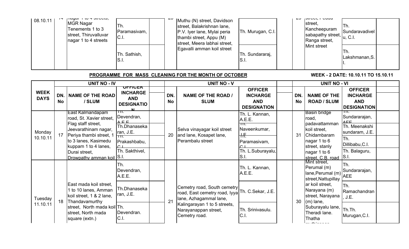| 08.10.11 | $-$ | $\mu$ uyu $\mu$ $\mu$ $\sigma$ $\tau$ $\sigma$ $\mu$<br><b>MGR Nagar</b><br>Tenements 1 to 3<br>street, Thiruvalluvar<br>nagar 1 to 4 streets | Th.<br>Paramasivam,<br>CL | Muthu (N) street, Davidson<br>street, Balakrishnan lane,<br>P.V. Iyer lane, Mylai peria<br>thambi street, Appu (M)<br>street, Meera labhai street, | Th. Murugan, C.I.       | ∼∽ | <b>JUUVU, LUUU</b><br>Istreet.<br>Kancheepuram<br>sabapathy street, u, C.I.<br>Ranga street, | ITh.<br>Sundaravadivel |  |
|----------|-----|-----------------------------------------------------------------------------------------------------------------------------------------------|---------------------------|----------------------------------------------------------------------------------------------------------------------------------------------------|-------------------------|----|----------------------------------------------------------------------------------------------|------------------------|--|
|          |     |                                                                                                                                               | Th. Sathish,<br>IS.I.     | Egavalli amman koil street                                                                                                                         | Th. Sundararaj,<br>S.I. |    | Mint street                                                                                  | ITh.<br>Lakshmanan, S. |  |

### PROGRAMME FOR MASS CLEANING FOR THE MONTH OF OCTOBER

#### WEEK - 2 DATE: 10.10.11 TO 15.10.11

|                            |                  | <b>UNIT NO - IV</b>                                                                                                                                                                                                 |                                                                                                                             |           | <b>UNIT NO - V</b>                                                                                                                             |                                                                                                                 |           | <b>UNIT NO - VI</b>                                                                                                                                                                |                                                                                                                             |  |
|----------------------------|------------------|---------------------------------------------------------------------------------------------------------------------------------------------------------------------------------------------------------------------|-----------------------------------------------------------------------------------------------------------------------------|-----------|------------------------------------------------------------------------------------------------------------------------------------------------|-----------------------------------------------------------------------------------------------------------------|-----------|------------------------------------------------------------------------------------------------------------------------------------------------------------------------------------|-----------------------------------------------------------------------------------------------------------------------------|--|
| <b>WEEK</b><br><b>DAYS</b> | DN.<br><b>No</b> | <b>NAME OF THE ROAD</b><br>/ SLUM                                                                                                                                                                                   | <u>ULLICEK</u><br><b>INCHARGE</b><br><b>AND</b><br><b>DESIGNATIO</b>                                                        | DN.<br>No | <b>NAME OF THE ROAD /</b><br><b>SLUM</b>                                                                                                       | <b>OFFICER</b><br><b>INCHARGE</b><br><b>AND</b><br><b>DESIGNATION</b>                                           | DN.<br>No | <b>NAME OF THE</b><br><b>ROAD / SLUM</b>                                                                                                                                           | <b>OFFICER</b><br><b>INCHARGE</b><br><b>AND</b><br><b>DESIGNATION</b>                                                       |  |
| Monday<br>10.10.11         | 17 <sup>1</sup>  | East Kalmandapam<br>road, St. Xavier street,<br>Flag staff street,<br>Jeevarathinam nagar,<br>Periya thambi street, 1<br>to 3 lanes, Kasimedu<br>kuppam 1 to 4 lanes,<br>Durai street,<br>Drowpathy amman koil S.I. | ™.<br>Devendran,<br>$\Lambda$ $\Box$ $\Box$<br>Th.Dhanaseka<br>ran, J.E.<br>hm.<br>Prakashbabu,<br>$\cap$<br>Th. Sakthivel, | 20        | Selva vinayagar koil street<br>and lane, Kosapet lane,<br>Perambalu street                                                                     | Th. L. Kannan,<br>A.E.E.<br>ΤП.<br>Naveenkumar,<br><del>H.F.</del><br>Paramasivam,<br>Th. L.Suburayalu,<br>S.I. | 31        | <b>Basin bridge</b><br>road,<br>padavattamman<br>koil street,<br>Chidambaram<br>nagar 1 to 6<br>street, stanly<br>nagar 1 to 6<br>street, C.B. road S.I.                           | ΤП.<br>Sundararajan,<br>$\wedge$ $\sqsubset$<br>Th. Meenakshi<br>sundaram, J.E.<br>lTh.<br>Dillibabu, C.I.<br>Th. Balaguru, |  |
| Tuesday<br>11.10.11        | 18               | East mada koil street,<br>1 to 10 lanes, Amman<br>koil street, 1 & 2 lane,<br>Thandavamurthy<br>street, North mada koil Th.                                                                                         | lTh.<br>Devendran,<br>A.E.E.<br>Th.Dhanaseka<br>ran, J.E.<br>Devendran.                                                     | 21        | Cemetry road, South cemetry<br>road, East cemetry road, lyya<br>lane, Azhagammal lane,<br>Kalingarayan 1 to 5 streets,<br>Narayanappan street, | Th. L. Kannan,<br>A.E.E.<br>Th. C.Sekar, J.E.<br>Th. Srinivasulu.                                               | 30        | Mint street,<br>Perumal (m)<br>lane, Perumal (m)<br>street, Nattupillay<br>ar koil street,<br>Narayana (m)<br>street, Narayana<br>$(m)$ lane,<br>Suburayalu lane,<br>Theradi lane. | Th.<br>Sundararajan,<br><b>AEE</b><br>lTh.<br>Ramachandran<br>J.E.<br>Th.Th.                                                |  |
|                            |                  | street, North mada<br>square (extn.)                                                                                                                                                                                | C.I.                                                                                                                        |           | Cemetry road.                                                                                                                                  | C.I.                                                                                                            |           | Thatha                                                                                                                                                                             | Murugan, C.I.                                                                                                               |  |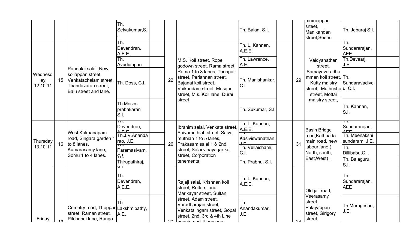|                           |    |                                                                                                                   | Th.<br>Selvakumar, S.I                         |    |                                                                                                                                              | Th. Balan, S.I.                          |            | <b>Imuthiappan</b><br>srteet,<br>Manikandan<br>street, Seenu                                          | Th. Jebaraj S.I.                    |  |
|---------------------------|----|-------------------------------------------------------------------------------------------------------------------|------------------------------------------------|----|----------------------------------------------------------------------------------------------------------------------------------------------|------------------------------------------|------------|-------------------------------------------------------------------------------------------------------|-------------------------------------|--|
|                           |    |                                                                                                                   | Th.<br>Devendran,<br>A.E.E.                    |    |                                                                                                                                              | Th. L. Kannan,<br>A.E.E.                 |            |                                                                                                       | Th.<br>Sundararajan,<br><b>AEE</b>  |  |
|                           |    |                                                                                                                   | Th.<br>Avudiappan                              |    | M.S. Koil street, Rope<br>godown street, Rama street,                                                                                        | Th. Lawrence,<br>A.E.                    |            | Vaidyanathan<br>street,                                                                               | Th.Devearj,<br>J.E.                 |  |
| Wednesd<br>ay<br>12.10.11 | 15 | Pandalai salai, New<br>soliappan street,<br>Venkatachalam street.<br>Thandavaran street,<br>Balu street and lane. | Th. Doss, C.I.                                 | 22 | Rama 1 to 8 lanes, Thoppai<br>street, Periannan street,<br>Bajanai koil street,<br>Vaikundam street, Mosque<br>street, M.s. Koil lane, Durai | Th. Manishankar,<br>C.I.                 | 29         | Samayavaradha<br>mman koil street, Th.<br>Kutty maistry<br>street, Muthushalu, C.I.<br>street, Mottai | Sundaravadivel                      |  |
|                           |    |                                                                                                                   | Th.Moses<br>prabakaran<br>S.I.                 |    | street                                                                                                                                       | Th. Sukumar, S.I.                        |            | maistry street,                                                                                       | Th. Kannan,<br>S.I.                 |  |
|                           |    | West Kalmanapam                                                                                                   | πт.<br>Devendran,<br>$\triangle$ $\Box$ $\Box$ |    | Ibrahim salai, Venkata street,<br>Saivamuthiah street, Saiva                                                                                 | Th. L. Kannan,<br>A.E.E.                 |            | <b>Basin Bridge</b>                                                                                   | Sundararajan,<br>$\triangle$ $\Box$ |  |
| Thursday                  | 16 | road, Singara garden 1<br>to 8 lanes,                                                                             | Th.J.V.Ananda<br>rao, J.E.                     | 26 | muthiah 1 to 5 lanes.<br>Prakasam salai 1 & 2nd                                                                                              | ┱┱<br>Kasiviswanathan,<br>$\overline{1}$ | 31         | road, Kathbada<br>main road, new                                                                      | Th. Meenakshi<br>sundaram, J.E.     |  |
| 13.10.11                  |    | Kumarasamy lane,<br>Somu 1 to 4 lanes.                                                                            | <b>тп.</b><br>Paramasivam,<br>ਜ਼ਿਮ:            |    | street, Salai vinayagar koil<br>street, Corporation                                                                                          | Th. Vellaichami,<br>C.I.                 |            | labour lane (<br>North, south,                                                                        | Th.<br>Dillibabu, C.I.              |  |
|                           |    |                                                                                                                   | Thirupathiraj,                                 |    | tenements                                                                                                                                    | Th. Prabhu, S.I.                         |            | East, West),                                                                                          | Th. Balaguru,<br>S.I.               |  |
|                           |    |                                                                                                                   | Th.<br>Devendran,<br>A.E.E.                    |    | Rajaji salai, Krishnan koil<br>street, Rotlers lane,<br>Marikayar street, Sultan                                                             | Th. L. Kannan,<br>A.E.E.                 |            | Old jail road,                                                                                        | Th.<br>Sundararajan,<br><b>AEE</b>  |  |
| Friday                    |    | Cemetry road, Thoppai Lakshmipathy,<br>street, Raman street,<br>Pitchandi lane, Ranga                             | Th<br>A.E.                                     | 27 | street, Adam street,<br>Varadharajan street,<br>Venkatalingam street, Gopal<br>street, 2nd, 3rd & 4th Line<br>Iheach road Naravana           | Th.<br>Anandakumar,<br>J.E.              | $2\Lambda$ | Veerasamy<br>street,<br>Palayappan<br>street, Girigory<br>street,                                     | Th.Murugesan,<br>J.E.               |  |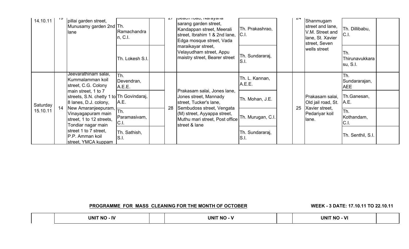| 14.10.11 |    | pillai garden street,<br>Munusamy garden 2nd Th.<br>lane                                                      | Ramachandra<br>n, C.1.      | ا ے | <b>INCALITIVAL, INGLAYATIA</b><br>sarang garden street,<br>Kandappan street, Meerali<br>street, Ibrahim 1 & 2nd lane,<br>Edga mosque street, Vada | Th. Prakashrao,<br>C.I.  | $2 +$ | Shanmugam<br>street and lane,<br>V.M. Street and<br>lane, St. Xavier<br>street, Seven | Th. Dillibabu,<br>C.I.             |  |
|----------|----|---------------------------------------------------------------------------------------------------------------|-----------------------------|-----|---------------------------------------------------------------------------------------------------------------------------------------------------|--------------------------|-------|---------------------------------------------------------------------------------------|------------------------------------|--|
|          |    |                                                                                                               | Th. Lokesh S.I              |     | maraikayar street,<br>Velayudham street, Appu<br>maistry street, Bearer street                                                                    | Th. Sundararaj,<br>S.I.  |       | wells street                                                                          | Th.<br>Thirunavukkara<br>su, S.I.  |  |
|          |    | Jeevarathinam salai,<br>Kummalamman koil<br>street, C.G. Colony                                               | Th.<br>Devendran,<br>A.E.E. |     |                                                                                                                                                   | Th. L. Kannan,<br>A.E.E. |       |                                                                                       | Th.<br>Sundararajan,<br><b>AEE</b> |  |
| Saturday | 14 | main street, 1 to 7<br>streets, S.N. chetty 1 to Th Govindaraj,<br>8 lanes, D.J. colony,                      | A.E.                        | 28  | Prakasam salai, Jones lane,<br>Jones street, Mannady<br>street, Tucker's lane,<br>Sembudoss street, Vengata                                       | Th. Mohan, J.E.          | 25    | Prakasam salai,<br>Old jail road, St.<br>Xavier street,                               | Th.Ganesan,<br>A.E.                |  |
| 15.10.11 |    | New Amaranjeepuram, $\frac{1}{\pi h}$<br>Vinayagapuram main<br>street, 1 to 12 streets,<br>Tondiar nagar main | Paramasivam,<br>C.I.        |     | (M) street, Ayyappa street,<br>Muthu mari street, Post office<br>street & lane                                                                    | Th. Murugan, C.I.        |       | Pedariyar koil<br>lane.                                                               | Th.<br>Kothandam,<br>C.I.          |  |
|          |    | street 1 to 7 street,<br>P.P. Amman koil<br>street, YMCA kuppam                                               | Th. Sathish,<br>S.I.        |     |                                                                                                                                                   | Th. Sundararaj,<br>S.I.  |       |                                                                                       | Th. Senthil, S.I.                  |  |

PROGRAMME FOR MASS CLEANING FOR THE MONTH OF OCTOBER

WEEK - 3 DATE: 17.10.11 TO 22.10.11

|  | UNI <sup>-</sup><br>- IV<br><b>NO</b> |  | <b>UNIT NO</b> |  | UNI <sup>-</sup><br>$\mathbf{M}$<br><b>NO</b> |  |
|--|---------------------------------------|--|----------------|--|-----------------------------------------------|--|
|--|---------------------------------------|--|----------------|--|-----------------------------------------------|--|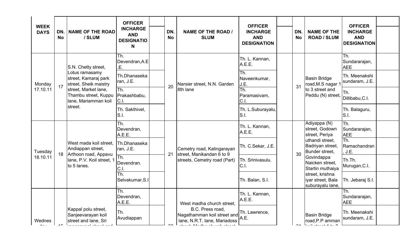| <b>WEEK</b> |                  |                                                                      | <b>OFFICER</b>                                          |                  |                                                                                 | <b>OFFICER</b>                                      |                  |                                                              | <b>OFFICER</b>                                      |  |
|-------------|------------------|----------------------------------------------------------------------|---------------------------------------------------------|------------------|---------------------------------------------------------------------------------|-----------------------------------------------------|------------------|--------------------------------------------------------------|-----------------------------------------------------|--|
| <b>DAYS</b> | DN.<br><b>No</b> | <b>NAME OF THE ROAD</b><br>/ SLUM                                    | <b>INCHARGE</b><br><b>AND</b><br><b>DESIGNATIO</b><br>N | DN.<br><b>No</b> | <b>NAME OF THE ROAD /</b><br><b>SLUM</b>                                        | <b>INCHARGE</b><br><b>AND</b><br><b>DESIGNATION</b> | DN.<br><b>No</b> | <b>NAME OF THE</b><br><b>ROAD / SLUM</b>                     | <b>INCHARGE</b><br><b>AND</b><br><b>DESIGNATION</b> |  |
|             |                  | S.N. Chetty street,                                                  | Th.<br>Devendran, A.E<br>E.                             |                  |                                                                                 | Th. L. Kannan,<br>A.E.E.                            |                  |                                                              | Th.<br>Sundararajan,<br><b>AEE</b>                  |  |
| Monday      | 17               | Lotus ramasamy<br>street, Kamaraj park<br>street, Sheik maistry      | Th.Dhanaseka<br>ran, J.E.                               | 20               | Narsier street, N.N. Garden                                                     | Th.<br>Naveenkumar,<br>J.E.                         | 31               | <b>Basin Bridge</b><br>road, M.S nagar 1                     | Th. Meenakshi<br>sundaram, J.E.                     |  |
| 17.10.11    |                  | street, Market lane,<br>Thambu street, Kuppu<br>Iane, Mariamman koil | Th.<br>Prakashbabu,<br>$ C $ .                          |                  | 8th lane                                                                        | Th.<br>Paramasivam,<br>C.I.                         |                  | to 3 street and<br>Peddu (N) street,                         | Th.<br>Dillibabu, C.I.                              |  |
| street.     |                  | Th. Sakthivel,<br>S.I.                                               |                                                         |                  | Th. L.Suburayalu,<br>S.I.                                                       |                                                     |                  | Th. Balaguru,<br>S.I.                                        |                                                     |  |
|             |                  |                                                                      | Th.<br>Devendran,<br>A.E.E.                             |                  |                                                                                 | Th. L. Kannan,<br>A.E.E.                            |                  | Adiyappa (N)<br>street, Godown<br>street, Periya             | Th.<br>Sundararajan,<br><b>AEE</b>                  |  |
| Tuesday     | 18               | West mada koil street,<br>Andiappan street,<br>Arthoon road, Appavu  | Th.Dhanaseka<br>ran, J.E.                               | 21               | Cemetry road, Kalingarayan<br>street, Manikandan 6 to 9                         | Th. C.Sekar, J.E.                                   | 30               | uthandi street,<br>Badriyan street,<br>Bunder street,        | Th.<br>Ramachandran<br>, J.E.                       |  |
| 18.10.11    |                  | Iane, P.V. Koil street, 1<br>to 5 lanes.                             | $\overline{\text{Th}}$ .<br>Devendran.<br>$ C $ .       |                  | streets, Cemetry road (Part)                                                    | Th. Srinivasulu.<br>C.I.                            |                  | Govindappa<br>Naicken street,<br>Startin muthaiya            | Th.Th.<br>Murugan, C.I.                             |  |
|             |                  |                                                                      | Th.<br>Selvakumar, S.I                                  |                  |                                                                                 | Th. Balan, S.I.                                     |                  | street, krishna<br>liyar street, Bala<br>suburayalu lane,    | Th. Jebaraj S.I.                                    |  |
|             |                  |                                                                      | Th.<br>IDevendran,<br>A.E.E.                            |                  | West madha church street.                                                       | Th. L. Kannan,<br>A.E.E.                            |                  |                                                              | Th.<br>Sundararajan,<br><b>AEE</b>                  |  |
| Wednes      |                  | Kappal polu street,<br>Sanjeevarayan koil<br>street and lane, Sri    | Th.<br>Avudiappan                                       |                  | B.C. Press road,<br>Nagathamman koil street and<br>lane, N.R.T. lane, Mariadoss | Th. Lawrence,<br>A.E.                               |                  | <b>Basin Bridge</b><br>road, P.P amman<br>والمتعادل والمنافي | Th. Meenakshi<br>sundaram, J.E.                     |  |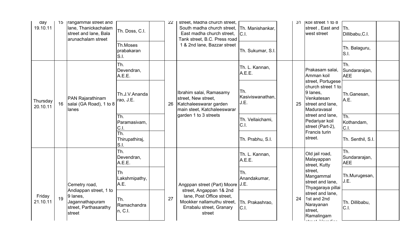| day<br>19.10.11      | 15 | <b>rangammal street and</b><br>lane, Thanickachalam<br>street and lane, Bala<br>arunachalam street | Th. Doss, C.I.                 | 22 | street, Madha church street,<br>South madha church street.<br>East madha church street.<br>Tank street, B.C. Press road | Th. Manishankar.<br>C.I.        | 31 | KOII street 1 to 8<br>street, East and Th.<br>west street                                            | Dillibabu, C.I.                    |  |
|----------------------|----|----------------------------------------------------------------------------------------------------|--------------------------------|----|-------------------------------------------------------------------------------------------------------------------------|---------------------------------|----|------------------------------------------------------------------------------------------------------|------------------------------------|--|
|                      |    |                                                                                                    | Th.Moses<br>prabakaran<br>S.I. |    | 1 & 2nd lane, Bazzar street                                                                                             | Th. Sukumar, S.I.               |    |                                                                                                      | Th. Balaguru,<br>S.I.              |  |
|                      |    |                                                                                                    | Th.<br>Devendran,<br>A.E.E.    |    |                                                                                                                         | Th. L. Kannan,<br>A.E.E.        |    | Prakasam salai,<br>Amman koil                                                                        | Th.<br>Sundararajan,<br><b>AEE</b> |  |
| Thursday<br>20.10.11 | 16 | <b>PAN Rajarathinam</b><br>salai (GA Road), 1 to 8<br>lanes                                        | Th.J.V.Ananda<br>rao, J.E.     | 26 | Ibrahim salai, Ramasamy<br>street, New street,<br>Katchaleeswarar garden<br>main steet, Katchaleeswarar                 | Th.<br>Kasiviswanathan.<br>J.E. | 25 | street, Portugese<br>church street 1 to<br>9 lanes.<br>Venkatesan<br>street and lane,<br>Maduravasal | Th.Ganesan,<br>A.E.                |  |
|                      |    |                                                                                                    | Th.<br>Paramasivam,<br>C.I.    |    | garden 1 to 3 streets                                                                                                   | Th. Vellaichami,<br>C.I.        |    | street and lane,<br>Pedariyar koil<br>street (Part-2),                                               | lTh.<br>Kothandam,<br>CL           |  |
|                      |    |                                                                                                    | Th.<br>Thirupathiraj,<br>S.I.  |    |                                                                                                                         | Th. Prabhu, S.I.                |    | Francis turin<br>street.                                                                             | Th. Senthil, S.I.                  |  |
|                      |    |                                                                                                    | Th.<br>Devendran,<br>A.E.E.    |    |                                                                                                                         | Th. L. Kannan,<br>A.E.E.        |    | Old jail road,<br>Malayappan<br>street, Kutty                                                        | Th.<br>Sundararajan,<br><b>AEE</b> |  |
|                      |    | Cemetry road,<br>Andiappan street, 1 to                                                            | Th<br>Lakshmipathy,<br>A.E.    |    | Angppan street (Part) Moore<br>street, Angappan 1& 2nd                                                                  | Th.<br>Anandakumar,<br>J.E.     |    | street,<br>Mangammal<br>street and lane,<br>Thyagaraya pillai                                        | Th.Murugesan,<br>J.E.              |  |
| Friday<br>21.10.11   | 19 | 9 lanes,<br>Jagannathapuram<br>street, Parthasarathy<br>street                                     | Th.<br>Ramachandra<br>n, C.I.  | 27 | lane, Post Office street,<br>Mookker nallamuthu street,<br>Errabalu street, Granary<br>street                           | Th. Prakashrao,<br>C.I.         | 24 | street and lane,<br>1st and 2nd<br>Narayanan<br>street,<br>Ramalingam                                | Th. Dillibabu,<br>CL               |  |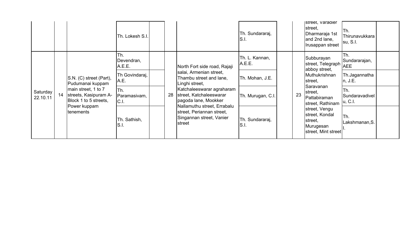|                      |    |                                                                       | Th. Lokesh S.I.             |    |                                                                                                | Th. Sundararaj,<br>S.I.  |    | street, Varadier<br>street,<br>Dharmaraja 1st<br>and 2nd lane,<br>Irusappan street | Th.<br>Thirunavukkara<br>su, S.I.  |  |
|----------------------|----|-----------------------------------------------------------------------|-----------------------------|----|------------------------------------------------------------------------------------------------|--------------------------|----|------------------------------------------------------------------------------------|------------------------------------|--|
|                      |    |                                                                       | Th.<br>Devendran,<br>A.E.E. |    | North Fort side road, Rajaji                                                                   | Th. L. Kannan,<br>A.E.E. |    | Subburayan<br>street, Telegraph<br>abboy street,                                   | Th.<br>Sundararajan,<br><b>AEE</b> |  |
|                      |    | S.N. (C) street (Part),<br>Pudumanai kuppam                           | Th Govindaraj,<br>A.E.      |    | salai, Armenian street,<br>Thambu street and lane,<br>Linghi street,                           | Th. Mohan, J.E.          |    | Muthukrishnan<br>street,                                                           | Th.Jagannatha<br>n, J.E.           |  |
| Saturday<br>22.10.11 | 14 | main street, 1 to 7<br>streets, Kasipuram A-<br>Block 1 to 5 streets, | Th.<br>Paramasivam,<br>CL   | 28 | Katchaleeswarar agraharam<br>street, Katchaleeswarar<br>pagoda lane, Mookker                   | Th. Murugan, C.I.        | 23 | Saravanan<br>street,<br>Pattabiraman<br>street, Rathinam                           | Th.<br>Sundaravadivel<br>u, C.I.   |  |
|                      |    | Power kuppam<br>tenements                                             | Th. Sathish,<br>S.I.        |    | Nallamuthu street, Errabalu<br>street, Periannan street,<br>Singannan street, Vanier<br>street | Th. Sundararaj,<br>S.I.  |    | street, Vengu<br>street, Kondal<br>street,<br>Murugesan<br>street, Mint street     | Th.<br>Lakshmanan, S.              |  |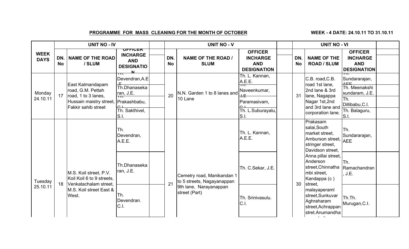## PROGRAMME FOR MASS CLEANING FOR THE MONTH OF OCTOBER

WEEK - 4 DATE: 24.10.11 TO 31.10.11

|                            |                  | <b>UNIT NO - IV</b>                                                          |                                                                      |                  | <b>UNIT NO - V</b>                                       |                                                                               | <b>UNIT NO - VI</b> |                                                                                                            |                                                                                      |  |
|----------------------------|------------------|------------------------------------------------------------------------------|----------------------------------------------------------------------|------------------|----------------------------------------------------------|-------------------------------------------------------------------------------|---------------------|------------------------------------------------------------------------------------------------------------|--------------------------------------------------------------------------------------|--|
| <b>WEEK</b><br><b>DAYS</b> | DN.<br><b>No</b> | <b>NAME OF THE ROAD</b><br>/ SLUM                                            | ULLICEK<br><b>INCHARGE</b><br><b>AND</b><br><b>DESIGNATIO</b><br>.NL | DN.<br><b>No</b> | <b>NAME OF THE ROAD /</b><br><b>SLUM</b>                 | <b>OFFICER</b><br><b>INCHARGE</b><br><b>AND</b><br><b>DESIGNATION</b>         | DN.<br><b>No</b>    | <b>NAME OF THE</b><br><b>ROAD / SLUM</b>                                                                   | <b>OFFICER</b><br><b>INCHARGE</b><br><b>AND</b><br><b>DESIGNATION</b>                |  |
| Monday<br>24.10.11         | 17               | East Kalmandapam<br>road, G.M. Pettah<br>road, 1 to 3 lanes,                 | ш.<br>Devendran, A.E<br>Th.Dhanaseka<br>ran, J.E.                    | 20               | N.N. Garden 1 to 8 lanes and<br>10 Lane                  | Th. L. Kannan,<br>A.E.E.<br>┱┱<br>Naveenkumar,<br>$H_{\overline{\mathrm{H}}}$ | 31                  | C.B. road, C.B.<br>road 1st lane,<br>2nd lane & 3rd<br>lane, Nagappa                                       | ш.<br>Sundararajan,<br>$\triangle$ $\Box$<br>Th. Meenakshi<br>sundaram, J.E.<br>ITh. |  |
|                            |                  | Hussain maistry street,<br>Fakkir sahib street                               | Prakashbabu,<br>$\sim$ 1<br>Th. Sakthivel,<br>S.I.                   |                  |                                                          | Paramasivam,<br>$\sim$ 1<br>Th. L.Suburayalu,<br>S.I.                         |                     | Nagar 1st, 2nd<br>and 3rd lane and<br>corporation lane.                                                    | Dillibabu, C.I.<br>Th. Balaguru,<br>S.I.                                             |  |
|                            |                  |                                                                              | Th.<br>Devendran,<br>A.E.E.                                          |                  |                                                          | Th. L. Kannan,<br>A.E.E.                                                      |                     | Prakasam<br>salai, South<br>market street,<br>Amburson street, AEE<br>stringer street,<br>Davidson street, | lTh.<br>Sundararajan,                                                                |  |
| Tuesday                    | 18               | M.S. Koil street, P.V.<br>Koil Koil 6 to 9 streets,<br>Venkatachalam street, | Th.Dhanaseka<br>ran, J.E.                                            | 21               | Cemetry road, Manikandan 1<br>to 5 streets, Nagayanappan | Th. C.Sekar, J.E.                                                             | 30                  | Anna pillai street,<br>Anderson<br>street,Chinnatha  Ramachandran<br>mbi street,<br>Kandappa (c)           | lTh.<br>J.E.                                                                         |  |
| 25.10.11                   |                  | M.S. Koil street East &<br>West.                                             | Th.<br>Devendran.<br>C.I.                                            |                  | 9th lane, Narayanappan<br>street (Part)                  | Th. Srinivasulu.<br>C.I.                                                      |                     | street,<br>malayaperaml<br>street, Sunkuvar<br>Aghraharam<br>street, Achrappan<br>stret.Anumandha          | Th.Th.<br>Murugan, C.I.                                                              |  |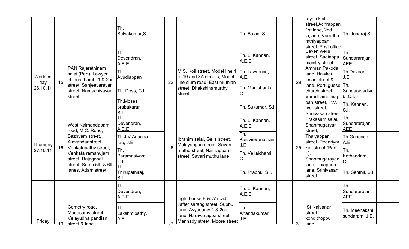|               |    |                                                                          | lTh.<br>Selvakumar, S.I        |    |                                                                                                                    | Th. Balan, S.I.                 |    | rayan koll<br>street, Achrappan<br>1st lane, 2nd<br>la, lane, Varadha<br>mthiyappan<br>street, Post office | Th. Jebaraj S.I.                    |  |
|---------------|----|--------------------------------------------------------------------------|--------------------------------|----|--------------------------------------------------------------------------------------------------------------------|---------------------------------|----|------------------------------------------------------------------------------------------------------------|-------------------------------------|--|
|               |    |                                                                          | Th.<br>Devendran,<br>A.E.E.    |    |                                                                                                                    | Th. L. Kannan,<br>A.E.E.        |    | Seven wells<br>street, Sadiappa<br>maistry street,                                                         | ITh.<br>Sundararajan,<br><b>AEE</b> |  |
| Wednes<br>day | 15 | PAN Rajarathinam<br>salai (Part), Lawyer<br>chinna thambi 1 & 2nd        | ITh.<br>Avudiappan             | 22 | M.S. Koil street, Model line 1<br>to 10 and 8A streets, Model<br>line slum road, East muthiah                      | Th. Lawrence,<br>A.E.           | 29 | Amman Pakoda<br>lane, Hawker<br>jesan street &                                                             | Th.Devearj,<br>J.E.                 |  |
| 26.10.11      |    | street, Sanjeevarayan<br>street, Namachivayam<br>street                  | Th. Doss, C.I.                 |    | street, Dhakshinamurthy<br>street                                                                                  | Th. Manishankar,<br>C.I.        |    | lane, Portuguese Th.<br>church street,<br>Varadhamuthiap   u, C.I.                                         | Sundaravadivel                      |  |
|               |    |                                                                          | Th.Moses<br>prabakaran<br>S.I. |    |                                                                                                                    | Th. Sukumar, S.I.               |    | pan street, P.V.<br>lyer street,<br>Srinivasan street                                                      | Th. Kannan,<br>S.I.                 |  |
|               |    | West Kalmandapam<br>road, M.C. Road,                                     | Th.<br>Devendran,<br>A.E.E.    |    |                                                                                                                    | Th. L. Kannan,<br>A.E.E.        |    | Prakasam salai,<br>Shanmugaryan<br>street,                                                                 | ITh.<br>Sundararajan,<br><b>AEE</b> |  |
| Thursday      | 16 | Bazhyam street,<br>Alavandar street,<br>Venkatapathy street,             | Th.J.V.Ananda<br>rao, J.E.     | 26 | Ibrahim salai, Geils street,<br>Malayappan street, Savari                                                          | Th.<br>Kasiviswanathan,<br>J.E. | 25 | Thaiyappan<br>street, Pedariyar   A.E.<br>koil street (Part-                                               | Th.Ganesan,                         |  |
| 27.10.11      |    | Venkata ramanujam<br>street, Rajagopal<br>street, Somu 5th & 6th         | Th.<br>Paramasivam,<br>C.I.    |    | muthu street, Nainiappan<br>street, Savari muthu lane                                                              | Th. Vellaichami,<br>C.I.        |    | 1),<br>Shanmugarayan<br>lane, Thiappan                                                                     | lTh.<br>Kothandam,<br>C.I.          |  |
|               |    | lanes, Adam street.                                                      | Th.<br>Thirupathiraj,<br>S.I.  |    |                                                                                                                    | Th. Prabhu, S.I.                |    | lane, Srinivasan<br>street.                                                                                | Th. Senthil, S.I.                   |  |
|               |    |                                                                          | lTh.<br>Devendran,<br>A.E.E.   |    | Light house E & W road,                                                                                            | Th. L. Kannan,<br>A.E.E.        |    |                                                                                                            | lTh.<br>Sundararajan,<br><b>AEE</b> |  |
| Friday        | 1Q | Cemetry road,<br>Madasamy street,<br>Velayudha pandian<br>letraat & lana | lTh<br>Lakshmipathy,<br>A.E.   | 27 | Jaffer sarang street, Subbu<br>lane, Ayyasamy 1 & 2nd<br>lane, Narayanappa street,<br>Mannady street, Moore street | Th.<br>Anandakumar,<br>J.E.     | 31 | St Naiyanar<br>street<br>kondithoppu<br>llono                                                              | Th. Meenakshi<br>sundaram, J.E.     |  |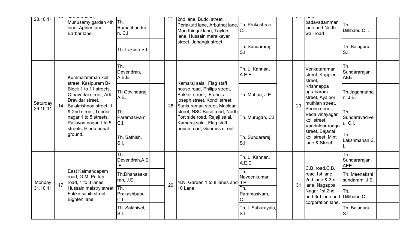| 28.10.11                 | י ט                                                                                                                                  | J<br>Munusamy garden 4th<br>lane, Appier lane,<br>Barbar lane.                                   | lTh.<br>Ramachandra<br>n, C.I. | $\sim$                            | 2nd lane, Buddi street,<br>Periakutti lane, Arbutnot lane,<br>Moorthingal lane, Taylors<br>lane, Hussain maraikayar      | Th. Prakashrao,<br>C.I.   | $\cup$ 1                                                                | μαι ισ,<br>padavattamman<br>lane and North<br>wall road            | Th.<br>Dillibabu, C.I.             |  |
|--------------------------|--------------------------------------------------------------------------------------------------------------------------------------|--------------------------------------------------------------------------------------------------|--------------------------------|-----------------------------------|--------------------------------------------------------------------------------------------------------------------------|---------------------------|-------------------------------------------------------------------------|--------------------------------------------------------------------|------------------------------------|--|
|                          |                                                                                                                                      |                                                                                                  | Th. Lokesh S.I.                |                                   | street, Jahangir street                                                                                                  | Th. Sundararaj,<br>S.I.   |                                                                         |                                                                    | Th. Balaguru,<br>S.I.              |  |
|                          |                                                                                                                                      | Kummalamman koil<br>street, Kasipuram B-                                                         | Th.<br>Devendran,<br>A.E.E.    |                                   | Kamaraj salai, Flag staff                                                                                                | Th. L. Kannan,<br>A.E.E.  |                                                                         | Venkataraman<br>street, Kuppier<br>street,                         | Th.<br>Sundararajan,<br><b>AEE</b> |  |
| Saturday                 | 14                                                                                                                                   | Block 1 to 11 streets,<br>Othavadai street, Adi-<br>Dravidar street,<br>Balakrishnan street, 1   | Th Govindaraj,<br>A.E.         | 28                                | house road, Philips street,<br>Bakker street, Francis<br>joseph street, Kondi street,<br>Sunkuraman street, Maclean      | Th. Mohan, J.E.           | 23                                                                      | Krishnappa<br>agraharam<br>street, Ayaloor<br>muthiah street,      | Th.Jagannatha<br>n, J.E.           |  |
| 29.10.11                 |                                                                                                                                      | & 2nd street, Tondiar<br>nagar 1 to 5 streets,<br>Pallavan nagar 1 to 5<br>streets, Hindu burial | Th.<br>Paramasivam,<br>C.I.    |                                   | street, NSC Bose road, North<br>Fort side road, Rajaji salai,<br>Kamaraj salai, Flag staff<br>house road, Goomes street. | Th. Murugan, C.I.         |                                                                         | Seenu street.<br>Veda vinayagar<br>koil street,<br>Vandaloor ranga | Th.<br>Sundaravadivel<br>u, C.I.   |  |
|                          |                                                                                                                                      | ground.                                                                                          | Th. Sathish,<br>S.I.           |                                   |                                                                                                                          | Th. Sundararaj,<br>S.I.   |                                                                         | street, Bajanai<br>koil street, Mint<br>lane & Street              | Th.<br>Lakshmanan, S.              |  |
|                          |                                                                                                                                      |                                                                                                  | Th.<br>Devendran, A.E<br>Ε.    |                                   |                                                                                                                          | Th. L. Kannan,<br>A.E.E.  |                                                                         | C.B. road, C.B.                                                    | Th.<br>Sundararajan,<br><b>AEE</b> |  |
| Monday<br>17<br>31.10.11 | East Kalmandapam<br>road, G.M. Pettah<br>road, 1 to 3 lanes,<br>Hussain maistry street, Th.<br>Fakkir sahib street,<br>Bighten lane. | Th.Dhanaseka<br>ran, J.E.                                                                        |                                | N.N. Garden 1 to 8 lanes and J.E. | Th.<br>Naveenkumar,                                                                                                      | 31                        | road 1st lane,<br>2nd lane & 3rd<br>lane, Nagappa                       | Th. Meenakshi<br>sundaram, J.E.                                    |                                    |  |
|                          |                                                                                                                                      | Prakashbabu,<br>C.I.                                                                             | 20                             | 10 Lane                           | Th.<br>Paramasivam,<br>C.I.                                                                                              |                           | Nagar 1st, 2nd<br>and 3rd lane and Dillibabu, C.I.<br>corporation lane. | Th.                                                                |                                    |  |
|                          |                                                                                                                                      |                                                                                                  | Th. Sakthivel,<br>S.I.         |                                   |                                                                                                                          | Th. L.Suburayalu,<br>S.I. |                                                                         |                                                                    | Th. Balaguru,<br>S.I.              |  |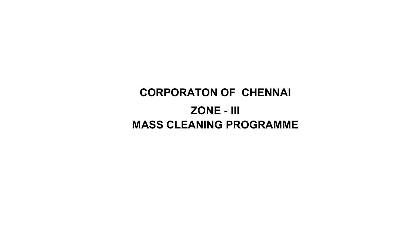# CORPORATON OF CHENNAI ZONE - IIIMASS CLEANING PROGRAMME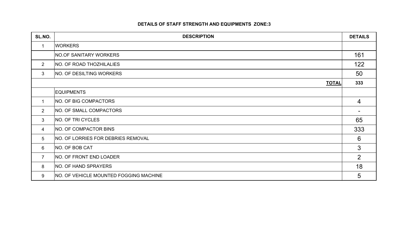#### DETAILS OF STAFF STRENGTH AND EQUIPMENTS ZONE:3

| SL.NO.          | <b>DESCRIPTION</b>                            | <b>DETAILS</b> |
|-----------------|-----------------------------------------------|----------------|
| $\mathbf 1$     | <b>WORKERS</b>                                |                |
|                 | NO.OF SANITARY WORKERS                        | 161            |
| $2^{\circ}$     | NO. OF ROAD THOZHILALIES                      | 122            |
| 3               | <b>NO. OF DESILTING WORKERS</b>               | 50             |
|                 | <b>TOTAL</b>                                  | 333            |
|                 | <b>EQUIPMENTS</b>                             |                |
| $\mathbf 1$     | <b>NO. OF BIG COMPACTORS</b>                  | $\overline{4}$ |
| $\overline{2}$  | NO. OF SMALL COMPACTORS                       |                |
| 3               | NO. OF TRI CYCLES                             | 65             |
| 4               | <b>NO. OF COMPACTOR BINS</b>                  | 333            |
| $5\overline{)}$ | NO. OF LORRIES FOR DEBRIES REMOVAL            | 6              |
| 6               | NO. OF BOB CAT                                | $\mathbf{3}$   |
| $\overline{7}$  | NO. OF FRONT END LOADER                       | 2              |
| 8               | NO. OF HAND SPRAYERS                          | 18             |
| 9               | <b>NO. OF VEHICLE MOUNTED FOGGING MACHINE</b> | 5              |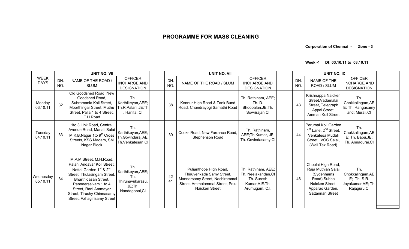Corporation of Chennai - Zone - 3

Week -1 Dt: 03.10.11 to 08.10.11

|                            |            | <b>UNIT NO. VII</b>                                                                                                                                                                                                                                                           |                                                                                 | <b>UNIT NO. VIII</b> |                                                                                                                                            |                                                                                              |                  | <b>UNIT NO. IX</b>                                                                                                                |                                                                              |  |
|----------------------------|------------|-------------------------------------------------------------------------------------------------------------------------------------------------------------------------------------------------------------------------------------------------------------------------------|---------------------------------------------------------------------------------|----------------------|--------------------------------------------------------------------------------------------------------------------------------------------|----------------------------------------------------------------------------------------------|------------------|-----------------------------------------------------------------------------------------------------------------------------------|------------------------------------------------------------------------------|--|
| <b>WFFK</b><br><b>DAYS</b> | DN.<br>NO. | NAME OF THE ROAD /<br><b>SLUM</b>                                                                                                                                                                                                                                             | <b>OFFICER</b><br><b>INCHARGE AND</b><br><b>DESIGNATION</b>                     | DN.<br>NO.           | NAME OF THE ROAD / SLUM                                                                                                                    | <b>OFFICER</b><br><b>INCHARGE AND</b><br><b>DESIGNATION</b>                                  | DN.<br><b>NO</b> | NAME OF THE<br>ROAD / SLUM                                                                                                        | <b>OFFICER</b><br><b>INCHARGE AND</b><br><b>DESIGNATION</b>                  |  |
| Monday<br>03.10.11         | 32         | Old Goodshed Road, New<br>Goodshed Road,<br>Subramania Koil Street,<br>Moorthingar Street, Muthu<br>Street, Palla 1 to 4 Street,<br>E.H.Road                                                                                                                                  | Th.<br>Karthikeyan, AEE;<br>Th.R.Palani, JE; Th<br>. Hanifa, CI                 | 38                   | Konnur High Road & Tank Bund<br>Road, Chandrayogi Samathi Road                                                                             | Th. Rathinam, AEE;<br>Th. D.<br>Bhoopalan, JE; Th.<br>Sowrirajan, CI                         | 43               | Krishnappa Naicken<br>Street, Vadamalai<br>Street, Telegraph<br>Appai Street,<br>Amman Koil Street                                | Th.<br>Chokkalingam, AE<br>E; Th. Rangasamy<br>and; Murali, CI               |  |
| Tuesday<br>04.10.11        | 33         | 1to 3 Link Road, Central<br>Avenue Road, Manali Salai<br>M.K.B.Nagar 1to 9 <sup>th</sup> Cross<br>Streets, KSS Madam, SM<br>Nagar Block                                                                                                                                       | Th.<br>Karthikeyan, AEE;<br>Th.Govindaraj, AE;<br>Th.Venkatesan,CI              | 39                   | Cooks Road, New Farrance Road,<br>Stephenson Road                                                                                          | Th. Rathinam,<br>AEE; Th. Kumar, JE;<br>Th. Govindasamy, CI                                  | 44               | Perumal Koil Garden<br>1 <sup>st</sup> Lane, 2 <sup>nd</sup> Street,<br>Venkatesa Mudali<br>Street, VOC Salai,<br>(Wall Tax Road) | Th.<br>Chokkalingam, AE<br>E; Th. Babu, JE;<br>Th. Annadurai, CI             |  |
| Wednesday<br>05.10.11      | 34         | M.P.M.Street, M.H.Road,<br>Palani Andavar Koil Street,<br>Nettal Garden 1 <sup>st</sup> & 2 <sup>nd</sup><br>Street, Thulasingam Street,<br>Bharthidasan Street,<br>Panneerselvam 1 to 4<br>Street, Rani Ammayar<br>Street, Tiruchy Chinnasamy<br>Street, Azhagirisamy Street | Th.<br>Karthikeyan, AEE;<br>Th.<br>Thirunavukarasu,<br>JE;Th.<br>Nandagopal, CI | 42<br>41             | Pulianthope High Road,<br>Thiruvenkada Samy Street,<br>Mannarsamy Street, Nachirammal<br>Street, Ammaiammal Street, Polu<br>Naicken Street | Th. Rathinam, AEE;<br>Th. Neelakandan, CI<br>Th. Suresh<br>Kumar, A.E. Th.<br>Arumugam, C.I. | 46               | Choolai High Road,<br>Raja Muthiah Salai<br>(Sydenhams<br>Road), Subba<br>Naicken Street.<br>Apparao Garden,<br>Sattannan Street  | Th.<br>Chokkalingam, AE<br>E; Th. S.R.<br>Jayakumar, AE; Th.<br>Rajaguru, CI |  |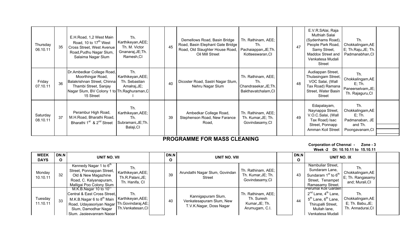| Thursday<br>06.10.11 | 35 | E.H.Road, 1,2 West Main<br>Road, 10 to 17 <sup>th</sup> West<br>Cross Street, West Avenue<br>Road, Pudhu Nagar Slum,<br>Salaima Nagar Slum                          | Th.<br>Karthikeyan, AEE;<br>Th. M. Victor<br>Gnanaraj, JE; Th.<br>Ramesh, CI | 45 | Demellows Road, Basin Bridge<br>Road, Basin Elephant Gate Bridge<br>Road, Old Slaughter House Road,<br>Oil Mill Street | Th. Rathinam, AEE;<br>Th.<br>Pachaiappan, JE; Th.<br>Kotteeswaran, CI     | 47 | E.V.R.SAlai, Raja<br>Muthiah Salai<br>(Sydenhams Road),<br>People Park Road,<br>Samy Street,<br>Maddox Street and<br>Venkatesa Mudali<br>Street | Th.<br>Chokkalingam, AE<br>E; Th.Raju, JE; Th.<br>Padmanabhan, CI                    |  |
|----------------------|----|---------------------------------------------------------------------------------------------------------------------------------------------------------------------|------------------------------------------------------------------------------|----|------------------------------------------------------------------------------------------------------------------------|---------------------------------------------------------------------------|----|-------------------------------------------------------------------------------------------------------------------------------------------------|--------------------------------------------------------------------------------------|--|
| Friday<br>07.10.11   | 36 | Dr.Ambedkar College Road,<br>Moorthingar Road,<br>Balakrishnan Street, Chinna<br>Thambi Street, Sanjay<br>Nagar Slum, BV Colony 1 to Th. Raghuraman, C<br>15 Street | Th.<br>Karthikeyan, AEE;<br>Th. Sebastian<br>Amalraj, JE;                    | 40 | Dicoster Road, Sastri Nagar Slum,<br>Nehru Nagar Slum                                                                  | Th. Rathinam, AEE;<br>Th.<br>Chandrasekar, JE; Th.<br>Bakthavatchalam, CI | 48 | Audiappan Street,<br>Thulasingam Street,<br>VOC Salai, (Wall<br>Tax Road) Ramana<br>Street, Water Basin<br>Street                               | Th.<br>Chokkalingam, AE<br>$E$ ; Th.<br>Paneerselvam, JE;<br>Th. Rajaguru, CI        |  |
| Saturday<br>08.10.11 | 37 | Perambur High Road,<br>M.H.Road, Bharathi Road,<br>Bharathi 1 <sup>st</sup> & 2 <sup>nd</sup> Street                                                                | Th.<br>Karthikeyan, AEE;<br>Th.<br>Subramani, JE; Th.<br>Balaji, CI          | 39 | Ambedkar College Road,<br>Stephenson Road, New Farance<br>Road,                                                        | Th. Rathinam, AEE;<br>Th. Kumar, JE; Th.<br>Govindasamy, CI               | 49 | Edapalayam,<br>Naynappa Street,<br>V.O.C.Salai, (Wall<br>Tax Road) Isac<br>Street, Ponnapp<br>Amman Koil Street                                 | Th.<br>Chokkalingam, AE<br>$E$ ; Th.<br>Padmanaban, JE<br>and Th.<br>Poongavanam, CI |  |

#### Corporation of Chennai - Zone - 3Week -2 Dt: 10.10.11 to 15.10.11

| <b>WEEK</b><br><b>DAYS</b> | DN.N<br>$\mathbf{o}$ | UNIT NO. VII                                                                                                                                                                                                                                           | DN.N<br>$\mathbf{o}$ | UNIT NO. VIII                                                             |                                                                      | DN.N<br>$\mathbf{o}$ | UNIT NO. IX                                                                                                                                                   |                                                                  |  |
|----------------------------|----------------------|--------------------------------------------------------------------------------------------------------------------------------------------------------------------------------------------------------------------------------------------------------|----------------------|---------------------------------------------------------------------------|----------------------------------------------------------------------|----------------------|---------------------------------------------------------------------------------------------------------------------------------------------------------------|------------------------------------------------------------------|--|
| Monday<br>10.10.11         | 32                   | Kennedy Nagar 1 to 6 <sup>th</sup><br>Th.<br>Street, Ponnappan Street,   Karthikeyan, AEE;  <br>Old & New Magazhine<br>Th.R.Palani, JE;<br>Road, C. Kalyanapuram,<br>Th. Hanifa, CI<br>Malligai Poo Colony Slum                                        | 39                   | Arundathi Nagar Slum, Govindan<br><b>Street</b>                           | Th. Rathinam, AEE;<br>Th. Kumar, JE; Th.<br>Govindasamy, CI          | 43                   | Nambuliar Street,<br>Sundaram Lane,<br>Sundaram 1 <sup>st</sup> to 6 <sup>th</sup><br>Street, Tenampet<br>Ramasamy Street.                                    | Th.<br>Chokkalingam, AE<br>E; Th. Rangasamy<br>and; Murali, CI   |  |
| Tuesday<br>11.10.11        | 33                   | M.K.B.Nagar 10 to $10'''$<br>Th.<br>Central & East Cross Street,<br>Karthikeyan, AEE;<br>M.K.B.Nagar 6 to 8 <sup>th</sup> Main<br>Road, Udayasoriyan Nagar Th.Govindaraj,AE;<br>Th.Venkatesan,CI<br>Slum, Damodhar Nagar<br>Slum, Jagieevanram Nagar I | 40                   | Kannigapuram Slum,<br>Venkatesapuram Slum, New<br>T.V.K.Nagar, Doss Nagar | Th. Rathinam, AEE;<br>Th. Suresh<br>Kumar, JE; Th.<br>Arumugam, C.I. | 44                   | Perumal Koll Garden<br>$2^{nd}$ Lane, $4^{th}$ Lane,<br>5 <sup>th</sup> Lane, 6 <sup>th</sup> Lane,<br>Thirupalli Street,<br>Mullah lane,<br>Venkatesa Mudali | Th.<br>Chokkalingam, AE<br>E; Th. Babu, JE;<br>Th. Annadurai, CI |  |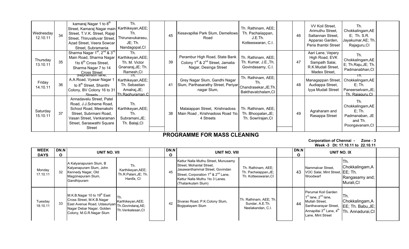| Wednesday<br>12.10.11 | 34 | kamaraj Nagar 1 to 8 <sup>th</sup><br>Street, Kamaraj Nagar main   Karthikeyan, AEE;<br>Street, T.V.K. Street, Rajaji<br>Street, Thiruvalluvar Street,<br>Azad Street, Veera Sowcar<br>Street, Subramania | Th.<br>Th.<br>Thirunavukarasu,<br>JE; Th.<br>Nandagopal, CI                  | 45 | Kesavapillai Park Slum, Demellows<br>Road                                                                           | Th. Rathinam, AEE;<br>Th. Pachaiiappan,<br>J.E.Th.<br>Kotteeswaran, C.I.  | 46 | VV Koil Street,<br>Arimuthu Street,<br>Sattannan Street,<br>Apparao Garden,<br>Peria thambi Street | Th.<br>Chokkalingam, AE<br>E; Th. S.R.<br>Jayakumar, AE; Th.<br>Rajaguru, CI         |  |
|-----------------------|----|-----------------------------------------------------------------------------------------------------------------------------------------------------------------------------------------------------------|------------------------------------------------------------------------------|----|---------------------------------------------------------------------------------------------------------------------|---------------------------------------------------------------------------|----|----------------------------------------------------------------------------------------------------|--------------------------------------------------------------------------------------|--|
| Thursday<br>13.10.11  | 35 | Sharma Nagar 1 <sup>st</sup> , 2 <sup>nd</sup> & 3 <sup>rd</sup><br>Main Road, Sharma Nagar<br>1to 6 <sup>th</sup> Cross Street,<br>Sharma Nagar 7 to 14<br>Cross Street<br>Stephenson lane,              | Th.<br>Karthikeyan, AEE;<br>Th. M. Victor<br>Gnanaraj, JE; Th.<br>Ramesh, CI | 39 | Perambur High Road, State Bank<br>Colony 1 <sup>st</sup> & 2 <sup>nd</sup> Street, Jamalia<br>Nagar, Desinga Street | Th. Rathinam, AEE;<br>Th. Kumar, J.E., Th.<br>Govindasamy, C.I.           | 47 | Aari Lane, Vepery<br>High Road, EVK<br>Sampath Salai,<br>R.K.Mudali Street,<br>Madex Street,       | Th.<br>Chokkalingam, AE<br>E; Th.Raju, JE; Th.<br>Padmanabhan, CI                    |  |
| Friday<br>14.10.11    | 36 | A.A.Road, Vyasar Nagar 1<br>to 8 <sup>th</sup> Street, Shanthi<br>Colony, BV Colony 16 to 31<br>Straate                                                                                                   | ın.<br>Karthikeyan, AEE;<br>Th. Sebastian<br>Amalraj, JE;<br>Th Raghuraman C | 41 | Grey Nagar Slum, Gandhi Nagar<br>Slum, Parthasarathy Street, Periyar<br>nagar Slum,                                 | Th. Rathinam, AEE;<br>Th.<br>Chandrasekar, JE; Th.<br>Bakthavatchalam, CI | 48 | Managappan Street,<br>Audiappa Street,<br>Iyya Mudali Street                                       | Th.<br>Chokkalingam, AE<br>$E$ ; Th.<br>Paneerselvam, JE;<br>Th Rajaguru Cl          |  |
| Saturday<br>15.10.11  | 37 | Annadavelu Street, Patel<br>Road, J.J.Scheme Road,<br>School Road, Meenakshi<br>Street, Subrmani Road,<br>Vasan Street, Venkaraman<br>Street, Saraswathi Square<br>Street                                 | Th.<br>Karthikeyan, AEE;<br>Th.<br>Subramani, JE;<br>Th. Balaji, CI          | 38 | Malaiappan Street, Krishnadoss<br>Main Road, Krishnadoss Road 1to<br>4 Streets                                      | Th. Rathinam, AEE;<br>Th. Bhoopalan, JE;<br>Th. Sowrirajan, CI            | 49 | Agraharam and<br>Rasappa Street                                                                    | Th.<br>Chokkalingam, AE<br>$E$ ; Th.<br>Padmanaban, JE<br>and Th.<br>Poongavanam, CI |  |

#### Corporation of Chennai - Zone - 3Week -3 Dt: 17.10.11 to 22.10.11

| <b>WEEK</b><br><b>DAYS</b> | DN.N<br>O | UNIT NO. VII                                                                                                                                                                      |                                                                | DN.N<br>$\mathbf{o}$ | UNIT NO. VIII                                                                                                                                                                                                              |                                                                    | DN.N<br>O | UNIT NO. IX                                                                                                                                                        |                                                                   |  |
|----------------------------|-----------|-----------------------------------------------------------------------------------------------------------------------------------------------------------------------------------|----------------------------------------------------------------|----------------------|----------------------------------------------------------------------------------------------------------------------------------------------------------------------------------------------------------------------------|--------------------------------------------------------------------|-----------|--------------------------------------------------------------------------------------------------------------------------------------------------------------------|-------------------------------------------------------------------|--|
| Monday<br>17.10.11         | 32        | A Kalyanapuram Slum, B<br>Kalyanapuram Slum, John<br>Kennedy Nagar, Old<br>Magzinepuram Slum,<br>Gandhipuram                                                                      | Th.<br>Karthikeyan, AEE;<br>Th.R.Palani, JE; Th.<br>Hanifa, CI | 45                   | Kattur Nalla Muthu Street, Munusamy<br>Street, Mohanlal Street,<br>Jasawanthammal Street, Govindan<br>Street, Corporation 1 <sup>st</sup> & 2 <sup>nd</sup> Lane,<br>Kattur Nalla Muthu 1to 3 Lanes.<br>(Thatankulam Slum) | Th. Rathinam, AEE;<br>Th. Pachaiappan, JE;<br>Th. Kotteeswaran, CI | 43        | Nammalvar Street.<br>VOC Salai, Mint Street, IEE: Th.<br>Woodwarf                                                                                                  | Th.<br>Chokkalingam, A<br>Rangasamy and;<br>Murali, CI            |  |
| Tuesday<br>18.10.11        | 33        | M.K.B.Nagar 10 to 19 <sup>th</sup> East<br>Cross Street, M.K.B.Nagar<br>East Avenue Road, Udasuriyan Th. Govindaraj, AE;<br>Nagar Debar Nagar, Golden<br>Colony, M.G.R.Nagar Slum | Karthikeyan, AEE;<br>Th.Venkatesan,CI                          | 42                   | Sivarao Road, P.K.Colony Slum,<br>Bogipalayam Slum                                                                                                                                                                         | Th. Rathinam, AEE; Th.<br>Sundar, A.E.Th.<br>Neelakandan, C.I.     | 44        | Perumal Koil Garden<br>$1st$ lane, $2nd$ lane,<br>Mullah Street.<br>Santhavarayar Street,<br>Annapillai 3 <sup>rd</sup> Lane, 4 <sup>th</sup><br>Lane, Mint Street | ITh.<br>Chokkalingam, A<br>EE; Th. Babu, JE;<br>Th. Annadurai, CI |  |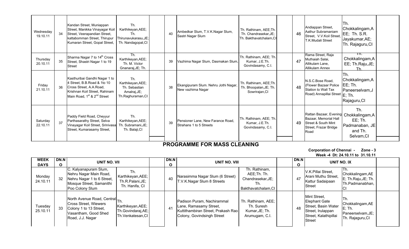| Wednesday<br>19.10.11 | 34 | Kandan Street, Muniappan<br>Street, Manikka Vinayagar Koil<br>Street, Veerapandian Street,<br>kattabomman Street, Thirupur<br>Kumaran Street, Gopal Street,                     | Th.<br>Karthikeyan, AEE;<br>Th.<br>Thirunavukarasu,JE;<br>Th. Nandagopal, CI  | 40 | Ambedkar Slum, T.V.K.Nagar Slum,<br>Sastri Nagar Slum        | Th. Rathinam, AEE;Th.<br>Th. Chandrasekar, JE;<br>Th. Bakthavatchalam.CI | 46 | Andiappan Street,<br>Aathur Subramaniam<br>Street, V.V.Koil Street,<br>T.K.Mudali Street                               | ITh.<br>Chokkalingam, A<br>EE; Th. S.R.<br>Jayakumar, AE;<br>Th. Rajaguru, CI |  |
|-----------------------|----|---------------------------------------------------------------------------------------------------------------------------------------------------------------------------------|-------------------------------------------------------------------------------|----|--------------------------------------------------------------|--------------------------------------------------------------------------|----|------------------------------------------------------------------------------------------------------------------------|-------------------------------------------------------------------------------|--|
| Thursday<br>20.10.11  | 35 | Sharma Nagar 7 to 14 <sup>th</sup> Cross<br>Street, Shastri Nagar 1 to 19<br><b>Street</b>                                                                                      | Th.<br>Karthikeyan, AEE;<br>Th. M. Victor<br>Gnanaraj, JE; Th.                | 39 | Vazhima Nagar Slum, Dasmakan Slum,                           | Th. Rathinam, AEE; Th.<br>Kumar, J.E.Th.<br>Govindasamy, C.I.            | 47 | Rama Street, Raja<br>Muthaiah Salai,<br>Allikulam Lane.<br><b>Allikulam Annex</b>                                      | TN.<br>Chokkalingam, A<br>EE; Th.Raju, JE;<br>Th.                             |  |
| Friday<br>21.10.11    | 36 | Kasthuribai Gandhi Nagar 1 to<br>4 Street, B.B.Road & 1to 10<br>Cross Street, A.A.Road,<br>Krishnan Koil Street, Rahinam<br>Main Road, 1 <sup>st</sup> & 2 <sup>nd</sup> Street | Th.<br>Karthikeyan, AEE;<br>Th. Sebastian<br>Amalraj, JE;<br>Th.Raghuraman,CI | 38 | Ekangipuram Slum. Nehru Jothi Nagar,<br>New vazhima Nagar    | Th. Rathinam, AEE;Th.<br>Th. Bhoopalan, JE; Th.<br>Sowrirajan, CI        | 48 | N.S.C.Bose Road,<br>Flower Bazaar Police<br>Station to Wall Tax<br>Road) Annapillai Street E; Th.                      | Th.<br>Chokkalingam, A<br>EE; Th.<br>Paneerselvam, J<br>Rajaguru, CI          |  |
| Saturday<br>22.10.11  | 37 | Paddy Field Road, Cheyyur<br>Parthasarathy Street, Selva<br>Vinayagar Koil Street, Srinivasa<br>Street, Kumarasamy Street,                                                      | Th.<br>Karthikeyan, AEE;<br>Th. Subramani, JE;<br>Th. Balaji, CI              | 39 | Pensioner Lane, New Farance Road,<br>Strahans 1 to 5 Streets | Th. Rathinam, AEE; Th.<br>Kumar, J.E.Th.<br>Govindasamy, C.I.            | 49 | Rattan Bazaar, Evening Chokkalingam,A<br>Bazaar, Memorial Hall<br>Street & South Mint<br>Street, Frazar Bridge<br>Road | Th.<br>$EE$ ; Th.<br>Padmanaban, JE<br>and Th.<br>Selvam, CI                  |  |

Corporation of Chennai - Zone - 3Week -4 Dt: 24.10.11 to 31.10.11

| <b>WEEK</b><br><b>DAYS</b> | DN.N<br>O | UNIT NO. VII                                                                                                                  |                                                               | DN.N<br>O | UNIT NO. VIII                                                                                                            |                                                                                 | DN.N<br>O | UNIT NO. IX                                                                                                         |                                                                               |  |
|----------------------------|-----------|-------------------------------------------------------------------------------------------------------------------------------|---------------------------------------------------------------|-----------|--------------------------------------------------------------------------------------------------------------------------|---------------------------------------------------------------------------------|-----------|---------------------------------------------------------------------------------------------------------------------|-------------------------------------------------------------------------------|--|
| Monday<br>24.10.11         | 32        | C. Kalyanapuram Slum,<br>Nehru Nagar Main Road,<br>Nehru Nagar 1 to 6 Street,<br>Mosque Street, Samanithi<br>Poo Colony Slum  | Th.<br>Karthikeyan, AEE;<br>Th.R.Palani,JE;<br>Th. Hanifa, CI | 40        | Narasimma Nagar Slum (6 Street)<br>T.V.K.Nagar Slum 8 Streets                                                            | Th. Rathinam,<br>AEE:Th. Th.<br>Chandrasekar, JE;<br>Ih.<br>Bakthavatchalam, CI | 47        | V.K.Pillai Street,<br>Arani Muthu Street,<br>Kattur Sadaipaan<br>Street                                             | Chokkalingam, AE<br>E; Th.Raju, JE; Th.<br>Th.Padmanabhan,                    |  |
| Tuesday<br>25.10.11        | 33        | North Avenue Road, Central Th.<br>Cross Street, Wiewers<br>Colony 1 to 13 Street,<br>Vasantham, Good Shed<br>Road, J.J. Nagar | Karthikeyan, AEE;<br>Th.Govindaraj,AE;<br>Th.Venkatesan,CI    | 41        | Padison Puram, Nachirammal<br>Lane, Ramasamy Street,<br>Kuttithambiran Street, Prakash Rao<br>Colony, Govindsingh Street | Th. Rathinam, AEE;<br>Th. Suresh<br>Kumar, JE; Th.<br>Arumugam, C.I.            | 48        | Mint Street,<br>Elephant Gate<br>Street, Basin Water<br>Street, Irulappan<br>Street, Kalathipillai<br><b>Street</b> | Th.<br>Chokkalingam, AE<br>$E$ ; Th.<br>Paneerselvam, JE;<br>Th. Rajaguru, CI |  |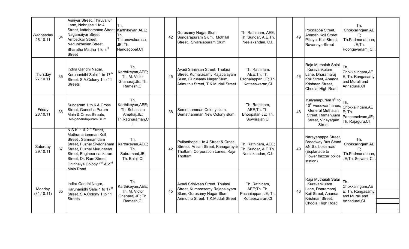| Wednesday<br>26.10.11 | 34 | Asiriyar Street, Thiruvallur<br>Lane, Nehrujee 1 to 4<br>Street, kattabomman Street, Karthikeyan, AEE;<br>Nagamaiyar Street,<br>Ambedkar Street,<br>Nedunzheyan Street,<br>Bharatha Madha 1 to 3rd<br><b>Street</b>                                   | Th.<br>Th.<br>Thirunavukarasu,<br>JE; Th.<br>Nandagopal, CI                  | 42 | Gurusamy Nagar Slum,<br>Sundarapuram Slum, Mothilal<br>Street, Sivarajapuram Slum                                                     | Th. Rathinam, AEE;<br>Th. Sundar, A.E.Th.<br>Neelakandan, C.I.           | 49 | Poonappa Street,<br>Amman Koil Street,<br>Pillayar Koil Street,<br>Ravanaya Street                                                                                  | Th.<br>Chokkalingam, AE<br>Е,<br>Th.Padmanabhan,<br>JE;Th.<br>Poongavanam, C.I. |  |
|-----------------------|----|-------------------------------------------------------------------------------------------------------------------------------------------------------------------------------------------------------------------------------------------------------|------------------------------------------------------------------------------|----|---------------------------------------------------------------------------------------------------------------------------------------|--------------------------------------------------------------------------|----|---------------------------------------------------------------------------------------------------------------------------------------------------------------------|---------------------------------------------------------------------------------|--|
| Thursday<br>27.10.11  | 35 | Indira Gandhi Nagar,<br>Karunanidhi Salai 1 to 17 <sup>th</sup><br>Street. S.A.Colony 1 to 11<br><b>Streets</b>                                                                                                                                       | Th.<br>Karthikeyan, AEE;<br>Th. M. Victor<br>Gnanaraj, JE; Th.<br>Ramesh, CI | 45 | Avadi Srinivsan Street, Thulasi<br>Street, Kumarasamy Rajapalayam<br>Slum, Gurusamy Nagar Slum,<br>Arimuthu Street, T.K.Mudali Street | Th. Rathinam,<br>AEE;Th. Th.<br>Pachaiappan, JE; Th.<br>Kotteeswaran, CI | 46 | Raja Muthaiah Salai<br>Kuravankulam<br>Lane, Dharamaraj<br>Koil Street, Ananda<br>Krishnan Street,<br>Choolai High Road                                             | Th.<br>Chokkalingam, AE<br>E; Th. Rangasamy<br>and Murali and<br>Annadurai, CI  |  |
| Friday<br>28.10.11    | 36 | Sundaram 1 to 6 & Cross<br>Street, Ganesha Puram<br>Main & Cross Streets.<br>Desiganandapuram Slum                                                                                                                                                    | Th.<br>Karthikeyan, AEE;<br>Th. Sebastian<br>Amalraj, JE;<br>Th.Raghuraman,C | 38 | Semethamman Colony slum,<br>Semathamman New Colony slum                                                                               | Th. Rathinam,<br>AEE;Th. Th.<br>Bhoopalan, JE; Th.<br>Sowrirajan, CI     | 48 | Kalyanapuram 1 <sup>st</sup> to<br>10 <sup>th</sup> woodwarf lanes, Chokkalingam, AE<br>General Muthaiah<br>Street, Ramanujam<br>Street, Vinayagam<br><b>Street</b> | Th.<br>$E$ ; Th.<br>Paneerselvam, JE;<br>Th. Rajaguru, CI                       |  |
| Saturday<br>29.10.11  | 37 | N.S.K. 1 & 2" Street,<br>Muthumariamman Koil<br>Street, Sammamdam<br>Street, Puzhal Sivagnanam<br>Street, Puzhal Murugesan<br>Street, Engineer sankaran<br>Street, Dr. Ram Street,<br>Chinnaiya Colony 1 <sup>st</sup> & 2 <sup>nd</sup><br>Main Road | Th.<br>Karthikeyan, AEE;<br>Th.<br>Subramani, JE;<br>Th. Balaji, CI          | 42 | Pulianthope 1 to 4 Street & Cross<br>Streets, Ansari Street, Kanagarayar<br>Thottam, Corporation Lanes, Raja<br>Thottam               | Th. Rathinam, AEE;<br>Th. Sundar, A.E.Th.<br>Neelakandan, C.I.           | 49 | Narayanappa Street,<br><b>Broadway Bus Stand</b><br>&N.S.c bose road<br>(Esplanade to<br>Flower bazzar police<br>ststion)                                           | Th.<br>Chokkalingam, AE<br>E:<br>Th.Padmanabhan,<br>JE;Th. Selvam, C.I.         |  |
| Monday<br>(31.10.11)  | 35 | Indira Gandhi Nagar,<br>Karunanidhi Salai 1 to 17 <sup>th</sup><br>Street. S.A.Colony 1 to 11<br><b>Streets</b>                                                                                                                                       | Th.<br>Karthikeyan, AEE;<br>Th. M. Victor<br>Gnanaraj, JE; Th.<br>Ramesh, CI | 45 | Avadi Srinivsan Street, Thulasi<br>Street, Kumarasamy Rajapalayam<br>Slum, Gurusamy Nagar Slum,<br>Arimuthu Street, T.K.Mudali Street | Th. Rathinam,<br>AEE;Th. Th.<br>Pachaiappan, JE; Th.<br>Kotteeswaran, CI | 46 | Raja Muthaiah Salai<br>Kuravankulam<br>Lane, Dharamaraj<br>Koil Street, Ananda<br>Krishnan Street,<br>Choolai High Road                                             | Th.<br>Chokkalingam, AE<br>E; Th. Rangasamy<br>and Murali and<br>Annadurai, CI  |  |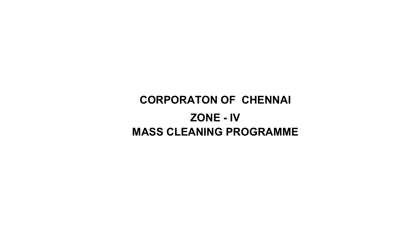## CORPORATON OF CHENNAI ZONE - IVMASS CLEANING PROGRAMME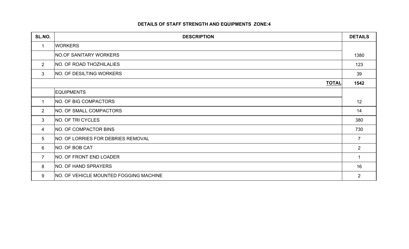#### DETAILS OF STAFF STRENGTH AND EQUIPMENTS ZONE:4

| SL.NO.         | <b>DESCRIPTION</b>                            | <b>DETAILS</b> |
|----------------|-----------------------------------------------|----------------|
| $\mathbf{1}$   | <b>WORKERS</b>                                |                |
|                | <b>NO.OF SANITARY WORKERS</b>                 | 1380           |
| $2^{\circ}$    | NO. OF ROAD THOZHILALIES                      | 123            |
| $\mathbf{3}$   | NO. OF DESILTING WORKERS                      | 39             |
|                | <b>TOTAL</b>                                  | 1542           |
|                | <b>EQUIPMENTS</b>                             |                |
| $\mathbf 1$    | NO. OF BIG COMPACTORS                         | 12             |
| $\overline{2}$ | NO. OF SMALL COMPACTORS                       | 14             |
| 3              | NO. OF TRI CYCLES                             | 380            |
| 4              | NO. OF COMPACTOR BINS                         | 730            |
| 5              | NO. OF LORRIES FOR DEBRIES REMOVAL            | $\overline{7}$ |
| 6              | NO. OF BOB CAT                                | $2^{\circ}$    |
| $\overline{7}$ | NO. OF FRONT END LOADER                       | 1              |
| 8              | NO. OF HAND SPRAYERS                          | 16             |
| 9              | <b>NO. OF VEHICLE MOUNTED FOGGING MACHINE</b> | $\overline{2}$ |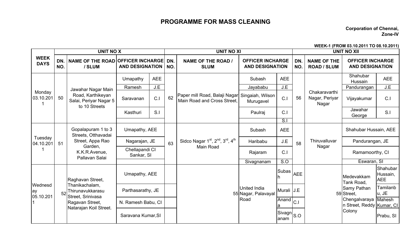Corporation of Chennai, Zone-IV

WEEK-1 (FROM 03.10.2011 TO 08.10.2011)

|                            |            | <b>UNIT NO X</b>                                                                                            |                              |                |            | <b>UNIT NO XI</b>                                            |                                                   |                 |            |                                                   | <b>UNIT NO XII</b>                                |                                    |
|----------------------------|------------|-------------------------------------------------------------------------------------------------------------|------------------------------|----------------|------------|--------------------------------------------------------------|---------------------------------------------------|-----------------|------------|---------------------------------------------------|---------------------------------------------------|------------------------------------|
| <b>WEEK</b><br><b>DAYS</b> | DN.<br>NO. | NAME OF THE ROAD OFFICER INCHARGE<br>/ SLUM                                                                 | <b>AND DESIGNATION</b>       |                | DN.<br>NO. | <b>NAME OF THE ROAD /</b><br><b>SLUM</b>                     | <b>OFFICER INCHARGE</b><br><b>AND DESIGNATION</b> |                 | DN.<br>NO. | <b>NAME OF THE</b><br><b>ROAD / SLUM</b>          | <b>OFFICER INCHARGE</b><br><b>AND DESIGNATION</b> |                                    |
|                            |            |                                                                                                             | Umapathy                     | <b>AEE</b>     |            |                                                              | Subash                                            | <b>AEE</b>      |            |                                                   | Shahubar<br>Hussain                               | <b>AEE</b>                         |
|                            |            | Jawahar Nagar Main                                                                                          | Ramesh                       | J.E            |            |                                                              | Jayababu                                          | J.E             |            |                                                   | Pandurangan                                       | J.E                                |
| Monday<br>03.10.201        | 50         | Road, Karthikeyan<br>Salai, Periyar Nagar 5<br>to 10 Streets                                                | Saravanan                    | C.1            | 62         | Paper mill Road, Balaji Nagar<br>Main Road and Cross Street. | Singaiah, Wilson<br>Murugavel                     | C.1             | 56         | Chakaravarthi<br>Nagar, Periyar<br>Nagar          | Vijayakumar                                       | C.1                                |
|                            |            |                                                                                                             | Kasthuri                     | S <sub>1</sub> |            |                                                              | Paulraj                                           | C <sub>1</sub>  |            |                                                   | Jawahar<br>George                                 | S.I                                |
|                            |            |                                                                                                             |                              |                |            |                                                              |                                                   | $\overline{S}$  |            |                                                   |                                                   |                                    |
|                            |            | Gopalapuram 1 to 3<br>Streets, Otthavadai<br>Street, Appa Rao<br>Garden,<br>K.K.R.Avenue,<br>Pallavan Salai | Umapathy, AEE                |                |            | Sidco Nagar $1st$ , $2nd$ , $3rd$ , $4th$<br>Main Road       | Subash                                            | <b>AEE</b>      |            |                                                   | Shahubar Hussain, AEE                             |                                    |
| Tuesday<br>04.10.201       | 51         |                                                                                                             | Nagarajan, JE                |                | 63         |                                                              | Haribabu                                          | J.E             | 58         | Thiruvalluvar<br>Nagar                            | Pandurangan, JE                                   |                                    |
|                            |            |                                                                                                             | Chellapandi CI<br>Sankar, SI |                |            |                                                              | Rajaram                                           | C.1             |            |                                                   | Ramamoorthy, CI                                   |                                    |
|                            |            |                                                                                                             |                              |                |            |                                                              | Sivagnanam                                        | S.O             |            |                                                   | Eswaran, SI                                       |                                    |
|                            |            | Raghavan Street,                                                                                            | Umapathy, AEE                |                |            |                                                              |                                                   | $ Subas _{AEE}$ |            |                                                   | Medevakkam<br>Tank Road,                          | Shahubar<br>Hussain,<br><b>AEE</b> |
| Wednesd<br>ay<br>05.10.201 | 52         | Thanikachalam,<br>Thirunavukkarasu                                                                          | Parthasarathy, JE            |                |            |                                                              | United India<br>55 Nagar, Palavayal               | Murali J.E      |            |                                                   | Samy Pathan<br>59 Street,                         | Tamilanb<br>u, JE                  |
|                            |            | Street, Srinivasa<br>Ragavan Street,<br>Natarajan Koil Street.                                              | N. Ramesh Babu, CI           |                | Road       |                                                              | $\overline{A}$ nand $\overline{C}$ .              |                 |            | Chengalvaraya Mahesh<br>n Street, Reddy Kumar, CI |                                                   |                                    |
|                            |            |                                                                                                             | Saravana Kumar, SI           |                |            |                                                              | $ Sivagn _{S.O}$<br>anam                          |                 |            | Colony                                            | Prabu, SI                                         |                                    |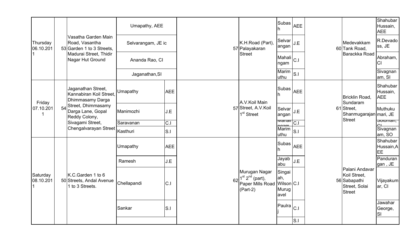|                                    |    |                                                                                                       | Umapathy, AEE      |                |                                                                                 |                                               | Subas <sup>1</sup>           | <b>AEE</b>     |                                                                                  |                                                       | Shahubar<br>Hussain,<br><b>AEE</b> |
|------------------------------------|----|-------------------------------------------------------------------------------------------------------|--------------------|----------------|---------------------------------------------------------------------------------|-----------------------------------------------|------------------------------|----------------|----------------------------------------------------------------------------------|-------------------------------------------------------|------------------------------------|
| Thursday<br>06.10.201              |    | Vasatha Garden Main<br>Road, Vasantha<br>53 Garden 1 to 3 Streets,                                    | Selvarangam, JE ic |                |                                                                                 | K.H.Road (Part),<br>57 Palayakaran            | Selvar <sup>1</sup><br>angan | J.E            |                                                                                  | Medevakkam<br>60 Tank Road,                           | R.Devado<br>ss, JE                 |
|                                    |    | Madurai Street, Thidir<br>Nagar Hut Ground                                                            | Ananda Rao, Cl     |                |                                                                                 | <b>Street</b>                                 | Mahali<br>ngam               | C <sub>1</sub> |                                                                                  | Barackka Road                                         | Abraham,<br><b>CI</b>              |
|                                    |    |                                                                                                       | Jaganathan, SI     |                |                                                                                 |                                               | Marim<br>uthu                | S.I            |                                                                                  |                                                       | Sivagnan<br>am, SI                 |
|                                    |    | Jaganathan Street,<br>Kannabiran Koil Street,<br>Dhimmasamy Darga                                     | Umapathy           | <b>AEE</b>     |                                                                                 | A.V.Koil Main                                 | Subas                        | <b>AEE</b>     |                                                                                  | Bricklin Road,<br>Sundaram                            | Shahubar<br>Hussain,<br><b>AEE</b> |
| Friday<br>07.10.201<br>$\mathbf 1$ | 54 | Street, Dhimmasamy<br>Darga Lane, Gopal<br>Reddy Colony,<br>Sivagami Street,<br>Chengalvarayan Street | Manimozhi          | J.E            |                                                                                 | 57 Street, A.V.Koil<br>1 <sup>st</sup> Street | Selvar<br>angan              | J.E            |                                                                                  | 61 Street,<br>Shanmugarajan mari, JE<br><b>Street</b> | Muthuku                            |
|                                    |    |                                                                                                       | Saravanan          | C.1            |                                                                                 |                                               | <u>manan</u>                 | $\overline{C}$ |                                                                                  |                                                       | ouuman,                            |
|                                    |    |                                                                                                       | Kasthuri           | S <sub>1</sub> |                                                                                 |                                               | Marim<br>uthu                | S.l            |                                                                                  |                                                       | Sivagnan<br>am, SO                 |
|                                    |    |                                                                                                       | Umapathy           | <b>AEE</b>     |                                                                                 |                                               | Subas<br><b>AEE</b>          |                |                                                                                  |                                                       | Shahubar<br>Hussain, A<br>EE       |
|                                    |    |                                                                                                       | Ramesh             | J.E            |                                                                                 |                                               | Jayab<br>abu                 | J.E            |                                                                                  |                                                       | Panduran<br>gan, JE                |
| Saturday<br>08.10.201              |    | K.C.Garden 1 to 6<br>50 Streets, Andal Avenue<br>1 to 3 Streets.                                      | Chellapandi        | 62<br>IC.I     | Murugan Nagar<br>$1st 2nd$ (part),<br>Paper Mills Road Wilson C.I<br>$(Part-2)$ | Singai<br>ah,<br>Murug<br>avel                |                              |                | Palani Andavar<br>Koil Street,<br>56 Sabapathi<br>Street, Solai<br><b>Street</b> | Vijayakum<br>ar, CI                                   |                                    |
|                                    |    |                                                                                                       | Sankar             | S.I            |                                                                                 | Paulra                                        | C <sub>1</sub><br>S.l        |                |                                                                                  | Jawahar<br>George,<br><b>SI</b>                       |                                    |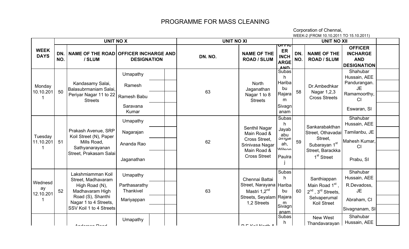Corporation of Chennai, WEEK-2 (FROM 10.10.2011 TO 15.10.2011)

|                            |            | <b>UNIT NO X</b>                                                                                                                                      |                                                      | <b>UNIT NO XI</b> |                                                                                                                     |                                                                          |            | <b>UNIT NO XII</b>                                                                                            |                                                                                       |  |
|----------------------------|------------|-------------------------------------------------------------------------------------------------------------------------------------------------------|------------------------------------------------------|-------------------|---------------------------------------------------------------------------------------------------------------------|--------------------------------------------------------------------------|------------|---------------------------------------------------------------------------------------------------------------|---------------------------------------------------------------------------------------|--|
| <b>WEEK</b><br><b>DAYS</b> | DN.<br>NO. | <b>NAME OF THE ROAD</b><br>/ SLUM                                                                                                                     | <b>OFFICER INCHARGE AND</b><br><b>DESIGNATION</b>    | DN. NO.           | <b>NAME OF THE</b><br><b>ROAD / SLUM</b>                                                                            | ᡨ᠇ᠡᢑ<br>ER<br><b>INCH</b><br><b>ARGE</b><br><b>AND</b>                   | DN.<br>NO. | <b>NAME OF THE</b><br><b>ROAD / SLUM</b>                                                                      | <b>OFFICER</b><br><b>INCHARGE</b><br><b>AND</b><br><b>DESIGNATION</b>                 |  |
| Monday<br>10.10.201        | 50         | Kandasamy Salai,<br>Balasubrmaniam Salai,<br>Periyar Nagar 11 to 22                                                                                   | Umapathy<br>Ramesh                                   | 63                | North<br>Jaganathan<br>Nagar 1 to 8                                                                                 | Subas<br>h<br>Hariba<br>bu<br>Rajara                                     | 58         | Dr.Ambedhkar<br>Nagar 1,2,3                                                                                   | Shahubar<br>Hussain, AEE<br>Pandurangan.<br><b>JE</b><br>Ramamoorthy,                 |  |
|                            |            | <b>Streets</b>                                                                                                                                        | Ramesh Babu<br>Saravana<br>Kumar                     |                   | <b>Streets</b>                                                                                                      | m<br>Sivagn<br>anam                                                      |            | <b>Cross Streets</b>                                                                                          | C <sub>l</sub><br>Eswaran, SI                                                         |  |
| Tuesday<br>11.10.201       | 51         | Prakash Avenue, SRP<br>Koil Street (N), Paper<br>Mills Road,<br>Sathyanarayanan<br>Street, Prakasam Salai                                             | Umapathy<br>Nagarajan<br>Ananda Rao<br>Jaganathan    | 62                | Senthil Nagar<br>Main Road &<br>Cross Street,<br>Srinivasa Nagar<br>Main Road &<br><b>Cross Street</b>              | Subas<br>h.<br>Jayab<br>abu<br>olliyal<br>ah,<br><b>Mileon</b><br>Paulra | 59         | Sankarabakthan<br>Street, Othavadai<br>Street,<br>Subarayan 1st<br>Street, Barackka<br>1 <sup>st</sup> Street | Shahubar<br>Hussain, AEE<br>Tamilanbu, JE<br>Mahesh Kumar,<br>CI<br>Prabu, SI         |  |
| Wednesd<br>ay<br>12.10.201 | 52         | Lakshmiamman Koil<br>Street, Madhavaram<br>High Road (N),<br>Madhavaram High<br>Road (S), Shanthi<br>Nagar 1 to 4 Streets,<br>SSV Koil 1 to 4 Streets | Umapathy<br>Parthasarathy<br>Thankivel<br>Mariyappan | 63                | Chennai Battai<br>Street, Narayana   Hariba  <br>Mastri 1,2 <sup>nd</sup><br>Streets, Seyalam Rajara<br>1,2 Streets | <b>Subas</b><br>h<br>bu<br>m<br>Sivagn<br>anam                           | 60         | Santhiappan<br>Main Road 1 <sup>st</sup> ,<br>$2^{nd}$ , $3^{rd}$ Streets,<br>Selvaperumal<br>Koil Street     | Shahubar<br>Hussain, AEE<br>R.Devadoss,<br><b>JE</b><br>Abraham, CI<br>Sivagnanam, SI |  |
|                            |            | Adamsa Dasa                                                                                                                                           | Umapathy                                             |                   | $D =  V_{\text{in}} $ Mandale $\theta$                                                                              | Subas<br>n.                                                              |            | <b>New West</b><br>Thandavarayan                                                                              | Shahubar<br>Hussain, AEE                                                              |  |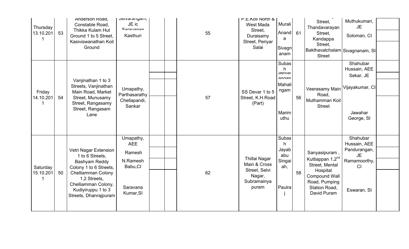| Thursday<br>13.10.201<br>-1 | 53 | Anderson Road,<br>Constable Road,<br>Thikka Kulam Hut<br>Ground 1 to 5 Street,<br>Kasiviswanathan Koil<br>Ground                                                                                | oeivaranyani,<br>JE ic<br>Carougnan<br>Kasthuri                                    |  | 55 | <b>P.E.KOII NORTI &amp;</b><br>West Mada<br>Street,<br>Duraisamy<br>Street, Periyar<br>Salai | Murali<br>Anand<br>a<br>Sivagn<br>anam                                   | 61 | Street,<br>Thandavarayan<br>Street,<br>Kandappa<br>Street,<br> Bakthavatchalam Sivagnanam, SI <br><b>Street</b>                                      | Muthukumari,<br><b>JE</b><br>Soloman, CI                                                   |  |
|-----------------------------|----|-------------------------------------------------------------------------------------------------------------------------------------------------------------------------------------------------|------------------------------------------------------------------------------------|--|----|----------------------------------------------------------------------------------------------|--------------------------------------------------------------------------|----|------------------------------------------------------------------------------------------------------------------------------------------------------|--------------------------------------------------------------------------------------------|--|
| Friday<br>14.10.201         | 54 | Vanjinathan 1 to 3<br>Streets, Vanjinathan<br>Main Road, Market<br>Street, Munusamy<br>Street, Rangasamy<br>Street, Rangasam<br>Lane                                                            | Umapathy,<br>Parthasarathy<br>Chellapandi,<br>Sankar                               |  | 57 | SS Devar 1 to 5<br>Street, K.H.Road<br>(Part)                                                | Subas<br>h.<br><b>Selval</b><br>annan<br>Mahali<br>ngam<br>Marim<br>uthu | 56 | Veerasamy Main Vijayakumar, CI<br>Road,<br>Muthamman Koil<br><b>Street</b>                                                                           | Shahubar<br>Hussain, AEE<br>Sekar, JE<br>Jawahar<br>George, SI                             |  |
| Saturday<br>15.10.201       | 50 | Vetri Nagar Extension<br>1 to 6 Streets,<br>Bashyam Reddy<br>Colony 1 to 6 Streets,<br>Chelliamman Colony<br>1,2 Streets,<br>Chelliamman Colony,<br>Kudiyiruppu 1 to 3<br>Streets, Dhanrajpuram | Umapathy,<br><b>AEE</b><br>Ramesh<br>N.Ramesh<br>Babu, CI<br>Saravana<br>Kumar, SI |  | 62 | Thillai Nagar<br>Main & Cross<br>Street, Selvi<br>Nagar,<br>Subramainya<br>puram             | Subas<br>h<br>Jayab<br>abu<br>Singai<br>ah,<br>Paulra                    | 58 | Sanyasipuram,<br>Kuttiappan 1,2 <sup>nd</sup><br>Street, Mental<br>Hospital<br><b>Compound Wall</b><br>Road, Pumping<br>Station Road,<br>David Puram | Shahubar<br>Hussain, AEE<br>Pandurangan,<br><b>JE</b><br>Ramamoorthy,<br>CI<br>Eswaran, SI |  |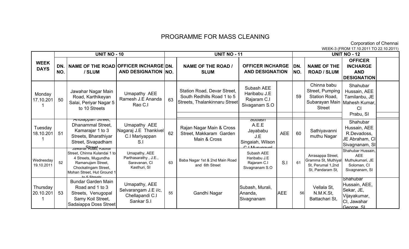Corporation of Chennai

DN. NO.NAME OF THE ROAD OFFICER INCHARGE DN. / SLUMAND DESIGNATION NO. NAME OF THE ROAD / SLUMDN. NO.NAME OF THE ROAD / SLUM**OFFICER** INCHARGE AND **DESIGNATION** Station Road, Devar Street, South Redhills Road 1 to 5 Streets, Thalankinnaru StreetSubash AEE Haribabu J.E Rajaram C.I Sivaganam S.O59Chinna babu Street, Pumping Station Road, Subarayan Main Mahesh Kumar, StreetRajan Nagar Main & Cross Street, Makkaram Garden Main & Cross $300$ ash A.E.E Jayababu J.E Singaiah, Wilson C.I Murugavel AEE 60 Sathiyavanni **Wednesday** 19.10.2011 <sup>52</sup> Jawanar <del>R*t*020, Kabilar</del> Street, Chinna Kulandai 1 to 4 Streets, Mugundha Ramanujam Street, Chockalingam Street, Mohan Street, Hut Ground 1  $t_0 \in \Omega$ treets Bundar Garden Main 63 Baba Nagar 1st & 2nd Main Road and 6th StreetSubash AEE Haribabu J.E Rajaram C.I Sivagnanam S.OS.I <sup>61</sup>Arrasappa Street, Gramma St, Muthiyal St, Perumal 1,2nd St, Pandaram St, Shahubar Hussain, AEE Muthukumari, JESoloman, CISivagnanam, SI**Thursday**  20.10.201153Road and 1 to 3 Streets, Venugopal Samy Koil Street, Sadaiappa Doss Street55 Gandhi Nagar Subash, Murali, Ananda, Sivagnanam**AEE**  <sup>56</sup> Vellala St, N.M.K.St, Battachari St,**Shahubar**  Hussain, AEE, Sekar, JE, Vijayakumar, CI, Jawahar George, SI Monday 17.10.201150Jawahar Nagar Main Road, Karthikeyan Salai, Periyar Nagar 5 to 10 Streets WEEK-3 (FROM 17.10.2011 TO 22.10.2011) WEEK DAYSUNIT NO - 100 UNIT NO - 11 UNIT NO - 12 Tuesday 18.10.201151Anuiappan Street, Dhanammal Street, Kamarajar 1 to 3 Streets, Bharathiyar Street, Sivapadham Umapathy AEE Nagaraj J.E Thankivel C.I Mariyappan S.IShahubar Hussain, AEE R.Devadoss, JE Abraham, CI Sivagnanam, SIUmapathy, AEE Parthasarathy , J.E.,Saravanan, CIKasthuri, SIUmapathy, AEE Selvarangam J.E i/c, Chellapandi C.ISankar S.IShahubar Hussain, AEE Tamilanbu, JE CI Prabu, SI6263Umapathy AEE Ramesh J.E Ananda Rao C.IOFFICER INCHARGE AND DESIGNATION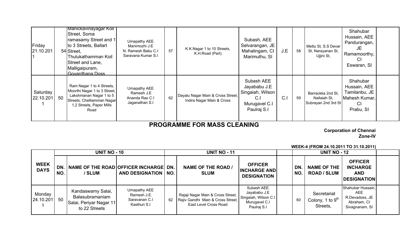| Friday<br> 21.10.201  |    | Manickavinayagar Koll<br>Street, Soma<br>ramasamy Street and 1<br>to 3 Streets, Ballart<br>54 Street.<br><b>Thulukathamman Koil</b><br>Street and Lane,<br>Malligaipuram,<br>Govardhana Doss | Umapathy AEE<br>Manimozhi J.E<br>N. Ramesh Babu C.I<br>Saravana Kumar S.I | 57 | K.K.Nagar 1 to 10 Streets,<br>K.H.Road (Part)                  | Subash, AEE<br>Selvarangan, JE<br>Mahalingam, CI<br>Marimuthu, SI                    | J.E | 58 | Mettu St, S.S Devar<br>St, Narayanan St,<br>Ujjini St,   | Shahubar<br>Hussain, AEE<br>Pandurangan,<br>JE<br>Ramamoorthy,<br>CI<br>Eswaran, SI |  |
|-----------------------|----|----------------------------------------------------------------------------------------------------------------------------------------------------------------------------------------------|---------------------------------------------------------------------------|----|----------------------------------------------------------------|--------------------------------------------------------------------------------------|-----|----|----------------------------------------------------------|-------------------------------------------------------------------------------------|--|
| Saturday<br>22.10.201 | 50 | Ram Nagar 1 to 4 Streets,<br>Moorthi Nagar 1 to 3 Street,<br>Lakshmanan Nagar 1 to 5<br>Streets, Chelliamman Nagar<br>1,2 Streets, Paper Mills<br>Road                                       | Umapathy AEE<br>Ramesh J.E<br>Ananda Rao C.I<br>Jaganathan S.I            | 62 | Dayalu Nagar Main & Cross Street,<br>Indira Nagar Main & Cross | Subash AEE<br>Jayababu J.E<br>Singaiah, Wilson<br>C.<br>Murugavel C.I<br>Paulraj S.I | C.1 | 59 | Barrackka 2nd St,<br>Nallaiah St,<br>Subrayan 2nd 3rd St | Shahubar<br>Hussain, AEE<br>Tamilanbu, JE<br>Mahesh Kumar,<br>CI<br>Prabu, SI       |  |

Corporation of Chennai Zone-IV

|                            |                  | <b>UNIT NO - 10</b>                                                              |                                                              | <b>UNIT NO - 11</b> |                                                                                                 |                                                                                    | <b>UNIT NO - 12</b> |            |                                                         |                                                                                    |  |
|----------------------------|------------------|----------------------------------------------------------------------------------|--------------------------------------------------------------|---------------------|-------------------------------------------------------------------------------------------------|------------------------------------------------------------------------------------|---------------------|------------|---------------------------------------------------------|------------------------------------------------------------------------------------|--|
| <b>WEEK</b><br><b>DAYS</b> | <b>DN</b><br>NO. | NAME OF THE ROAD OFFICER INCHARGE DN.<br>/ SLUM                                  | AND DESIGNATION   NO.                                        |                     | <b>NAME OF THE ROAD /</b><br><b>SLUM</b>                                                        | <b>OFFICER</b><br><b>INCHARGE AND</b><br><b>DESIGNATION</b>                        |                     | DN.<br>NO. | <b>NAME OF THE</b><br><b>ROAD / SLUM</b>                | <b>OFFICER</b><br><b>INCHARGE</b><br><b>AND</b><br><b>DESIGNATION</b>              |  |
| Monday<br>24.10.201        | 50               | Kandaswamy Salai,<br>Balasubramaniam<br>Salai, Periyar Nagar 11<br>to 22 Streets | Umapathy AEE<br>Ramesh J.E.<br>Saravanan C.I<br>Kasthuri S.I | 62                  | Rajaji Nagar Main & Cross Street,<br>Rajiv Gandhi Main & Cross Street,<br>East Level Cross Road | Subash AEE<br>Jayababu J.E<br>Singaiah, Wilson C.I<br>Murugavel C.I<br>Paulraj S.I |                     | 60         | Secretariat<br>Colony, 1 to 9 <sup>th</sup><br>Streets, | Shahubar Hussain,<br><b>AEE</b><br>R.Devadoss, JE<br>Abraham, CI<br>Sivagnanam, SI |  |

WEEK-4 (FROM 24.10.2011 TO 31.10.2011)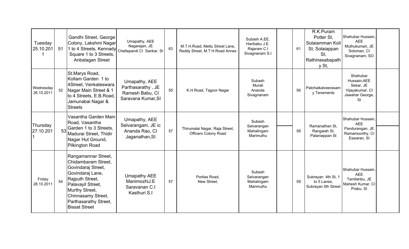| Tuesday<br>25.10.201<br>1 | 51 | Gandhi Street, George<br>Colony, Lakshmi Nagar<br>1 to 4 Streets, Kennady Chellapandi Cl Sankar, SI<br>Square 1 to 3 Streets,<br>Anbalagan Street                                                                     | Umapathy, AEE<br>Nagarajan, JE                                              | 63 | M.T.H.Road, Mettu Street Lane,<br>Reddy Street, M.T.H.Road Annex | Subash A.EE.<br>Haribabu J.E.<br>Rajaram C.I<br>Sivagnanam S.I | 61 | R.K.Puram<br>Potter St,<br>Solaiamman Koil<br>St, Solaiappan<br>St,<br>Rathinasabapath<br>y St, | Shahubar Hussain,<br><b>AEE</b><br>Muthukumari, JE<br>Soloman, CI<br>Sivagnanam, SO  |  |
|---------------------------|----|-----------------------------------------------------------------------------------------------------------------------------------------------------------------------------------------------------------------------|-----------------------------------------------------------------------------|----|------------------------------------------------------------------|----------------------------------------------------------------|----|-------------------------------------------------------------------------------------------------|--------------------------------------------------------------------------------------|--|
| Wednesday<br>26.10.2011   | 52 | St.Marys Road,<br>Kollam Garden 1 to<br>4Street, Venkateswara<br>Nagar Main Street & 1<br>to 4 Streets, E.B. Road,<br>Jamunabai Nagar &<br><b>Streets</b>                                                             | Umapathy, AEE<br>Parthasarathy, JE<br>Ramesh Babu, CI<br>Saravana Kumar, SI | 55 | K.H.Road, Tagoor Nagar                                           | Subash<br>Murali<br>Ananda<br>Sivagnanam                       | 56 | Patchaikalveerasam<br>y Tenements                                                               | Shahubar<br>Hussain, AEE<br>Sekar, JE<br>Vijayakumar, CI<br>Jawahar George,<br>SI    |  |
| Thursday<br>27.10.201     | 53 | Vasantha Garden Main<br>Road, Vasantha<br>Garden 1 to 3 Streets,<br>Madurai Street, Thidir<br>Nagar Hut Ground,<br><b>Pilkington Road</b>                                                                             | Umapathy, AEE<br>Selvarangam, JE ic<br>Ananda Rao, CI<br>Jaganathan, SI     | 57 | Thirumalai Nagar, Raja Street,<br><b>Officers Colony Road</b>    | Subash<br>Selvarangan<br>Mahalingam<br>Marimuthu               | 58 | Ramanathan St.<br>Rangaiah St,<br>Palaniappan St                                                | Shahubar Hussain,<br><b>AEE</b><br>Pandurangan, JE<br>Ramamoorthy, CI<br>Eswaran, SI |  |
| Friday<br>28.10.2011      | 54 | Rangamannar Street,<br>Chidambaram Street.<br>Govindaraj Street,<br>Govindaraj Lane,<br>Rajputh Street,<br>Palavayil Street,<br>Murthy Street,<br>Chinnasamy Street,<br>Parthasarathy Street,<br><b>Bissat Street</b> | Umapathy AEE<br>ManimozhiJ.E<br>Saravanan C.I<br>Kasthuri S.I               | 57 | Portias Road,<br>New Street,                                     | Subash<br>Selvarangan<br>Mahalingam<br>Marimuthu               | 59 | Subrayan 4th St, 1<br>to 5 Lanes,<br>Subrayan 5th Street                                        | Shahubar Hussain,<br><b>AEE</b><br>Tamilanbu, JE<br>Mahesh Kumar, CI<br>Prabu, SI    |  |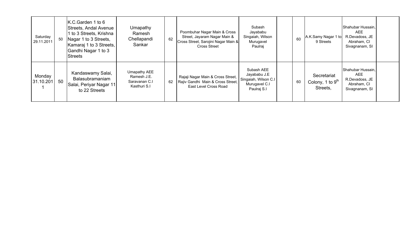| Saturday<br>29.11.2011 | 50 | K.C.Garden 1 to 6<br>Streets, Andal Avenue<br>1 to 3 Streets, Krishna<br>Nagar 1 to 3 Streets,<br>Kamaraj 1 to 3 Streets,<br>Gandhi Nagar 1 to 3<br>Streets | Umapathy<br>Ramesh<br>Chellapandi<br>Sankar                  | 62 | Poombuhar Nagar Main & Cross<br>Street, Jayaram Nagar Main &<br>Cross Street, Sarojini Nagar Main &<br><b>Cross Street</b> | Subash<br>Jayababu<br>Singaiah, Wilson<br>Murugavel<br>Paulraj                     | 60 | A.K.Samy Nagar 1 to<br>9 Streets                        | Shahubar Hussain,<br><b>AEE</b><br>R.Devadoss, JE<br>Abraham, CI<br>Sivagnanam, SI |  |
|------------------------|----|-------------------------------------------------------------------------------------------------------------------------------------------------------------|--------------------------------------------------------------|----|----------------------------------------------------------------------------------------------------------------------------|------------------------------------------------------------------------------------|----|---------------------------------------------------------|------------------------------------------------------------------------------------|--|
| Monday<br>31.10.201    | 50 | Kandaswamy Salai,<br>Balasubramaniam<br>Salai, Periyar Nagar 11<br>to 22 Streets                                                                            | Umapathy AEE<br>Ramesh J.E.<br>Saravanan C.I<br>Kasthuri S.I | 62 | Rajaji Nagar Main & Cross Street,<br>Rajiv Gandhi Main & Cross Street,<br>East Level Cross Road                            | Subash AEE<br>Jayababu J.E<br>Singaiah, Wilson C.I<br>Murugavel C.I<br>Paulraj S.I | 60 | Secretariat<br>Colony, 1 to 9 <sup>th</sup><br>Streets, | Shahubar Hussain,<br><b>AEE</b><br>R.Devadoss, JE<br>Abraham, CI<br>Sivagnanam, SI |  |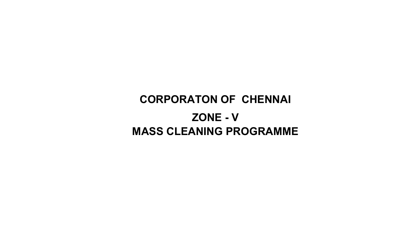## CORPORATON OF CHENNAI ZONE - VMASS CLEANING PROGRAMME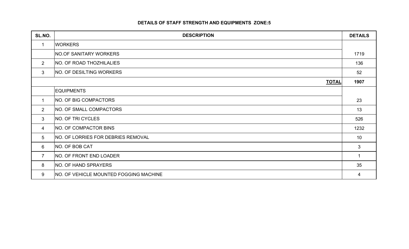### DETAILS OF STAFF STRENGTH AND EQUIPMENTS ZONE:5

| SL.NO.          | <b>DESCRIPTION</b>                        | <b>DETAILS</b> |
|-----------------|-------------------------------------------|----------------|
| $\mathbf 1$     | <b>WORKERS</b>                            |                |
|                 | <b>NO.OF SANITARY WORKERS</b>             | 1719           |
| $\overline{2}$  | <b>NO. OF ROAD THOZHILALIES</b>           | 136            |
| $\mathbf{3}$    | <b>NO. OF DESILTING WORKERS</b>           | 52             |
|                 | <b>TOTAL</b>                              | 1907           |
|                 | <b>EQUIPMENTS</b>                         |                |
| $\mathbf 1$     | NO. OF BIG COMPACTORS                     | 23             |
| $\overline{2}$  | <b>NO. OF SMALL COMPACTORS</b>            | 13             |
| 3               | NO. OF TRI CYCLES                         | 526            |
| 4               | NO. OF COMPACTOR BINS                     | 1232           |
| $5\overline{)}$ | <b>NO. OF LORRIES FOR DEBRIES REMOVAL</b> | 10             |
| 6               | NO. OF BOB CAT                            | 3              |
| $\overline{7}$  | NO. OF FRONT END LOADER                   |                |
| 8               | <b>NO. OF HAND SPRAYERS</b>               | 35             |
| 9               | NO. OF VEHICLE MOUNTED FOGGING MACHINE    | 4              |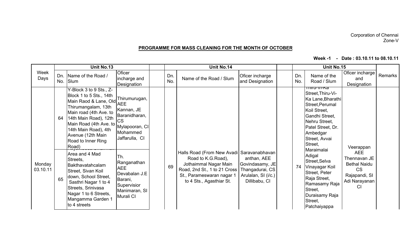#### Corporation of ChennaiZone-V

#### PROGRAMME FOR MASS CLEANING FOR THE MONTH OF OCTOBER

Week -1 - Date : 03.10.11 to 08.10.11

|                    |    | Unit No.13                                                                                                                                                                                                                                                      |                                                                                                           | Unit No.14 |            |                                                                                                                                                                      |                                                                                                             |  |            | Unit No.15                                                                                                                                                                                              |                                                                                                        |         |
|--------------------|----|-----------------------------------------------------------------------------------------------------------------------------------------------------------------------------------------------------------------------------------------------------------------|-----------------------------------------------------------------------------------------------------------|------------|------------|----------------------------------------------------------------------------------------------------------------------------------------------------------------------|-------------------------------------------------------------------------------------------------------------|--|------------|---------------------------------------------------------------------------------------------------------------------------------------------------------------------------------------------------------|--------------------------------------------------------------------------------------------------------|---------|
| Week<br>Days       |    | Dn. Name of the Road /<br>No. Slum                                                                                                                                                                                                                              | Oficer<br>incharge and<br>Designation                                                                     |            | Dn.<br>No. | Name of the Road / Slum                                                                                                                                              | Oficer incharge<br>and Designation                                                                          |  | Dn.<br>No. | Name of the<br>Road / Slum                                                                                                                                                                              | Oficer incharge<br>and<br>Designation                                                                  | Remarks |
|                    | 64 | Y-Block 3 to 9 Sts., Z-<br>Block 1 to 5 Sts., 14th<br>Main Raod & Lane, Old AEE<br>Thirumangalam, 13th<br>Main road (4th Ave. to<br>14th Main Road), 12th<br>Main Road (4th Ave. to<br>14th Main Road), 4th<br>Avenue (12th Main<br>Road to Inner Ring<br>Road) | Thirumurugan,<br>Kannan, JE<br>Baranidharan,<br><b>CS</b><br>Mylapooran, CI<br>Mohammed<br>Jaffarulla, CI |            |            |                                                                                                                                                                      |                                                                                                             |  |            | Tilliu-VI-Na<br>Street, Thiru-Vi-<br>Ka Lane, Bharathi<br>Street, Perumal<br>Koil Street,<br>Gandhi Street,<br>Nehru Street,<br>Patel Street, Dr.<br>Ambedgar<br>Street, Avvai<br>Street,<br>Maraimalai | Veerappan                                                                                              |         |
| Monday<br>03.10.11 | 65 | Area and 4 Mad<br>Streets,<br>Bakthavatahcalam<br>Street, Sivan Koil<br>down, School Street,<br>Sasthri Nagar 1 to 4<br>Streets, Srinivasa<br>Nagar 1 to 6 Streets,<br>Mangamma Garden 1<br>to 4 streets                                                        | Th.<br>Ranganathan<br><b>AEE</b><br>Devabalan J.E<br>Barani,<br>Supervisior<br>Manimaran, SI<br>Murali CI |            | 69         | Halls Road (From New Avadi)<br>Road to K.G. Road),<br>Jothaimmal Nagar Main<br>Road, 2nd St., 1 to 21 Cross<br>St., Parameswaran nagar 1<br>to 4 Sts., Agasthiar St. | Saravanabhavan<br>anthan, AEE<br>Govindasamy, JE<br>Thangadurai, CS<br>Arulalan, SI (i/c.)<br>Dillibabu, CI |  | 74         | Adigal<br>Street, Selva<br>Vinayagar Koil<br>Street, Peter<br>Raja Street,<br>Ramasamy Raja<br>Street,<br>Duraisamy Raja<br>Street,<br>Patchaiyappa                                                     | <b>AEE</b><br>Thennavan JE<br><b>Bethal Naidu</b><br><b>CS</b><br>Rajapandi, SI<br>Adi Narayanan<br>CI |         |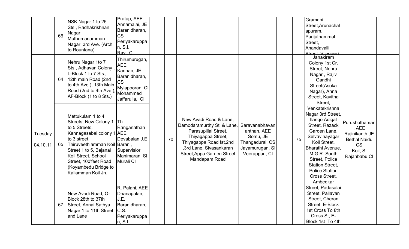|                     | 66 | NSK Nagar 1 to 25<br>Sts., Radhakrishnan<br>Nagar,<br>Muthumariamman<br>Nagar, 3rd Ave. (Arch<br>to Rountana)                                                                                                                                                     | Pratap, AEE<br>Annamalai, JE<br>Baranidharan,<br><b>CS</b><br>Periyakaruppa<br>n, S.l.<br>Ravi. Cl                      |    |                                                                                                                                                                                                         |                                                                                                  |    | Gramani<br>Street, Arunachal<br>apuram,<br>Parijathammal<br>Street,<br>Anandavalli<br>Street Viieswari                                                                                                                                                         |                                                                                                          |  |
|---------------------|----|-------------------------------------------------------------------------------------------------------------------------------------------------------------------------------------------------------------------------------------------------------------------|-------------------------------------------------------------------------------------------------------------------------|----|---------------------------------------------------------------------------------------------------------------------------------------------------------------------------------------------------------|--------------------------------------------------------------------------------------------------|----|----------------------------------------------------------------------------------------------------------------------------------------------------------------------------------------------------------------------------------------------------------------|----------------------------------------------------------------------------------------------------------|--|
|                     | 64 | Nehru Nagar 1to 7<br>Sts., Adhavan Colony,<br>L-Block 1 to 7 Sts.,<br>12th main Road (2nd<br>to 4th Ave.), 13th Main<br>Road (2nd to 4th Ave.)<br>AF-Block (1 to 8 Sts.)                                                                                          | Thirumurugan,<br><b>AEE</b><br>Kannan, JE<br>Baranidharan,<br><b>CS</b><br>Mylapooran, CI<br>Mohammed<br>Jaffarulla, CI |    |                                                                                                                                                                                                         |                                                                                                  |    | Janakiram<br>Colony 1st Cr.<br>Street, Nehru<br>Nagar, Rajiv<br>Gandhi<br>Street(Asoka<br>Nagar), Anna<br>Street, Kavitha<br>Street,                                                                                                                           |                                                                                                          |  |
| Tuesday<br>04.10.11 | 65 | Mettukulam 1 to 4<br>Streets, New Colony 1<br>to 5 Streets,<br>Kannagasabai colony 1 AEE<br>to 3 street,<br>Thiruveethiamman Koil Barani,<br>Street 1 to 5, Bajanai<br>Koil Street, School<br>Street, 100'feet Road<br>(Koyambedu Bridge to<br>Kaliamman Koil Jn. | ITh.<br>Ranganathan<br>Devabalan J.E<br>Supervisior<br>Manimaran, SI<br>Murali CI                                       | 70 | New Avadi Road & Lane,<br>Damodaramurthy St. & Lane,<br>Parasupillai Street,<br>Thiyagappa Street,<br>Thiyagappa Road !st,2nd<br>,3rd Lane, Sivasankaran<br>Street, Appa Garden Street<br>Mandapam Road | Saravanabhavan<br>anthan, AEE<br>Somu, JE<br>Thangadurai, CS<br>Jayamurugan, SI<br>Veerappan, CI | 75 | Venkatekrishna<br>Nagar 3rd Street,<br>Ilango Adigal<br>Street, Razack<br>Garden Lane,<br>Selvavinayagar<br>Koil Street,<br>Bharathi Avenue,<br>M.G.R. South<br>Street, Police<br><b>Station Street,</b><br><b>Police Station</b><br>Cross Street,<br>Ambedkar | Purushothaman<br>, AEE<br>Rajinikanth JE<br><b>Bethal Naidu</b><br><b>CS</b><br>Koil, SI<br>Rajanbabu CI |  |
|                     | 67 | New Avadi Road, O-<br>Block 28th to 37th<br>Street, Annai Sathya<br>Nagar 1 to 11th Street<br>and Lane                                                                                                                                                            | R. Palani, AEE<br>Dhanapalan,<br>J.E.<br>Baranidharan,<br>C.S.<br>Periyakaruppa<br>n, S.I.                              |    |                                                                                                                                                                                                         |                                                                                                  |    | Street, Padasalai<br>Street, Pallavan<br>Street, Cheran<br>Street, E-Block<br>1st Cross To 8th<br>Cross St, E-<br>Block 1st To 4th                                                                                                                             |                                                                                                          |  |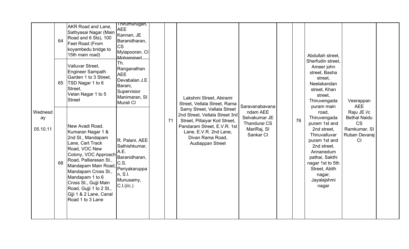|                           | 64<br>65 | <b>AKR Road and Lane,</b><br>Sathyasai Nagar (Main<br>Road and 6 Sts), 100<br>Feet Road (From<br>koyambedu bridge to<br>15th main road)<br>Valluvar Street,<br>Engineer Sampath<br>Garden 1 to 3 Street,<br>TSD Nagar 1 to 6<br>Street,<br>Velan Nagar 1 to 5<br><b>Street</b>                                      | Thirumurugan,<br><b>AEE</b><br>Kannan, JE<br>Baranidharan,<br><b>CS</b><br>Mylapooran, CI<br>Mohammed<br>Th.<br>Ranganathan<br><b>AEE</b><br>Devabalan J.E<br>Barani,<br>Supervisior<br>Manimaran, SI<br>Murali CI |    | Lakshmi Street, Abirami<br>Street, Vellala Street, Rama                                                                                                                                          |                                                                                         |    | Abdullah street,<br>Sherfudin street,<br>Ameer john<br>street, Basha<br>street,<br>Neelakandan<br>street, Khan<br>street,<br>Thiruvengada                                                                                  | Veerappan                                                                                            |  |
|---------------------------|----------|---------------------------------------------------------------------------------------------------------------------------------------------------------------------------------------------------------------------------------------------------------------------------------------------------------------------|--------------------------------------------------------------------------------------------------------------------------------------------------------------------------------------------------------------------|----|--------------------------------------------------------------------------------------------------------------------------------------------------------------------------------------------------|-----------------------------------------------------------------------------------------|----|----------------------------------------------------------------------------------------------------------------------------------------------------------------------------------------------------------------------------|------------------------------------------------------------------------------------------------------|--|
| Wednesd<br>ay<br>05.10.11 | 68       | New Avadi Road,<br>Kumaran Nagar 1 &<br>2nd St., Mandapam<br>Lane, Cart Track<br>Road, VOC New<br>Colony, VOC Approach<br>Road, Palliarasan St.,<br>Mandapam Main Road,<br>Mandapam Cross St.,<br>Mandapam 1 to 6<br>Cross St., Gujji Main<br>Road, Gujji 1 to 2 St.,<br>Giji 1 & 2 Lane, Canal<br>Road 1 to 3 Lane | R. Palani, AEE<br>Sathishkumar,<br>A.E.<br>Baranidharan,<br>C.S.<br>Periyakaruppa<br>n, S.I.<br>Munusamy,<br>C.I.(i/c.)                                                                                            | 71 | Samy Street, Vellala Street<br>2nd Street, Vellala Street 3rd<br>Street, Pillaiyar Koil Street,<br>Pandaram Street, E.V.R. 1st<br>Lane, E.V.R. 2nd Lane,<br>Divan Rama Road,<br>Audiappan Street | Saravanabavana<br>ndam AEE<br>Selvakumar JE<br>Thandurai CS<br>MariRaj, SI<br>Sankar CI | 76 | puram main<br>road,<br>Thiruvengada<br>puram 1st and<br>2nd street,<br>Thiruvalluvar<br>puram 1st and<br>2nd street,<br>Annanedum<br>pathai, Sakthi<br>nagar 1st to 5th<br>Street, Abith<br>nagar,<br>Jayalajshmi<br>nagar | <b>AEE</b><br>Raju JE i/c<br><b>Bethal Naidu</b><br><b>CS</b><br>Ramkumar, SI<br>Ruban Devaraj<br>CI |  |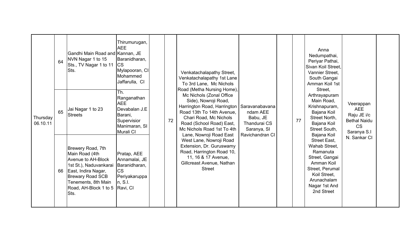| Thursday<br>06.10.11 | 64<br>65 | Gandhi Main Road and Kannan, JE<br>NVN Nagar 1 to 15<br>Sts., TV Nagar 1 to 11<br>Sts.<br>Jai Nagar 1 to 23<br>Streets                                                                               | Thirumurugan,<br><b>AEE</b><br>Baranidharan,<br><b>CS</b><br>Mylapooran, CI<br>Mohammed<br>Jaffarulla, CI<br>Th.<br>Ranganathan<br><b>AEE</b><br>Devabalan J.E<br>Barani,<br>Supervisior<br>Manimaran, SI | 72 | Venkatachalapathy Street,<br>Venkatachalapathy 1st Lane<br>To 3rd Lane, Mc Nichols<br>Road (Metha Nursing Home),<br>Mc Nichols (Zonal Office<br>Side), Nowroji Road,<br>Harrington Road, Harrington<br>Road 13th To 14th Avenue.<br>Chari Road, Mc Nichols<br>Road (School Road) East, | Saravanabavana<br>ndam AEE<br>Babu, JE<br>Thandurai CS | 77 | Anna<br>Nedumpathai,<br>Periyar Pathai,<br>Sivan Koil Street.<br>Vannier Street.<br>South Gangai<br>Amman Koil 1st<br>Street,<br>Arthrayapuram<br>Main Road,<br>Krishnapuram,<br>Bajana Koil<br>Street North,<br>Bajana Koil | Veerappan<br><b>AEE</b><br>Raju JE i/c<br><b>Bethal Naidu</b><br><b>CS</b> |  |
|----------------------|----------|------------------------------------------------------------------------------------------------------------------------------------------------------------------------------------------------------|-----------------------------------------------------------------------------------------------------------------------------------------------------------------------------------------------------------|----|----------------------------------------------------------------------------------------------------------------------------------------------------------------------------------------------------------------------------------------------------------------------------------------|--------------------------------------------------------|----|------------------------------------------------------------------------------------------------------------------------------------------------------------------------------------------------------------------------------|----------------------------------------------------------------------------|--|
|                      | 66       | Brewery Road, 7th<br>Main Road (4th<br><b>Avenue to AH-Block</b><br>1st St.), Naduvankarai<br>East, Indira Nagar,<br><b>Brewary Road SCB</b><br>Tenements, 8th Main<br>Road, AH-Block 1 to 5<br>Sts. | Murali CI<br>Pratap, AEE<br>Annamalai, JE<br>Baranidharan,<br><b>CS</b><br>Periyakaruppa<br>n, S.I.<br>Ravi, CI                                                                                           |    | Mc Nichols Road 1st To 4th<br>Lane, Nowroji Road East<br>West Lane, Nowroji Road<br>Extension, Dr. Guruswamy<br>Road, Harrington Road 10,<br>11, 16 & 17 Avenue,<br>Gillcreast Avenue, Nathan<br><b>Street</b>                                                                         | Saranya, SI<br>Ravichandran CI                         |    | Street South,<br>Bajana Koil<br>Street East,<br>Wahab Street,<br>Ramanuta<br>Street, Gangai<br>Amman Koil<br>Street, Perumal<br>Koil Street,<br>Arunachalam<br>Nagar 1st And<br>2nd Street                                   | Saranya S.I<br>N. Sankar CI                                                |  |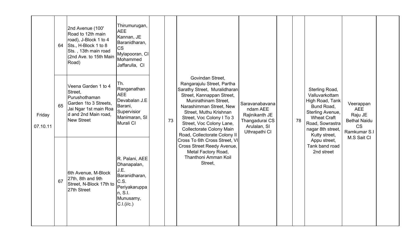|                    | 64 | 2nd Avenue (100'<br>Road to 12th main<br>road), J-Block 1 to 4<br>Sts., H-Block 1 to 8<br>Sts., 13th main road<br>(2nd Ave. to 15th Main<br>Road) | Thirumurugan,<br><b>AEE</b><br>Kannan, JE<br>Baranidharan,<br><b>CS</b><br>Mylapooran, CI<br>Mohammed<br>Jaffarulla, CI |    |                                                                                                                                                                                                                                                                                                                      |                                                                                                 |    |                                                                                                                                                                      |                                                                                        |  |
|--------------------|----|---------------------------------------------------------------------------------------------------------------------------------------------------|-------------------------------------------------------------------------------------------------------------------------|----|----------------------------------------------------------------------------------------------------------------------------------------------------------------------------------------------------------------------------------------------------------------------------------------------------------------------|-------------------------------------------------------------------------------------------------|----|----------------------------------------------------------------------------------------------------------------------------------------------------------------------|----------------------------------------------------------------------------------------|--|
| Friday<br>07.10.11 | 65 | Veena Garden 1 to 4<br>Street,<br>Purushothaman<br>Garden 1to 3 Streets,<br>Jai Ngar 1st main Roa<br>d and 2nd Main road,<br><b>New Street</b>    | Th.<br>Ranganathan<br><b>AEE</b><br>Devabalan J.E<br>Barani,<br>Supervisior<br>Manimaran, SI<br>Murali CI               | 73 | Govindan Street,<br>Rangarajulu Street, Partha<br>Sarathy Street, Muralidharan<br>Street, Kannappan Street,<br>Munirathinam Street,<br>Narashimman Street, New<br>Street, Muthu Krishnan<br>Street, Voc Colony I To 3<br>Street, Voc Colony Lane,<br><b>Collectorate Colony Main</b><br>Road, Collectorate Colony II | Saravanabavana<br>ndam AEE<br>Rajinikanth JE<br>Thangadurai CS<br>Arulalan, SI<br>Uthrapathi CI | 78 | Sterling Road,<br>Valluvarkottam<br>High Road, Tank<br>Bund Road,<br>Sterling Avenue,<br><b>Wheat Craft</b><br>Road, Sowrastra<br>nagar 8th street,<br>Kutty street, | Veerappan<br><b>AEE</b><br>Raju JE<br><b>Bethal Naidu</b><br><b>CS</b><br>Ramkumar S.I |  |
|                    | 67 | 6th Avenue, M-Block<br>27th, 8th and 9th<br>Street, N-Block 17th to<br>27th Street                                                                | R. Palani, AEE<br>Dhanapalan,<br>J.E.<br>Baranidharan,<br>C.S.<br>Periyakaruppa<br>n, S.l.<br>Munusamy,<br>C.I.(i/c.)   |    | Cross To 6th Cross Street, VI<br>Cross Street Reedy Avenue,<br>Metal Factory Road,<br>Thanthoni Amman Koil<br>Street,                                                                                                                                                                                                |                                                                                                 |    | Appu street,<br>Tank band road<br>2nd street                                                                                                                         | M.S Sait CI                                                                            |  |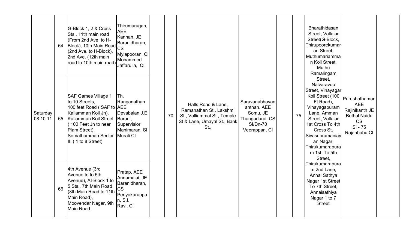|                      |    | G-Block 1, 2 & Cross<br>Sts., 11th main road<br>(From 2nd Ave. to H-<br>64 Block), 10th Main Road<br>(2nd Ave. to H-Block),<br>2nd Ave. (12th main<br>road to 10th main road) victimula, CI                     | Thirumurugan,<br><b>AEE</b><br>Kannan, JE<br>Baranidharan,<br><b>CS</b><br>Mylapooran, CI<br>Mohammed |    |                                                                                                                     |                                                                                                  |    | Bharathidasan<br>Street, Vallalar<br>Street(G-Block,<br>Thirupoorekumar<br>an Street,<br>Muthumariamma<br>n Koil Street,<br>Muthu<br>Ramalingam                                                                                                |                                                                                                                |  |
|----------------------|----|-----------------------------------------------------------------------------------------------------------------------------------------------------------------------------------------------------------------|-------------------------------------------------------------------------------------------------------|----|---------------------------------------------------------------------------------------------------------------------|--------------------------------------------------------------------------------------------------|----|------------------------------------------------------------------------------------------------------------------------------------------------------------------------------------------------------------------------------------------------|----------------------------------------------------------------------------------------------------------------|--|
| Saturday<br>08.10.11 | 65 | <b>SAF Games Village 1</b><br>to 10 Streets,<br>100 feet Road (SAF to AEE<br>Kaliamman Koil Jn),<br>Kaliamman Koil Street<br>(100 Feet Jn to near<br>Plam Street),<br>Semathamman Sector<br>III (1 to 8 Street) | ITh.<br>Ranganathan<br>Devabalan J.E<br>Barani,<br>Supervisior<br>Manimaran, SI<br>Murali CI          | 70 | Halls Road & Lane,<br>Ramanathan St., Lakshmi<br>St., Valliammal St., Temple<br>St & Lane, Umayal St., Bank<br>St., | Saravanabhavan<br>anthan, AEE<br>Somu, JE<br>Thangadurai, CS<br><b>SI/Dn-70</b><br>Veerappan, CI | 75 | Street,<br>Nalvaravoo<br>Street, Vinayagar<br>Koil Street (100<br>Ft Road),<br>Vinayagapuram<br>Lane, Amman<br>Street, Vallalar<br>1st Cross To 4th<br>Cross St.<br>Sivasubramaniay<br>an Nagar,<br>Thirukumarapura<br>m 1st To 5th<br>Street, | Purushothaman<br><b>AEE</b><br>Rajinikanth JE<br><b>Bethal Naidu</b><br><b>CS</b><br>$SI - 75$<br>Rajanbabu CI |  |
|                      | 66 | 4th Avenue (3rd<br>Avenue to to 5th<br>Avenue), Al-Block 1 to<br>5 Sts., 7th Main Road<br>(8th Main Road to 11th<br>Main Road),<br>Moovendar Nagar, 9th<br><b>Main Road</b>                                     | Pratap, AEE<br>Annamalai, JE<br>Baranidharan,<br><b>CS</b><br>Periyakaruppa<br>n, S.l.<br>Ravi, CI    |    |                                                                                                                     |                                                                                                  |    | Thirukumarapura<br>m 2nd Lane,<br>Annai Sathya<br>Nagar 1st Street<br>To 7th Street,<br>Annaisathiya<br>Nagar 1 to 7<br><b>Street</b>                                                                                                          |                                                                                                                |  |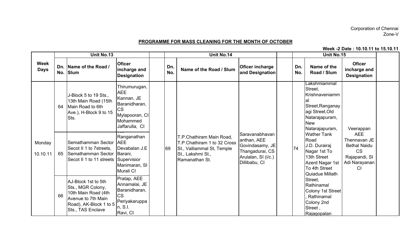## Corporation of Chennai Zone-V

#### PROGRAMME FOR MASS CLEANING FOR THE MONTH OF OCTOBER

Week -2 Date : 10.10.11 to 15.10.11

|                            |    | Unit No.13                                                                                                                           |                                                                                                                         |            | Unit No.14                                                                                                                   |                                                                                                             |            | Unit No.15                                                                                                                               |                                                                                                               |  |
|----------------------------|----|--------------------------------------------------------------------------------------------------------------------------------------|-------------------------------------------------------------------------------------------------------------------------|------------|------------------------------------------------------------------------------------------------------------------------------|-------------------------------------------------------------------------------------------------------------|------------|------------------------------------------------------------------------------------------------------------------------------------------|---------------------------------------------------------------------------------------------------------------|--|
| <b>Week</b><br><b>Days</b> |    | Dn. Name of the Road /<br>No. Slum                                                                                                   | <b>Oficer</b><br>incharge and<br><b>Designation</b>                                                                     | Dn.<br>No. | Name of the Road / Slum                                                                                                      | <b>Oficer incharge</b><br>and Designation                                                                   | Dn.<br>No. | Name of the<br>Road / Slum                                                                                                               | <b>Oficer</b><br>incharge and<br><b>Designation</b>                                                           |  |
|                            | 64 | J-Block 5 to 19 Sts.,<br>13th Main Road (15th<br>Main Road to 6th<br>Ave.), H-Block 9 to 15<br>Sts.                                  | Thirumurugan,<br><b>AEE</b><br>Kannan, JE<br>Baranidharan,<br><b>CS</b><br>Mylapooran, CI<br>Mohammed<br>Jaffarulla, CI |            |                                                                                                                              |                                                                                                             |            | Lakshmiammal<br>Street,<br>Krishnaveniamm<br>al<br>Street, Ranganay<br>agi Street, Old<br>Natarajapuram,<br><b>New</b><br>Natarajapuram, | Veerappan                                                                                                     |  |
| Monday<br>10.10.11         | 65 | Semathamman Sector<br>Secot II 1 to 7streets,<br>Semathamman Sector<br>Secot II 1 to 11 streets Supervisior                          | Ranganathan<br><b>AEE</b><br>Devabalan J.E<br>Barani,<br>Manimaran, SI<br>Murali CI                                     | 69         | T.P.Chathiram Main Road,<br>T.P.Chathiram 1 to 32 Cross<br>St., Valliammal St, Temple<br>St., Lakshmi St.,<br>Ramanathan St. | Saravanabhavan<br>anthan, AEE<br>Govindasamy, JE<br>Thangadurai, CS<br>Arulalan, SI (i/c.)<br>Dillibabu, CI | 74         | <b>Wather Tank</b><br>Road<br>J.D. Durairaj<br>Nagar 1st To<br>13th Street<br>Azerd Nagar 1st<br>To 4th Street<br>Quiadue Millath        | <b>AEE</b><br>Thennavan JE<br><b>Bethal Naidu</b><br><b>CS</b><br>Rajapandi, SI<br>Adi Narayanan<br><b>CI</b> |  |
|                            | 66 | AJ-Block 1st to 5th<br>Sts., MGR Colony,<br>10th Main Road (4th<br>Avenue to 7th Main<br>Road), AK-Block 1 to 5<br>Sts., TAS Enclave | Pratap, AEE<br>Annamalai, JE<br>Baranidharan,<br><b>CS</b><br>Periyakaruppa<br>n, S.l.<br>Ravi, CI                      |            |                                                                                                                              |                                                                                                             |            | Street,<br>Rathinamal<br>Colony 1st Street<br>Rathinamal<br>Colony 2nd<br>Street,<br>Rajagopalan                                         |                                                                                                               |  |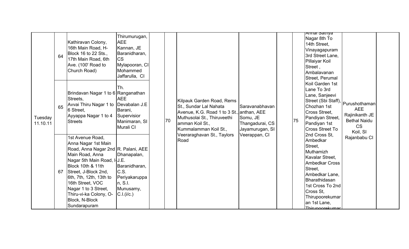|                     | 64 | Kathiravan Colony,<br>16th Main Road, H-<br>Block 16 to 22 Sts.,<br>17th Main Road, 6th<br>Ave. (100' Road to<br>Church Road)                                                                                                                                                                                          | Thirumurugan,<br><b>AEE</b><br>Kannan, JE<br>Baranidharan,<br><b>CS</b><br>Mylapooran, CI<br>Mohammed<br>Jaffarulla, CI |    |                                                                                                                                                                             |                                                                  |    | Aliliai Saliiya<br>Nagar 8th To<br>14th Street,<br>Vinayagapuram<br>3rd Street Lane,<br>Pillaiyar Koil<br>Street,<br>Ambalavanan<br>Street, Perumal                                                                                |                                                                              |  |
|---------------------|----|------------------------------------------------------------------------------------------------------------------------------------------------------------------------------------------------------------------------------------------------------------------------------------------------------------------------|-------------------------------------------------------------------------------------------------------------------------|----|-----------------------------------------------------------------------------------------------------------------------------------------------------------------------------|------------------------------------------------------------------|----|------------------------------------------------------------------------------------------------------------------------------------------------------------------------------------------------------------------------------------|------------------------------------------------------------------------------|--|
| Tuesday<br>11.10.11 | 65 | Brindavan Nagar 1 to 6 Ranganathan<br>Streets.<br>Avvai Thiru Nagar 1 to Devabalan J.E<br>6 Street,<br>Ayyappa Nagar 1 to 4<br><b>Streets</b>                                                                                                                                                                          | Ih.<br><b>AEE</b><br>Barani,<br>Supervisior<br>Manimaran, SI<br>Murali CI                                               | 70 | Kilpauk Garden Road, Rems<br>St., Sundar Lal Nahata<br>Avenue, K.G. Road 1 to 3 St., anthan, AEE<br>Muthusolai St., Thiruveethi<br>amman Koil St.,<br>Kummalamman Koil St., | Saravanabhavan<br>Somu, JE<br>Thangadurai, CS<br>Jayamurugan, SI | 75 | Koil Garden 1st<br>Lane To 3rd<br>Lane, Sanjeevi<br>Street (Sbi Staff),   Purushothaman <br>Chozhan 1st<br>Cross Street,<br>Pandiyan Street,<br>Pandiyan 1st<br><b>Cross Street To</b>                                             | <b>AEE</b><br>Rajinikanth JE<br><b>Bethal Naidu</b><br><b>CS</b><br>Koil, SI |  |
|                     | 67 | 1st Avenue Road,<br>Anna Nagar 1st Main<br>Road, Anna Nagar 2nd R. Palani, AEE<br>Main Road, Anna<br>Nagar 5th Main Road, IJ.E.<br>Block 10th & 11th<br>Street, J-Block 2nd,<br>6th, 7th, 12th, 13th to<br>16th Street, VOC<br>Nagar 1 to 3 Street,<br>Thiru-vi-ka Colony, O-<br><b>Block, N-Block</b><br>Sundarapuram | Dhanapalan,<br>Baranidharan,<br>C.S.<br>Periyakaruppa<br>n, S.l.<br>Munusamy,<br>C.I.(i/c.)                             |    | Veeraraghavan St., Taylors<br>Road                                                                                                                                          | Veerappan, CI                                                    |    | 2nd Cross St.<br>Ambedkar<br>Street.<br>Muthamizh<br>Kavalar Street.<br><b>Ambedkar Cross</b><br>Street.<br>Ambedkar Lane,<br>Bharathidasan<br>1st Cross To 2nd<br>Cross St.<br>Thirupoorekumar<br>an 1st Lane,<br>Thirunoorekumar | Rajanbabu CI                                                                 |  |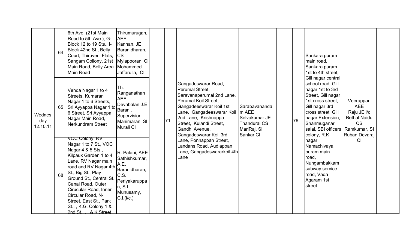|                           | 64 | 6th Ave. (21st Main<br>Road to 5th Ave.), G-<br>Block 12 to 19 Sts., I-<br>Block 42nd St., Belly<br>Court, Thiruveni Flats,<br>Sangam Collony, 21st   Mylapooran, CI<br>Main Road, Belly Area Mohammed<br>Main Road                                                                                                                                                  | Thirumurugan,<br><b>AEE</b><br>Kannan, JE<br>Baranidharan,<br><b>ICS</b><br>Jaffarulla, CI                |    |                                                                                                                                                                                                                                                            |                                                                                   |    | Sankara puram<br>main road,<br>Sankara puram<br>1st to 4th street,<br>Gill nagar central                                                                                                           |                                                                                                             |  |
|---------------------------|----|----------------------------------------------------------------------------------------------------------------------------------------------------------------------------------------------------------------------------------------------------------------------------------------------------------------------------------------------------------------------|-----------------------------------------------------------------------------------------------------------|----|------------------------------------------------------------------------------------------------------------------------------------------------------------------------------------------------------------------------------------------------------------|-----------------------------------------------------------------------------------|----|----------------------------------------------------------------------------------------------------------------------------------------------------------------------------------------------------|-------------------------------------------------------------------------------------------------------------|--|
| Wednes<br>day<br>12.10.11 | 65 | Vehda Nagar 1 to 4<br>Streets, Kumaran<br>Nagar 1 to 6 Streets,<br>Sri Ayyappa Nagar 1 to<br>6 Street, Sri Ayyappa<br>Nagar Main Road,<br>Nerkundram Street                                                                                                                                                                                                          | Th.<br>Ranganathan<br><b>AEE</b><br>Devabalan J.E<br>Barani,<br>Supervisior<br>Manimaran, SI<br>Murali CI | 71 | Gangadeswarar Road,<br>Perumal Street,<br>Saravanaperumal 2nd Lane,<br>Perumal Koil Street,<br>Gangadeeswarar Koil 1st<br>Lane, Gangadeeswarar Koil   m AEE<br>2nd Lane, Krishnappa<br>Street, Kulandi Street,<br>Gandhi Avenue,<br>Gangadeswarar Koil 3rd | Sarabavananda<br>Selvakumar JE<br><b>Thandurai CS</b><br>MariRaj, SI<br>Sankar CI | 76 | school road, Gill<br>nagar 1st to 3rd<br>Street, Gill nagar<br>1st cross street,<br>Gill nagar 3rd<br>cross street, Gill<br>nagar Extension,<br>Shanmuganar<br>salai, SBI officers<br>colony, R.K. | Veerappan<br><b>AEE</b><br>Raju JE i/c<br><b>Bethal Naidu</b><br><b>CS</b><br>Ramkumar, SI<br>Ruban Devaraj |  |
|                           | 68 | VOC Colony, RV<br>Nagar 1 to 7 St., VOC<br>Nagar 4 & 5 Sts.,<br>Kilpauk Garden 1 to 4<br>Lane, RV Nagar main<br>road and RV Nagar 4th<br>St., Big St., Play<br>Gr., Dig Dr.,<br> Ground St., Central St., Periyakaruppa<br>Canal Road, Outer<br>Cirucular Road, Inner<br>Circular Road, N-<br>Street, East St., Park<br>St., , K.G. Colony 1 &<br>2nd St 1& K Street | R. Palani, AEE<br>Sathishkumar,<br>A.E.<br>Baranidharan,<br>C.S.<br>n, S.I.<br>Munusamy,<br>C.I.(i/c.)    |    | Lane, Ponnappan Street,<br>Landans Road, Audiappan<br>Lane, Gangadeswararkoil 4th<br>Lane                                                                                                                                                                  |                                                                                   |    | nagar,<br>Namachivaya<br>puram main<br>road,<br>Nungambakkam<br>subway service<br>road, Vada<br>Agaram 1st<br>street                                                                               | C <sub>1</sub>                                                                                              |  |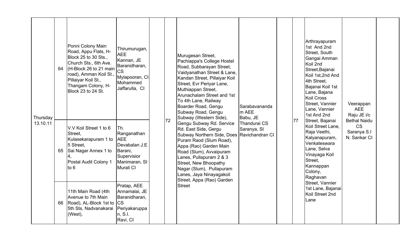| Thursday<br>13.10.11 |    | Ponni Colony Main<br>Road, Appu Flats, H-<br>Block 25 to 30 Sts.,<br>Church Sts., 6th Ave.<br>64 $\vert$ (H-Block 26 to 21 main<br>road), Amman Koil St.,<br>Pillaiyar Koil St.,<br>Thangam Colony, H-<br>Block 23 to 24 St. | Thirumurugan,<br><b>AEE</b><br>Kannan, JE<br>Baranidharan,<br><b>CS</b><br>Mylapooran, CI<br>Mohammed<br>Jaffarulla, CI |    | Murugesan Street,<br>Pachiappa's College Hostel<br>Road, Subbarayan Street,<br>Vaidyanathan Street & Lane,<br>Kandan Street, Pillaiyar Koil<br>Street, Evr Periyar Lane,<br>Muthiappan Street,<br>Arunachalam Street and 1st<br>To 4th Lane, Railway<br>Boarder Road, Gengu<br>Subway Road, Gengu<br>Subway (Western Side), | Sarabavananda<br>m AEE<br>Babu, JE |    | Arthrayapuram<br>1st And 2nd<br>Street, South<br>Gangai Amman<br>Koil 2nd<br>Street, Bajanai<br>Koil 1st, 2nd And<br>4th Street,<br>Bajanai Koil 1st<br>Lane, Bajana<br><b>Koil Cross</b><br>Street, Vannier<br>Lane, Vannier<br>1st And 2nd | Veerappan<br><b>AEE</b><br>Raju JE i/c                          |  |
|----------------------|----|------------------------------------------------------------------------------------------------------------------------------------------------------------------------------------------------------------------------------|-------------------------------------------------------------------------------------------------------------------------|----|-----------------------------------------------------------------------------------------------------------------------------------------------------------------------------------------------------------------------------------------------------------------------------------------------------------------------------|------------------------------------|----|----------------------------------------------------------------------------------------------------------------------------------------------------------------------------------------------------------------------------------------------|-----------------------------------------------------------------|--|
|                      | 65 | V.V Koil Street 1 to 6<br>Street,<br>Kulasekarapuram 1 to<br>5 Street,<br>Sai Nagar Annex 1 to<br>Postal Audit Colony 1<br>to 6                                                                                              | Th.<br>Ranganathan<br><b>AEE</b><br>Devabalan J.E<br>Barani,<br>Supervisior<br>Manimaran, SI<br>Murali CI               | 72 | Gengu Subway Rd. Service<br>Rd. East Side, Gergu<br>Subway Northern Side, Does Ravichandran CI<br>Puram Raod (Slum Road),<br>Appa (Rao) Garden Main<br>Road (Slum), Avvaipuram<br>Lanes, Pullapuram 2 & 3<br>Street, New Bhoopathy<br>Nagar (Slum), Pullapuram<br>Lanes, Jaya Ninayagakoil<br>Street, Appa (Rao) Garden     | Thandurai CS<br>Saranya, SI        | 77 | Street, Bajanai<br>Koil Street Lane,<br>Raja Veethi,<br>Kalyanapuram,<br>Venkateswara<br>Lane, Selva<br>Vinayaga Koil<br>Street,<br>Kannappan<br>Colony,<br>Raghavan<br>Street, Vannier                                                      | <b>Bethal Naidu</b><br><b>CS</b><br>Saranya S.I<br>N. Sankar CI |  |
|                      | 66 | 11th Main Road (4th<br>Avenue to 7th Main<br>Road), AL-Block 1st to<br>5th Sts, Nadvanakarai<br>(West),                                                                                                                      | Pratap, AEE<br>Annamalai, JE<br>Baranidharan,<br><b>CS</b><br>Periyakaruppa<br>n, S.l.<br>Ravi, CI                      |    | <b>Street</b>                                                                                                                                                                                                                                                                                                               |                                    |    | 1st Lane, Bajanai<br>Koil Street 2nd<br>Lane                                                                                                                                                                                                 |                                                                 |  |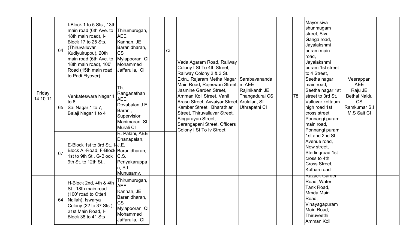|                    | 64 | I-Block 1 to 5 Sts., 13th<br>main road (6th Ave. to Thirumurugan,<br>18th main road), I-<br>Block 17 to 25 Sts.<br>(Thiruvalluvar<br>Kudiyuiruppu), 20th<br>main road (6th Ave. to<br>18th main road), 100'<br>Road (15th main road<br>to Padi Flyover) | <b>AEE</b><br>Kannan, JE<br>Baranidharan,<br><b>CS</b><br>Mylapooran, CI<br>Mohammed<br>Jaffarulla, CI                  | 73 | Vada Agaram Road, Railway<br>Colony I St To 4th Street,<br>Railway Colony 2 & 3 St.,<br>Extn., Rajaram Metha Nagar                                                                                                                                                                      | Sarabavananda                                     |    | Mayor siva<br>shunmugam<br>street, Siva<br>Ganga road,<br>Jayalakshmi<br>puram main<br>road.<br>Jayalakshmi<br>puram 1st street<br>to 4 Street,<br>Seetha nagar | Veerappan                                                                                |  |
|--------------------|----|---------------------------------------------------------------------------------------------------------------------------------------------------------------------------------------------------------------------------------------------------------|-------------------------------------------------------------------------------------------------------------------------|----|-----------------------------------------------------------------------------------------------------------------------------------------------------------------------------------------------------------------------------------------------------------------------------------------|---------------------------------------------------|----|-----------------------------------------------------------------------------------------------------------------------------------------------------------------|------------------------------------------------------------------------------------------|--|
| Friday<br>14.10.11 | 65 | Venkateswara Nagar '<br>to $6$<br>Sai Nagar 1 to 7,<br>Balaji Nagar 1 to 4                                                                                                                                                                              | Th.<br>Ranganathan<br><b>AEE</b><br>Devabalan J.E<br>Barani,<br>Supervisior<br>Manimaran, SI<br>Murali CI               |    | Main Road, Rajeswari Street, m AEE<br>Jasmine Garden Street,<br>Amman Koil Street, Vanil<br>Arasu Street, Avvaiyar Street, Arulalan, SI<br>Kambar Street, Bharathiar<br>Street, Thiruvalluvar Street,<br>Singarayan Street,<br>Sarangapani Street, Officers<br>Colony I St To Iv Street | Rajinikanth JE<br>Thangadurai CS<br>Uthrapathi CI | 78 | main road,<br>Seetha nagar 1st<br>street to 3rd St,<br>Valluvar kottaum<br>high road 1st<br>cross street,<br>Ponnangi puram<br>main road,<br>Ponnangi puram     | <b>AEE</b><br>Raju JE<br><b>Bethal Naidu</b><br><b>CS</b><br>Ramkumar S.I<br>M.S Sait CI |  |
|                    | 67 | E-Block 1st to 3rd St., I-J.E.<br>Block A-Road, F-Block Baranidharan,<br>1st to 9th St., G-Block C.S.<br>9th St. to 12th St.,                                                                                                                           | R. Palani, AEE<br>Dhanapalan,<br>Periyakaruppa<br>n, S.l.<br>Munusamy,                                                  |    |                                                                                                                                                                                                                                                                                         |                                                   |    | 1st and 2nd St,<br>Avenue road,<br>New street,<br>Sterlingroad 1st<br>cross to 4th<br><b>Cross Street.</b><br>Kothari road                                      |                                                                                          |  |
|                    | 64 | H-Block 2nd, 4th & 4th<br>St., 18th main road<br>(100' road to Otteri<br>Nallah), Iswarya<br>Colony (32 to 37 Sts.),<br>21st Main Road, I-<br>Block 38 to 41 Sts                                                                                        | Thirumurugan,<br><b>AEE</b><br>Kannan, JE<br>Baranidharan,<br><b>CS</b><br>Mylapooran, CI<br>Mohammed<br>Jaffarulla, CI |    |                                                                                                                                                                                                                                                                                         |                                                   |    | <del>Razack Garuen</del><br>Road, Water<br>Tank Road,<br>Mmda Main<br>Road.<br>Vinayagapuram<br>Main Road,<br>Thiruveethi<br>Amman Koil                         |                                                                                          |  |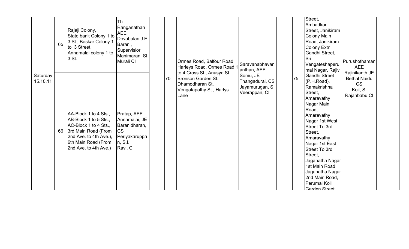|                      | 65 | Rajaji Colony,<br>State bank Colony 1 to<br>3 St., Baskar Colony 1<br>to 3 Street,<br>Annamalai colony 1 to<br>3 St.                                                     | Th.<br>Ranganathan<br><b>AEE</b><br>Devabalan J.E<br>Barani,<br>Supervisior<br>Manimaran, SI<br>Murali CI |    | Ormes Road, Balfour Road,<br>Harleys Road, Ormes Road 1                                                        | Saravanabhavan<br>anthan, AEE                                   |    | Street,<br>Ambadkar<br>Street, Janikiram<br>Colony Main<br>Road, Janikiram<br>Colony Extn,<br>Gandhi Street,<br>Sri<br>Vengateshaperu<br>mal Nagar, Rajiv                                                                                                                                                                                                     | Purushothaman<br><b>AEE</b><br>Rajinikanth JE                |  |
|----------------------|----|--------------------------------------------------------------------------------------------------------------------------------------------------------------------------|-----------------------------------------------------------------------------------------------------------|----|----------------------------------------------------------------------------------------------------------------|-----------------------------------------------------------------|----|---------------------------------------------------------------------------------------------------------------------------------------------------------------------------------------------------------------------------------------------------------------------------------------------------------------------------------------------------------------|--------------------------------------------------------------|--|
| Saturday<br>15.10.11 | 66 | AA-Block 1 to 4 Sts.,<br>AB-Block 1 to 5 Sts.,<br>AC-Block 1 to 4 Sts.,<br>3rd Main Road (From<br>2nd Ave. to 4th Ave.),<br>6th Main Road (From<br>2nd Ave. to 4th Ave.) | Pratap, AEE<br>Annamalai, JE<br>Baranidharan,<br><b>CS</b><br>Periyakaruppa<br>n, S.l.<br>Ravi, CI        | 70 | to 4 Cross St., Anusya St.<br><b>Bronson Garden St.</b><br>Dhamodharan St,<br>Vengatapathy St., Harlys<br>Lane | Somu, JE<br>Thangadurai, CS<br>Jayamurugan, SI<br>Veerappan, CI | 75 | <b>Gandhi Street</b><br>$(P.H.Road)$ ,<br>Ramakrishna<br>Street.<br>Amaravathy<br>Nagar Main<br>Road,<br>Amaravathy<br>Nagar 1st West<br><b>Street To 3rd</b><br>Street,<br>Amaravathy<br>Nagar 1st East<br><b>Street To 3rd</b><br>Street,<br>Jaganatha Nagar<br>1st Main Road,<br>Jaganatha Nagar<br>2nd Main Road,<br><b>Perumal Koil</b><br>Garden Street | <b>Bethal Naidu</b><br><b>CS</b><br>Koil, SI<br>Rajanbabu CI |  |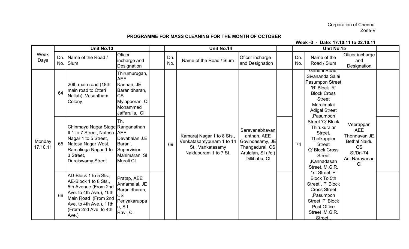## Corporation of Chennai Zone-V

## PROGRAMME FOR MASS CLEANING FOR THE MONTH OF OCTOBER

Week -3 - Date: 17.10.11 to 22.10.11

|                    |     | Unit No.13                                                                                                                                                                            |                                                                                                                         |            | Unit No.14                                                                                          |                                                                                                             |            | Unit No.15                                                                                                                                                          |                                                                                                                       |  |
|--------------------|-----|---------------------------------------------------------------------------------------------------------------------------------------------------------------------------------------|-------------------------------------------------------------------------------------------------------------------------|------------|-----------------------------------------------------------------------------------------------------|-------------------------------------------------------------------------------------------------------------|------------|---------------------------------------------------------------------------------------------------------------------------------------------------------------------|-----------------------------------------------------------------------------------------------------------------------|--|
| Week<br>Days       | No. | Dn.   Name of the Road /<br>Slum                                                                                                                                                      | Oficer<br>incharge and<br>Designation                                                                                   | Dn.<br>No. | Name of the Road / Slum                                                                             | Oficer incharge<br>and Designation                                                                          | Dn.<br>No. | Name of the<br>Road / Slum                                                                                                                                          | Oficer incharge<br>and<br>Designation                                                                                 |  |
|                    | 64  | 20th main road (18th<br>main road to Otteri<br>Nallah), Vasantham<br>Colony                                                                                                           | Thirumurugan,<br><b>AEE</b><br>Kannan, JE<br>Baranidharan,<br><b>CS</b><br>Mylapooran, CI<br>Mohammed<br>Jaffarulla, CI |            |                                                                                                     |                                                                                                             |            | Gandhi Road,<br>Sivananda Salai<br>Pasumpon Street<br>'R' Block ,R'<br><b>Block Cross</b><br><b>Street</b><br>Maraimalai<br><b>Adigal Street</b><br>,Pasumpon       |                                                                                                                       |  |
| Monday<br>17.10.11 |     | Chinmaya Nagar Stage Ranganathan<br>II 1 to 7 Street, Natesa   AEE<br>Nagar 1 to 5 Street,<br>65 Natesa Nagar West,<br>Ramalinga Nagar 1 to<br>3 Street,<br>Duraiswamy Street         | Th.<br>Devabalan J.E<br>Barani,<br>Supervisior<br>Manimaran, SI<br>Murali CI                                            | 69         | Kamaraj Nagar 1 to 8 Sts.,<br>Venkatasamypuram 1 to 14<br>St., Vankatasamy<br>Naidupuram 1 to 7 St. | Saravanabhavan<br>anthan, AEE<br>Govindasamy, JE<br>Thangadurai, CS<br>Arulalan, SI (i/c.)<br>Dillibabu, CI | 74         | Street 'Q' Block<br>Thirukuralar<br>Street,<br>Tholkappier<br><b>Street</b><br>Q' Block Cross<br><b>Street</b><br>,Kannadasan<br>Street, M.G.R.                     | Veerappan<br><b>AEE</b><br>Thennavan JE<br><b>Bethal Naidu</b><br><b>CS</b><br><b>SI/Dn-74</b><br>Adi Narayanan<br>CI |  |
|                    | 66  | AD-Block 1 to 5 Sts.,<br>AE-Block 1 to 8 Sts.,<br>5th Avenue (From 2nd<br>Ave. to 4th Ave.), 10th<br>Main Road (From 2nd<br>Ave. to 4th Ave.), 11th<br>(From 2nd Ave. to 4th<br>Ave.) | Pratap, AEE<br>Annamalai, JE<br>Baranidharan,<br><b>CS</b><br>Periyakaruppa<br>n, S.I.<br>Ravi, CI                      |            |                                                                                                     |                                                                                                             |            | 1st Street 'P'<br><b>Block To 5th</b><br>Street, P' Block<br><b>Cross Street</b><br>,Pasumpon<br>Street 'P' Block<br>Post Office<br>Street, M.G.R.<br><b>Street</b> |                                                                                                                       |  |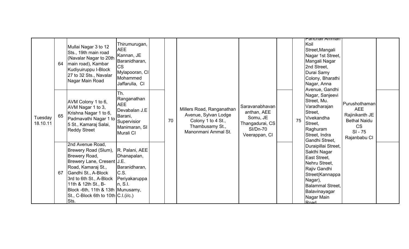|                     | 64 | Mullai Nagar 3 to 12<br>Sts., 19th main road<br>(Navalar Nagar to 20th<br>main road), Kambar<br>Kudiyuiruppu I-Block<br>27 to 32 Sts., Navalar<br>Nagar Main Road                                                                                                                                                           | Thirumurugan,<br><b>AEE</b><br>Kannan, JE<br>Baranidharan,<br><b>CS</b><br>Mylapooran, CI<br>Mohammed<br>Jaffarulla, CI |    |                                                                                                                   |                                                                                                  |    | Panchall Amman<br>Koil<br>Street, Mangali<br>Nagar 1st Street,<br>Mangali Nagar<br>2nd Street,<br>Durai Samy<br>Colony, Bharathi<br>Nagar, Anna<br>Avenue, Gandhi                    |                                                                                                                |  |
|---------------------|----|-----------------------------------------------------------------------------------------------------------------------------------------------------------------------------------------------------------------------------------------------------------------------------------------------------------------------------|-------------------------------------------------------------------------------------------------------------------------|----|-------------------------------------------------------------------------------------------------------------------|--------------------------------------------------------------------------------------------------|----|--------------------------------------------------------------------------------------------------------------------------------------------------------------------------------------|----------------------------------------------------------------------------------------------------------------|--|
| Tuesday<br>18.10.11 | 65 | AVM Colony 1 to 6,<br>AVM Nagar 1 to 3,<br>Krishna Nagar 1 to 6,<br>Padmavathi Nagar 1 to<br>5 St., Kamaraj Salai,<br><b>Reddy Street</b>                                                                                                                                                                                   | Th.<br>Ranganathan<br><b>AEE</b><br>Devabalan J.E<br>Barani,<br>Supervisior<br>Manimaran, SI<br>Murali CI               | 70 | Millers Road, Ranganathan<br>Avenue, Sylvan Lodge<br>Colony 1 to 4 St.,<br>Thambusamy St.,<br>Manonmani Ammal St. | Saravanabhavan<br>anthan, AEE<br>Somu, JE<br>Thangadurai, CS<br><b>SI/Dn-70</b><br>Veerappan, CI | 75 | Nagar, Sanjeevi<br>Street, Mu.<br>Varadharajan<br>Street,<br>Vivekandha<br>Street,<br>Raghuram<br>Street, Indra<br>Gandhi Street,                                                    | Purushothaman<br><b>AEE</b><br>Rajinikanth JE<br><b>Bethal Naidu</b><br><b>CS</b><br>$SI - 75$<br>Rajanbabu CI |  |
|                     | 67 | 2nd Avenue Road,<br>Brewery Road (Slum),<br>Brewery Road,<br>Brewery Lane, Cresent J.E.<br>Road, Kamaraj St.,<br>Gandhi St., A-Block<br>3rd to 6th St., A-Block<br>11th & 12th St., B-<br>Block -6th, 11th & 13th Munusamy,<br>$\operatorname{St.}, \operatorname{C-Block}$ 6th to 10th $\operatorname{C.I.(i/c.)}$<br>Sts. | R. Palani, AEE<br>Dhanapalan,<br>Baranidharan,<br>IC.S.<br>Periyakaruppa<br>n, S.l.                                     |    |                                                                                                                   |                                                                                                  |    | Duraipillai Street,<br>Sakthi Nagar<br>East Street,<br>Nehru Street,<br>Rajiv Gandhi<br>Street(Kannappa<br>Nagar),<br><b>Balammal Street,</b><br>Balavinayagar<br>Nagar Main<br>Road |                                                                                                                |  |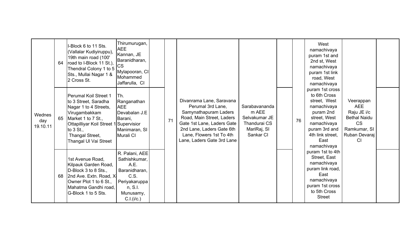|                           | 64 | I-Block 6 to 11 Sts.<br>(Vallalar Kudiyiruppu),<br>19th main road (100'<br>road to I-Block 11 St.),<br>Thendral Colony 1 to 5<br>Sts., Mullai Nagar 1 &<br>2 Cross St.                                           | Thirumurugan,<br><b>AEE</b><br>Kannan, JE<br>Baranidharan,<br><b>CS</b><br>Mylapooran, CI<br>Mohammed<br>Jaffarulla, CI |    |                                                                                                                                                                                                                          |                                                                                            |    | West<br>namachivaya<br>puram 1st and<br>2nd st, West<br>namachivaya<br>puram 1st link<br>road, West<br>namachivaya                                                     |                                                                                                                          |  |
|---------------------------|----|------------------------------------------------------------------------------------------------------------------------------------------------------------------------------------------------------------------|-------------------------------------------------------------------------------------------------------------------------|----|--------------------------------------------------------------------------------------------------------------------------------------------------------------------------------------------------------------------------|--------------------------------------------------------------------------------------------|----|------------------------------------------------------------------------------------------------------------------------------------------------------------------------|--------------------------------------------------------------------------------------------------------------------------|--|
| Wednes<br>day<br>19.10.11 | 65 | Perumal Koil Street 1<br>to 3 Street, Saradha<br>Nagar 1 to 4 Streets,<br>Virugambakkam<br>Market 1 to 7 St.,<br>Ottapilliyar Koil Street 1 Supervisior<br>to 3 St.,<br>Thangal Street,<br>Thangal Ul Vai Street | Th.<br>Ranganathan<br><b>AEE</b><br>Devabalan J.E<br>Barani,<br>Manimaran, SI<br>Murali CI                              | 71 | Divanrama Lane, Saravana<br>Perumal 3rd Lane,<br>Samynathapuram Laders<br>Road, Main Street, Laders<br>Gate 1st Lane, Laders Gate<br>2nd Lane, Laders Gate 6th<br>Lane, Flowers 1st To 4th<br>Lane, Laders Gate 3rd Lane | Sarabavananda<br>m AEE<br>Selvakumar JE<br><b>Thandurai CS</b><br>MariRaj, SI<br>Sankar CI | 76 | puram 1st cross<br>to 6th Cross<br>street, West<br>namachivaya<br>puram 2nd<br>street, West<br>namachivaya<br>puram 3rd and<br>4th link street,<br>East<br>namachivaya | Veerappan<br><b>AEE</b><br>Raju JE i/c<br><b>Bethal Naidu</b><br><b>CS</b><br>Ramkumar, SI<br>Ruban Devaraj<br><b>CI</b> |  |
|                           | 68 | 1st Avenue Road,<br>Kilpauk Garden Road,<br>D-Block 3 to 8 Sts.,<br>2nd Ave. Extn. Road, X-<br>Owner Plot 1 to 6 St.,<br>Mahatma Gandhi road,<br>G-Block 1 to 5 Sts.                                             | R. Palani, AEE<br>Sathishkumar,<br>A.E.<br>Baranidharan,<br>C.S.<br>Periyakaruppa<br>n, S.l.<br>Munusamy,<br>C.I.(i/c.) |    |                                                                                                                                                                                                                          |                                                                                            |    | puram 1st to 4th<br>Street, East<br>namachivaya<br>puram link road,<br>East<br>namachivaya<br>puram 1st cross<br>to 5th Cross<br><b>Street</b>                         |                                                                                                                          |  |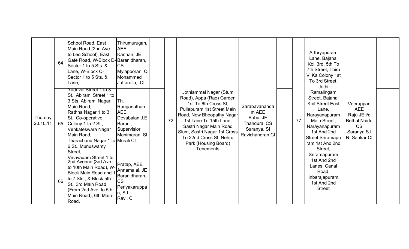|                     | 64 | School Road, East<br>Main Road (2nd Ave.<br>to Leo School), East<br>Gate Road, W-Block D-Baranidharan,<br>Sector 1 to 5 Sts. &<br>Lane, W-Block C-<br>Sector 1 to 5 Sts. &<br>Lane,                                                                                                      | Thirumurugan,<br><b>AEE</b><br>Kannan, JE<br><b>CS</b><br>Mylapooran, CI<br>Mohammed<br>Jaffarulla, CI |    |                                                                                                                                                                                                                                                                                                  |                                                                                      |    | Arthryapuram<br>Lane, Bajanai<br>Koil 3rd, 5th To<br>7th Street, Thiru<br>Vi Ka Colony 1st<br>To 3rd Street,<br>Jothi                                                                          |                                                                                                           |  |
|---------------------|----|------------------------------------------------------------------------------------------------------------------------------------------------------------------------------------------------------------------------------------------------------------------------------------------|--------------------------------------------------------------------------------------------------------|----|--------------------------------------------------------------------------------------------------------------------------------------------------------------------------------------------------------------------------------------------------------------------------------------------------|--------------------------------------------------------------------------------------|----|------------------------------------------------------------------------------------------------------------------------------------------------------------------------------------------------|-----------------------------------------------------------------------------------------------------------|--|
| Thurday<br>20.10.11 | 65 | Yadaval Street 1 to 3<br>St., Abirami Street 1 to<br>3 Sts. Abirami Nagar<br>Main Road,<br>Rathna Nagar 1 to 3<br>St., Co-operative<br>Colony 1 to 2 St.,<br>Venkateswara Nagar<br>Main Road,<br>Tharachand Nagar 1 to Murali CI<br>6 St., Munuswamy<br>Street,<br>Vinavagam Street 1 to | Th.<br>Ranganathan<br><b>AEE</b><br>Devabalan J.E<br>Barani,<br>Supervisior<br>Manimaran, SI           | 72 | Jothiammal Nagar (Stum<br>Road), Appa (Rao) Garden<br>1st To 6th Cross St.<br>Pullapuram 1st Street Main<br>Road, New Bhoopathy Nagar<br>1st Lane To 15th Lane,<br>Sastri Nagar Main Road<br>Slum, Sastri Nagar 1st Cross<br>To 22nd Cross St, Nehru<br>Park (Housing Board)<br><b>Tenements</b> | Sarabavananda<br>m AEE<br>Babu, JE<br>Thandurai CS<br>Saranya, SI<br>Ravichandran CI | 77 | Ramalingam<br>Street, Bajanai<br>Koil Street East<br>Lane.<br>Narayanapuram<br>Main Street,<br>Narayanapuram<br>1st And 2nd<br>Street, Sriramapu<br>ram 1st And 2nd<br>Street,<br>Sriramapuram | Veerappan<br><b>AEE</b><br>Raju JE i/c<br><b>Bethal Naidu</b><br><b>CS</b><br>Saranya S.I<br>N. Sankar CI |  |
|                     | 66 | 2nd Avenue (3rd Ave.<br>to 10th Main Road), W-<br>Block Main Road and<br>to 7 Sts., X-Block 5th<br>St., 3rd Main Road<br>(From 2nd Ave. to 5th<br>Main Road), 6th Main<br>Road.                                                                                                          | Pratap, AEE<br>Annamalai, JE<br>Baranidharan,<br><b>CS</b><br>Periyakaruppa<br>n, S.I.<br>Ravi, CI     |    |                                                                                                                                                                                                                                                                                                  |                                                                                      |    | 1st And 2nd<br>Lanes, Canal<br>Road,<br>Inbarajapuram<br>1st And 2nd<br><b>Street</b>                                                                                                          |                                                                                                           |  |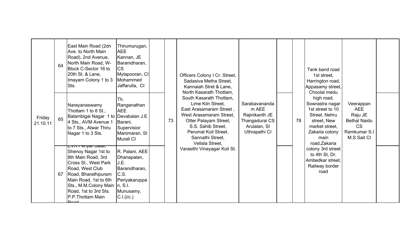|                    | 64 | East Main Road (2dn<br>Ave. to North Main<br>Road), 2nd Avenue,<br>North Main Road, W-<br>Block C-Sector 16 to<br>20th St. & Lane,<br>Imayam Colony 1 to 3<br>Sts.                                                                          | Thirumurugan,<br><b>AEE</b><br>Kannan, JE<br>Baranidharan,<br><b>CS</b><br>Mylapooran, CI<br>Mohammed<br>Jaffarulla, CI    |    | Officers Colony I Cr. Street,<br>Sadasiva Metha Street.<br>Kannaiah Stret & Lane,<br>North Kasarath Thottam,                                                                                                     |                                                                                             |    | Tank band road<br>1st street,<br>Harrington road,<br>Appasamy street,<br>Choolai medu                                                          |                                                                                                       |  |
|--------------------|----|---------------------------------------------------------------------------------------------------------------------------------------------------------------------------------------------------------------------------------------------|----------------------------------------------------------------------------------------------------------------------------|----|------------------------------------------------------------------------------------------------------------------------------------------------------------------------------------------------------------------|---------------------------------------------------------------------------------------------|----|------------------------------------------------------------------------------------------------------------------------------------------------|-------------------------------------------------------------------------------------------------------|--|
| Friday<br>21.10.11 | 65 | Narayanaswamy<br>Thottam 1 to 8 St.,<br>Balambigai Nagar 1 to<br>4 Sts., AVM Avenue 1<br>to 7 Sts., Alwar Thiru<br>Nagar 1 to 3 Sts.                                                                                                        | Th.<br>Ranganathan<br><b>AEE</b><br>Devabalan J.E<br>Barani,<br>Supervisior<br>Manimaran, SI<br>Murali CI                  | 73 | South Kasarath Thottam,<br>Lime Kiln Street,<br>East Arasamaram Street,<br>West Arasamaram Street,<br>Otter Palayam Street,<br>S.S. Sahib Street,<br>Perumal Koil Street,<br>Sannathi Street,<br>Vellala Street. | Sarabavananda<br>m AEE<br>Rajinikanth JE<br>Thangadurai CS<br>Arulalan, SI<br>Uthrapathi CI | 78 | high road,<br>Sowrastra nagar<br>1st street to 10<br>Street, Nehru<br>street, New<br>market street.<br>Zakaria colony<br>main<br>road, Zakaria | Veerappan<br><b>AEE</b><br>Raju JE<br><b>Bethal Naidu</b><br><b>CS</b><br>Ramkumar S.I<br>M.S Sait CI |  |
|                    | 67 | <del>Lvn nenyar Jalai,</del><br>Shenoy Nagar 1st to<br>8th Main Road, 3rd<br>Cross St., West Park<br>Road, West Club<br>Road, Bharathipuram<br>Main Road, 1st to 6th<br>Sts., M.M.Colony Main<br>Road, 1st to 3rd Sts.<br>P.P. Thottam Main | R. Palani, AEE<br>Dhanapalan,<br>J.E.<br>Baranidharan,<br>C.S.<br>Periyakaruppa<br>$\ln$ , S.I.<br>Munusamy,<br>C.I.(i/c.) |    | Varasithi Vinayagar Koil St.                                                                                                                                                                                     |                                                                                             |    | colony 3rd street<br>to 4th St, Dr.<br>Ambedkar street,<br>Railway border<br>road                                                              |                                                                                                       |  |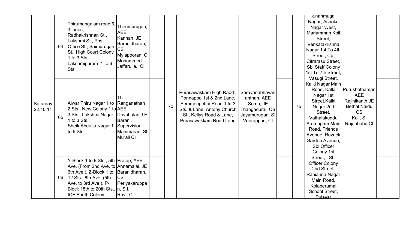|                      | 64 | Thirumangalam road &<br>3 lanes,<br>Radhakrishnan St.,<br>Lakshmi St., Post<br>Office St., Saimurugan<br>St., High Court Colony<br>1 to $3$ Sts.,<br>Lakshmipuram 1 to 6<br>Sts.                                                         | Thirumurugan,<br><b>AEE</b><br>Kannan, JE<br>Baranidharan,<br><b>CS</b><br>Mylapooran, CI<br>Mohammed<br>Jaffarulla, CI |    |                                                                                                                                                                     |                                                                                                  |    | Shanmuga<br>Nagar, Ashoka<br>Nagar West,<br>Mariamman Koil<br>Street,<br>Venkatakrishna<br>Nagar 1st To 4th<br>Street, Cp.<br>Citrarasu Street,<br>Sbi Staff Colony<br>1st To 7th Street.<br>Vasugi Street, |                                                                                                               |  |
|----------------------|----|------------------------------------------------------------------------------------------------------------------------------------------------------------------------------------------------------------------------------------------|-------------------------------------------------------------------------------------------------------------------------|----|---------------------------------------------------------------------------------------------------------------------------------------------------------------------|--------------------------------------------------------------------------------------------------|----|-------------------------------------------------------------------------------------------------------------------------------------------------------------------------------------------------------------|---------------------------------------------------------------------------------------------------------------|--|
| Saturday<br>22.10.11 | 65 | Alwar Thiru Nagar 1 to Ranganathan<br>2 Sts., New Colony 1 to AEE<br>3 Sts., Lakshmi Nagar   Devabalan J.E<br>1 to 3 Sts.,<br>Sheik Abdulla Nagar 1<br>to 6 Sts.                                                                         | Ih.<br>Barani,<br>Supervisior<br>Manimaran, SI<br>Murali CI                                                             | 70 | Purasawakkam High Raod,<br>Ponnappa 1st & 2nd Lane,<br>Semmenpettai Road 1 to 3<br>Sts. & Lane, Antony Church<br>St., Kellys Road & Lane,<br>Purasawakkam Road Lane | Saravanabhavan<br>anthan, AEE<br>Somu, JE<br>Thangadurai, CS<br>Jayamurugan, SI<br>Veerappan, CI | 75 | Kalki Nagar Main<br>Road, Kalki<br>Nagar 1st<br>Street, Kalki<br>Nagar 2nd<br>Street,<br>Vathalakundu<br>Arumagam Main<br>Road, Friends<br>Avenue, Razack<br>Garden Avenue,<br>Sbi Officer<br>Colony 1st    | Purushothaman<br><b>AEE</b><br>Rajinikanth JE<br><b>Bethal Naidu</b><br><b>CS</b><br>Koil, SI<br>Rajanbabu CI |  |
|                      | 66 | Y-Block 1 to 9 Sts., 5th Pratap, AEE<br>Ave. (From 2nd Ave. to Annamalai, JE<br>6th Ave.), Z-Block 1 to Baranidharan,<br>12 Sts., 6th Ave. (5th<br>Ave. to 3rd Ave.), P-<br>Block 18th to 20th Sts., In, S.I.<br><b>ICF South Colony</b> | <b>CS</b><br>Periyakaruppa<br>Ravi, CI                                                                                  |    |                                                                                                                                                                     |                                                                                                  |    | Street, Sbi<br><b>Officer Colony</b><br>2nd Street,<br>Ranianna Nagar<br>Main Road,<br>Kolaperumal<br>School Street,<br>Pulavar                                                                             |                                                                                                               |  |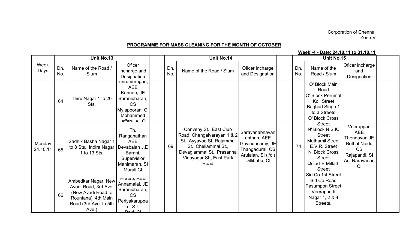## Corporation of Chennai Zone-V

## PROGRAMME FOR MASS CLEANING FOR THE MONTH OF OCTOBER

## Week -4 - Date: 24.10.11 to 31.10.11

|                    |            | Unit No.13                                                                                                                 |                                                                                                                               |            | Unit No.14                                                                                                                                                                 |                                                                                                             |            | Unit No.15                                                                                                                                                                               |                                                                                                                     |  |
|--------------------|------------|----------------------------------------------------------------------------------------------------------------------------|-------------------------------------------------------------------------------------------------------------------------------|------------|----------------------------------------------------------------------------------------------------------------------------------------------------------------------------|-------------------------------------------------------------------------------------------------------------|------------|------------------------------------------------------------------------------------------------------------------------------------------------------------------------------------------|---------------------------------------------------------------------------------------------------------------------|--|
| Week<br>Days       | Dn.<br>No. | Name of the Road /<br>Slum                                                                                                 | Oficer<br>incharge and<br>Designation                                                                                         | Dn.<br>No. | Name of the Road / Slum                                                                                                                                                    | Oficer incharge<br>and Designation                                                                          | Dn.<br>No. | Name of the<br>Road / Slum                                                                                                                                                               | Oficer incharge<br>and<br>Designation                                                                               |  |
|                    | 64         | Thiru Nagar 1 to 20<br>Sts.                                                                                                | <u>rnirumurugan,</u><br><b>AEE</b><br>Kannan, JE<br>Baranidharan,<br><b>CS</b><br>Mylapooran, CI<br>Mohammed<br>laffarulla CL |            |                                                                                                                                                                            |                                                                                                             |            | O' Block Main<br>Road<br>O' Block Perumal<br><b>Koil Street</b><br><b>Baghad Singh 1</b><br>to 3 Streets<br>O' Block Cross                                                               |                                                                                                                     |  |
| Monday<br>24.10.11 | 65         | Sadhik Basha Nagar 1<br>to 8 Sts., Indira Nagar<br>1 to 13 Sts.                                                            | Th.<br>Ranganathan<br><b>AEE</b><br>Devabalan J.E<br>Barani,<br>Supervisior<br>Manimaran, SI<br>Murali CI                     | 69         | Conveny St., East Club<br>Road, Chengalvarayan 1 & 2<br>St., Ayyavoo St. Rajammal<br>St., Chellammal St.,<br>Devagiammal St., Prasanna<br>Vinayagar St., East Park<br>Road | Saravanabhavan<br>anthan, AEE<br>Govindasamy, JE<br>Thangadurai, CS<br>Arulalan, SI (i/c.)<br>Dillibabu, CI | 74         | <b>Street</b><br>N' Block N.S.K.<br><b>Street</b><br><b>Muthamil Street</b><br>E.V.R. Street<br>N' Block Cross<br><b>Street</b><br>Quiad-E-Millath<br><b>Street</b><br>Sid Co 1st Street | Veerappan<br><b>AEE</b><br>Thennavan JE<br><b>Bethal Naidu</b><br><b>CS</b><br>Rajapandi, SI<br>Adi Narayanan<br>CI |  |
|                    | 66         | Ambedkar Nagar, New<br>Avadi Road, 3rd Ave.<br>(New Avadi Road to<br>Rountana), 4th Main<br>Road (3rd Ave. to 5th<br>Ave.) | <del>гташр, лиш</del><br>Annamalai, JE<br>Baranidharan,<br><b>CS</b><br>Periyakaruppa<br>n, S.I.<br>$D_{\alpha}$              |            |                                                                                                                                                                            |                                                                                                             |            | Sid Co Road<br>Pasumpon Street<br>Veerapandi<br>Nagar 1, 2 & 4<br>Streets.                                                                                                               |                                                                                                                     |  |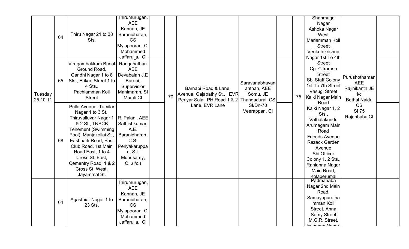|                     | 64 | Thiru Nagar 21 to 38<br>Sts.                                                                                                                                                                                                                                                                    | Thirumurugan,<br><b>AEE</b><br>Kannan, JE<br>Baranidharan,<br><b>CS</b><br>Mylapooran, CI<br>Mohammed<br>Jaffarulla. Cl |    |                                                                                                    |                                           |    | Shanmuga<br>Nagar<br>Ashoka Nagar<br>West<br>Mariamman Koil<br><b>Street</b><br>Venkatakrishna<br>Nagar 1st To 4th                                                                                        |                                                                             |  |
|---------------------|----|-------------------------------------------------------------------------------------------------------------------------------------------------------------------------------------------------------------------------------------------------------------------------------------------------|-------------------------------------------------------------------------------------------------------------------------|----|----------------------------------------------------------------------------------------------------|-------------------------------------------|----|-----------------------------------------------------------------------------------------------------------------------------------------------------------------------------------------------------------|-----------------------------------------------------------------------------|--|
| Tuesday<br>25.10.11 | 65 | Virugambakkam Burial<br>Ground Road,<br>Gandhi Nagar 1 to 8<br>Sts., Erikari Street 1 to<br>$4$ Sts.,<br>Pachiamman Koil<br><b>Street</b>                                                                                                                                                       | Ranganathan<br><b>AEE</b><br>Devabalan J.E<br>Barani,<br>Supervisior<br>Manimaran, SI<br>Murali CI                      | 70 | Barnabi Road & Lane,<br>Avenue, Gajapathy St., EVR<br>Periyar Salai, PH Road 1 & 2 Thangadurai, CS | Saravanabhavan<br>anthan, AEE<br>Somu, JE | 75 | <b>Street</b><br>Cp. Citrarasu<br><b>Street</b><br>Sbi Staff Colony<br>1st To 7th Street<br>Vasugi Street<br>Kalki Nagar Main<br>Road                                                                     | Purushothaman<br><b>AEE</b><br>Rajinikanth JE<br>i/c<br><b>Bethal Naidu</b> |  |
|                     | 68 | Pulla Avenue, Tamilar<br>Nagar 1 to 3 St.,<br>Thiruvalluvar Nagar 1<br>& 2 St., TNSCB<br><b>Tenement (Swimming</b><br>Pool), Manjakollai St.,<br>East park Road, East<br>Club Road, 1st Main<br>Road East, 1 to 4<br>Cross St. East,<br>Cementry Road, 1 & 2<br>Cross St. West,<br>Jayammal St. | R. Palani, AEE<br>Sathishkumar,<br>A.E.<br>Baranidharan,<br>C.S.<br>Periyakaruppa<br>n, S.I.<br>Munusamy,<br>C.I.(i/c.) |    | Lane, EVR Lane                                                                                     | <b>SI/Dn-70</b><br>Veerappan, CI          |    | Kalki Nagar 1, 2<br>Sts.,<br>Vathalakundu<br>Arumagam Main<br>Road<br><b>Friends Avenue</b><br>Razack Garden<br>Avenue<br>Sbi Officer<br>Colony 1, 2 Sts.,<br>Ranianna Nagar<br>Main Road,<br>Kolaperumal | <b>CS</b><br>SI 75<br>Rajanbabu CI                                          |  |
|                     | 64 | Agasthiar Nagar 1 to<br>23 Sts.                                                                                                                                                                                                                                                                 | Thirumurugan,<br><b>AEE</b><br>Kannan, JE<br>Baranidharan,<br><b>CS</b><br>Mylapooran, CI<br>Mohammed<br>Jaffarulla, CI |    |                                                                                                    |                                           |    | Padmanaba<br>Nagar 2nd Main<br>Road,<br>Samayapuratha<br>mman Koil<br>Street, Anna<br><b>Samy Street</b><br>M.G.R. Street,<br>harannan Nanar                                                              |                                                                             |  |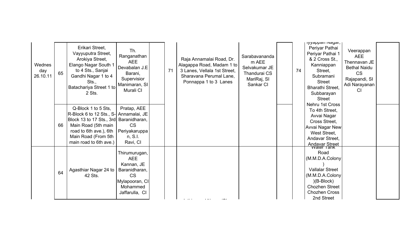| Wednes<br>day<br>26.10.11 | 65 | Erikari Street,<br>Vayyuputra Street,<br>Arokiya Street,<br>Elango Nagar South 1<br>to 4 Sts., Sanjai<br>Gandhi Nagar 1 to 4<br>Sts.,<br>Batachariya Street 1 to<br>2 Sts.                                | Th.<br>Ranganathan<br><b>AEE</b><br>Devabalan J.E<br>Barani,<br>Supervisior<br>Manimaran, SI<br>Murali CI               | 71 | Raja Annamalai Road, Dr.<br>Alagappa Road, Madam 1 to<br>3 Lanes, Vellala 1st Street,<br>Sharavana Perumal Lane,<br>Ponnappa 1 to 3 Lanes | Sarabavananda<br>m AEE<br>Selvakumar JE<br>Thandurai CS<br>MariRaj, SI<br>Sankar CI | 74 | iyyappan iyayar,<br>Periyar Pathai<br>Periyar Pathai 1<br>& 2 Cross St.,<br>Kanniappan<br>Street,<br>Subramani<br><b>Street</b><br><b>Bharathi Street.</b><br>Subbarayan<br><b>Street</b> | Veerappan<br><b>AEE</b><br>Thennavan JE<br><b>Bethal Naidu</b><br><b>CS</b><br>Rajapandi, SI<br>Adi Narayanan<br><b>CI</b> |  |
|---------------------------|----|-----------------------------------------------------------------------------------------------------------------------------------------------------------------------------------------------------------|-------------------------------------------------------------------------------------------------------------------------|----|-------------------------------------------------------------------------------------------------------------------------------------------|-------------------------------------------------------------------------------------|----|-------------------------------------------------------------------------------------------------------------------------------------------------------------------------------------------|----------------------------------------------------------------------------------------------------------------------------|--|
|                           | 66 | Q-Block 1 to 5 Sts,<br>R-Block 6 to 12 Sts., S- Annamalai, JE<br>Block 13 to 17 Sts., 3rd Baranidharan,<br>Main Road (5th main<br>road to 6th ave.), 6th<br>Main Road (From 5th<br>main road to 6th ave.) | Pratap, AEE<br><b>CS</b><br>Periyakaruppa<br>n, S.l.<br>Ravi, CI                                                        |    |                                                                                                                                           |                                                                                     |    | Nehru 1st Cross<br>To 4th Street,<br>Avvai Nagar<br>Cross Street,<br><b>Avvai Nagar New</b><br>West Street,<br>Andavar Street,<br><b>Andavar Street</b>                                   |                                                                                                                            |  |
|                           | 64 | Agasthiar Nagar 24 to<br>42 Sts.                                                                                                                                                                          | Thirumurugan,<br><b>AEE</b><br>Kannan, JE<br>Baranidharan,<br><b>CS</b><br>Mylapooran, CI<br>Mohammed<br>Jaffarulla, CI |    |                                                                                                                                           |                                                                                     |    | Road<br>(M.M.D.A.Colony<br><b>Vallalar Street</b><br>(M.M.D.A.Colony<br>$)(B-Block)$<br><b>Chozhen Street</b><br><b>Chozhen Cross</b><br>2nd Street                                       |                                                                                                                            |  |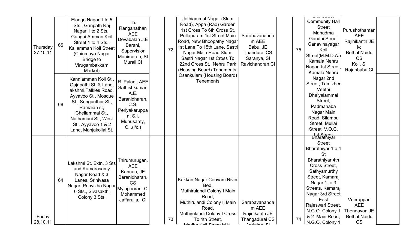| Thursday<br>27.10.11 | 65 | Elango Nagar 1 to 5<br>Sts., Ganpath Raj<br>Nagar 1 to 2 Sts.,<br>Gangai Amman Koil<br>Street 1 to 4 Sts.,<br>Kaliamman Koil Street<br>(Chinmaya Nagar<br>Bridge to<br>Virugambakkam<br>Market)                               | Th.<br>Ranganathan<br><b>AEE</b><br>Devabalan J.E<br>Barani,<br>Supervisior<br>Manimaran, SI<br>Murali CI               | 72 | Jothiammal Nagar (Slum<br>Road), Appa (Rao) Garden<br>1st Cross To 6th Cross St,<br>Pullapuram 1st Street Main<br>Road, New Bhoopathy Nagar<br>1st Lane To 15th Lane, Sastri<br>Nagar Main Road Slum,<br>Sastri Nagar 1st Cross To<br>22nd Cross St. Nehru Park<br>(Housing Board) Tenements, | Sarabavananda<br>m AEE<br>Babu, JE<br>Thandurai CS<br>Saranya, SI<br>Ravichandran CI | 75 | <b>Community Hall</b><br><b>Street</b><br>Mahadma<br>Gandhi Street<br>Ganavinayagar<br>Koil<br>Street(M.M.D.A.)<br>Kamala Nehru<br>Nagar 1st Street,<br>Kamala Nehru                                                                                                                             | Purushothaman<br><b>AEE</b><br>Rajinikanth JE<br>i/c<br><b>Bethal Naidu</b><br><b>CS</b><br>Koil, SI<br>Rajanbabu CI |  |
|----------------------|----|-------------------------------------------------------------------------------------------------------------------------------------------------------------------------------------------------------------------------------|-------------------------------------------------------------------------------------------------------------------------|----|-----------------------------------------------------------------------------------------------------------------------------------------------------------------------------------------------------------------------------------------------------------------------------------------------|--------------------------------------------------------------------------------------|----|--------------------------------------------------------------------------------------------------------------------------------------------------------------------------------------------------------------------------------------------------------------------------------------------------|----------------------------------------------------------------------------------------------------------------------|--|
|                      | 68 | Kanniamman Koil St.,<br>Gajapathi St. & Lane,<br>akshmi, Talkies Road,<br>Ayyavoo St., Mosque<br>St., Sengunthar St.,<br>Ramaiah st,<br>Chellammal St.,<br>Nathamuni St., West<br>St., Ayyavoo 1 & 2<br>Lane, Manjakollai St. | R. Palani, AEE<br>Sathishkumar,<br>A.E.<br>Baranidharan,<br>C.S.<br>Periyakaruppa<br>n, S.I.<br>Munusamy,<br>C.I.(i/c.) |    | Osankulam (Housing Board)<br>Tenements                                                                                                                                                                                                                                                        |                                                                                      |    | Nagar 2nd<br>Street, Tamizher<br>Veethi<br>Dhaiyalammal<br>Street.<br>Padmanaba<br>Nagar Main<br>Road, Silambu<br>Street, Mullai<br>Street, V.O.C.                                                                                                                                               |                                                                                                                      |  |
| Friday<br>28.10.11   | 64 | Lakshmi St. Extn. 3 Sts<br>and Kumarasamy<br>Nagar Road & 3<br>Lanes, Srinivasa<br>Nagar, Ponvizha Nagar<br>6 Sts., Sivasakthi<br>Colony 3 Sts.                                                                               | Thirumurugan,<br><b>AEE</b><br>Kannan, JE<br>Baranidharan,<br><b>CS</b><br>Mylapooran, CI<br>Mohammed<br>Jaffarulla, CI | 73 | Kakkan Nagar Coovam River<br>Bed,<br>Muthirulandi Colony I Main<br>Road,<br>Muthirulandi Colony li Main<br>Road,<br>Muthirulandi Colony I Cross<br>To 4th Street,<br>$M$ odho $V$ oil Ctroot $M$ ll                                                                                           | Sarabavananda<br>m AEE<br>Rajinikanth JE<br>Thangadurai CS<br>$A$ milalan $C1$       | 74 | 1st Street<br>Bharathiyar<br><b>Street</b><br>Bharathiyar 1to 4<br><b>St</b><br>Bharathiyar 4th<br>Cross Street,<br>Sathyamurthy<br>Street, Kamaraj<br>Nagar 1 to 3<br>Streets, Kamaraj<br>Nagar 3rd Street<br>East<br>Rajeswari Street,<br>N.G.O. Colony 1<br>& 2 Main Road,<br>N.G.O. Colony 1 | Veerappan<br><b>AEE</b><br>Thennavan JE<br><b>Bethal Naidu</b><br><b>CS</b>                                          |  |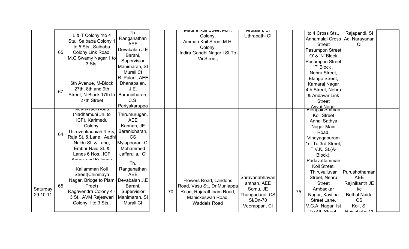|                      | 65 | L & T Colony 1to 4<br>Sts., Saibaba Colony 1<br>to 5 Sts., Saibaba<br>Colony Link Road,<br>M.G Swamy Nagar 1 to<br>3 Sts.                                                                              | Th.<br>Ranganathan<br><b>AEE</b><br>Devabalan J.E<br>Barani,<br>Supervisior<br>Manimaran, SI<br>Murali CI               |    | IVIA MOIL STREET IVI.H.<br>Colony,<br>Amman Koil Street M.H.<br>Colony,<br>Indira Gandhi Nagar I St To<br>Vii Street,         | Aruiaian, SI<br>Uthrapathi CI                                                             |    | to 4 Cross Sts.,<br>Annamalai Cross<br><b>Street</b><br><b>Pasumpon Street</b><br>'O' & 'N' Block,<br><b>Pasumpon Street</b><br>'P' Block,<br>Nehru Street, | Rajapandi, SI<br>Adi Narayanan<br>СI                                                                                 |  |
|----------------------|----|--------------------------------------------------------------------------------------------------------------------------------------------------------------------------------------------------------|-------------------------------------------------------------------------------------------------------------------------|----|-------------------------------------------------------------------------------------------------------------------------------|-------------------------------------------------------------------------------------------|----|-------------------------------------------------------------------------------------------------------------------------------------------------------------|----------------------------------------------------------------------------------------------------------------------|--|
|                      | 67 | 6th Avenue, M-Block<br>27th, 8th and 9th<br>Street, N-Block 17th to<br>27th Street                                                                                                                     | R. Palani, AEE<br>Dhanapalan,<br>J.E.<br>Baranidharan,<br>C.S.<br>Periyakaruppa                                         |    |                                                                                                                               |                                                                                           |    | Elango Street,<br>Kamaraj Nagar<br>4th Street, Nehru<br>& Andavar Link<br><b>Street</b><br>Ayyai Nagar<br>Elengali Amman                                    |                                                                                                                      |  |
|                      | 64 | vew Avaul Ruau<br>(Nadhamuni Jn. to<br>ICF), Karimedu<br>Colony,<br>Thiruvenkadaiah 4 Sts,<br>Raja St. & Lane, Aadhi<br>Naidu St. & Lane,<br>Embar Naid St. &<br>Lanes 6 Nos., ICF<br>ppov and Kalpang | Thirumurugan,<br><b>AEE</b><br>Kannan, JE<br>Baranidharan,<br><b>CS</b><br>Mylapooran, CI<br>Mohammed<br>Jaffarulla, CI |    |                                                                                                                               |                                                                                           |    | Koil Street<br>Annai Sathya<br>Nagar Main<br>Road,<br>Vinayagapuram<br>1st To 3rd Street,<br>T.V.K. St.(A-<br>Block),<br>Padavattamman                      |                                                                                                                      |  |
| Saturday<br>29.10.11 | 65 | Kaliamman Koil<br>Street(Chinmaya<br>Nagar, Bridge to Plam<br>Treet)<br>Ragavendra Colony 4 -<br>3 St., AVM Rajeswari<br>Colony 1 to 3 Sts.,                                                           | Th.<br>Ranganathan<br><b>AEE</b><br>Devabalan J.E<br>Barani,<br>Supervisior<br>Manimaran, SI<br>Murali CI               | 70 | Flowers Road, Landons<br>Road, Vasu St., Dr.Muniappa<br>Road, Rajarathinam Road,<br>Manickeswari Road,<br><b>Waddels Road</b> | Saravanabhavan<br>anthan, AEE<br>Somu, JE<br>Thangadurai, CS<br>SI/Dn-70<br>Veerappan, CI | 75 | Koil Street,<br>Thiruvalluvar<br>Street, Nehru<br><b>Street</b><br>Ambadkar<br>Nagar, Kavitha<br>Street Lane,<br>V.G.A. Nagar 1st<br>To Ath Straat          | Purushothaman<br><b>AEE</b><br>Rajinikanth JE<br>i/c<br><b>Bethal Naidu</b><br><b>CS</b><br>Koil, SI<br>Raianhahu Cl |  |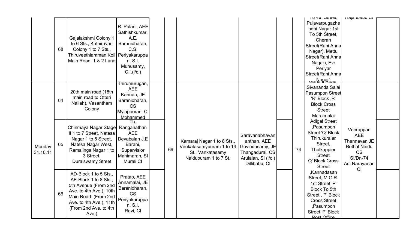|          |    |                                              |                                |    |                            |                     |  |    | TO HIT OILCCI,          | najariyayu Ur       |  |
|----------|----|----------------------------------------------|--------------------------------|----|----------------------------|---------------------|--|----|-------------------------|---------------------|--|
|          |    |                                              |                                |    |                            |                     |  |    | Pulavarpugazhe          |                     |  |
|          |    |                                              | R. Palani, AEE                 |    |                            |                     |  |    | ndhi Nagar 1st          |                     |  |
|          |    |                                              | Sathishkumar,                  |    |                            |                     |  |    | To 5th Street,          |                     |  |
|          |    | Gajalakshmi Colony 1                         | A.E.                           |    |                            |                     |  |    | Cheran                  |                     |  |
|          | 68 | to 6 Sts., Kathiravan<br>Colony 1 to 7 Sts., | Baranidharan,<br>C.S.          |    |                            |                     |  |    | Street(Rani Anna        |                     |  |
|          |    | Thiruveethiamman Koil   Periyakaruppa        |                                |    |                            |                     |  |    | Nagar), Mettu           |                     |  |
|          |    | Main Road, 1 & 2 Lane                        |                                |    |                            |                     |  |    | Street(Rani Anna        |                     |  |
|          |    |                                              | n, S.I.                        |    |                            |                     |  |    | Nagar), Evr             |                     |  |
|          |    |                                              | Munusamy,<br>C.I.(i/c.)        |    |                            |                     |  |    | Periyar                 |                     |  |
|          |    |                                              |                                |    |                            |                     |  |    | Street(Rani Anna        |                     |  |
|          |    |                                              | Thirumurugan,                  |    |                            |                     |  |    | <del>Gandin Road,</del> |                     |  |
|          |    |                                              | <b>AEE</b>                     |    |                            |                     |  |    | Sivananda Salai         |                     |  |
|          |    | 20th main road (18th                         | Kannan, JE                     |    |                            |                     |  |    | <b>Pasumpon Street</b>  |                     |  |
|          | 64 | main road to Otteri                          | Baranidharan,                  |    |                            |                     |  |    | 'R' Block, R'           |                     |  |
|          |    | Nallah), Vasantham                           | <b>CS</b>                      |    |                            |                     |  |    | <b>Block Cross</b>      |                     |  |
|          |    | Colony                                       | Mylapooran, CI                 |    |                            |                     |  |    | <b>Street</b>           |                     |  |
|          |    |                                              | Mohammed                       |    |                            |                     |  |    | Maraimalai              |                     |  |
|          |    |                                              | Th.                            |    |                            |                     |  |    | <b>Adigal Street</b>    |                     |  |
|          |    | Chinmaya Nagar Stage                         | Ranganathan                    |    |                            |                     |  |    | ,Pasumpon               | Veerappan           |  |
|          |    | II 1 to 7 Street, Natesa                     | <b>AEE</b>                     |    |                            | Saravanabhavan      |  |    | Street 'Q' Block        | <b>AEE</b>          |  |
|          |    | Nagar 1 to 5 Street,                         | Devabalan J.E                  |    | Kamaraj Nagar 1 to 8 Sts., | anthan, AEE         |  |    | Thirukuralar            | Thennavan JE        |  |
| Monday   | 65 | Natesa Nagar West,                           | Barani,                        |    | Venkatasamypuram 1 to 14   | Govindasamy, JE     |  |    | Street,                 | <b>Bethal Naidu</b> |  |
| 31.10.11 |    | Ramalinga Nagar 1 to                         | Supervisior                    | 69 | St., Vankatasamy           | Thangadurai, CS     |  | 74 | Tholkappier             | <b>CS</b>           |  |
|          |    | 3 Street.                                    | Manimaran, SI                  |    | Naidupuram 1 to 7 St.      | Arulalan, SI (i/c.) |  |    | <b>Street</b>           | <b>SI/Dn-74</b>     |  |
|          |    | Duraiswamy Street                            | Murali CI                      |    |                            | Dillibabu, CI       |  |    | Q' Block Cross          | Adi Narayanan       |  |
|          |    |                                              |                                |    |                            |                     |  |    | <b>Street</b>           | <b>CI</b>           |  |
|          |    | AD-Block 1 to 5 Sts.,                        |                                |    |                            |                     |  |    | ,Kannadasan             |                     |  |
|          |    | AE-Block 1 to 8 Sts.,                        | Pratap, AEE                    |    |                            |                     |  |    | Street, M.G.R.          |                     |  |
|          |    | 5th Avenue (From 2nd                         | Annamalai, JE<br>Baranidharan, |    |                            |                     |  |    | 1st Street 'P'          |                     |  |
|          | 66 | Ave. to 4th Ave.), 10th                      | <b>CS</b>                      |    |                            |                     |  |    | <b>Block To 5th</b>     |                     |  |
|          |    | Main Road (From 2nd                          |                                |    |                            |                     |  |    | Street, P' Block        |                     |  |
|          |    | Ave. to 4th Ave.), 11th                      | Periyakaruppa<br>n, S.I.       |    |                            |                     |  |    | <b>Cross Street</b>     |                     |  |
|          |    | (From 2nd Ave. to 4th                        | Ravi, CI                       |    |                            |                     |  |    | ,Pasumpon               |                     |  |
|          |    | Ave.)                                        |                                |    |                            |                     |  |    | Street 'P' Block        |                     |  |
|          |    |                                              |                                |    |                            |                     |  |    | Post Office             |                     |  |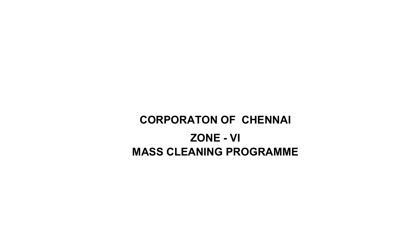# CORPORATON OF CHENNAI ZONE - VIMASS CLEANING PROGRAMME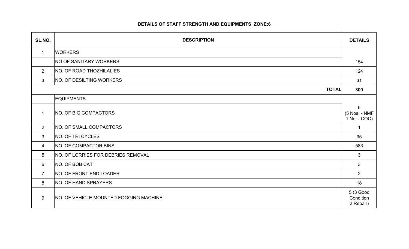## DETAILS OF STAFF STRENGTH AND EQUIPMENTS ZONE:6

| SL.NO.          | <b>DESCRIPTION</b>                        | <b>DETAILS</b>                                  |
|-----------------|-------------------------------------------|-------------------------------------------------|
| $\mathbf 1$     | <b>WORKERS</b>                            |                                                 |
|                 | NO.OF SANITARY WORKERS                    | 154                                             |
| $\overline{2}$  | <b>NO. OF ROAD THOZHILALIES</b>           | 124                                             |
| 3               | <b>NO. OF DESILTING WORKERS</b>           | 31                                              |
|                 | <b>TOTAL</b>                              | 309                                             |
|                 | <b>EQUIPMENTS</b>                         |                                                 |
| $\mathbf{1}$    | NO. OF BIG COMPACTORS                     | $6\phantom{1}$<br>(5 Nos. - NMF<br>1 No. - COC) |
| $\overline{2}$  | <b>NO. OF SMALL COMPACTORS</b>            | $\mathbf 1$                                     |
| $\mathbf{3}$    | NO. OF TRI CYCLES                         | 95                                              |
| 4               | NO. OF COMPACTOR BINS                     | 583                                             |
| $5\overline{)}$ | <b>NO. OF LORRIES FOR DEBRIES REMOVAL</b> | $\mathbf{3}$                                    |
| 6               | NO. OF BOB CAT                            | $\mathbf{3}$                                    |
| $\overline{7}$  | NO. OF FRONT END LOADER                   | $\overline{2}$                                  |
| 8               | NO. OF HAND SPRAYERS                      | 18                                              |
| 9               | NO. OF VEHICLE MOUNTED FOGGING MACHINE    | 5 (3 Good<br>Condition<br>2 Repair)             |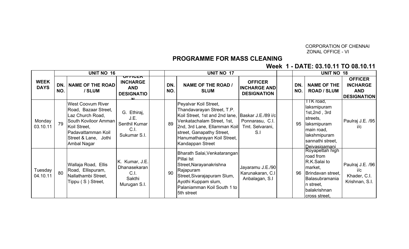#### CORPORATION OF CHENNAIZONAL OFFICE - VI

## PROGRAMME FOR MASS CLEANING

Week 1 - DATE: 03.10.11 TO 08.10.11

|                            | <b>UNIT NO 16</b><br>ULLIAEN |                                                                                                                                                                           |                                                                  |  |            | <b>UNIT NO 17</b>                                                                                                                                                                                                                                      |                                                             |  |            | <b>UNIT NO 18</b>                                                                                                                               |                                                                       |  |
|----------------------------|------------------------------|---------------------------------------------------------------------------------------------------------------------------------------------------------------------------|------------------------------------------------------------------|--|------------|--------------------------------------------------------------------------------------------------------------------------------------------------------------------------------------------------------------------------------------------------------|-------------------------------------------------------------|--|------------|-------------------------------------------------------------------------------------------------------------------------------------------------|-----------------------------------------------------------------------|--|
| <b>WEEK</b><br><b>DAYS</b> | DN.<br>NO.                   | NAME OF THE ROAD<br>/ SLUM                                                                                                                                                | <b>INCHARGE</b><br><b>AND</b><br><b>DESIGNATIO</b>               |  | DN.<br>NO. | <b>NAME OF THE ROAD /</b><br><b>SLUM</b>                                                                                                                                                                                                               | <b>OFFICER</b><br><b>INCHARGE AND</b><br><b>DESIGNATION</b> |  | DN.<br>NO. | <b>NAME OF THE</b><br><b>ROAD / SLUM</b>                                                                                                        | <b>OFFICER</b><br><b>INCHARGE</b><br><b>AND</b><br><b>DESIGNATION</b> |  |
| Monday<br>03.10.11         | 79                           | <b>West Coovum River</b><br>Road, Bazaar Street,<br>Laz Church Road,<br>South Koviloor Amman<br>Koil Street,<br>Padavattamman Koil<br>Street & Lane, Jothi<br>Ambal Nagar | G. Ethiraj,<br>J.E.<br>Senthil Kumar<br>C.1<br>Sukumar S.I.      |  | 89         | Peyalvar Koil Street,<br>Thandavarayan Street, T.P.<br>Koil Street, 1st and 2nd lane, Baskar J.E./89 i/c<br>Venkatachalam Street, 1st,<br>2nd, 3rd Lane, Ellamman Koil<br>street, Ganapathy Street,<br>Hanumatharayan Koil Street,<br>Kandappan Street | Ponnarasu, C.I.<br>Tmt. Selvarani,<br>S.I                   |  | 95         | TTK road,<br>laksmipuram<br>1st, 2nd, 3rd<br>streets,<br>laksmipuram<br>main road,<br>lakshmipuram<br>sannathi street,<br><u>IDeivasigamani</u> | Paulraj J.E. /95<br>i/c                                               |  |
| Tuesday<br>04.10.11        | 80                           | Wallaja Road, Ellis<br>Road, Ellispuram,<br>Nallathambi Street,<br>Tippu (S) Street,                                                                                      | K. Kumar, J.E.<br>Dhanasekaran<br>C.I.<br>Sakthi<br>Murugan S.I. |  | 90         | Bharath Salai, Venkatarangan<br>Pillai Ist<br>Street, Narayanakrishna<br>Rajapuram<br>Street, Sivarajapuram Slum,<br>Ayothi Kuppam slum,<br>Palaniamman Koil South 1 to<br>5th street                                                                  | Jayaramu J.E./90<br>Karunakaran, C.I.<br>Anbalagan, S.I     |  | 96         | Royapettah high<br>road from<br>R.K.Salai to<br>market,<br>Brindavan street,<br>Balasubramania<br>n street,<br>balakrishnan<br>cross street,    | Paulraj J.E. /96<br>i/c<br>Khader, C.I.<br>Krishnan, S.I.             |  |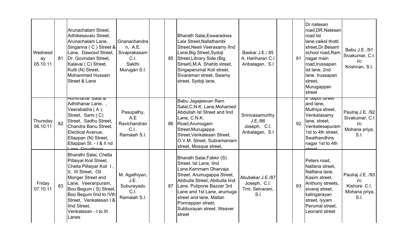| Wednesd<br>ay<br>05.10.11 | 81 | Arunachalam Street,<br>Adhikesavalu Street,<br>Arunachalam Lane,<br>Singanna (C) Street &<br>Lane, Dawood Street,<br>Dr. Govindan Street,<br>Kalavai (C) Street,<br>Kutti (N) Street,<br><b>Mohammed Hussain</b><br><b>Street &amp; Lane</b>                                  | Gnanachandra<br>n, A.E.<br>Sivaprakasam<br>C.I.<br>Sakthi<br>Murugan S.I. | 85 | <b>Bharath Salai, Eswaradoss</b><br>Lala Street, Nallathambi<br>Street, Neeli Veerasamy IInd<br>Lane, Big Street, Sydoji<br>Street, Library Side (Big<br>Street), M.A. Shahib street,<br>Singaperumal Koil street,<br>Sivaraman street, Swamy<br>street, Sydoji lane,                          | Baskar J.E./85<br>A. Hariharan C.I<br>Anbalagan, S.I                  | 91 | Dr.natesan<br>road, DR. Natesan<br>road Ist<br>lane, vaikol thotti<br>street, Dr. Besant<br>school road, Ram<br>nagar main<br>road, Irussapan<br>Ist lane, 2nd<br>lane, Irussapan<br>street,<br>Murugappan<br>street | Babu J.E. /91<br>Sivakumar, C.I.<br>i/c<br>Krishnan, S.I.          |
|---------------------------|----|-------------------------------------------------------------------------------------------------------------------------------------------------------------------------------------------------------------------------------------------------------------------------------|---------------------------------------------------------------------------|----|------------------------------------------------------------------------------------------------------------------------------------------------------------------------------------------------------------------------------------------------------------------------------------------------|-----------------------------------------------------------------------|----|----------------------------------------------------------------------------------------------------------------------------------------------------------------------------------------------------------------------|--------------------------------------------------------------------|
| Thursday<br>06.10.11      | 82 | Aunifianal Jalai &<br>Adhithanar Lane, ,<br>Veerabadra (A)<br>Street, Sami (C)<br>Street, Sadhu Street,<br>Chandra Banu Street.<br>Electical Avenue,<br>Ellappan (N) Street,<br>Ellappan St. - I & II nd<br>Lane Covathone                                                    | Pasupathy,<br>A.E<br>Ravichandran<br>C.I.<br>Ramaiah S.I.                 | 86 | Babu Jagajeevan Ram<br>Salai, C.N.K. Lane, Mohamed<br>Abdullah Ist Street and lind<br>Lane, C.N.K.<br>Road, Arumugam<br>Street, Murugappa<br>Street, Venkatesan Street,<br>O.V.M. Street, Subramaniam<br>street, Mosque street,                                                                | Srinivasamurthy<br>J.E./86<br>Joseph, C.I.<br>Anbalagan, S.I          | 92 | <del>∟ uepot street</del><br>and lane,<br>Muthiya street,<br>Venkatasamy<br>lane, street,<br>Venkatesapuram<br>1st to 4th street,<br>Swathandhira<br>nagar 1st to 4th<br>etraat                                      | Paulraj J.E. /92<br>Sivakumar, C.I<br>i/c<br>Mohana priya,<br>S.I. |
| Friday<br>07.10.11        | 83 | Bharathi Salai, Chella<br>Pillaiyar Koil Street,<br>Chella Pillaiyar Koil I,<br>II, III Street, Oil<br>Monger Street and<br>Lane, Veeranpuram,<br>Boo Begum (S) Street,<br>Boo Begum IInd to IVth<br>Street, Venkatesan I &<br>IInd Street,<br>Venkatesan - I to III<br>Lanes | M. Agathiyan,<br>J.E.<br>Suburayadu<br>C.I.<br>Ramaiah S.I.               | 87 | Bharath Salai, Fakkir (S)<br>Street, Ist Lane, lind<br>Lane, Kammam Dharvaja<br>Street. Arumugappa Street,<br>Abibulla Street, Abibulla lind<br>Lane, Pulipone Bazzar 3rd<br>Lane and 1st Lane, arumuga<br>street and lane, Mallan<br>Ponnappan street,<br>Subburayan street, Weaver<br>street | Abubakar J.E./87<br>Joseph, C.I.<br>Tmt. Selvarani,<br>S <sub>1</sub> | 93 | Peters road,<br>Nallana street,<br>Nalllana lane,<br>Kasim street.<br>Anthony streets,<br>sivaraj street,<br>kalingarayan<br>street, lyyam<br>Perumal street,<br>Leonard street                                      | Paulraj J.E. /93<br>i/c<br>Kishore C.I.<br>Mohana priya,<br>S.I.   |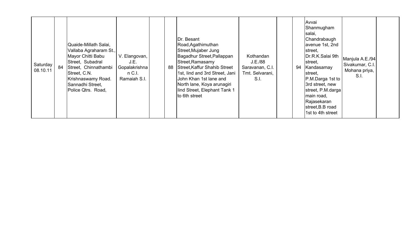| Saturday<br>08.10.11 | 84 | Quaide-Millath Salai,<br>Vallaba Agraharam St.,<br>Mayor Chitti Babu<br>Street, Subadral<br>Street, Chinnathambi<br>Street, C.N.<br>Krishnaswamy Road.<br>Sannadhi Street,<br>Police Qtrs. Road. | V. Elangovan,<br>J.E.<br>Gopalakrishna<br>$n$ C.I.<br>Ramaiah S.I. |  | 88 | Dr. Besant<br>Road, Agathimuthan<br>Street, Mujaber Jung<br>Bagadhur Street, Pallappan<br>Street, Ramasamy<br>Street, Kaffur Shahib Street<br>1st, lind and 3rd Street, Jani<br>John Khan 1st lane and<br>North lane, Koya arunagiri<br>lind Street, Elephant Tank 1<br>to 6th street | Kothandan<br>J.E./88<br>Saravanan, C.I.<br>Tmt. Selvarani,<br>S.I. |  |  | lAvvai<br>Shanmugham<br>salai,<br>Chandrabaugh<br>avenue 1st, 2nd<br>street,<br>Dr.R.K.Salai 9th<br>street,<br>94 Kandasamay<br>street,<br>P.M.Darga 1st to<br>3rd street, new<br>street, P.M.darga<br>main road,<br>Rajasekaran<br>street, B.B road<br>1st to 4th street | Manjula A.E./94<br>Sivakumar, C.I.<br>Mohana priya,<br>S.I. |  |
|----------------------|----|--------------------------------------------------------------------------------------------------------------------------------------------------------------------------------------------------|--------------------------------------------------------------------|--|----|---------------------------------------------------------------------------------------------------------------------------------------------------------------------------------------------------------------------------------------------------------------------------------------|--------------------------------------------------------------------|--|--|---------------------------------------------------------------------------------------------------------------------------------------------------------------------------------------------------------------------------------------------------------------------------|-------------------------------------------------------------|--|
|----------------------|----|--------------------------------------------------------------------------------------------------------------------------------------------------------------------------------------------------|--------------------------------------------------------------------|--|----|---------------------------------------------------------------------------------------------------------------------------------------------------------------------------------------------------------------------------------------------------------------------------------------|--------------------------------------------------------------------|--|--|---------------------------------------------------------------------------------------------------------------------------------------------------------------------------------------------------------------------------------------------------------------------------|-------------------------------------------------------------|--|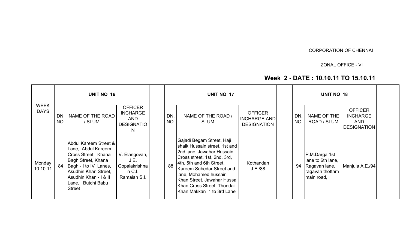#### CORPORATION OF CHENNAI

ZONAL OFFICE - VI

## Week 2 - DATE : 10.10.11 TO 15.10.11

|                            |            | <b>UNIT NO 16</b>                                                                                                                                                                                        |                                                                            |            | <b>UNIT NO 17</b>                                                                                                                                                                                                                                                                                   |                                                             |                        | <b>UNIT NO 18</b>                                                                    |                                                                       |  |
|----------------------------|------------|----------------------------------------------------------------------------------------------------------------------------------------------------------------------------------------------------------|----------------------------------------------------------------------------|------------|-----------------------------------------------------------------------------------------------------------------------------------------------------------------------------------------------------------------------------------------------------------------------------------------------------|-------------------------------------------------------------|------------------------|--------------------------------------------------------------------------------------|-----------------------------------------------------------------------|--|
| <b>WEEK</b><br><b>DAYS</b> | DN.<br>NO. | NAME OF THE ROAD<br>/ SLUM                                                                                                                                                                               | <b>OFFICER</b><br><b>INCHARGE</b><br><b>AND</b><br><b>DESIGNATIO</b><br>N. | DN.<br>NO. | NAME OF THE ROAD /<br><b>SLUM</b>                                                                                                                                                                                                                                                                   | <b>OFFICER</b><br><b>INCHARGE AND</b><br><b>DESIGNATION</b> | <b>DN</b><br><b>NO</b> | NAME OF THE<br>ROAD / SLUM                                                           | <b>OFFICER</b><br><b>INCHARGE</b><br><b>AND</b><br><b>DESIGNATION</b> |  |
| Monday<br>10.10.11         | 84         | Abdul Kareem Street &<br>Lane, Abdul Kareem<br>Cross Street, Khana<br>Bagh Street, Khana<br>Bagh - I to IV Lanes,<br>Asudhin Khan Street,<br>Asudhin Khan - I & II<br>Lane, Butchi Babu<br><b>Street</b> | V. Elangovan,<br>J.E.<br>Gopalakrishna<br>$n$ C.I.<br>Ramaiah S.I.         | 88         | Gajadi Begam Street, Haji<br>shaik Hussain street, 1st and<br>2nd lane, Jawahar Hussain<br>Cross street, 1st, 2nd, 3rd,<br>4th, 5th and 6th Street,<br>Kareem Subedar Street and<br>lane, Mohamed hussain<br>Khan Street, Jawahar Hussai<br>Khan Cross Street, Thondai<br>Khan Makkan 1 to 3rd Lane | Kothandan<br>J.E./88                                        | 94                     | P.M.Darga 1st<br>lane to 6th lane,<br>Ragavan lane,<br>ragavan thottam<br>main road, | Manjula A.E./94                                                       |  |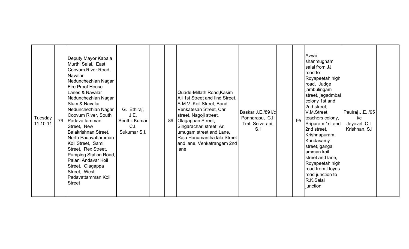| Tuesday<br>11.10.11 | 79 | Deputy Mayor Kabala<br>Murthi Salai, East<br>Coovum River Road,<br><b>Navalar</b><br>Nedunchezhian Nagar<br><b>IFire Proof House</b><br>Lanes & Navalar<br>Nedunchezhian Nagar<br>Slum & Navalar<br>Nedunchezhian Nagar<br>Coovum River, South<br>Padavattamman<br>Street, New<br>Balakrishnan Street,<br>North Padavattamman<br>Koil Street, Sami<br>Street, Rex Street,<br>Pumping Station Road,<br>Palani Andavar Koil<br>Street, Olagappa<br>Street, West<br><b>Padavattamman Koil</b><br><b>Street</b> | G. Ethiraj,<br>J.E.<br>Senthil Kumar<br>C.I.<br>Sukumar S.I. |  | 89 | Quade-Millath Road, Kasim<br>Ali 1st Street and lind Street,<br>S.M.V. Koil Street, Bandi<br>Venkatesan Street, Car<br>street, Nagoji street,<br>Olagappan Street,<br>Singarachari street, Ar<br>umugam street and Lane,<br>Raja Hanumantha lala Street<br>and lane, Venkatrangam 2nd<br>lane | Baskar J.E./89 i/c<br>Ponnarasu, C.I.<br>Tmt. Selvarani,<br>S <sub>1</sub> |  | 95 | Avvai<br>shanmugham<br>salai from JJ<br>road to<br>Royapeetah high<br>road, Judge<br>jambulingam<br>street, jagadmbal<br>colony 1st and<br>2nd street,<br>V.M.Street,<br>teachers colony,<br>Sripuram 1st and<br>2nd street,<br>Krishnapuram,<br>Kandasamy<br>street, gangai<br>amman koil<br>street and lane.<br>Royapeetah high<br>road from Lloyds<br>road junction to<br>R.K.Salai<br>junction | Paulraj J.E. /95<br>i/c<br>Jayavel, C.I.<br>Krishnan, S.I |  |
|---------------------|----|-------------------------------------------------------------------------------------------------------------------------------------------------------------------------------------------------------------------------------------------------------------------------------------------------------------------------------------------------------------------------------------------------------------------------------------------------------------------------------------------------------------|--------------------------------------------------------------|--|----|-----------------------------------------------------------------------------------------------------------------------------------------------------------------------------------------------------------------------------------------------------------------------------------------------|----------------------------------------------------------------------------|--|----|----------------------------------------------------------------------------------------------------------------------------------------------------------------------------------------------------------------------------------------------------------------------------------------------------------------------------------------------------------------------------------------------------|-----------------------------------------------------------|--|
|---------------------|----|-------------------------------------------------------------------------------------------------------------------------------------------------------------------------------------------------------------------------------------------------------------------------------------------------------------------------------------------------------------------------------------------------------------------------------------------------------------------------------------------------------------|--------------------------------------------------------------|--|----|-----------------------------------------------------------------------------------------------------------------------------------------------------------------------------------------------------------------------------------------------------------------------------------------------|----------------------------------------------------------------------------|--|----|----------------------------------------------------------------------------------------------------------------------------------------------------------------------------------------------------------------------------------------------------------------------------------------------------------------------------------------------------------------------------------------------------|-----------------------------------------------------------|--|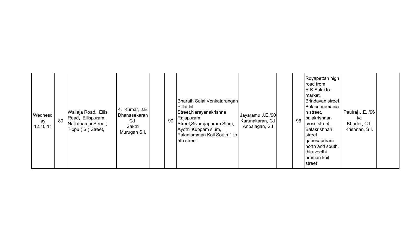| Wednesd<br>ay<br>12.10.11 | 80 | Wallaja Road, Ellis<br>Road, Ellispuram,<br>Nallathambi Street,<br>Tippu (S) Street, | K. Kumar, J.E.<br>Dhanasekaran<br>C.1<br>Sakthi<br>Murugan S.I. |  | 90 | Bharath Salai, Venkatarangan<br>Pillai Ist<br>Street, Narayanakrishna<br>Rajapuram<br>Street, Sivarajapuram Slum,<br>Ayothi Kuppam slum,<br>Palaniamman Koil South 1 to<br>5th street | Jayaramu J.E./90<br>Karunakaran, C.I<br>Anbalagan, S.I |  | 96 | Royapettah high<br>road from<br>R.K.Salai to<br>market,<br>Brindavan street,<br>Balasubramania<br>In street,<br>balakrishnan<br>cross street,<br>Balakrishnan<br>street,<br>ganesapuram<br>north and south,<br>thiruveethi<br>amman koil<br>street | Paulraj J.E. /96<br>i/c<br>Khader, C.I.<br>Krishnan, S.I. |  |
|---------------------------|----|--------------------------------------------------------------------------------------|-----------------------------------------------------------------|--|----|---------------------------------------------------------------------------------------------------------------------------------------------------------------------------------------|--------------------------------------------------------|--|----|----------------------------------------------------------------------------------------------------------------------------------------------------------------------------------------------------------------------------------------------------|-----------------------------------------------------------|--|
|---------------------------|----|--------------------------------------------------------------------------------------|-----------------------------------------------------------------|--|----|---------------------------------------------------------------------------------------------------------------------------------------------------------------------------------------|--------------------------------------------------------|--|----|----------------------------------------------------------------------------------------------------------------------------------------------------------------------------------------------------------------------------------------------------|-----------------------------------------------------------|--|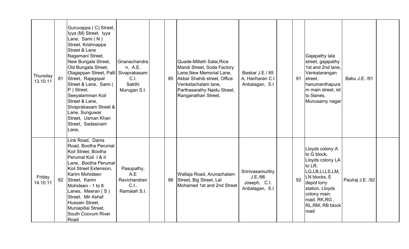| Thursday<br>13.10.11 | 81 | Guruvappa (C) Street,<br>lyya (M) Street, Iyya<br>Lane, Sami (N)<br>Street, Krishnappa<br>Street & Lane<br>Nagamani Street,<br>New Bungala Street,<br>Old Bungala Street,<br>Olagappan Street, Palli Sivaprakasam<br>Street, Rajagopal<br>Street & Lane, Sami (<br>$ P $ Street,<br>Seeyalamman Koil<br>Street & Lane,<br>Sivaprakasam Street &<br>Lane, Sunguwar<br>Street, Usman Khan<br>Street, Sadasivam<br>Lane, | Gnanachandra<br>n, A.E.<br>C.I.<br>Sakthi<br>Murugan S.I. | 85 | Quade-Millath Salai, Rice<br>Mandi Street, Soda Factory<br>Lane, New Memorial Lane,<br>Akbar Shahib street, Office<br>Venkatachalam lane,<br>Parthasarathy Naidu Street,<br>Ranganathan Street, | Baskar J.E./85<br>A. Hariharan C.I<br>Anbalagan, S.I         | 91 | Gajapathy lala<br>street, gajapathy<br>1st and 2nd lane,<br>Venkatarangan<br>street,<br>hanumanthapura<br>m main street, ist<br>to 5lanes,<br>Munusamy nagar                                  | Babu J.E. /91    |  |
|----------------------|----|-----------------------------------------------------------------------------------------------------------------------------------------------------------------------------------------------------------------------------------------------------------------------------------------------------------------------------------------------------------------------------------------------------------------------|-----------------------------------------------------------|----|-------------------------------------------------------------------------------------------------------------------------------------------------------------------------------------------------|--------------------------------------------------------------|----|-----------------------------------------------------------------------------------------------------------------------------------------------------------------------------------------------|------------------|--|
| Friday<br>14.10.11   | 82 | Link Road, Dams<br>Road, Bootha Perumal<br>Koil Street, Bootha<br>Perumal Koil 1 & II<br>Lane, Bootha Perumal<br>Koil Street Extension.<br>Karim Mohideen<br>Street, Karim<br>Mohideen - 1 to 8<br>Lanes, Meeran (S)<br>Street, Mir Ashaf<br>Hussain Street,<br>Muniapillai Street,<br>South Coovum River<br>Road                                                                                                     | Pasupathy,<br>A.E<br>Ravichandran<br>C.I.<br>Ramaiah S.I. | 86 | Wallaja Road, Arunachalam<br>Street, Big Street, Lal<br>Mohamed 1st and 2nd Street                                                                                                              | Srinivasamurthy<br>J.E./86<br>Joseph, C.I.<br>Anbalagan, S.I | 92 | Lloyds colony A<br>to G block,<br>Lloyds colony LA<br>to LR,<br>LG,LB,LI,LS,LM,<br>LN blocks, E<br>depot lorry<br>station, Lloyds<br>colony main<br>road, RK, RG,<br>RL, RM, RB block<br>road | Paulraj J.E. /92 |  |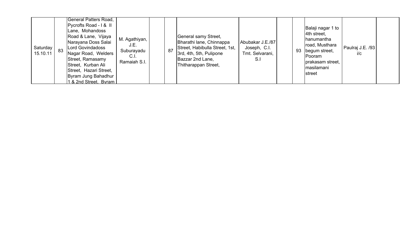| Road & Lane, Vijaya<br>General samy Street,<br>M. Agathiyan,<br>hanumantha<br>Bharathi lane, Chinnappa<br>Abubakar J.E./87<br>Narayana Doss Salai<br>road, Musthara<br>J.E.<br>Street, Habibulla Street, 1st,<br>Paulraj J.E. /93<br>Saturday<br>Lord Govindadoss<br>Joseph, C.I.<br>87<br>83<br>93<br>begum street,<br>Suburayadu<br>15.10.11<br>3rd, 4th, 5th, Pulipone<br>Tmt. Selvarani,<br>i/c<br>Nagar Road, Welders<br>C.I.<br>Pooram<br>Bazzar 2nd Lane,<br>Street, Ramasamy<br>S.I<br>Ramaiah S.I.<br>prakasam street,<br>Thitharappan Street,<br>Street, Kurban Ali<br>masilamani<br>Street, Hazari Street,<br><b>I</b> street<br>Byram Jung Bahadhur<br>1 & 2nd Street, Byram |
|------------------------------------------------------------------------------------------------------------------------------------------------------------------------------------------------------------------------------------------------------------------------------------------------------------------------------------------------------------------------------------------------------------------------------------------------------------------------------------------------------------------------------------------------------------------------------------------------------------------------------------------------------------------------------------------|
|------------------------------------------------------------------------------------------------------------------------------------------------------------------------------------------------------------------------------------------------------------------------------------------------------------------------------------------------------------------------------------------------------------------------------------------------------------------------------------------------------------------------------------------------------------------------------------------------------------------------------------------------------------------------------------------|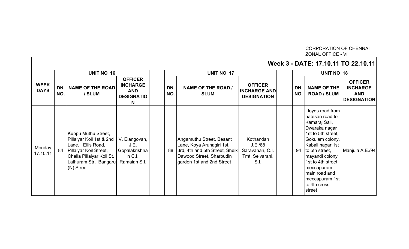# CORPORATION OF CHENNAI ZONAL OFFICE - VI

## Week 3 - DATE: 17.10.11 TO 22.10.11

|                            |            | <b>UNIT NO 16</b>                                                                                                                                                    |                                                                           |            | <b>UNIT NO 17</b>                                                                                                                                |                                                                    |            | <b>UNIT NO 18</b>                                                                                                                                                                                                                                                       |                                                                       |
|----------------------------|------------|----------------------------------------------------------------------------------------------------------------------------------------------------------------------|---------------------------------------------------------------------------|------------|--------------------------------------------------------------------------------------------------------------------------------------------------|--------------------------------------------------------------------|------------|-------------------------------------------------------------------------------------------------------------------------------------------------------------------------------------------------------------------------------------------------------------------------|-----------------------------------------------------------------------|
| <b>WEEK</b><br><b>DAYS</b> | DN.<br>NO. | <b>NAME OF THE ROAD</b><br>/ SLUM                                                                                                                                    | <b>OFFICER</b><br><b>INCHARGE</b><br><b>AND</b><br><b>DESIGNATIO</b><br>N | DN.<br>NO. | <b>NAME OF THE ROAD /</b><br><b>SLUM</b>                                                                                                         | <b>OFFICER</b><br><b>INCHARGE AND</b><br><b>DESIGNATION</b>        | DN.<br>NO. | <b>NAME OF THE</b><br><b>ROAD / SLUM</b>                                                                                                                                                                                                                                | <b>OFFICER</b><br><b>INCHARGE</b><br><b>AND</b><br><b>DESIGNATION</b> |
| Monday<br>17.10.11         | 84         | Kuppu Muthu Street,<br>Pillaiyar Koil 1st & 2nd<br>Lane, Ellis Road,<br>Pillaiyar Koil Street,<br>Chella Pillaiyar Koil St,<br>Lathuram Str, Bangaru<br>$(N)$ Street | V. Elangovan,<br>J.E.<br>Gopalakrishna<br>$n$ C.I.<br>Ramaiah S.I.        | 88         | Angamuthu Street, Besant<br>Lane, Koya Arunagiri 1st,<br>3rd, 4th and 5th Street, Sheik<br>Dawood Street, Sharbudin<br>garden 1st and 2nd Street | Kothandan<br>J.E./88<br>Saravanan, C.I.<br>Tmt. Selvarani,<br>S.I. | 94         | Lloyds road from<br>natesan road to<br>Kamaraj Sali,<br>Dwaraka nagar<br>1st to 5th street,<br>Gokulam colony,<br>Kabali nagar 1st<br>to 5th street,<br>mayandi colony<br>1st to 4th street,<br>meccapuram<br>main road and<br>meccapuram 1st<br>to 4th cross<br>street | Manjula A.E./94                                                       |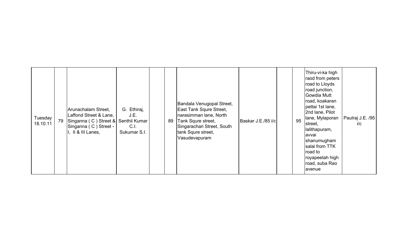| Tuesday<br>18.10.11 | 79 | Arunachalam Street,<br>Laffond Street & Lane,<br>Singanna (C) Street & Senthil Kumar<br>Singanna (C) Street -<br>I. II & III Lanes, | G. Ethiraj,<br>J.E.<br>C.I.<br>Sukumar S.I. |  | 89 | Bandala Venugopal Street,<br><b>East Tank Squre Street,</b><br>narasimman lane, North<br>Tank Squre street,<br>Singarachari Street, South<br>tank Squre street,<br>Vasudevapuram | Baskar J.E./85 i/c |  | 95 | Thiru-vi-ka high<br>raod from peters<br>road to Lloyds<br>road junction,<br>Gowdia Mutt<br>road, koakaran<br>pettai 1st lane,<br>2nd lane, Pilot<br>lane, Mylaporan<br>street,<br>lalithapuram,<br>avvai<br>shanumugham<br>salai from TTK<br>road to<br>royapeetah high<br>road, suba Rao<br>avenue | Paulraj J.E. /95<br>i/c |
|---------------------|----|-------------------------------------------------------------------------------------------------------------------------------------|---------------------------------------------|--|----|----------------------------------------------------------------------------------------------------------------------------------------------------------------------------------|--------------------|--|----|-----------------------------------------------------------------------------------------------------------------------------------------------------------------------------------------------------------------------------------------------------------------------------------------------------|-------------------------|
|---------------------|----|-------------------------------------------------------------------------------------------------------------------------------------|---------------------------------------------|--|----|----------------------------------------------------------------------------------------------------------------------------------------------------------------------------------|--------------------|--|----|-----------------------------------------------------------------------------------------------------------------------------------------------------------------------------------------------------------------------------------------------------------------------------------------------------|-------------------------|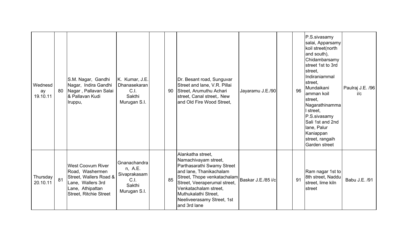| Wednesd<br>ay<br>19.10.11 | 80 | S.M. Nagar, Gandhi<br>Nagar, Indira Gandhi<br>Nagar, Pallavan Salai<br>& Pallavan Kudi<br>Iruppu,                                               | K. Kumar, J.E.<br>Dhanasekaran<br>C.I.<br>Sakthi<br>Murugan S.I.          | 90 | Dr. Besant road, Sunguvar<br>Street and lane, V.R. Pillai<br>Street, Arumuthu Achari<br>street, Canal street,. New<br>and Old Fire Wood Street.                                                                                                                                       | Jayaramu J.E./90 | 96 | P.S.sivasamy<br>salai, Apparsamy<br>koil street(north<br>and south),<br>Chidambarsamy<br>street 1st to 3rd<br>street,<br>Indiraniammal<br>street,<br>Mundaikani<br>amman koil<br>street.<br>Nagarathinamma<br>street,<br>P.S.sivasamy<br>Sali 1st and 2nd<br>lane, Palur<br>Kaniappan<br>street, rangaih<br>Garden street | Paulraj J.E. /96<br>i/c |
|---------------------------|----|-------------------------------------------------------------------------------------------------------------------------------------------------|---------------------------------------------------------------------------|----|---------------------------------------------------------------------------------------------------------------------------------------------------------------------------------------------------------------------------------------------------------------------------------------|------------------|----|---------------------------------------------------------------------------------------------------------------------------------------------------------------------------------------------------------------------------------------------------------------------------------------------------------------------------|-------------------------|
| Thursday<br>20.10.11      | 81 | <b>West Coovum River</b><br>Road, Washermen<br>Street, Wallers Road &<br>Lane, Wallers 3rd<br>Lane, Athipattan<br><b>Street, Ritchie Street</b> | Gnanachandra<br>n, A.E.<br>Sivaprakasam<br>C.I.<br>Sakthi<br>Murugan S.I. | 85 | Alankatha street,<br>Namachivayam street,<br>Parthasarathi Swamy Street<br>and lane, Thanikachalam<br>Street, Thope venkatachalam   Baskar J.E./85 i/c<br>Street, Veeraperumal street,<br>Venkatachalam street,<br>Muthukalathi Street,<br>Neeliveerasamy Street, 1st<br>and 3rd lane |                  | 91 | Ram nagar 1st to<br>8th street, Naddu<br>street, lime kiln<br>street                                                                                                                                                                                                                                                      | Babu J.E. /91           |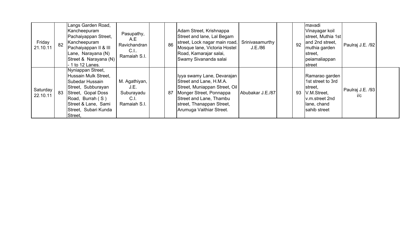| Friday<br>21.10.11   | 82 | Langs Garden Road,<br>Kancheepuram<br>Pachaiyappan Street,<br>Kancheepuram<br>Pachaiyappan II & III<br>Lane, Narayana (N)<br>Street & Narayana (N)<br>- 1 to 12 Lanes.                 | Pasupathy,<br>A.E<br>Ravichandran<br>C.I.<br>Ramaiah S.I.   | 86 | Adam Street, Krishnappa<br>Street and lane, Lal Begam<br>street, Lock nagar main road,<br>Mosque lane, Victoria Hostel<br>Road, Kamarajar salai,<br>Swamy Sivananda salai                             | Srinivasamurthy<br>J.E./86 | 92 | mavadi<br>Vinayagar koil<br>street, Muthia 1st<br>and 2nd street,<br>muthia garden<br>street,<br>peiamaliappan<br>street | Paulraj J.E. /92        |  |
|----------------------|----|----------------------------------------------------------------------------------------------------------------------------------------------------------------------------------------|-------------------------------------------------------------|----|-------------------------------------------------------------------------------------------------------------------------------------------------------------------------------------------------------|----------------------------|----|--------------------------------------------------------------------------------------------------------------------------|-------------------------|--|
| Saturday<br>22.10.11 | 83 | Nyniappan Street,<br>Hussain Mulk Street,<br>Subedar Hussain<br>Street, Subburayan<br>Street, Gopal Doss<br>Road, Burrah (S)<br>Street & Lane, Sami<br>Street, Subari Kunda<br>Street, | M. Agathiyan,<br>J.E.<br>Suburayadu<br>C.I.<br>Ramaiah S.I. | 87 | Iyya swamy Lane, Devarajan<br>Street and Lane, H.M.A.<br>Street, Muniappan Street, Oil<br>Monger Street, Ponnappa<br>Street and Lane, Thambu<br>street, Thanappan Street,<br>Arumuga Vaithiar Street. | Abubakar J.E./87           | 93 | Ramarao garden<br>1st street to 3rd<br>street,<br>V.M.Street,<br>v.m.street 2nd<br>lane, chand<br>sahib street           | Paulraj J.E. /93<br>i/c |  |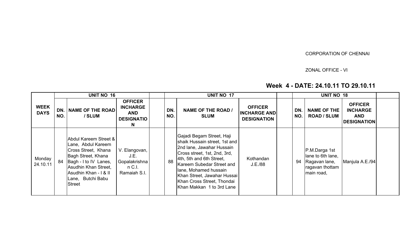### CORPORATION OF CHENNAI

## ZONAL OFFICE - VI

## Week 4 - DATE: 24.10.11 TO 29.10.11

|                            |            | <b>UNIT NO 16</b>                                                                                                                                                                                        |                                                                            | <b>UNIT NO 17</b> |                                                                                                                                                                                                                                                                                                     |                                                             | <b>UNIT NO 18</b> |            |                                                                                      |                                                                       |  |
|----------------------------|------------|----------------------------------------------------------------------------------------------------------------------------------------------------------------------------------------------------------|----------------------------------------------------------------------------|-------------------|-----------------------------------------------------------------------------------------------------------------------------------------------------------------------------------------------------------------------------------------------------------------------------------------------------|-------------------------------------------------------------|-------------------|------------|--------------------------------------------------------------------------------------|-----------------------------------------------------------------------|--|
| <b>WEEK</b><br><b>DAYS</b> | DN.<br>NO. | <b>NAME OF THE ROAD</b><br>/ SLUM                                                                                                                                                                        | <b>OFFICER</b><br><b>INCHARGE</b><br><b>AND</b><br><b>DESIGNATIO</b><br>N. | DN.<br>NO.        | <b>NAME OF THE ROAD /</b><br><b>SLUM</b>                                                                                                                                                                                                                                                            | <b>OFFICER</b><br><b>INCHARGE AND</b><br><b>DESIGNATION</b> |                   | DN.<br>NO. | <b>NAME OF THE</b><br><b>ROAD / SLUM</b>                                             | <b>OFFICER</b><br><b>INCHARGE</b><br><b>AND</b><br><b>DESIGNATION</b> |  |
| Monday<br>24.10.11         | 84         | Abdul Kareem Street &<br>Lane, Abdul Kareem<br>Cross Street, Khana<br>Bagh Street, Khana<br>Bagh - I to IV Lanes,<br>Asudhin Khan Street,<br>Asudhin Khan - I & II<br>Lane, Butchi Babu<br><b>Street</b> | V. Elangovan,<br>J.E.<br>Gopalakrishna<br>$n$ C.I.<br>Ramaiah S.I.         | 88                | Gajadi Begam Street, Haji<br>shaik Hussain street, 1st and<br>2nd lane, Jawahar Hussain<br>Cross street, 1st, 2nd, 3rd,<br>4th, 5th and 6th Street,<br>Kareem Subedar Street and<br>lane, Mohamed hussain<br>Khan Street, Jawahar Hussai<br>Khan Cross Street, Thondai<br>Khan Makkan 1 to 3rd Lane | Kothandan<br>J.E./88                                        |                   | 94         | P.M.Darga 1st<br>lane to 6th lane,<br>Ragavan lane,<br>ragavan thottam<br>main road, | Manjula A.E./94                                                       |  |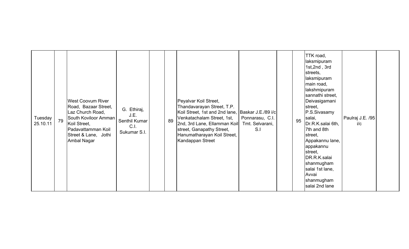| Tuesday<br>25.10.11 | 79 | <b>West Coovum River</b><br>Road, Bazaar Street,<br>Laz Church Road,<br>South Koviloor Amman<br>Koil Street,<br>Padavattamman Koil<br>Street & Lane, Jothi<br>Ambal Nagar | G. Ethiraj,<br>J.E.<br>Senthil Kumar<br>C.I.<br>Sukumar S.I. |  | 89 | Peyalvar Koil Street,<br>Thandavarayan Street, T.P.<br>Koil Street, 1st and 2nd lane, Baskar J.E./89 i/c<br>Venkatachalam Street, 1st,<br>2nd, 3rd Lane, Ellamman Koil<br>street, Ganapathy Street,<br>Hanumatharayan Koil Street,<br>Kandappan Street | Ponnarasu, C.I.<br>Tmt. Selvarani,<br>S.I |  | 95 | TTK road,<br>laksmipuram<br>1st, 2nd, 3rd<br>streets,<br>laksmipuram<br>main road,<br>lakshmipuram<br>sannathi street,<br>Deivasigamani<br>street,<br>P.S.Sivasamy<br>salai,<br>Dr.R.K.salai 6th,<br>7th and 8th<br>street,<br>Appakannu lane,<br>appakannu<br>street,<br>DR.R.K.salai<br>shanmugham<br>salai 1st lane,<br>Avvai<br>shanmugham<br>salai 2nd lane | Paulraj J.E. /95<br>i/c |  |
|---------------------|----|---------------------------------------------------------------------------------------------------------------------------------------------------------------------------|--------------------------------------------------------------|--|----|--------------------------------------------------------------------------------------------------------------------------------------------------------------------------------------------------------------------------------------------------------|-------------------------------------------|--|----|------------------------------------------------------------------------------------------------------------------------------------------------------------------------------------------------------------------------------------------------------------------------------------------------------------------------------------------------------------------|-------------------------|--|
|---------------------|----|---------------------------------------------------------------------------------------------------------------------------------------------------------------------------|--------------------------------------------------------------|--|----|--------------------------------------------------------------------------------------------------------------------------------------------------------------------------------------------------------------------------------------------------------|-------------------------------------------|--|----|------------------------------------------------------------------------------------------------------------------------------------------------------------------------------------------------------------------------------------------------------------------------------------------------------------------------------------------------------------------|-------------------------|--|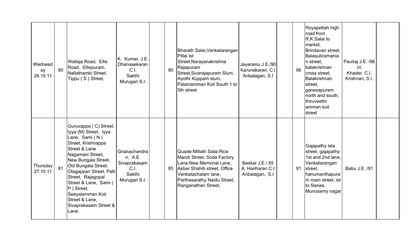| Wednesd<br>ay<br>26.10.11 | 80 | Wallaja Road, Ellis<br>Road, Ellispuram,<br>Nallathambi Street,<br>Tippu (S) Street,                                                                                                                                                                                                                                                      | K. Kumar, J.E.<br>Dhanasekaran<br>C.I.<br>Sakthi<br>Murugan S.I.          | 90 | Bharath Salai, Venkatarangan<br>Pillai Ist<br>Street, Narayanakrishna<br>Rajapuram<br>Street, Sivarajapuram Slum,<br>Ayothi Kuppam slum,<br>Palaniamman Koil South 1 to<br>5th street           | Jayaramu J.E./90<br>Karunakaran, C.I<br>Anbalagan, S.I | 96 | Royapettah high<br>road from<br>R.K.Salai to<br>market,<br>Brindavan street,<br>Balasubramania<br>n street,<br>balakrishnan<br>cross street,<br>Balakrishnan<br>street,<br>ganesapuram<br>north and south,<br><b>Ithiruveethi</b><br>amman koil<br>street | Paulraj J.E. /96<br>i/c<br>Khader, C.I.<br>Krishnan, S.I. |  |
|---------------------------|----|-------------------------------------------------------------------------------------------------------------------------------------------------------------------------------------------------------------------------------------------------------------------------------------------------------------------------------------------|---------------------------------------------------------------------------|----|-------------------------------------------------------------------------------------------------------------------------------------------------------------------------------------------------|--------------------------------------------------------|----|-----------------------------------------------------------------------------------------------------------------------------------------------------------------------------------------------------------------------------------------------------------|-----------------------------------------------------------|--|
| Thursday<br>27.10.11      | 81 | Guruvappa (C) Street,<br>Iyya (M) Street, Iyya<br>Lane, Sami (N)<br>Street, Krishnappa<br>Street & Lane<br>Nagamani Street,<br>New Bungala Street,<br>Old Bungala Street,<br>Olagappan Street, Palli<br>Street, Rajagopal<br>Street & Lane, Sami (<br>P ) Street,<br>Seeyalamman Koil<br>Street & Lane,<br>Sivaprakasam Street &<br>Lane. | Gnanachandra<br>n, A.E.<br>Sivaprakasam<br>C.1.<br>Sakthi<br>Murugan S.I. | 85 | Quade-Millath Salai, Rice<br>Mandi Street, Soda Factory<br>Lane, New Memorial Lane,<br>Akbar Shahib street, Office<br>Venkatachalam lane,<br>Parthasarathy Naidu Street,<br>Ranganathan Street, | Baskar J.E./85<br>A. Hariharan C.I<br>Anbalagan, S.I   | 91 | Gajapathy lala<br>street, gajapathy<br>1st and 2nd lane,<br>Venkatarangan<br>street,<br>hanumanthapura<br>m main street, ist<br>to 5lanes,<br>Munusamy nagar                                                                                              | Babu J.E. /91                                             |  |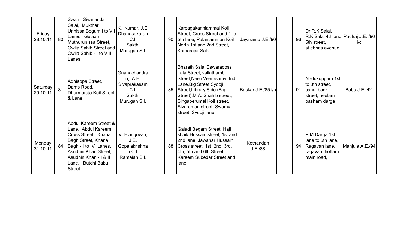| Friday<br>28.10.11   | 80 | Swami Sivananda<br>Salai, Mukthar<br>Unnissa Begum I to VII<br>Lanes, Gulaam<br>Muthurunissa Street,<br>Owlia Sahib Street and<br>Owlia Sahib - I to VIII<br>Lanes.                                      | K. Kumar, J.E.<br>Dhanasekaran<br>C.I.<br>Sakthi<br>Murugan S.I.            | 90 | Karpagakanniammal Koil<br>Street, Cross Street and 1 to<br>5th lane, Palaniamman Koil<br>North 1st and 2nd Street,<br>Kamarajar Salai                                                                                                                          | Jayaramu J.E./90     | 96 | Dr.R.K.Salai,<br>R.K.Salai 4th and Paulraj J.E. /96<br>5th street.<br>st.ebbas avenue | i/c             |  |
|----------------------|----|----------------------------------------------------------------------------------------------------------------------------------------------------------------------------------------------------------|-----------------------------------------------------------------------------|----|----------------------------------------------------------------------------------------------------------------------------------------------------------------------------------------------------------------------------------------------------------------|----------------------|----|---------------------------------------------------------------------------------------|-----------------|--|
| Saturday<br>29.10.11 | 81 | Adhiappa Street,<br>Dams Road,<br>Dharmaraja Koil Street<br>& Lane                                                                                                                                       | Gnanachandra<br>n, A.E.<br>Sivaprakasam<br>C.I.<br>Sakthi<br>Murugan S.I.   | 85 | Bharath Salai, Eswaradoss<br>Lala Street, Nallathambi<br>Street, Neeli Veerasamy IInd<br>Lane, Big Street, Sydoji<br>Street, Library Side (Big<br>Street), M.A. Shahib street,<br>Singaperumal Koil street,<br>Sivaraman street, Swamy<br>street, Sydoji lane. | Baskar J.E./85 i/c   | 91 | Nadukuppam 1st<br>to 8th street,<br>canal bank<br>street, neelam<br>basham darga      | Babu J.E. /91   |  |
| Monday<br>31.10.11   | 84 | Abdul Kareem Street &<br>Lane, Abdul Kareem<br>Cross Street, Khana<br>Bagh Street, Khana<br>Bagh - I to IV Lanes,<br>Asudhin Khan Street,<br>Asudhin Khan - I & II<br>Lane, Butchi Babu<br><b>Street</b> | V. Elangovan,<br>J.E.<br>Gopalakrishna<br>n <sub>C.l.</sub><br>Ramaiah S.I. | 88 | Gajadi Begam Street, Haji<br>shaik Hussain street, 1st and<br>2nd lane, Jawahar Hussain<br>Cross street, 1st, 2nd, 3rd,<br>4th, 5th and 6th Street,<br>Kareem Subedar Street and<br>llane.                                                                     | Kothandan<br>J.E./88 | 94 | P.M.Darga 1st<br>lane to 6th lane.<br>Ragavan lane,<br>ragavan thottam<br>main road,  | Manjula A.E./94 |  |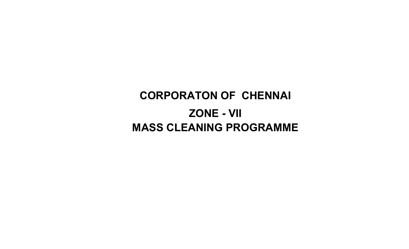# CORPORATON OF CHENNAI ZONE - VIIMASS CLEANING PROGRAMME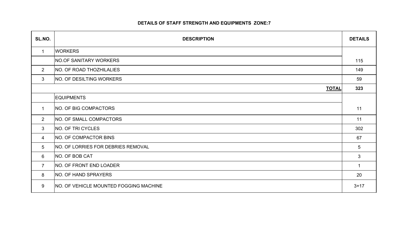## DETAILS OF STAFF STRENGTH AND EQUIPMENTS ZONE:7

| SL.NO.         | <b>DESCRIPTION</b>                            | <b>DETAILS</b> |
|----------------|-----------------------------------------------|----------------|
| $\mathbf{1}$   | <b>WORKERS</b>                                |                |
|                | NO.OF SANITARY WORKERS                        | 115            |
| $\overline{2}$ | NO. OF ROAD THOZHILALIES                      | 149            |
| $\mathbf{3}$   | <b>NO. OF DESILTING WORKERS</b>               | 59             |
|                | <b>TOTAL</b>                                  | 323            |
|                | <b>EQUIPMENTS</b>                             |                |
| $\mathbf 1$    | NO. OF BIG COMPACTORS                         | 11             |
| $2^{\circ}$    | <b>NO. OF SMALL COMPACTORS</b>                | 11             |
| 3              | NO. OF TRI CYCLES                             | 302            |
| 4              | NO. OF COMPACTOR BINS                         | 67             |
| 5              | <b>NO. OF LORRIES FOR DEBRIES REMOVAL</b>     | 5              |
| 6              | NO. OF BOB CAT                                | $\mathbf{3}$   |
| $\overline{7}$ | NO. OF FRONT END LOADER                       | $\mathbf{1}$   |
| 8              | NO. OF HAND SPRAYERS                          | 20             |
| 9              | <b>NO. OF VEHICLE MOUNTED FOGGING MACHINE</b> | $3 + 17$       |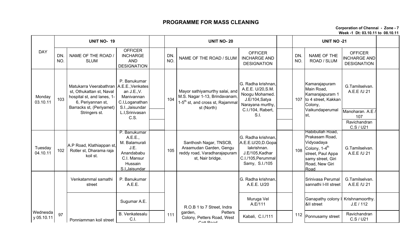## PROGRAMME FOR MASS CLEANING

Corporation of Chennai - Zone - 7Week -1 Dt: 03.10.11 to 08.10.11

DN. NO.NAME OF THE ROAD / SLUM**OFFICER**  INCHARGE AND **DESIGNATION** DN. NO. NAME OF THE ROAD / SLUM **OFFICER**  INCHARGE AND DESIGNATIONDN. NO.NAME OF THE ROAD / SLUM**OFFICER**  INCHARGE AND DESIGNATIONG.Tamilselvan. A.E.E /U 21Manoharan. A.E / 107 Ravichandran C.S / U21<u>David . C.I . C.</u> G.Tamilselvan. A.E.E /U 21Venkatammal samathi streetP. Banukumar A.E.E.G. Radha krishnan, A.E.E. U/20Srinivasa Perumal sannathi I-III streetG.Tamilselvan. A.E.E /U 21 Sugumar A.E. Muruga Vel A.E/111 Ganapathy colony I &II street Krishnamoorthy. J.E / 112 B. Venkatesalu C.I.atesalu | 111 <sup>garueri,</sup> Fetters Road, West | Kabali, C.I./111 | 112 Ponnusamy street | Ravichandran C.S / U21 DAYUNIT NO- 199 UNIT NO- 20 UNIT NO -21 **Monday**  $\begin{array}{|c|c|c|c|c|}\n \hline\n 03.10.11 & 103\n \end{array}$ Matukarra Veerabathran A.E.E.,Venkatesst, Othukattan st, Naval hospital st, and lanes, 1-6, Periyannan st, Barracks st, (Periyamet) Stringers st.P. Banukumar an J.E.,V. Manivannan C.I,Loganathan S.I.,Jaisundar L.I,Srinivasan C.S.104Mayor sathiyamurthy salai, and M.S. Nagar 1-13, Brindavanam, 1-5<sup>th</sup> st, and cross st, Rajammal st (North)G. Radha krishnan, A.E.E. U/20,S.M. Noogu Mohamed. J.E/104,Satya Narayana murthy, C.I./104, Rabert, S.I.107Kamarajapuram Main Road. Kamarajapuram 1 to 4 street, Kakkan Colony, Vaikundaperumal st,**Tuesdav** 04.10.11 <sup>102</sup> A.P Road, Klathiappan st, Rotler st, Dharama raja koil st.P. Banukumar A.E.E., M. Balamurali J.E. Anandababu C.I. Mansur Hussain S.I,Jaisundar 105Santhosh Nagar, TNSCB, Araamudan Garden, Gengu reddy road, Varadharajapuram st, Nair bridge.G. Radha krishnan, A.E.E.U/20,D.Gopalakrishnan. J.E/105,Kadhar C.I./105,Perummal Samy, S.I./105108Habibullah Road, Prakasam Road, Vidyoadaya Colony, 1-4<sup>th</sup> street, Paul Appa samy street, Giri Road, New Giri RoadWednesda y 05.10.11" | 97 | Ponniamman koil street | Б. Venkatesalu | 111<br>" | Ponniamman koil street | С. I. R.O.B 1 to 7 Street, Indra garden, Petters Colony, Petters Road, West Cott Dood 112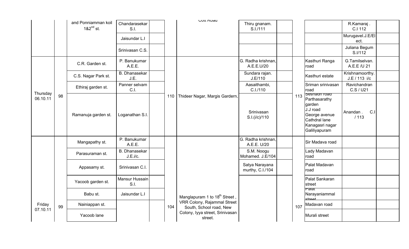|                      |    | and Ponniamman koil<br>$182^{nd}$ st. | Chandarasekar<br>S.I.            |     | <b>UUIL RUAU</b>                                              | Thiru gnanam.<br>S.I./111          |     |                                                                                                                                  | R.Kamaraj.<br>C.I 112            |  |
|----------------------|----|---------------------------------------|----------------------------------|-----|---------------------------------------------------------------|------------------------------------|-----|----------------------------------------------------------------------------------------------------------------------------------|----------------------------------|--|
|                      |    |                                       | Jaisundar L.I                    |     |                                                               |                                    |     |                                                                                                                                  | Murugavel.J.E/EI<br>ect.         |  |
|                      |    |                                       | Srinivasan C.S.                  |     |                                                               |                                    |     |                                                                                                                                  | Juliana Begum<br>S.I/112         |  |
|                      |    | C.R. Garden st.                       | P. Banukumar<br>A.E.E.           |     |                                                               | G. Radha krishnan,<br>A.E.E.U/20   |     | Kasthuri Ranga<br>road                                                                                                           | G.Tamilselvan.<br>A.E.E /U 21    |  |
|                      |    | C.S. Nagar Park st.                   | <b>B.</b> Dhanasekar<br>J.E.     |     | 110   Thideer Nagar, Margis Gardern,                          | Sundara rajan.<br>J.E/110          |     | Kasthuri estate                                                                                                                  | Krishnamoorthy.<br>J.E / 113 i/c |  |
|                      |    | Ethiraj garden st.                    | Panner selvam<br>C.I.            |     |                                                               | Aasaithambi,<br>C.I./110           |     | Sriman srinivasan<br>road                                                                                                        | Ravichandran<br>C.S / U21        |  |
| Thursday<br>06.10.11 | 98 | Ramanuja garden st.                   | Loganathan S.I.                  |     |                                                               | Srinivasan<br>S.I.(i/c)/110        | 113 | <b>Sesnagn Toad</b><br>Parthasarathy<br>garden<br>J.J road<br>George avenue<br>Cathdral lane<br>Kanagasri nagar<br>Galiliyapuram | C.1<br>Anandan.<br>/113          |  |
|                      |    | Mangapathy st.                        | P. Banukumar<br>A.E.E.           |     |                                                               | G. Radha krishnan,<br>A.E.E. U/20  |     | Sir Madava road                                                                                                                  |                                  |  |
|                      |    | Parasuraman st.                       | <b>B.</b> Dhanasekar<br>J.E.i/c. |     |                                                               | S.M. Noogu<br>Mohamed. J.E/104     |     | Lady Madavan<br>road                                                                                                             |                                  |  |
|                      |    | Appasamy st.                          | Srinivasan C.I.                  |     |                                                               | Satya Narayana<br>murthy, C.I./104 |     | Palat Madavan<br>road                                                                                                            |                                  |  |
| Friday<br>07.10.11   |    | Yacoob garden st.                     | Mansur Hussain<br>S.I.           |     |                                                               |                                    |     | Palat Sankaran<br>street                                                                                                         |                                  |  |
|                      |    | Babu st.                              | Jaisundar L.I                    |     | Manglapuram 1 to 18 <sup>th</sup> Street,                     |                                    |     | raiat<br>Narayaniammal<br><b>etraat</b>                                                                                          |                                  |  |
|                      | 99 | Nainiappan st.                        |                                  | 104 | <b>VRR Colony, Rajammal Street</b><br>South, School road, New |                                    | 107 | Madavan road                                                                                                                     |                                  |  |
|                      |    | Yacoob lane                           |                                  |     | Colony, Iyya street, Srinivasan<br>street.                    |                                    |     | Murali street                                                                                                                    |                                  |  |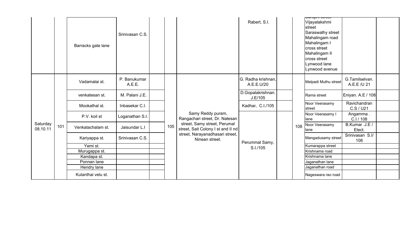|                      |     | Barracks gate lane | Srinivasan C.S.        |  |     |                                                                    | Rabert, S.I.                     |     | <del>oarojnn oa oor</del><br>Vijayalakshmi<br>street<br>Saraswathy street<br>Mahalingam road<br>Mahalingam I<br>cross street<br>Mahalingam II<br>cross street<br>Lynwood lane<br>Lynwood avenue |                               |  |
|----------------------|-----|--------------------|------------------------|--|-----|--------------------------------------------------------------------|----------------------------------|-----|-------------------------------------------------------------------------------------------------------------------------------------------------------------------------------------------------|-------------------------------|--|
|                      |     | Vadamalai st.      | P. Banukumar<br>A.E.E. |  |     |                                                                    | G. Radha krishnan,<br>A.E.E.U/20 |     | Melpadi Muthu street                                                                                                                                                                            | G.Tamilselvan.<br>A.E.E /U 21 |  |
|                      |     | venkatesan st.     | M. Palani J.E.         |  |     | Samy Reddy puram,<br>Rangachari street, Dr. Natesan                | D.Gopalakrishnan.<br>J.E/105     |     | Rama street                                                                                                                                                                                     | Eniyan. A.E / 108             |  |
|                      |     | Mookathal st.      | Inbasekar C.I.         |  |     |                                                                    | Kadhar, C.I./105                 |     | Noor Veerasamy<br>street                                                                                                                                                                        | Ravichandran<br>C.S / U21     |  |
|                      |     | P.V. koil st       | Loganathan S.I.        |  |     |                                                                    |                                  |     | Noor Veerasamy I<br>llane                                                                                                                                                                       | Angamma.<br>C.I / 108         |  |
| Saturday<br>08.10.11 | 101 | Venkatachalam st.  | Jaisundar L.I          |  | 105 | street, Samy street, Perumal<br>street, Sait Colony I st and II nd |                                  | 108 | Noor Veerasamy<br>lane                                                                                                                                                                          | B.Kumar .J.E /<br>Elect.      |  |
|                      |     | Kariyappa st.      | Srinivasan C.S.        |  |     | street, Narayanadhasari street,<br>Ninean street.                  | Perummal Samy,                   |     | Mangadusamy street                                                                                                                                                                              | Srinivasan S.I/<br>108        |  |
|                      |     | Yemi st.           |                        |  |     |                                                                    | S.I./105                         |     | Kumarappa street                                                                                                                                                                                |                               |  |
|                      |     | Murugappa st.      |                        |  |     |                                                                    |                                  |     | Krishnama road                                                                                                                                                                                  |                               |  |
|                      |     | Kandapa st.        |                        |  |     |                                                                    |                                  |     | Krishnama lane                                                                                                                                                                                  |                               |  |
|                      |     | Ponnan lane        |                        |  |     |                                                                    |                                  |     | Jaganathan lane                                                                                                                                                                                 |                               |  |
|                      |     | Hendry lane        |                        |  |     |                                                                    |                                  |     | Jaganathan road                                                                                                                                                                                 |                               |  |
|                      |     | Kulanthai velu st. |                        |  |     |                                                                    |                                  |     | Nageswara rao road                                                                                                                                                                              |                               |  |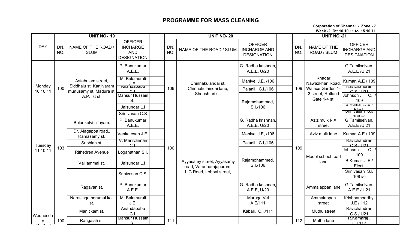### PROGRAMME FOR MASS CLEANING

Corporation of Chennai - Zone - 7Week -2 Dt: 10.10.11 to 15.10.11

|            |            | <b>UNIT NO-19</b>                            |                                                                       |            | <b>UNIT NO-20</b>                                    |                                                             |            | <b>UNIT NO -21</b>                |                                                             |  |
|------------|------------|----------------------------------------------|-----------------------------------------------------------------------|------------|------------------------------------------------------|-------------------------------------------------------------|------------|-----------------------------------|-------------------------------------------------------------|--|
| <b>DAY</b> | DN.<br>NO. | NAME OF THE ROAD /<br><b>SLUM</b>            | <b>OFFICER</b><br><b>INCHARGE</b><br><b>AND</b><br><b>DESIGNATION</b> | DN.<br>NO. | NAME OF THE ROAD / SLUM                              | <b>OFFICER</b><br><b>INCHARGE AND</b><br><b>DESIGNATION</b> | DN.<br>NO. | NAME OF THE<br>ROAD / SLUM        | <b>OFFICER</b><br><b>INCHARGE AND</b><br><b>DESIGNATION</b> |  |
|            |            |                                              | P. Banukumar<br>A.E.E.                                                |            |                                                      | G. Radha krishnan,<br>A.E.E, U/20                           |            |                                   | G.Tamilselvan.<br>A.E.E /U 21                               |  |
| Monday     |            | Astabujam street,<br>Siddhalu st, Kanjivaram | M. Balamurali<br>J.E.<br>Anandabapu                                   |            | Chinnakulandai st,                                   | Manivel J.E, /106                                           |            | Khadar<br>Nawazkhan Road          | Kumar. A.E / 109                                            |  |
| 10.10.11   | 100        | munusamy st, Madura st,                      | $\cap$                                                                | 106        | Chinnakulaindai lane,                                | Palanii, C.I,/106                                           | 109        | Walace Garden 1                   | Ravichandran<br>$C$ S $/1121$                               |  |
|            |            | A.P. Ist st.                                 | Mansur Hussain<br>S.I                                                 |            | Sheashthri st.                                       | Rajamohammed,                                               |            | 3 street, Rutland<br>Gate 1-4 st. | C.I<br>Johnson.<br>109                                      |  |
|            |            |                                              | Jaisundar L.I                                                         |            |                                                      | S.I./106                                                    |            |                                   | B.Kumar.J.E.<br>snnnvasah s.m                               |  |
|            |            |                                              | Srinivasan C.S                                                        |            |                                                      |                                                             |            |                                   | $108$ i/c                                                   |  |
|            |            | Balar kalvi nilayam.                         | P. Banukumar<br>A.E.E.                                                |            |                                                      | G. Radha krishnan,<br>A.E.E, U/20                           |            | Aziz mulk I-IX<br>street          | G.Tamilselvan.<br>A.E.E /U 21                               |  |
|            |            | Dr. Alagappa road.,<br>Ramasamy st.          | Venkatesan J.E.                                                       |            |                                                      | Manivel J.E, /106                                           |            | Aziz mulk lane                    | Kumar. A.E / 109                                            |  |
| Tuesday    |            | Subbiah st.                                  | v. Manivannan<br>$\cap$                                               |            |                                                      | Palanii, C.I,/106                                           |            |                                   | Ravichandran<br>C.S/I121                                    |  |
| 11.10.11   | 103        | <b>Rithedren Avenue</b>                      | Loganathan S.I.                                                       | 106        |                                                      |                                                             | 109        | Model school road                 | C.1<br>Johnson.<br>109                                      |  |
|            |            | Valliammal st.                               | Jaisundar L.I                                                         |            | Ayyasamy street, Ayyasamy<br>road, Varadharajapuram, | Rajamohammed,<br>S.I./106                                   |            | lane                              | B.Kumar .J.E /<br>Elect.                                    |  |
|            |            |                                              | Srinivasan C.S.                                                       |            | L.G.Road, Lobbai street,                             |                                                             |            |                                   | Srinivasan S.I/<br>108 i/c                                  |  |
|            |            | Ragavan st.                                  | P. Banukumar<br>A.E.E.                                                |            |                                                      | G. Radha krishnan,<br>A.E.E. U/20                           |            | Ammaiappan lane                   | G.Tamilselvan.<br>A.E.E /U 21                               |  |
|            |            | Narasinga perumal koil<br>st.                | M. Balamurali<br>J.E.                                                 |            |                                                      | Muruga Vel<br>A.E/111                                       |            | Ammaiappan<br>street              | Krishnamoorthy.<br>J.E / 112                                |  |
| Wednesda   |            | Manickam st.                                 | Anandababu<br>C.I                                                     |            |                                                      | Kabali, C.I./111                                            |            | Muthu street                      | Ravichandran<br>C.S / U21                                   |  |
| у          | 100        | Rangaiah st.                                 | Mansur Hussain<br>S <sub>1</sub>                                      | 111        |                                                      |                                                             | 112        | Muthu lane                        | R.Kamaraj.<br>$C$ 1112                                      |  |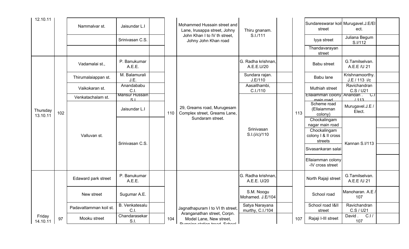| 12.10.11             |     | Nammalvar st.          | Jaisundar L.I                         |     | Mohammed Hussain street and<br>Lane, Irusappa street, Johny                            | Thiru gnanam.<br>S.I./111          |     | Sundareswarar koil Murugavel.J.E/El<br>street  | ect.                             |  |
|----------------------|-----|------------------------|---------------------------------------|-----|----------------------------------------------------------------------------------------|------------------------------------|-----|------------------------------------------------|----------------------------------|--|
|                      |     |                        | Srinivasan C.S.                       |     | John Khan I to IV th street,<br>Johny John Khan road                                   |                                    |     | lyya street                                    | Juliana Begum<br>S.I/112         |  |
|                      |     |                        |                                       |     |                                                                                        |                                    |     | Thandavarayan<br>street                        |                                  |  |
|                      |     | Vadamalai st.,         | P. Banukumar<br>A.E.E.                |     |                                                                                        | G. Radha krishnan,<br>A.E.E.U/20   |     | Babu street                                    | G.Tamilselvan.<br>A.E.E /U 21    |  |
|                      |     | Thirumalaiappan st.    | M. Balamurali<br>J.E.                 |     |                                                                                        | Sundara rajan.<br>J.E/110          |     | Babu lane                                      | Krishnamoorthy.<br>J.E / 113 i/c |  |
|                      |     | Vaikokaran st.         | Anandababu<br>C.I.                    |     |                                                                                        | Aasaithambi,<br>C.I./110           |     | Muthiah street                                 | Ravichandran<br>C.S / U21        |  |
|                      |     | Venkatachalam st.      | <b>Mansur Hussain</b><br>$\mathbf{S}$ |     |                                                                                        |                                    |     | Elialamman colony Anandan.<br>main road        | U.I<br>1113                      |  |
| Thursday<br>13.10.11 | 102 |                        | Jaisundar L.I                         | 110 | 29, Greams road, Murugesam<br>Complex street, Greams Lane,                             |                                    | 113 | Scheme road<br>(Ellaiamman<br>colony)          | Murugavel.J.E /<br>Elect.        |  |
|                      |     |                        |                                       |     | Sundaram street.                                                                       |                                    |     | Chockalingam<br>nagar main road                |                                  |  |
|                      |     | Valluvan st.           | Srinivasan C.S.                       |     |                                                                                        | Srinivasan<br>S.I.(i/c)/110        |     | Chockalingam<br>colony I & II cross<br>streets | Kannan S.I/113                   |  |
|                      |     |                        |                                       |     |                                                                                        |                                    |     | Sivasankaran salai                             |                                  |  |
|                      |     |                        |                                       |     |                                                                                        |                                    |     | Ellaiamman colony<br>-IV cross street          |                                  |  |
|                      |     | Edaward park street    | P. Banukumar<br>A.E.E.                |     |                                                                                        | G. Radha krishnan,<br>A.E.E. U/20  |     | North Rajaji street                            | G.Tamilselvan.<br>A.E.E /U 21    |  |
|                      |     | New street             | Sugumar A.E.                          |     |                                                                                        | S.M. Noogu<br>Mohamed. J.E/104     |     | School road                                    | Manoharan. A.E.<br>107           |  |
|                      |     | Padavattamman koil st. | B. Venkatesalu<br>C.1                 |     | Jagnathapuram I to VI th street,                                                       | Satya Narayana<br>murthy, C.I./104 |     | School road I&II<br>street                     | Ravichandran<br>C.S / U21        |  |
| Friday<br>14.10.11   | 97  | Mooku street           | Chandarasekar<br>S.I.                 | 104 | Aranganathan street, Corpn.<br>Model Lane, New street,<br>Dumning otation trood Cahool |                                    | 107 | Rajaji I-III street                            | C.I/<br>David.<br>107            |  |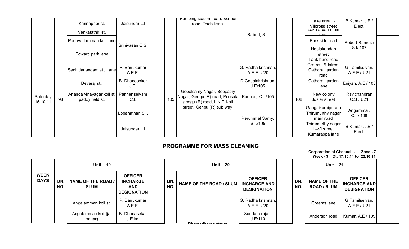|                      |    | Kannapper st.                                | Jaisundar L.I                |     | Pumping station troad, School<br>road, Dhobikana.                                         |                                  |     | Lake area I -<br><b>VIIcross street</b>            | B.Kumar .J.E /<br>Elect.      |  |
|----------------------|----|----------------------------------------------|------------------------------|-----|-------------------------------------------------------------------------------------------|----------------------------------|-----|----------------------------------------------------|-------------------------------|--|
|                      |    | Venkatathiri st.                             |                              |     |                                                                                           | Rabert, S.I.                     |     | Lake area i main<br>road                           |                               |  |
|                      |    | Padavattamman koil lane                      | Srinivasan C.S.              |     |                                                                                           |                                  |     | Park side road                                     | Robert Ramesh                 |  |
|                      |    | Edward park lane                             |                              |     |                                                                                           |                                  |     | Neelakandan<br>street<br>Tank bund road            | S.I/107                       |  |
|                      |    | Sachidanandam st., Lane                      | P. Banukumar<br>A.E.E.       |     |                                                                                           | G. Radha krishnan,<br>A.E.E.U/20 |     | Grama I &IIstreet<br>Cathdral garden<br>road       | G.Tamilselvan.<br>A.E.E /U 21 |  |
|                      |    | Devaraj st.,                                 | <b>B.</b> Dhanasekar<br>J.E. |     |                                                                                           | D.Gopalakrishnan.<br>J.E/105     |     | Cathdral garden<br>lane                            | Eniyan. A.E / 108             |  |
| Saturday<br>15.10.11 | 98 | Ananda vinayagar koil st.<br>paddy field st. | Panner selvam<br>C.I.        | 105 | Gopalsamy Nagar, Boopathy<br>Nagar, Gengu (R) road, Poosala<br>gengu (R) road, L.N.P.Koil | Kadhar, C.I./105                 | 108 | New colony<br>Josier street                        | Ravichandran<br>C.S / U21     |  |
|                      |    |                                              | Loganathan S.I.              |     | street, Gengu (R) sub way.                                                                | Perummal Samy,                   |     | Gangaikaraipuram<br>Thirumurthy nagar<br>main road | Angamma.<br>C.I / 108         |  |
|                      |    |                                              | Jaisundar L.I                |     |                                                                                           | S.I./105                         |     | Thirumurthy nagar<br>I-VI street<br>Kumarappa lane | B.Kumar .J.E /<br>Elect.      |  |

## PROGRAMME FOR MASS CLEANING

Corporation of Chennai - Zone - 7Week - 3 Dt: 17.10.11 to 22.10.11

|                            |                  | Unit $-19$                               |                                                                       | Unit $-20$ |                                   |                                                             |  |            | Unit $-21$                               |                                                             |  |
|----------------------------|------------------|------------------------------------------|-----------------------------------------------------------------------|------------|-----------------------------------|-------------------------------------------------------------|--|------------|------------------------------------------|-------------------------------------------------------------|--|
| <b>WEEK</b><br><b>DAYS</b> | <b>DN</b><br>NO. | <b>NAME OF THE ROAD /</b><br><b>SLUM</b> | <b>OFFICER</b><br><b>INCHARGE</b><br><b>AND</b><br><b>DESIGNATION</b> | DN.<br>NO. | <b>NAME OF THE ROAD / SLUM</b>    | <b>OFFICER</b><br><b>INCHARGE AND</b><br><b>DESIGNATION</b> |  | DN.<br>NO. | <b>NAME OF THE</b><br><b>ROAD / SLUM</b> | <b>OFFICER</b><br><b>INCHARGE AND</b><br><b>DESIGNATION</b> |  |
|                            |                  | Angalamman koil st.                      | P. Banukumar<br>A.E.E.                                                |            |                                   | G. Radha krishnan,<br>A.E.E.U/20                            |  |            | Greams lane                              | G.Tamilselvan.<br>A.E.E /U 21                               |  |
|                            |                  | Angalamman koil (jai<br>nagar)           | B. Dhanasekar<br>J.E.i/c.                                             |            | Distance and a series a financial | Sundara rajan.<br>J.E/110                                   |  |            | Anderson road                            | Kumar. A.E / 109                                            |  |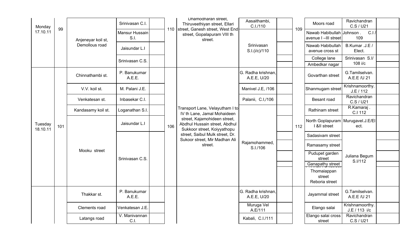| Monday<br>17.10.11  | 99  | Anjeneyar koil st,<br>Demollous road | Srinivasan C.I.<br>Mansur Hussain<br>S.I.<br>Jaisundar L.I |     | Dhamodharan street.<br>Thiruveethiyan street, Ellari<br>110 street, Ganesh street, West End<br>street, Gopalapuram VIII th<br>street.                          | Aasaithambi,<br>C.I./110<br>Srinivasan<br>S.I.(i/c)/110 | 109 | Moors road<br>Nawab Habibullah Johnson.<br>avenue I-III street<br>Nawab Habibullah<br>avenue cross st | Ravichandran<br>C.S / U21<br>C.1/<br>109<br>B.Kumar .J.E /<br>Elect. |  |
|---------------------|-----|--------------------------------------|------------------------------------------------------------|-----|----------------------------------------------------------------------------------------------------------------------------------------------------------------|---------------------------------------------------------|-----|-------------------------------------------------------------------------------------------------------|----------------------------------------------------------------------|--|
|                     |     |                                      | Srinivasan C.S.                                            |     |                                                                                                                                                                |                                                         |     | College lane<br>Ambedkar nagar                                                                        | Srinivasan S.I/<br>108 i/c                                           |  |
|                     |     | Chinnathambi st.                     | P. Banukumar<br>A.E.E.                                     |     |                                                                                                                                                                | G. Radha krishnan,<br>A.E.E, U/20                       |     | Govarthan street                                                                                      | G.Tamilselvan.<br>A.E.E /U 21                                        |  |
|                     |     | V.V. koil st.                        | M. Palani J.E.                                             |     |                                                                                                                                                                | Manivel J.E, /106                                       |     | Shanmugam street                                                                                      | Krishnamoorthy.<br>J.E / 112                                         |  |
|                     |     | Venkatesan st.                       | Inbasekar C.I.                                             |     |                                                                                                                                                                | Palanii, C.I,/106                                       |     | Besant road                                                                                           | Ravichandran<br>C.S / U21                                            |  |
|                     | 101 | Kandasamy koil st.                   | Loganathan S.I.                                            |     | Transport Lane, Velayutham I to<br>IV th Lane, Jamal Mohaideen<br>street, Kajamohideen street,<br>Abdhul Hussain street, Abdhul<br>Sukkoor street, Koiyyathopu |                                                         |     | Rathinam street                                                                                       | R.Kamaraj.<br>C.I 112                                                |  |
| Tuesday<br>18.10.11 |     |                                      | Jaisundar L.I                                              | 106 |                                                                                                                                                                |                                                         | 112 | North Goplapuram   Murugavel.J.E/EI<br>I &II street                                                   | ect.                                                                 |  |
|                     |     |                                      |                                                            |     | street, Saibul Mulk street, Dr.<br>Sukoor street, Mir Madhan Ali                                                                                               |                                                         |     | Sadasivam street                                                                                      |                                                                      |  |
|                     |     | Mooku street                         |                                                            |     | street.                                                                                                                                                        | Rajamohammed,<br>S.I./106                               |     | Ramasamy street                                                                                       |                                                                      |  |
|                     |     |                                      | Srinivasan C.S.                                            |     |                                                                                                                                                                |                                                         |     | Pudupet garden<br>street                                                                              | Juliana Begum<br>S.I/112                                             |  |
|                     |     |                                      |                                                            |     |                                                                                                                                                                |                                                         |     | Ganapathy street                                                                                      |                                                                      |  |
|                     |     |                                      |                                                            |     |                                                                                                                                                                |                                                         |     | Thomaiappan<br>street<br>Reboria street                                                               |                                                                      |  |
|                     |     | Thakkar st.                          | P. Banukumar<br>A.E.E.                                     |     |                                                                                                                                                                | G. Radha krishnan,<br>A.E.E, U/20                       |     | Jayammal street                                                                                       | G.Tamilselvan.<br>A.E.E /U 21                                        |  |
|                     |     | Clements road                        | Venkatesan J.E.                                            |     |                                                                                                                                                                | Muruga Vel<br>A.E/111                                   |     | Elango salai                                                                                          | Krishnamoorthy.<br>J.E / 113 i/c                                     |  |
|                     |     | Latangs road                         | V. Manivannan<br>C.I.                                      |     |                                                                                                                                                                | Kabali, C.I./111                                        |     | Elango salai cross<br>street                                                                          | Ravichandran<br>C.S / U21                                            |  |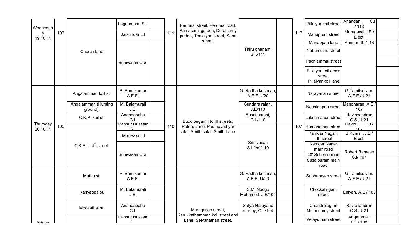| Wednesda             |     |                                  | Loganathan S.I.                   |     | Perumal street, Perumal road,                                 |                                    |     | Pillaiyar koil street                                 | $\overline{C}$<br>Anandan.<br>/113 |  |
|----------------------|-----|----------------------------------|-----------------------------------|-----|---------------------------------------------------------------|------------------------------------|-----|-------------------------------------------------------|------------------------------------|--|
| y<br>19.10.11        | 103 |                                  | Jaisundar L.I                     | 111 | Ramasami garden, Duraisamy<br>garden, Thalaiyari street, Somu |                                    | 113 | Mariappan street                                      | Murugavel.J.E /<br>Elect.          |  |
|                      |     |                                  |                                   |     | street.                                                       |                                    |     | Mariappan lane                                        | Kannan S.I/113                     |  |
|                      |     | Church lane                      |                                   |     |                                                               | Thiru gnanam.<br>S.I./111          |     | Nattumuthu street                                     |                                    |  |
|                      |     |                                  | Srinivasan C.S.                   |     |                                                               |                                    |     | Pachiammal street                                     |                                    |  |
|                      |     |                                  |                                   |     |                                                               |                                    |     | Pillaiyar koil cross<br>street<br>Pillaiyar koil lane |                                    |  |
|                      |     | Angalamman koil st.              | P. Banukumar<br>A.E.E.            |     |                                                               | G. Radha krishnan,<br>A.E.E.U/20   |     | Narayanan street                                      | G.Tamilselvan.<br>A.E.E /U 21      |  |
|                      |     | Angalamman (Hunting<br>ground),  | M. Balamurali<br>J.E.             |     |                                                               | Sundara rajan.<br>J.E/110          |     | Nachiappan street                                     | Manoharan. A.E.<br>107             |  |
|                      |     | C.K.P. koil st.                  | Anandababu<br>C.I.                |     | Buddibegam I to III streets,                                  | Aasaithambi,<br>C.I./110           |     | Lakshmanan street                                     | Ravichandran<br>C.S/U21            |  |
| Thursday<br>20.10.11 | 100 |                                  | Mansur Hussain<br>S <sub>1</sub>  | 110 | Peters Lane, Padmavathyar                                     |                                    |     | 107 Ramanathan street                                 | David $C.17$<br>107                |  |
|                      |     |                                  | Jaisundar L.I                     |     | salai, Smith salai, Smith Lane.                               |                                    |     | Kamdar Nagar I<br>-III street                         | B.Kumar .J.E /<br>Elect.           |  |
|                      |     | C.K.P. $1-4^{\text{th}}$ street. |                                   |     |                                                               | Srinivasan<br>S.I.(i/c)/110        |     | Kamdar Nagar<br>main road                             | <b>Robert Ramesh</b>               |  |
|                      |     |                                  | Srinivasan C.S.                   |     |                                                               |                                    |     | 40' Scheme road<br>Susaipuram main                    | S.I/107                            |  |
|                      |     |                                  |                                   |     |                                                               |                                    |     | road                                                  |                                    |  |
|                      |     | Muthu st.                        | P. Banukumar<br>A.E.E.            |     |                                                               | G. Radha krishnan,<br>A.E.E. U/20  |     | Subbarayan street                                     | G.Tamilselvan.<br>A.E.E /U 21      |  |
|                      |     | Kariyappa st.                    | M. Balamurali<br>J.E.             |     |                                                               | S.M. Noogu<br>Mohamed. J.E/104     |     | Chockalingam<br>street                                | Eniyan. A.E / 108                  |  |
|                      |     | Mookathal st.                    | Anandababu<br>C.I.                |     | Murugesan street,<br>Karukkathamman koil street and           | Satya Narayana<br>murthy, C.I./104 |     | Chandralegum<br>Muthusamy street                      | Ravichandran<br>C.S / U21          |  |
| Fridow               |     |                                  | <u>Mansur Hussain</u><br>$\sim$ 1 |     | Lane, Selvanathan street,                                     |                                    |     | Velayutham street                                     | Angamma.<br>C1/108                 |  |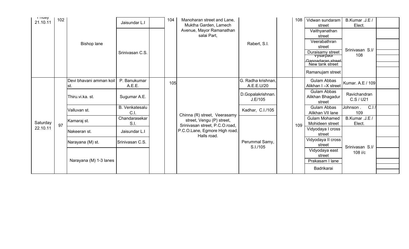| <b>THUAY</b><br>21.10.11 | 102 |                                | Jaisundar L.I             | 104 | Manoharan street and Lane,<br>Muktha Garden, Lamech |                                  | 108 | Vidwan sundaram<br>street                 | B.Kumar .J.E /<br>Elect.  |  |
|--------------------------|-----|--------------------------------|---------------------------|-----|-----------------------------------------------------|----------------------------------|-----|-------------------------------------------|---------------------------|--|
|                          |     |                                |                           |     | Avenue, Mayor Ramanathan<br>salai Part,             |                                  |     | Vaithyanathan<br>street                   |                           |  |
|                          |     | <b>Bishop lane</b>             |                           |     |                                                     | Rabert, S.I.                     |     | Veerabathran<br>street                    |                           |  |
|                          |     |                                | Srinivasan C.S.           |     |                                                     |                                  |     | Duraisamy street                          | Srinivasan S.I/           |  |
|                          |     |                                |                           |     |                                                     |                                  |     | <u>vysarpaur</u><br>Gangadaran street     | 108                       |  |
|                          |     |                                |                           |     |                                                     |                                  |     | New tank street                           |                           |  |
|                          |     |                                |                           |     |                                                     |                                  |     | Ramanujam street                          |                           |  |
|                          |     | Devi bhavani amman koil<br>st. | P. Banukumar<br>A.E.E.    | 105 |                                                     | G. Radha krishnan,<br>A.E.E.U/20 |     | <b>Gulam Abbas</b><br>Alikhan I-X street  | Kumar. A.E / 109          |  |
|                          |     | Thiru.vi.ka. st.               | Sugumar A.E.              |     |                                                     | D.Gopalakrishnan.<br>J.E/105     |     | Gulam Abbas<br>Alikhan Bhagadur<br>street | Ravichandran<br>C.S / U21 |  |
|                          |     | Valluvan st.                   | B. Venkatesalu<br>$C.1$ . |     | Chinna (R) street, Veerasamy                        | Kadhar, C.I./105                 |     | <b>Gulam Abbas</b><br>Alikhan VII lane    | C.I<br>Johnson.<br>109    |  |
|                          |     | Kamaraj st.                    | Chandarasekar             |     | street, Vengu (P) street,                           |                                  |     | <b>Gulam Mohamed</b>                      | B.Kumar .J.E /            |  |
| Saturday<br>22.10.11     | 97  |                                | S.I.                      |     | Srinivasan street, P.C.O.road,                      |                                  | 109 | Mohideen street                           | Elect.                    |  |
|                          |     | Nakeeran st.                   | Jaisundar L.I             |     | P.C.O.Lane, Egmore High road,<br>Halls road.        |                                  |     | Vidyodaya I cross<br>street               |                           |  |
|                          |     | Narayana (M) st.               | Srinivasan C.S.           |     |                                                     | Perummal Samy,                   |     | Vidyodaya II cross                        |                           |  |
|                          |     |                                |                           |     |                                                     | S.I./105                         |     | street                                    | Srinivasan S.I/           |  |
|                          |     |                                |                           |     |                                                     |                                  |     | Vidyodaya east<br>street                  | 108 i/c                   |  |
|                          |     | Narayana (M) 1-3 lanes         |                           |     |                                                     |                                  |     | Prakasam I lane                           |                           |  |
|                          |     |                                |                           |     |                                                     |                                  |     | Badrikarai                                |                           |  |
|                          |     |                                |                           |     |                                                     |                                  |     |                                           |                           |  |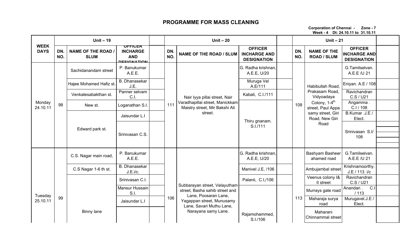### PROGRAMME FOR MASS CLEANING

Corporation of Chennai - Zone - 7Week - 4 Dt: 24.10.11 to 31.10.11

|                            |            | Unit $-19$                             |                                                                |            | Unit $-20$                                                                    |                                                             |            | Unit $-21$                                     |                                                             |  |
|----------------------------|------------|----------------------------------------|----------------------------------------------------------------|------------|-------------------------------------------------------------------------------|-------------------------------------------------------------|------------|------------------------------------------------|-------------------------------------------------------------|--|
| <b>WEEK</b><br><b>DAYS</b> | DN.<br>NO. | <b>NAME OF THE ROAD</b><br><b>SLUM</b> | ULLICEK<br><b>INCHARGE</b><br><b>AND</b><br><b>DECICNATION</b> | DN.<br>NO. | <b>NAME OF THE ROAD / SLUM</b>                                                | <b>OFFICER</b><br><b>INCHARGE AND</b><br><b>DESIGNATION</b> | DN.<br>NO. | <b>NAME OF THE</b><br><b>ROAD / SLUM</b>       | <b>OFFICER</b><br><b>INCHARGE AND</b><br><b>DESIGNATION</b> |  |
|                            |            | Sachidanandam street                   | P. Banukumar<br>A.E.E.                                         |            |                                                                               | G. Radha krishnan,<br>A.E.E, U/20                           |            |                                                | G.Tamilselvan.<br>A.E.E /U 21                               |  |
|                            |            | Hajee Mohamed Hafiz st.                | <b>B.</b> Dhanasekar<br>J.E.                                   |            |                                                                               | Muruga Vel<br>A.E/111                                       |            | Habibullah Road,                               | Eniyan. A.E / 108                                           |  |
|                            |            | Venkatesabakthan st.                   | Panner selvam<br>$C.1$ .                                       |            | Nair Iyya pillai street, Nair                                                 | Kabali, C.I./111                                            |            | Prakasam Road,<br>Vidyoadaya                   | Ravichandran<br>C.S / U21                                   |  |
| Monday<br>24.10.11         | 98         | New st.                                | Loganathan S.I.                                                | 111        | Varadhapillai street, Manickkam<br>Maistry street, Mir Bakshi Ali             |                                                             | 108        | Colony, 1-4 <sup>th</sup><br>street, Paul Appa | Angamma.<br>C.I / 108                                       |  |
|                            |            |                                        | Jaisundar L.I                                                  |            | street.                                                                       | Thiru gnanam.                                               |            | samy street, Giri<br>Road, New Giri            | B.Kumar .J.E /<br>Elect.                                    |  |
|                            |            | Edward park st.                        |                                                                |            |                                                                               | S.I./111                                                    |            | Road                                           |                                                             |  |
|                            |            |                                        | Srinivasan C.S.                                                |            |                                                                               |                                                             |            |                                                | Srinivasan S.I/<br>108                                      |  |
|                            |            |                                        |                                                                |            |                                                                               |                                                             |            |                                                |                                                             |  |
|                            |            | C.S. Nagar main road,                  | P. Banukumar<br>A.E.E.                                         |            |                                                                               | G. Radha krishnan,<br>A.E.E, U/20                           |            | Bashyam Basheer<br>ahamed road                 | G.Tamilselvan.<br>A.E.E /U 21                               |  |
|                            |            | C.S Nagar 1-6 th st.                   | B. Dhanasekar<br>J.E.i/c.                                      |            |                                                                               | Manivel J.E, /106                                           |            | Ambujambal street                              | Krishnamoorthy.<br>J.E / 113 i/c                            |  |
|                            |            |                                        | Srinivasan C.I.                                                |            |                                                                               | Palanii, C.I,/106                                           |            | Veenus colony I&<br>II street                  | Ravichandran<br>C.S / U21                                   |  |
|                            |            |                                        | Mansur Hussain<br>S.I.                                         |            | Subbarayan street, Velayutham<br>street, Basha sahib street and               |                                                             |            | Murrays gate road                              | C.1<br>Anandan.<br>/113                                     |  |
| Tuesday<br>25.10.11        | 99         |                                        | Jaisundar L.I                                                  | 106        | Lane, Poosaran Lane,<br>Yagappan street, Munusamy<br>Lane, Savari Muthu Lane, |                                                             | 113        | Maharaja surya<br>road                         | Murugavel.J.E<br>Elect.                                     |  |
|                            |            | Binny lane                             |                                                                |            | Narayana samy Lane.                                                           | Rajamohammed,<br>S.I./106                                   |            | Maharani<br>Chinnammal street                  |                                                             |  |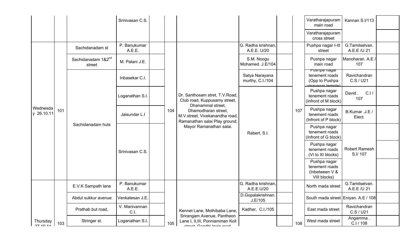|                        |     |                                          | Srinivasan C.S.        |     |                                                                                            |                                    |     | Varatharajapuram<br>main road                                                | Kannan S.I/113                |  |
|------------------------|-----|------------------------------------------|------------------------|-----|--------------------------------------------------------------------------------------------|------------------------------------|-----|------------------------------------------------------------------------------|-------------------------------|--|
|                        |     |                                          |                        |     |                                                                                            |                                    |     | Varatharajapuram<br>cross street                                             |                               |  |
|                        |     | Sachidanadam st                          | P. Banukumar<br>A.E.E. |     |                                                                                            | G. Radha krishnan,<br>A.E.E. U/20  |     | Pushpa nagar I-III<br>street                                                 | G.Tamilselvan.<br>A.E.E /U 21 |  |
|                        |     | Sachidanadam 1&2 <sup>nd</sup><br>street | M. Palani J.E.         |     |                                                                                            | S.M. Noogu<br>Mohamed. J.E/104     |     | Pushpa nagar<br>main road                                                    | Manoharan. A.E.<br>107        |  |
|                        |     |                                          | Inbasekar C.I.         |     |                                                                                            | Satya Narayana<br>murthy, C.I./104 |     | <u>Pusnpa nagar</u><br>tenement roads<br>(Opp to Pushpa<br>vinavagar temple) | Ravichandran<br>C.S / U21     |  |
|                        |     |                                          | Loganathan S.I.        |     | Dr. Santhosam stret, T.V.Road,<br>Club road, Kuppusamy street,<br>Dhanammal street,        |                                    |     | Pushpa nagar<br>tenement roads<br>(Infront of M block)                       | C.1/<br>David.<br>107         |  |
| Wednesda<br>y 26.10.11 | 101 |                                          | Jaisundar L.I          | 104 | Dhamodharan street,<br>M.V.street, Vivekanandha road,<br>Ramanathan salai Play ground,     |                                    | 107 | Pushpa nagar<br>tenement roads<br>(Infront of P block)                       | B.Kumar .J.E /<br>Elect.      |  |
|                        |     | Sachidanadam huts                        |                        |     | Mayor Ramanathan salai.                                                                    | Rabert, S.I.                       |     | Pushpa nagar<br>tenement roads<br>(Infront of G block)                       |                               |  |
|                        |     |                                          | Srinivasan C.S.        |     |                                                                                            |                                    |     | Pushpa nagar<br>tenement roads<br>(VI to XI blocks)                          | Robert Ramesh<br>S.I/107      |  |
|                        |     |                                          |                        |     |                                                                                            |                                    |     | Pushpa nagar<br>tenement roads<br>(Inbetween V &<br>VIII blocks)             |                               |  |
|                        |     | E.V.K Sampath lane                       | P. Banukumar<br>A.E.E. |     |                                                                                            | G. Radha krishnan,<br>A.E.E.U/20   |     | North mada street                                                            | G.Tamilselvan.<br>A.E.E /U 21 |  |
|                        |     | Abdul sukkur avenue                      | Venkatesan J.E.        |     |                                                                                            | D.Gopalakrishnan.<br>J.E/105       |     | South mada street Eniyan. A.E / 108                                          |                               |  |
|                        |     | Prathab but road,                        | V. Manivannan<br>C.I.  |     | Kennet Lane, Mothibaba Lane,                                                               | Kadhar, C.I./105                   |     | East mada street                                                             | Ravichandran<br>C.S / U21     |  |
| Thursday               | 103 | Stringer st.                             | Loganathan S.I.        | 105 | Srirangam Avenue, Pantheon<br>Lane I, II, III, Ponniamman Koil<br>otroot Condhi Invin rood |                                    | 108 | West mada street                                                             | Angamma.<br>C.I / 108         |  |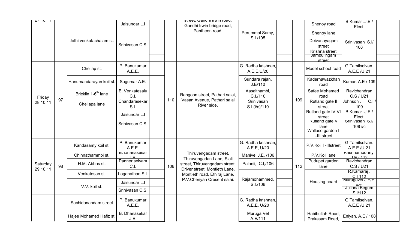| 21.10.11             |    |                                 | Jaisundar L.I                          |     | street, Garium invincioau,<br>Gandhi Irwin bridge road,        |                                   |     | Shenoy road                        | B.Kumar .J.E /<br><b>Flect</b>            |  |
|----------------------|----|---------------------------------|----------------------------------------|-----|----------------------------------------------------------------|-----------------------------------|-----|------------------------------------|-------------------------------------------|--|
|                      |    |                                 |                                        |     | Pantheon road.                                                 | Perummal Samy,                    |     | Shenoy lane                        |                                           |  |
|                      |    | Jothi venkatachalam st.         | Srinivasan C.S.                        |     |                                                                | S.I./105                          |     | Deivanayagam<br>street             | Srinivasan S.I/<br>108                    |  |
|                      |    |                                 |                                        |     |                                                                |                                   |     | Krishna street<br>Jambulingam      |                                           |  |
|                      |    |                                 |                                        |     |                                                                |                                   |     | street                             |                                           |  |
|                      |    | Chellap st.                     | P. Banukumar<br>A.E.E.                 |     |                                                                | G. Radha krishnan,<br>A.E.E.U/20  |     | Model school road                  | G.Tamilselvan.<br>A.E.E /U 21             |  |
|                      |    | Hanumandarayan koil st.         | Sugumar A.E.                           |     |                                                                | Sundara rajan.<br>J.E/110         |     | Kadernawazkhan<br>road             | Kumar. A.E / 109                          |  |
| Friday               |    | Bricklin 1-6 <sup>th</sup> lane | <b>B.</b> Venkatesalu<br>C.I.          |     | Rangoon street, Pathari salai,                                 | Aasaithambi,<br>C.I./110          |     | Safee Mohamed<br>road              | Ravichandran<br>C.S / U21                 |  |
| 28.10.11             | 97 | Chellapa lane                   | Chandarasekar<br>S.I.                  | 110 | Vasan Avenue, Pathari salai<br>River side.                     | Srinivasan<br>S.I.(i/c)/110       | 109 | Rutland gate II<br>street          | C <sub>1</sub><br>Johnson.<br>109         |  |
|                      |    |                                 | Jaisundar L.I                          |     |                                                                |                                   |     | Rutland gate IV-VI<br>street       | B.Kumar .J.E /<br>Elect.                  |  |
|                      |    |                                 | Srinivasan C.S.                        |     |                                                                |                                   |     | <b>Rutland gate V</b><br>lane      | Srinivasan S.I/<br>$108$ i/c.             |  |
|                      |    |                                 |                                        |     |                                                                |                                   |     | Wallace garden I<br>-III street    |                                           |  |
|                      |    | Kandasamy koil st.              | P. Banukumar<br>A.E.E.                 |     |                                                                | G. Radha krishnan,<br>A.E.E, U/20 |     | P.V.Koil I -Illstreet              | G.Tamilselvan.<br>A.E.E /U 21             |  |
|                      |    | Chinnathammbi st.               | <u>b. Dilaliasekai</u><br>$\mathsf{L}$ |     | Thiruvengadam street,<br>Thiruvengadan Lane, Siali             | Manivel J.E, /106                 |     | P.V.Koil lane                      | Krishiramoorury.<br>I E I 112             |  |
| Saturday<br>29.10.11 | 98 | H.M. Abbas st.                  | Panner selvam<br>C.I.                  | 106 | street, Thiruvengadam street,<br>Driver street, Montieth Lane, | Palanii, C.I,/106                 | 112 | Pudupet garden<br>lane             | Ravichandran<br>C.S / U21                 |  |
|                      |    | Venkatesan st.                  | Loganathan S.I.                        |     | Montieth road, Ethiraj Lane,                                   |                                   |     |                                    | R.Kamaraj.<br>C.I 112<br>Murugavel.J.E/EI |  |
|                      |    |                                 | Jaisundar L.I                          |     | P.V.Cheriyan Cresent salai.                                    | Rajamohammed,<br>S.I./106         |     | Housing board                      |                                           |  |
|                      |    | V.V. koil st.                   | Srinivasan C.S.                        |     |                                                                |                                   |     |                                    | <b>Juliana</b> Begum<br>S.I/112           |  |
|                      |    | Sachidanandam street            | P. Banukumar<br>A.E.E.                 |     |                                                                | G. Radha krishnan,<br>A.E.E, U/20 |     |                                    | G.Tamilselvan.<br>A.E.E /U 21             |  |
|                      |    | Hajee Mohamed Hafiz st.         | <b>B.</b> Dhanasekar<br>J.E.           |     |                                                                | Muruga Vel<br>A.E/111             |     | Habibullah Road,<br>Prakasam Road, | Eniyan. A.E / 108                         |  |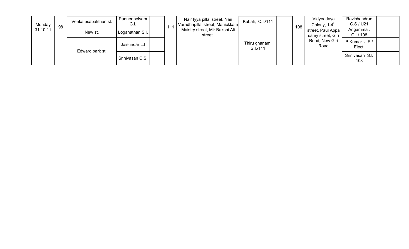| Monday   | 98 | Venkatesabakthan st. | Panner selvam  <br>C.I. | 111 | Nair Iyya pillai street, Nair<br>Varadhapillai street, Manickkam | Kabali, C.I./111          | 108 | Vidyoadaya<br>Colony, 1-4 <sup>th</sup> | Ravichandran<br>C.S/U21  |  |
|----------|----|----------------------|-------------------------|-----|------------------------------------------------------------------|---------------------------|-----|-----------------------------------------|--------------------------|--|
| 31.10.11 |    | New st.              | Loganathan S.I.         |     | Maistry street, Mir Bakshi Ali<br>street.                        |                           |     | street, Paul Appa<br>samy street, Giri  | Angamma.<br>C.I/108      |  |
|          |    | Edward park st.      | Jaisundar L.I           |     |                                                                  | Thiru gnanam.<br>S.I./111 |     | Road, New Giri<br>Road                  | B.Kumar .J.E /<br>Elect. |  |
|          |    |                      | Srinivasan C.S.         |     |                                                                  |                           |     |                                         | Srinivasan S.I/<br>108   |  |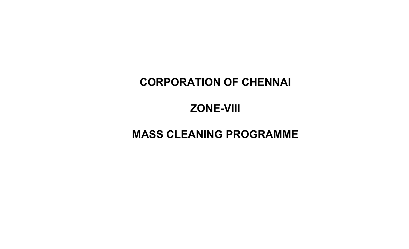# CORPORATION OF CHENNAI

# ZONE-VIII

# MASS CLEANING PROGRAMME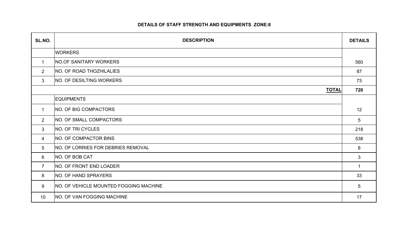#### DETAILS OF STAFF STRENGTH AND EQUIPMENTS ZONE:8

| SL.NO.         | <b>DESCRIPTION</b>                        | <b>DETAILS</b> |
|----------------|-------------------------------------------|----------------|
|                | <b>WORKERS</b>                            |                |
| $\mathbf{1}$   | <b>NO.OF SANITARY WORKERS</b>             | 560            |
| $\overline{2}$ | <b>NO. OF ROAD THOZHILALIES</b>           | 87             |
| 3              | <b>NO. OF DESILTING WORKERS</b>           | 73             |
|                | <b>TOTAL</b>                              | 720            |
|                | <b>EQUIPMENTS</b>                         |                |
| $\mathbf{1}$   | <b>NO. OF BIG COMPACTORS</b>              | 12             |
| $\overline{2}$ | <b>NO. OF SMALL COMPACTORS</b>            | 5              |
| 3              | NO. OF TRI CYCLES                         | 218            |
| 4              | NO. OF COMPACTOR BINS                     | 538            |
| 5              | <b>NO. OF LORRIES FOR DEBRIES REMOVAL</b> | 8              |
| 6              | NO. OF BOB CAT                            | 3              |
| $\overline{7}$ | <b>NO. OF FRONT END LOADER</b>            | -1             |
| 8              | <b>NO. OF HAND SPRAYERS</b>               | 33             |
| 9              | NO. OF VEHICLE MOUNTED FOGGING MACHINE    | 5              |
| 10             | <b>NO. OF VAN FOGGING MACHINE</b>         | 17             |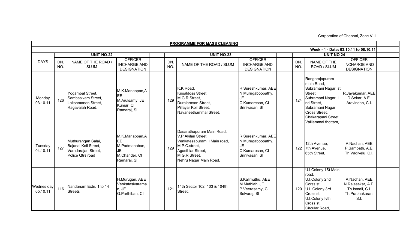Corporation of Chennai, Zone VIII

|                        |            |                                                                                       |                                                                              |            | PROGRAMME FOR MASS CLEANING                                                                                                                                      |                                                                                    |            |                                                                                                                                                                                      |                                                                                  |  |
|------------------------|------------|---------------------------------------------------------------------------------------|------------------------------------------------------------------------------|------------|------------------------------------------------------------------------------------------------------------------------------------------------------------------|------------------------------------------------------------------------------------|------------|--------------------------------------------------------------------------------------------------------------------------------------------------------------------------------------|----------------------------------------------------------------------------------|--|
|                        |            |                                                                                       |                                                                              |            |                                                                                                                                                                  |                                                                                    |            |                                                                                                                                                                                      | Week - 1 - Date: 03.10.11 to 08.10.11                                            |  |
|                        |            | <b>UNIT NO-22</b>                                                                     |                                                                              |            | <b>UNIT NO-23</b>                                                                                                                                                |                                                                                    |            | <b>UNIT NO 24</b>                                                                                                                                                                    |                                                                                  |  |
| <b>DAYS</b>            | DN.<br>NO. | NAME OF THE ROAD /<br><b>SLUM</b>                                                     | <b>OFFICER</b><br><b>INCHARGE AND</b><br><b>DESIGNATION</b>                  | DN.<br>NO. | NAME OF THE ROAD / SLUM                                                                                                                                          | <b>OFFICER</b><br><b>INCHARGE AND</b><br><b>DESIGNATION</b>                        | DN.<br>NO. | NAME OF THE<br>ROAD / SLUM                                                                                                                                                           | <b>OFFICER</b><br><b>INCHARGE AND</b><br><b>DESIGNATION</b>                      |  |
| Monday<br>03.10.11     | 126        | Yogambal Street,<br>Sambasivam Street,<br>Lakshmanan Street.<br>Ragavaiah Road,       | M.K.Mariappan,A<br><b>EE</b><br>M.Arulsamy, JE<br>Kumar, CI<br>Ramaraj, SI   | 129        | K.K.Road,<br>Kusaldoss Street.<br>M.G.R.Street,<br>Duraiarasan Street.<br>Pillayar Koil Street,<br>Navaneethammal Street,                                        | R.Sureshkumar, AEE<br>N.Murugaboopathy,<br>JE<br>C.Kumaresan, CI<br>Srinivasan, SI | 124        | Rangarajapuram<br>main Road,<br>Subramani Nagar Ist<br>Street.<br>Subramani Nagar II<br>nd Street.<br>Subramani Nagar<br>Cross Street,<br>Chakarapani Street,<br>Valliammal thottam, | R.Jayakumar, AEE<br>D.Sekar, A.E.<br>Aravindan, C.I.                             |  |
| Tuesday<br>04.10.11    | 127        | Muthurangan Salai,<br>Bajanai Koil Street,<br>Varadarajan Street,<br>Police Qtrs road | M.K.Mariappan,A<br>EЕ<br>M.Padmanaban,<br>JE<br>M.Chander, CI<br>Ramaraj, SI | 129        | Dasarathapuram Main Road,<br>V.P.Akilan Street,<br>Venkatesapuram II Main road,<br>M.P.C.street,<br>Agasthiar Street,<br>M.G.R Street,<br>Nehru Nagar Main Road, | R.Sureshkumar, AEE<br>N.Murugaboopathy,<br>JE<br>C.Kumaresan, CI<br>Srinivasan, SI | 122        | 12th Avenue,<br>7th Avenue,<br>65th Street,                                                                                                                                          | A.Nachan, AEE<br>P.Sampath, A.E.<br>Th.Vadivelu, C.I.                            |  |
| Wednes day<br>05.10.11 | 116        | Nandanam Extn. 1 to 14<br><b>Streets</b>                                              | H.Murugan, AEE<br>Venkatasivarama<br>n, JE<br>G.Parthiban, CI                | 121        | 14th Sector 102, 103 & 104th<br>Street,                                                                                                                          | S.Kalimuthu, AEE<br>M.Muthiah, JE<br>P.Veerasamy, CI<br>Selvaraj, SI               | 120        | U.I Colony 1St Main<br>road,<br>U.I.Colony 2nd<br>Corss st,<br>U.I. Colony 3rd<br>Cross st.<br>U.I.Colony lvth<br>Cross st,<br>Circular Road,                                        | A.Nachan, AEE<br>N.Rajasekar, A.E.<br>Th.Ismail, C.I.<br>Th.Prabhakaran,<br>S.I. |  |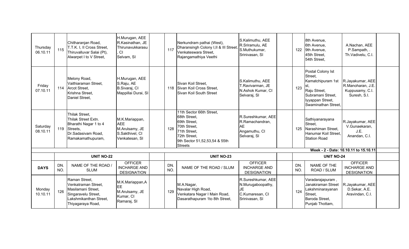| Thursday<br>06.10.11 | 115        | Chitharanjan Road,<br>T.T.K. I, II Cross Street,<br>Thiruvalluvar Salai (Pt),<br>Alwarpet I to V Street,                         | H.Murugan, AEE<br>R.Kasinathan, JE<br>Thirunavukkarasu<br>CI<br>Selvam, SI          | 117        | Nerkundram pathai (West),<br>Dharansingh Colony I, II & III Street,<br>Venkateswara Street,<br>Rajangamathiya Veethi                                        | S.Kalimuthu, AEE<br>R.Sriramulu, AE<br>S.Muthukumar,<br>Srinivasan, SI              | 122        | 8th Avenue,<br>6th Avenue,<br>9th Avenue,<br>45th Street,<br>54th Street,                                                         | A.Nachan, AEE<br>P.Sampath, .<br>Th.Vadivelu, C.I.                       |  |
|----------------------|------------|----------------------------------------------------------------------------------------------------------------------------------|-------------------------------------------------------------------------------------|------------|-------------------------------------------------------------------------------------------------------------------------------------------------------------|-------------------------------------------------------------------------------------|------------|-----------------------------------------------------------------------------------------------------------------------------------|--------------------------------------------------------------------------|--|
| Friday<br>07.10.11   |            | Melony Road,<br>Vaithiaraman Street,<br>114 Arcot Street,<br>Krishna Street,<br>Daniel Street,                                   | H.Murugan, AEE<br>S.Raju, AE<br>B.Sivaraj, CI<br>Mappillai Durai, SI                | 118        | Sivan Koil Street,<br>Sivan Koil Cross Street,<br>Sivan Koil South Street                                                                                   | S.Kalimuthu, AEE<br>T.Ravivarman, JE<br>N.Ashok Kumar, CI<br>Selvaraj, SI           | 123        | Postal Colony Ist<br>Street,<br>Kamatchipuram 1st<br>Raju Street,<br>Subramani Street,<br>Iyyappan Street,<br>Swaminathan Street, | R.Jayakumar, AEE<br>R.Manoharan, J.E.<br>Kuppusamy, C.I.<br>Suresh, S.I. |  |
| Saturday<br>08.10.11 |            | Thilak Street,<br>Thilak Street Extn.<br>Bharathi Nagar 1 to 4<br>119 Streets,<br>Dr.Sadasivam Road,<br>Ramakamathupuram,        | M.K.Mariappan,<br><b>AEE</b><br>M.Arulsamy, JE<br>S.Sakthivel, CI<br>Venkatesan, SI | 128        | 11th Sector 66th Street,<br>68th Street,<br>69th Street.<br>70th Street,<br>71th Street.<br>72th Street.<br>9th Sector 51,52,53,54 & 55th<br><b>Streets</b> | R.Sureshkumar, AEE<br>R.Ramachandran,<br><b>AE</b><br>Angamuthu, CI<br>Selvaraj, SI | 125        | Sathiyanarayana<br>Street,<br>Narashiman Street,<br>Hanumar Koil Street.<br><b>Station Road</b>                                   | R.Jayakumar, AEE<br>V.Gunaekaran,<br>J.E.<br>Anandan, C.I.               |  |
|                      |            |                                                                                                                                  |                                                                                     |            |                                                                                                                                                             |                                                                                     |            |                                                                                                                                   | Week - 2 - Date: 10.10.11 to 15.10.11                                    |  |
|                      |            | <b>UNIT NO-22</b>                                                                                                                |                                                                                     |            | <b>UNIT NO-23</b>                                                                                                                                           |                                                                                     |            | <b>UNIT NO-24</b>                                                                                                                 |                                                                          |  |
| <b>DAYS</b>          | DN.<br>NO. | NAME OF THE ROAD /<br><b>SLUM</b>                                                                                                | <b>OFFICER</b><br><b>INCHARGE AND</b><br><b>DESIGNATION</b>                         | DN.<br>NO. | NAME OF THE ROAD / SLUM                                                                                                                                     | <b>OFFICER</b><br><b>INCHARGE AND</b><br><b>DESIGNATION</b>                         | DN.<br>NO. | NAME OF THE<br>ROAD / SLUM                                                                                                        | <b>OFFICER</b><br><b>INCHARGE AND</b><br><b>DESIGNATION</b>              |  |
| Monday<br>10.10.11   | 126        | Raman Street,<br>Venkatraman Street.<br>Masilamani Street,<br>Singaravelu Street,<br>Lakshmikanthan Street,<br>Thiyagaraya Road, | M.K.Mariappan,A<br>EE<br>M.Arulsamy, JE<br>Kumar, CI<br>Ramaraj, SI                 | 129        | M.A.Nagar,<br>Navalar High Road,<br>Venkatara Nagar I Main Road,<br>Dasarathapuram 1to 8th Street,                                                          | R.Sureshkumar, AEE<br>N.Murugaboopathy,<br>JE<br>C.Kumaresan, CI<br>Srinivasan, SI  | 124        | Varadarajapuram,<br>Janakiraman Street<br>Lakshminarayanan<br>Street,<br>Baroda Street,<br>Punjab Thottam,                        | R.Jayakumar, AEE<br>D.Sekar, A.E.<br>Aravindan, C.I.                     |  |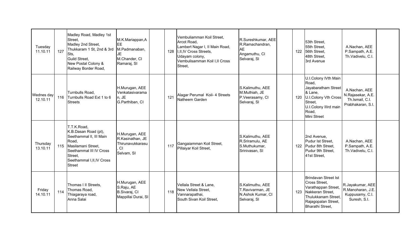| Tuesday<br>11.10.11    | 127 | Madley Road, Madley 1st<br>Street.<br>Madley 2nd Street,<br>Thukkaram 1 St, 2nd & 3rd<br>Sts,<br>Guild Street,<br>New Postal Colony &<br>Railway Border Road,                          | M.K.Mariappan,A<br>EE<br>M.Padmanaban,<br>JE<br>M.Chander, CI<br>Ramaraj, SI | 128 | Vembuliamman Koil Street,<br>Arcot Road,<br>Lambert Nagar I, II Main Road,<br>II, II, IV Cross Streets,<br>Udayam colony,<br>Vembulisamman Koil I, Il Cross<br>Street. | R.Sureshkumar, AEE<br>R.Ramachandran,<br><b>AE</b><br>Angamuthu, CI<br>Selvaraj, SI | 122 | 53th Street,<br>55th Street,<br>56th Street.<br>48th Street,<br>3rd Avenue                                                                          | A.Nachan, AEE<br>P.Sampath, A.E.<br>Th.Vadivelu, C.I.                      |  |
|------------------------|-----|----------------------------------------------------------------------------------------------------------------------------------------------------------------------------------------|------------------------------------------------------------------------------|-----|------------------------------------------------------------------------------------------------------------------------------------------------------------------------|-------------------------------------------------------------------------------------|-----|-----------------------------------------------------------------------------------------------------------------------------------------------------|----------------------------------------------------------------------------|--|
| Wednes day<br>12.10.11 | 116 | Turnbulls Road,<br>Turnbulls Road Ext 1 to 6<br><b>Streets</b>                                                                                                                         | H.Murugan, AEE<br>Venkatasivarama<br>n, JE<br>G.Parthiban, CI                | 121 | Alagar Perumal Koil- 4 Streets<br>Natheem Garden                                                                                                                       | S.Kalimuthu, AEE<br>M.Muthiah, JE<br>P.Veerasamy, CI<br>Selvaraj, SI                | 120 | U.I.Colony IVth Main<br>Road.<br>Jayabaratham Street<br>& Lane,<br>U.I.Colony Vth Cross<br>Street,<br>U.I.Colony IIIrd main<br>Road,<br>Mini Street | A.Nachan, AEE<br>N.Rajasekar, A.E.<br>Th.Ismail, C.I.<br>Prabhakaran, S.I. |  |
| Thursday<br>13.10.11   |     | T.T.K.Road,<br>K.B.Dasan Road (pt),<br>Seethammal II, III Main<br>Road,<br>115 Masilamani Street,<br>Seethammal III IV Cross<br>Street,<br>Seethammal I, II, IV Cross<br><b>Street</b> | H.Murugan, AEE<br>R.Kasinathan, JE<br>Thirunavukkarasu<br>CI<br>Selvam, SI   | 117 | Gangaiamman Koil Street,<br>Pillaiyar Koil Street,                                                                                                                     | S.Kalimuthu, AEE<br>R.Sriramulu, AE<br>S.Muthukumar,<br>Srinivasan, SI              |     | 2nd Avenue,<br>Pudur Ist Street,<br>122 Pudur 8th Street,<br>Pudur 9th Street.<br>41st Street,                                                      | A.Nachan, AEE<br>P.Sampath, A.E.<br>Th.Vadivelu, C.I.                      |  |
| Friday<br>14.10.11     | 114 | Thomas I II Streets,<br>Thomas Road,<br>Thiagaraya road,<br>Anna Salai                                                                                                                 | H.Murugan, AEE<br>S.Raju, AE<br>B.Sivaraj, CI<br>Mappillai Durai, SI         | 118 | Vellala Street & Lane,<br>New Vellala Street.<br>Vannarapathai,<br>South Sivan Koil Street,                                                                            | S.Kalimuthu, AEE<br>T.Ravivarman, JE<br>N.Ashok Kumar, CI<br>Selvaraj, SI           | 123 | Brindavan Street Ist<br>Cross Street.<br>Varathappan Street,<br>Nakkeran Street.<br>Thulukkanam Street,<br>Rajagopalan Street,<br>Bharathi Street,  | R.Jayakumar, AEE<br>R.Manoharan, J.E.<br>Kuppusamy, C.I.<br>Suresh, S.I.   |  |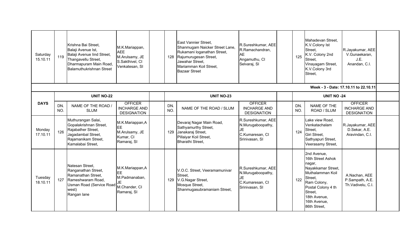| Saturday<br>15.10.11 | 119        | Krishna Bai Street.<br>Balaji Avenue Ist,<br>Balaji Avenue lind Street,<br>Thangavellu Street,<br>Dharmapuram Main Road,<br><b>Balamuthukrishnan Street</b> | M.K.Mariappan,<br><b>AEE</b><br>M.Arulsamy, JE<br>S.Sakthivel, CI<br>Venkatesan, SI | 128        | East Vannier Street.<br>Shanmugam Naicker Street Lane,<br>Rukamani loganathan Street,<br>Rajumurugesan Street,<br>Jawahar Street,<br>Mariamman Koil Street,<br><b>Bazaar Street</b> | R.Sureshkumar, AEE<br>R.Ramachandran,<br><b>AE</b><br>Angamuthu, CI<br>Selvaraj, SI | 125        | Mahadevan Street.<br>K.V.Colony Ist<br>Street.<br>K.V. Colony 2nd<br>Street.<br>Vinayagam Street,<br>K.V.Colony 3rd<br>Street,                                                                  | R.Jayakumar, AEE<br>V.Gunaekaran,<br>J.E.<br>Anandan, C.I.  |  |
|----------------------|------------|-------------------------------------------------------------------------------------------------------------------------------------------------------------|-------------------------------------------------------------------------------------|------------|-------------------------------------------------------------------------------------------------------------------------------------------------------------------------------------|-------------------------------------------------------------------------------------|------------|-------------------------------------------------------------------------------------------------------------------------------------------------------------------------------------------------|-------------------------------------------------------------|--|
|                      |            |                                                                                                                                                             |                                                                                     |            |                                                                                                                                                                                     |                                                                                     |            |                                                                                                                                                                                                 | Week - 3 - Date: 17.10.11 to 22.10.11                       |  |
|                      |            | <b>UNIT NO-22</b>                                                                                                                                           |                                                                                     |            | <b>UNIT NO-23</b>                                                                                                                                                                   |                                                                                     |            | <b>UNIT NO -24</b>                                                                                                                                                                              |                                                             |  |
| <b>DAYS</b>          | DN.<br>NO. | NAME OF THE ROAD /<br><b>SLUM</b>                                                                                                                           | <b>OFFICER</b><br><b>INCHARGE AND</b><br><b>DESIGNATION</b>                         | DN.<br>NO. | NAME OF THE ROAD / SLUM                                                                                                                                                             | <b>OFFICER</b><br><b>INCHARGE AND</b><br><b>DESIGNATION</b>                         | DN.<br>NO. | NAME OF THE<br>ROAD / SLUM                                                                                                                                                                      | <b>OFFICER</b><br><b>INCHARGE AND</b><br><b>DESIGNATION</b> |  |
| Monday<br>17.10.11   | 126        | Muthurangan Salai,<br>Gopalakrishnan Street,<br>Rajabather Street,<br>Jagadambal Street,<br>Rajamanikam Street,<br>Kamalabai Street,                        | M.K.Mariappan,A<br>EE<br>M.Arulsamy, JE<br>Kumar, CI<br>Ramaraj, SI                 | 129        | Devaraj Nagar Main Road,<br>Sathyamurthy Street,<br>Janakaraj Street,<br>Pillaiyar Koil Street,<br>Bharathi Street,                                                                 | R.Sureshkumar, AEE<br>N.Murugaboopathy,<br>JE<br>C.Kumaresan, CI<br>Srinivasan, SI  | 124        | Lake view Road,<br>Venkatachalam<br>Street,<br>Giri Street.<br>Sathyapuri Street,<br>Veerasamy Street,                                                                                          | R.Jayakumar, AEE<br>D.Sekar, A.E.<br>Aravindan, C.I.        |  |
| Tuesday<br>18.10.11  | 127        | Natesan Street,<br>Ranganathan Street,<br>Ramanathan Street,<br>Rameshwaram Road,<br><b>Usman Road (Service Road</b><br>west)<br>Rangan lane                | M.K.Mariappan,A<br>EE<br>M.Padmanaban,<br>M.Chander, CI<br>Ramaraj, SI              | 129        | V.O.C. Street, Veeramamunivar<br>Street,<br>V.G.Nagar Street,<br>Mosque Street,<br>Shanmugasubramaniam Street,                                                                      | R.Sureshkumar, AEE<br>N.Murugaboopathy,<br>JE<br>C.Kumaresan, CI<br>Srinivasan, SI  | 122        | 2nd Avenue,<br>16th Street Ashok<br>nagar,<br>Nayakkamar Street,<br>Muthalamman Koil<br>Street,<br>Ram Colony,<br>Postal Colony 4 th<br>Street,<br>18th Avenue,<br>16th Avenue,<br>86th Street, | A.Nachan, AEE<br>P.Sampath, A.E.<br>Th.Vadivelu, C.I.       |  |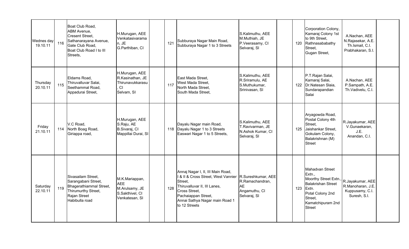| Wednes day<br>19.10.11 | 116 | Boat Club Road,<br><b>ABM Avenue,</b><br><b>Cresent Street.</b><br>Sathanarayana Avenue,<br>Gate Club Road.<br>Boat Club Road I to III<br>Streets, | H.Murugan, AEE<br>Venkatasivarama<br>n, JE<br>G.Parthiban, CI                       | 121 | Subburaya Nagar Main Road,<br>Subburaya Nagar 1 to 3 Streets                                                                                                                                                                     | S.Kalimuthu, AEE<br>M.Muthiah, JE<br>P.Veerasamy, CI<br>Selvaraj, SI      | 120 | Corporation Colony,<br>Kamaraj Colony 1st<br>to 9th Street,<br>Rathnasababathy<br>Street.<br>Gugan Street,                                                    | A.Nachan, AEE<br>N.Rajasekar, A.E.<br>Th.Ismail, C.I.<br>Prabhakaran, S.I. |  |
|------------------------|-----|----------------------------------------------------------------------------------------------------------------------------------------------------|-------------------------------------------------------------------------------------|-----|----------------------------------------------------------------------------------------------------------------------------------------------------------------------------------------------------------------------------------|---------------------------------------------------------------------------|-----|---------------------------------------------------------------------------------------------------------------------------------------------------------------|----------------------------------------------------------------------------|--|
| Thursday<br>20.10.11   | 115 | Eldams Road,<br>Thiruvalluvar Salai,<br>Seethammal Road,<br>Appadurai Street,                                                                      | H.Murugan, AEE<br>R.Kasinathan, JE<br>Thirunavukkarasu<br><b>CI</b><br>Selvam, SI   | 117 | East Mada Street.<br>West Mada Street,<br>North Mada Street,<br>South Mada Street,                                                                                                                                               | S.Kalimuthu, AEE<br>R.Sriramulu, AE<br>S.Muthukumar,<br>Srinivasan, SI    | 122 | P.T.Rajan Salai,<br>Kamaraj Salai,<br>Dr.Natesan Slaia,<br>Sundarapandian<br>Salai                                                                            | A.Nachan, AEE<br>P.Sampath, A.E.<br>Th.Vadivelu, C.I.                      |  |
| Friday<br>21.10.11     |     | V.C Road.<br>114 North Boag Road,<br>Giriappa road,                                                                                                | H.Murugan, AEE<br>S.Raju, AE<br>B.Sivaraj, Cl<br>Mappillai Durai, SI                | 118 | Dayalu Nagar main Road,<br>Dayalu Nagar 1 to 3 Streets<br>Easwari Nagar 1 to 5 Streets,                                                                                                                                          | S.Kalimuthu, AEE<br>T.Ravivarman, JE<br>N.Ashok Kumar, CI<br>Selvaraj, SI | 125 | Aryagowda Road,<br>Postal Colony 4th<br>Street,<br>Jaishankar Street,<br>Gokulam Colony,<br>Balakrishnan (M)<br><b>Street</b>                                 | R.Jayakumar, AEE<br>V.Gunaekaran,<br>J.E.<br>Anandan, C.I.                 |  |
| Saturday<br>22.10.11   | 119 | Sivasailam Street.<br>Sarangabani Street,<br>Bhagerathiammal Street,<br>Thirumurthy Street,<br>Rajan Street<br>Habibulla road                      | M.K.Mariappan,<br><b>AEE</b><br>M.Arulsamy, JE<br>S.Sakthivel, CI<br>Venkatesan, SI | 128 | Annaj Nagar I, II, III Main Road,<br>1& II & Cross Street, West Vannier R.Sureshkumar, AEE<br>Street,<br>Thiruvalluvar II, III Lanes,<br>Cross Street,<br>Pachaiappan Street,<br>Annai Sathya Nagar main Road 1<br>to 12 Streets | R.Ramachandran,<br><b>AE</b><br>Angamuthu, CI<br>Selvaraj, SI             | 123 | Mahadvan Street<br>Extn.,<br>Moorthy Street Extn.,<br><b>Balakrishan Street</b><br>Extn.<br>Potal Colony 2nd<br>Street,<br>Kamatchipuram 2nd<br><b>Street</b> | R.Jayakumar, AEE<br>R.Manoharan, J.E.<br>Kuppusamy, C.I.<br>Suresh, S.I.   |  |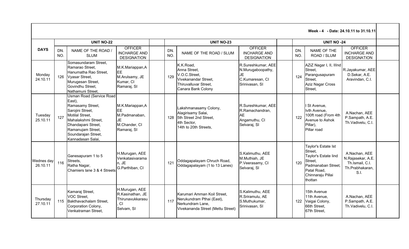|                        |            |                                                                                                                                                                                                            |                                                                                   |            |                                                                                                                   |                                                                                     |            |                                                                                                                                        | Week - 4 - Date: 24.10.11 to 31.10.11                                            |  |
|------------------------|------------|------------------------------------------------------------------------------------------------------------------------------------------------------------------------------------------------------------|-----------------------------------------------------------------------------------|------------|-------------------------------------------------------------------------------------------------------------------|-------------------------------------------------------------------------------------|------------|----------------------------------------------------------------------------------------------------------------------------------------|----------------------------------------------------------------------------------|--|
|                        |            | <b>UNIT NO-22</b>                                                                                                                                                                                          |                                                                                   |            | <b>UNIT NO-23</b>                                                                                                 |                                                                                     |            | <b>UNIT NO -24</b>                                                                                                                     |                                                                                  |  |
| <b>DAYS</b>            | DN.<br>NO. | NAME OF THE ROAD /<br><b>SLUM</b>                                                                                                                                                                          | <b>OFFICER</b><br><b>INCHARGE AND</b><br><b>DESIGNATION</b>                       | DN.<br>NO. | NAME OF THE ROAD / SLUM                                                                                           | <b>OFFICER</b><br><b>INCHARGE AND</b><br><b>DESIGNATION</b>                         | DN.<br>NO. | NAME OF THE<br>ROAD / SLUM                                                                                                             | <b>OFFICER</b><br><b>INCHARGE AND</b><br><b>DESIGNATION</b>                      |  |
| Monday<br>24.10.11     |            | Somasundaram Street,<br>Ramarao Street.<br>Hanumatha Rao Street,<br>126 Vyasar Street,<br>Murugesan Street,<br>Govindhu Street,<br>Nathamuni Street,                                                       | M.K.Mariappan,A<br>EE<br>M.Arulsamy, JE<br>Kumar, CI<br>Ramaraj, SI               | 129        | K.K.Road,<br>Anna Street.<br>V.O.C.Street,<br>Vivekanandar Street.<br>Thiruvalluvar Street,<br>Canara Bank Colony | R.Sureshkumar, AEE<br>N.Murugaboopathy,<br>JE<br>C.Kumaresan, CI<br>Srinivasan, SI  | 124        | AZiZ Nagar I, II, IIInd<br>Street.<br>Parangusapuram<br>Street.<br><b>Aziz Nagar Cross</b><br>Street.                                  | R.Jayakumar, AEE<br>D.Sekar, A.E.<br>Aravindan, C.I.                             |  |
| Tuesday<br>25.10.11    | 127        | Usman Road (Service Road<br>East).<br>Ramasamy Street,<br>Sarojini Street,<br>Motilal Street,<br>Mahalakshmi Street,<br>Dhandapani Street,<br>Ramanujam Street,<br>Soundarajan Street,<br>Kannadasan Salai | M.K.Mariappan,A<br>EЕ<br>M.Padmanaban,<br>JE<br>M.Chander, CI<br>Ramaraj, SI      | 128        | Lakshmanasamy Colony,<br>Alagirisamy Salai,<br>5th Street 2nd Street,<br>4th Sector,<br>14th to 20th Streets,     | R.Sureshkumar, AEE<br>R.Ramachandran,<br><b>AE</b><br>Angamuthu, CI<br>Selvaraj, SI | 122        | St Avenue,<br>Ivth Avenue,<br>100ft road (From 4th<br>Avenue to Ashok<br>Pillar),<br>Pillar road                                       | A.Nachan, AEE<br>P.Sampath, A.E.<br>Th.Vadivelu, C.I.                            |  |
| Wednes day<br>26.10.11 | 116        | Ganesapuram 1 to 5<br>Streets,<br>Ratha Nagar,<br>Chamiers lane 3 & 4 Streets                                                                                                                              | H.Murugan, AEE<br>Venkatasivarama<br>n, JE<br>G.Parthiban, CI                     | 121        | Oddagapalayam Chruch Road,<br>Oddagapalayam (1 to 13 Lanes)                                                       | S.Kalimuthu, AEE<br>M.Muthiah, JE<br>P.Veerasamy, CI<br>Selvaraj, SI                | 120        | Taylor's Estate Ist<br>Street.<br>Taylor's Estate lind<br>Street.<br>Padmanaban Street,<br>Patal Road,<br>Chinnaraju Pillai<br>thottan | A.Nachan, AEE<br>N.Rajasekar, A.E.<br>Th.Ismail, C.I.<br>Th.Prabhakaran,<br>S.I. |  |
| Thursday<br>27.10.11   | 115        | Kamaraj Street,<br>VOC Street.<br>Bakthavachalam Street,<br>Corporation Colony,<br>Venkatraman Street,                                                                                                     | H.Murugan, AEE<br>R.Kasinathan, JE<br>Thirunavukkarasu<br><b>CI</b><br>Selvam, SI | 117        | Karumari Amman Koil Street.<br>Nerukundram Pthai (East),<br>Nerkundram Lane,<br>Vivekananda Street (Mettu Street) | S.Kalimuthu, AEE<br>R.Sriramulu, AE<br>S.Muthukumar,<br>Srinivasan, SI              | 122        | 15th Avenue<br>11th Avenue,<br>Vaigai Colony,<br>66th Street,<br>67th Street,                                                          | A.Nachan, AEE<br>P.Sampath, A.E.<br>Th.Vadivelu, C.I.                            |  |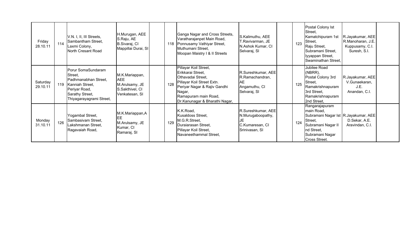| Friday<br>28.10.11   | 114 | V.N. I, II, III Streets,<br>Sambantham Street,<br>Laxmi Colony,<br>North Cresant Road                                                    | H.Murugan, AEE<br>S.Raju, AE<br>B.Sivaraj, CI<br>Mappillai Durai, SI                | 118 | Ganga Nagar and Cross Streets,<br>Varatharajanpet Main Road,<br>Ponnusamy Vathiyar Street,<br>Muthumani Street,<br>Moopan Maistry I & II Streets                                                  | S.Kalimuthu, AEE<br>F.Ravivarman, JE<br>N.Ashok Kumar, CI<br>Selvaraj, SI           | 123 | Postal Colony Ist<br>Street.<br>Kamatchipuram 1st<br>Street,<br>Raju Street,<br>Subramani Street,<br>lyyappan Street,<br>Swaminathan Street,                   | R.Jayakumar, AEE<br>R.Manoharan, J.E.<br>Kuppusamy, C.I.<br>Suresh, S.I. |  |
|----------------------|-----|------------------------------------------------------------------------------------------------------------------------------------------|-------------------------------------------------------------------------------------|-----|---------------------------------------------------------------------------------------------------------------------------------------------------------------------------------------------------|-------------------------------------------------------------------------------------|-----|----------------------------------------------------------------------------------------------------------------------------------------------------------------|--------------------------------------------------------------------------|--|
| Saturday<br>29.10.11 | 119 | Porur SomaSundaram<br>Street,<br>Padhmanabhan Street,<br>Kanniah Street,<br>Periyar Road,<br>Sarathy Street,<br>Thiyagarayagrami Street, | M.K.Mariappan,<br><b>AEE</b><br>M.Arulsamy, JE<br>S.Sakthivel, CI<br>Venkatesan, SI | 128 | Pillayar Koil Street,<br>Erikkarai Street,<br>Othavadai Street,<br>Pillayar Koil Street Extn.<br>Periyar Nagar & Rajiv Gandhi<br>Nagar,<br>Ramapuram main Road,<br>Dr.Kanunagar & Bharathi Nagar, | R.Sureshkumar, AEE<br>R.Ramachandran,<br>AE<br>Angamuthu, CI<br>Selvaraj, SI        | 125 | Jubilee Road<br>(NBRR),<br>Postal Colony 3rd<br>Street,<br>Ramakrishnapuram<br>3rd Street,<br>Ramakrishnapuram<br>2nd Street,                                  | R.Jayakumar, AEE<br>V.Gunaekaran,<br>J.E.<br>Anandan, C.I.               |  |
| Monday<br>31.10.11   | 126 | Yogambal Street,<br>Sambasivam Street,<br>Lakshmanan Street,<br>Ragavaiah Road,                                                          | M.K.Mariappan,A<br><b>EE</b><br>M.Arulsamy, JE<br>Kumar, CI<br>Ramaraj, SI          | 129 | K.K.Road,<br>Kusaldoss Street,<br>M.G.R.Street,<br>Duraiarasan Street,<br>Pillayar Koil Street,<br>Navaneethammal Street,                                                                         | R.Sureshkumar, AEE<br>N.Murugaboopathy,<br>JE.<br>C.Kumaresan, CI<br>Srinivasan, SI | 124 | Rangarajapuram<br>main Road,<br>Subramani Nagar Ist R.Jayakumar, AEE<br>Street.<br>Subramani Nagar II<br>nd Street,<br>Subramani Nagar<br><b>Cross Street.</b> | D.Sekar, A.E.<br>Aravindan, C.I.                                         |  |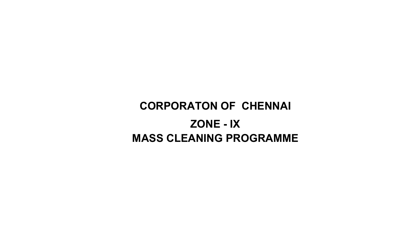# CORPORATON OF CHENNAI ZONE - IXMASS CLEANING PROGRAMME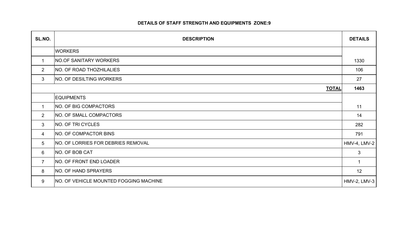#### DETAILS OF STAFF STRENGTH AND EQUIPMENTS ZONE:9

| SL.NO.          | <b>DESCRIPTION</b>                            | <b>DETAILS</b>      |
|-----------------|-----------------------------------------------|---------------------|
|                 | <b>WORKERS</b>                                |                     |
| 1               | <b>NO.OF SANITARY WORKERS</b>                 | 1330                |
| $\overline{2}$  | NO. OF ROAD THOZHILALIES                      | 106                 |
| $\mathbf{3}$    | NO. OF DESILTING WORKERS                      | 27                  |
|                 | <b>TOTAL</b>                                  | 1463                |
|                 | <b>EQUIPMENTS</b>                             |                     |
| 1               | NO. OF BIG COMPACTORS                         | 11                  |
| 2               | <b>NO. OF SMALL COMPACTORS</b>                | 14                  |
| 3               | NO. OF TRI CYCLES                             | 282                 |
| 4               | NO. OF COMPACTOR BINS                         | 791                 |
| $5\overline{)}$ | <b>NO. OF LORRIES FOR DEBRIES REMOVAL</b>     | <b>HMV-4, LMV-2</b> |
| 6               | NO. OF BOB CAT                                | $\mathbf{3}$        |
| $\overline{7}$  | NO. OF FRONT END LOADER                       | $\mathbf 1$         |
| 8               | NO. OF HAND SPRAYERS                          | 12                  |
| 9               | <b>NO. OF VEHICLE MOUNTED FOGGING MACHINE</b> | HMV-2, LMV-3        |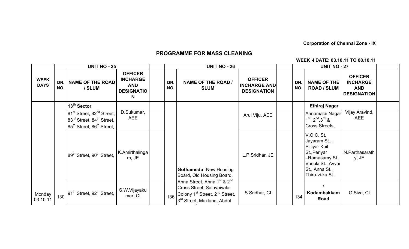Corporation of Chennai Zone - IX

## PROGRAMME FOR MASS CLEANING

#### WEEK -I DATE: 03.10.11 TO 08.10.11

|                            | <b>UNIT NO - 25</b> |                                                                                                                                                             |                                                                            |  |            | <b>UNIT NO - 26</b>                                                                                                                                                                   |                                                             |  | <b>UNIT NO - 27</b> |                                                                                                                                                   |                                                                       |  |
|----------------------------|---------------------|-------------------------------------------------------------------------------------------------------------------------------------------------------------|----------------------------------------------------------------------------|--|------------|---------------------------------------------------------------------------------------------------------------------------------------------------------------------------------------|-------------------------------------------------------------|--|---------------------|---------------------------------------------------------------------------------------------------------------------------------------------------|-----------------------------------------------------------------------|--|
| <b>WEEK</b><br><b>DAYS</b> | DN.<br>NO.          | <b>NAME OF THE ROAD</b><br>/ SLUM                                                                                                                           | <b>OFFICER</b><br><b>INCHARGE</b><br><b>AND</b><br><b>DESIGNATIO</b><br>N. |  | DN.<br>NO. | <b>NAME OF THE ROAD /</b><br><b>SLUM</b>                                                                                                                                              | <b>OFFICER</b><br><b>INCHARGE AND</b><br><b>DESIGNATION</b> |  | DN.<br>NO.          | <b>NAME OF THE</b><br><b>ROAD / SLUM</b>                                                                                                          | <b>OFFICER</b><br><b>INCHARGE</b><br><b>AND</b><br><b>DESIGNATION</b> |  |
|                            |                     | 13 <sup>th</sup> Sector                                                                                                                                     |                                                                            |  |            |                                                                                                                                                                                       |                                                             |  |                     | <b>Ethiraj Nagar</b>                                                                                                                              |                                                                       |  |
|                            |                     | 81 <sup>st</sup> Street, 82 <sup>nd</sup> Street,<br>83 <sup>rd</sup> Street, 84 <sup>th</sup> Street,<br>85 <sup>th</sup> Street, 86 <sup>th</sup> Street, | D.Sukumar,<br><b>AEE</b>                                                   |  |            |                                                                                                                                                                                       | Arul Viju, AEE                                              |  |                     | Annamalai Nagar<br>$1^{st}$ , $2^{nd}$ , $3^{rd}$ &<br>Cross Streets,                                                                             | Vijay Aravind,<br><b>AEE</b>                                          |  |
|                            |                     | 89 <sup>th</sup> Street, 90 <sup>th</sup> Street.                                                                                                           | K.Amirthalinga<br>m, JE                                                    |  |            | <b>Gothamedu -New Housing</b><br>Board, Old Housing Board,                                                                                                                            | L.P.Sridhar, JE                                             |  |                     | V.O.C. St.,<br>Jayaram St.,,<br><b>Pilliyar Koil</b><br>St., Periyar<br>-Ramasamy St.,<br>Vasuki St., Avvai<br>St., Anna St.,<br>Thiru-vi-ka St., | N.Parthasarath<br>y, JE                                               |  |
| Monday<br>03.10.11         |                     | $\frac{1}{130}$ $\left  91^{\text{th}}$ Street, 92 <sup>th</sup> Street,                                                                                    | S.W.Vijayaku<br>mar, CI                                                    |  | 136        | Anna Street, Anna 1 <sup>st</sup> & 2 <sup>nd</sup><br>Cross Street, Salavaiyalar<br>Colony 1 <sup>st</sup> Street, 2 <sup>nd</sup> Street,<br>3 <sup>rd</sup> Street, Maxland, Abdul | S.Sridhar, CI                                               |  | 134                 | $\star$<br>Kodambakkam<br>Road                                                                                                                    | G.Siva, CI                                                            |  |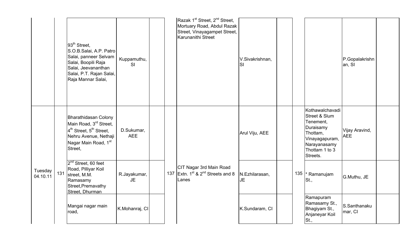|                     |     | 93 <sup>th</sup> Street.<br>S.O.B.Salai, A.P. Patro<br>Salai, panneer Selvam<br>Salai, Boopili Raja<br>Salai, Jeevananthan<br>Salai, P.T. Rajan Salai,<br>Raja Mannar Salai, | Kuppamuthu,<br>SI        |  |  | Razak 1 <sup>st</sup> Street, 2 <sup>nd</sup> Street,<br>Mortuary Road, Abdul Razak<br>Street, Vinayagampet Street,<br>Karunanithi Street | V.Sivakrishnan,<br><b>SI</b> |     |                                                                                                                                        | P.Gopalakrishn<br>an, SI     |  |
|---------------------|-----|------------------------------------------------------------------------------------------------------------------------------------------------------------------------------|--------------------------|--|--|-------------------------------------------------------------------------------------------------------------------------------------------|------------------------------|-----|----------------------------------------------------------------------------------------------------------------------------------------|------------------------------|--|
| Tuesday<br>04.10.11 |     | Bharathidasan Colony<br>Main Road, 3rd Street,<br>4 <sup>th</sup> Street, 5 <sup>th</sup> Street,<br>Nehru Avenue, Nethaji<br>Nagar Main Road, 1st<br>Street,                | D.Sukumar,<br><b>AEE</b> |  |  |                                                                                                                                           | Arul Viju, AEE               |     | Kothawalchavadi<br>Street & Slum<br>Tenement,<br>Duraisamy<br>Thottam,<br>Vinayagapuram,<br>Narayanasamy<br>Thottam 1 to 3<br>Streets. | Vijay Aravind,<br><b>AEE</b> |  |
|                     | 131 | 2 <sup>nd</sup> Street, 60 feet<br>Road, Pilliyar Koil<br>street, M.M.<br>Ramasamy<br>Street, Premavathy<br>Street, Dhurman                                                  | R.Jayakumar,<br>JE       |  |  | CIT Nagar 3rd Main Road<br>137 Extn. $1^{st}$ & $2^{nd}$ Streets and 8<br>Lanes                                                           | N.Ezhilarasan,<br><b>JE</b>  | 135 | * Ramanujam<br>St.,                                                                                                                    | G.Muthu, JE                  |  |
|                     |     | Mangai nagar main<br>road,                                                                                                                                                   | K.Mohanraj, CI           |  |  |                                                                                                                                           | K.Sundaram, CI               |     | Ramapuram<br>Ramasamy St.,<br>Bhagiyam St.,<br>Anjaneyar Koil<br>St.,                                                                  | S.Santhanaku<br>mar, CI      |  |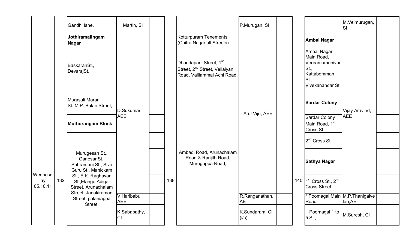|                |     | Gandhi lane,                                                                           | Martin, SI                |     |                                                                                                                | P.Murugan, SI               |                                                                                                | M.Velmurugan,<br>Isı |  |
|----------------|-----|----------------------------------------------------------------------------------------|---------------------------|-----|----------------------------------------------------------------------------------------------------------------|-----------------------------|------------------------------------------------------------------------------------------------|----------------------|--|
|                |     | Jothiramalingam<br>Nagar                                                               |                           |     | Kotturpuram Tenements<br>(Chitra Nagar all Streets)                                                            |                             | <b>Ambal Nagar</b>                                                                             |                      |  |
|                |     | BaskaranSt.,<br>DevarajSt.,                                                            |                           |     | Dhandapani Street, 1 <sup>st</sup><br>Street, 2 <sup>nd</sup> Street, Vellaiyan<br>Road, Valliammai Achi Road, |                             | Ambal Nagar<br>Main Road,<br>Veeramamunivar<br>St.,<br>Kattabomman<br>St.,<br>Vivekanandar St. |                      |  |
|                |     | Murasuli Maran<br>St., M.P. Balan Street,                                              | D.Sukumar,                |     |                                                                                                                | Arul Viju, AEE              | <b>Sardar Colony</b>                                                                           | Vijay Aravind,       |  |
|                |     | <b>Muthurangam Block</b>                                                               | <b>AEE</b>                |     |                                                                                                                |                             | Sardar Colony<br>Main Road, 1 <sup>st</sup><br>Cross St.,                                      | <b>AEE</b>           |  |
|                |     |                                                                                        |                           |     |                                                                                                                |                             | 2 <sup>nd</sup> Cross St.                                                                      |                      |  |
| Wednesd        |     | Murugesan St.,<br>GanesanSt.,<br>Subramani St., Siva<br>Guru St., Manickam             |                           |     | Ambadi Road, Arunachalam<br>Road & Ranjith Road,<br>Murugappa Road,                                            |                             | Sathya Nagar                                                                                   |                      |  |
| ay<br>05.10.11 | 132 | St., E.K. Raghavan<br>St., Elango Adigal<br>Street, Arunachalam<br>Street, Janakiraman |                           | 138 |                                                                                                                |                             | 140 $1^{st}$ Cross St., 2 <sup>nd</sup><br><b>Cross Street</b>                                 |                      |  |
|                |     | Street, palaniappa<br>Street,                                                          | V.Haribabu,<br><b>AEE</b> |     |                                                                                                                | R.Ranganathan,<br><b>AE</b> | * Poomagal Main M.P. Thanigaive<br>Road                                                        | lan, AE              |  |
|                |     |                                                                                        | K.Sabapathy,<br>CI        |     |                                                                                                                | K.Sundaram, CI<br>(i/c)     | Poomagal 1 to<br>5 St.,                                                                        | M.Suresh, CI         |  |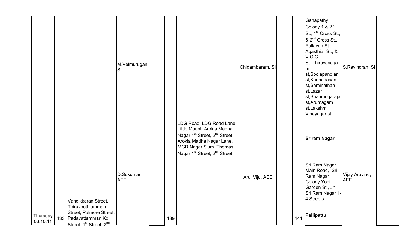|          |                                                                                              | M.Velmurugan,<br>SI      |     |                                                                                                                                                                                                                                | Chidambaram, SI |     | Ganapathy<br>Colony 1 & 2 <sup>nd</sup><br>St., 1 <sup>st</sup> Cross St.,<br>& 2 <sup>nd</sup> Cross St.,<br>Pallavan St.,<br>Agasthiar St., &<br>V.O.C.<br>St., Thiruvasaga<br>m<br>st,Soolapandian<br>st, Kannadasan<br>st,Saminathan<br>st, Lazar<br>st,Shanmugaraja<br>st, Arumagam<br>st, Lakshmi<br>Vinayagar st | S.Ravindran, SI              |  |
|----------|----------------------------------------------------------------------------------------------|--------------------------|-----|--------------------------------------------------------------------------------------------------------------------------------------------------------------------------------------------------------------------------------|-----------------|-----|-------------------------------------------------------------------------------------------------------------------------------------------------------------------------------------------------------------------------------------------------------------------------------------------------------------------------|------------------------------|--|
| Thursday | Vandikkaran Street,<br>Thiruveethiamman<br>Street, Palmore Street,<br>133 Padavattamman Koil | D.Sukumar,<br><b>AEE</b> |     | LDG Road, LDG Road Lane,<br>Little Mount, Arokia Madha<br>Nagar 1 <sup>st</sup> Street, 2 <sup>nd</sup> Street,<br>Arokia Madha Nagar Lane,<br>MGR Nagar Slum, Thomas<br>Nagar 1 <sup>st</sup> Street, 2 <sup>nd</sup> Street, | Arul Viju, AEE  |     | <b>Sriram Nagar</b><br>Sri Ram Nagar<br>Main Road, Sri<br>Ram Nagar<br>Colony Yogi<br>Garden St., Jn.<br>Sri Ram Nagar 1-<br>4 Streets.<br>Pallipattu                                                                                                                                                                   | Vijay Aravind,<br><b>AEE</b> |  |
| 06.10.11 | Street 1 <sup>st</sup> Street 2 <sup>nd</sup>                                                |                          | 139 |                                                                                                                                                                                                                                |                 | 141 |                                                                                                                                                                                                                                                                                                                         |                              |  |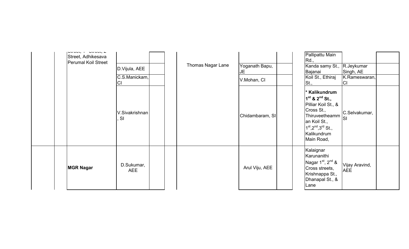| international controller<br>Street, Adhikesava<br>Perumal Koil Street | D.Vijula, AEE<br>C.S.Manickam,<br>ICI | Thomas Nagar Lane | Yoganath Bapu,<br><b>JE</b><br>V.Mohan, CI | Pallipattu Main<br>Rd.,<br>Kanda samy St., R.Jeykumar<br>Bajanai<br>Koil St., Ethiraj<br>St.,                                                                                        | Singh, AE<br>K.Rameswaran,<br> C |  |
|-----------------------------------------------------------------------|---------------------------------------|-------------------|--------------------------------------------|--------------------------------------------------------------------------------------------------------------------------------------------------------------------------------------|----------------------------------|--|
|                                                                       | V.Sivakrishnan<br>SI                  |                   | Chidambaram, SI                            | * Kalikundrum<br>$1^{st}$ & $2^{nd}$ St.,<br>Pilliar Koil St., &<br>Cross St.,<br>Thiruveetheamm<br>an Koil St.,<br>$1^{st}$ , $2^{nd}$ , $3^{rd}$ St.,<br>Kalikundrum<br>Main Road, | C.Selvakumar,                    |  |
| <b>MGR Nagar</b>                                                      | D.Sukumar,<br><b>AEE</b>              |                   | Arul Viju, AEE                             | Kalaignar<br>Karunanithi<br>Nagar $1st$ , $2nd$ &<br>Cross streets,<br>Krishnappa St.,<br>Dhanapal St., &<br>Lane                                                                    | Vijay Aravind,<br><b>AEE</b>     |  |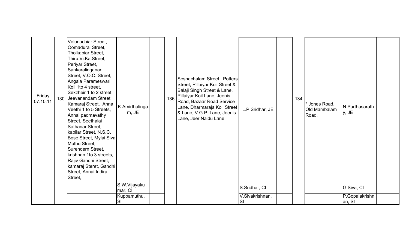| Friday<br>07.10.11 | Velunachiar Street,<br>Oomadurai Street,<br>Tholkapiar Street,<br>Thiru.Vi.Ka.Street,<br>Periyar Street,<br>Sankaralinganar<br>Street, V.O.C. Street,<br>Angala Parameswari<br>Koil 1to 4 street,<br>Sekzheir 1 to 2 street,<br>130 Jeevanandam Street,<br>Kamaraj Street, Anna<br>Veethi 1 to 5 Streets,<br>Annai padmavathy<br>Street, Seethalai<br>Sathanar Street,<br>kabilar Street, N.S.C.<br>Bose Street, Mylai Siva<br>Muthu Street,<br>Surendern Street,<br>krishnan 1to 3 streets,<br>Rajiv Gandhi Street,<br>kamaraj Steret, Gandhi<br>Street, Annai Indira<br>Street, | K.Amirthalinga<br>m, JE | 136 | Seshachalam Street, Potters<br>Street, Pillaiyar Koil Street &<br>Balaji Singh Street & Lane,<br>Pillaiyar Koil Lane, Jeenis<br>Road, Bazaar Road Service<br>Lane, Dharmaraja Koil Street<br>& Lane, V.G.P. Lane, Jeenis<br>Lane, Jeer Naidu Lane. | L.P.Sridhar, JE       | 134 | * Jones Road,<br>Old Mambalam<br>Road, | N.Parthasarath<br>y, JE  |  |
|--------------------|-----------------------------------------------------------------------------------------------------------------------------------------------------------------------------------------------------------------------------------------------------------------------------------------------------------------------------------------------------------------------------------------------------------------------------------------------------------------------------------------------------------------------------------------------------------------------------------|-------------------------|-----|----------------------------------------------------------------------------------------------------------------------------------------------------------------------------------------------------------------------------------------------------|-----------------------|-----|----------------------------------------|--------------------------|--|
|                    |                                                                                                                                                                                                                                                                                                                                                                                                                                                                                                                                                                                   | S.W.Vijayaku<br>mar, CI |     |                                                                                                                                                                                                                                                    | S.Sridhar, CI         |     |                                        | G.Siva, CI               |  |
|                    |                                                                                                                                                                                                                                                                                                                                                                                                                                                                                                                                                                                   | Kuppamuthu,<br>SI       |     |                                                                                                                                                                                                                                                    | V.Sivakrishnan,<br>SI |     |                                        | P.Gopalakrishn<br>an, SI |  |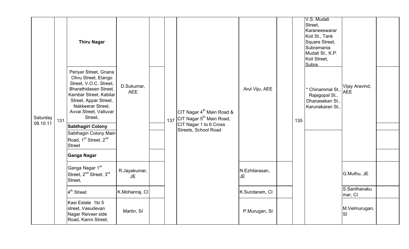|          |     | <b>Thiru Nagar</b>                                                                                                                                                                                            | D.Sukumar,<br><b>AEE</b>  |     |                                                                               |                      |     | V.S. Mudali<br>Street,<br>Karaneeswarar<br>Koil St., Tank<br>Square Street,<br>Subramania<br>Mudali St., K.P.<br>Koil Street,<br>Subra |                              |  |
|----------|-----|---------------------------------------------------------------------------------------------------------------------------------------------------------------------------------------------------------------|---------------------------|-----|-------------------------------------------------------------------------------|----------------------|-----|----------------------------------------------------------------------------------------------------------------------------------------|------------------------------|--|
| Saturday | 131 | Periyar Street, Gnana<br>Olivu Street, Elango<br>Street, V.O.C. Street,<br>Bharathidasan Street,<br>Kambar Street, Kabilar<br>Street, Appar Street,<br>Nakkeerar Street,<br>Avvai Street, Valluvar<br>Street, |                           | 137 | CIT Nagar 4 <sup>th</sup> Main Road &<br>CIT Nagar 5 <sup>th</sup> Main Road, | Arul Viju, AEE       | 135 | * Chinammal St.,<br>Rajagopal St.,<br>Dhanasekan St.,<br>Karunakaran St.,                                                              | Vijay Aravind,<br><b>AEE</b> |  |
| 08.10.11 |     | Sabthagiri Colony                                                                                                                                                                                             |                           |     | CIT Nagar 1 to 6 Cross<br>Streets, School Road                                |                      |     |                                                                                                                                        |                              |  |
|          |     | Sabthagiri Colony Main<br>Road, 1 <sup>st</sup> Street, 2 <sup>nd</sup><br>Street                                                                                                                             |                           |     |                                                                               |                      |     |                                                                                                                                        |                              |  |
|          |     | Ganga Nagar                                                                                                                                                                                                   |                           |     |                                                                               |                      |     |                                                                                                                                        |                              |  |
|          |     | Ganga Nagar 1 <sup>st</sup><br>Street, 2 <sup>nd</sup> Street, 3 <sup>rd</sup><br>Street,                                                                                                                     | R.Jayakumar,<br><b>JE</b> |     |                                                                               | N.Ezhilarasan,<br>JE |     |                                                                                                                                        | G.Muthu, JE                  |  |
|          |     | 4 <sup>th</sup> Street                                                                                                                                                                                        | K.Mohanraj, CI            |     |                                                                               | K.Sundaram, CI       |     |                                                                                                                                        | S.Santhanaku<br>mar, CI      |  |
|          |     | Kasi Estate 1to 5<br>street, Vasudevan<br>Nagar Reivser side<br>Road, Kanni Street,                                                                                                                           | Martin, SI                |     |                                                                               | P.Murugan, SI        |     |                                                                                                                                        | M.Velmurugan,<br><b>SI</b>   |  |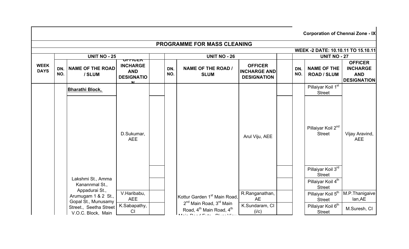|                            | <b>Corporation of Chennai Zone - IX</b> |                                                              |                                                         |  |                     |                                                                                                     |                                                             |            |                                                                                        |                                                                       |  |  |  |  |
|----------------------------|-----------------------------------------|--------------------------------------------------------------|---------------------------------------------------------|--|---------------------|-----------------------------------------------------------------------------------------------------|-------------------------------------------------------------|------------|----------------------------------------------------------------------------------------|-----------------------------------------------------------------------|--|--|--|--|
|                            |                                         |                                                              |                                                         |  |                     | PROGRAMME FOR MASS CLEANING                                                                         |                                                             |            |                                                                                        |                                                                       |  |  |  |  |
|                            |                                         |                                                              |                                                         |  |                     |                                                                                                     |                                                             |            | WEEK -2 DATE: 10.10.11 TO 15.10.11                                                     |                                                                       |  |  |  |  |
|                            |                                         | <b>UNIT NO - 25</b>                                          | ULLICEK                                                 |  | <b>UNIT NO - 26</b> |                                                                                                     |                                                             |            | <b>UNIT NO - 27</b>                                                                    |                                                                       |  |  |  |  |
| <b>WEEK</b><br><b>DAYS</b> | DN.<br>NO.                              | <b>NAME OF THE ROAD</b><br>/ SLUM                            | <b>INCHARGE</b><br><b>AND</b><br><b>DESIGNATIO</b><br>M |  | DN.<br>NO.          | <b>NAME OF THE ROAD /</b><br><b>SLUM</b>                                                            | <b>OFFICER</b><br><b>INCHARGE AND</b><br><b>DESIGNATION</b> | DN.<br>NO. | <b>NAME OF THE</b><br><b>ROAD / SLUM</b>                                               | <b>OFFICER</b><br><b>INCHARGE</b><br><b>AND</b><br><b>DESIGNATION</b> |  |  |  |  |
|                            |                                         | <b>Bharathi Block,</b>                                       |                                                         |  |                     |                                                                                                     |                                                             |            | Pillaiyar Koil 1 <sup>st</sup><br><b>Street</b>                                        |                                                                       |  |  |  |  |
|                            |                                         |                                                              | D.Sukumar,<br><b>AEE</b>                                |  |                     |                                                                                                     | Arul Viju, AEE                                              |            | Pillaiyar Koil 2 <sup>nd</sup><br><b>Street</b>                                        | Vijay Aravind,<br><b>AEE</b>                                          |  |  |  |  |
|                            |                                         | Lakshmi St., Amma<br>Kanannmal St.,                          |                                                         |  |                     |                                                                                                     |                                                             |            | Pillaiyar Koil 3rd<br><b>Street</b><br>Pillaiyar Koil 4 <sup>th</sup><br><b>Street</b> |                                                                       |  |  |  |  |
|                            |                                         | Appadurai St.,<br>Arumugam 1 & 2 St.,<br>Gopal St., Munusamy | V.Haribabu,<br><b>AEE</b>                               |  |                     | Kottur Garden 1 <sup>st</sup> Main Road,                                                            | R.Ranganathan,<br><b>AE</b>                                 |            | Pillaiyar Koil 5 <sup>th</sup><br><b>Street</b>                                        | M.P.Thanigaive<br>lan, AE                                             |  |  |  |  |
|                            |                                         | Street., Seetha Street<br>V.O.C. Block, Main                 | K.Sabapathy,<br>CI                                      |  |                     | 2 <sup>nd</sup> Main Road, 3 <sup>rd</sup> Main<br>Road, 4 <sup>th</sup> Main Road, 4 <sup>th</sup> | K.Sundaram, CI<br>(i/c)                                     |            | Pillaiyar Koil 6 <sup>th</sup><br><b>Street</b>                                        | M.Suresh, CI                                                          |  |  |  |  |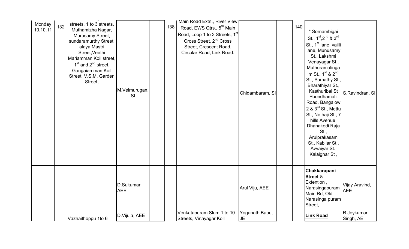| Monday<br>10.10.11 | streets, 1 to 3 streets,<br>132<br>Muthamizha Nagar,<br>Murusamy Street,<br>sundaramurthy Street,<br>alaya Mastri<br>Street, Veethi<br>Mariamman Koil street,<br>$1st$ and $2nd$ street.<br>Gangaiamman Koil<br>Street, V.S.M. Garden<br>Street, | M.Velmurugan,<br>SI      | Main Road Extn., River View<br>138<br>Road, EWS Qtrs., 5 <sup>th</sup> Main<br>Road, Loop 1 to 3 Streets, 1st<br>Cross Street, 2 <sup>nd</sup> Cross<br>Street, Crescent Road,<br>Circular Road, Link Road. | Chidambaram, SI             | 140 | * Sornambigai<br>St., 1 <sup>st</sup> , 2 <sup>nd</sup> & 3 <sup>rd</sup><br>St., 1 <sup>st</sup> lane, vailli<br>lane, Munusamy<br>St., Lakshmi<br>Venayagar St.,<br>Muthuramalinga<br>m St., 1 <sup>st</sup> & 2 <sup>nd</sup><br>St., Samathy St.<br>Bharathiyar St.,<br>Kasthuribai St<br>Poondhamalli<br>Road, Bangalow<br>2 & 3 <sup>rd</sup> St., Mettu<br>St., Nethaji St., 7<br>hills Avenue,<br>Dhanakodi Raja<br>St.,<br>Arulprakasam<br>St., Kabilar St.,<br>Avvaiyar St.,<br>Kalaignar St, | S.Ravindran, SI              |
|--------------------|--------------------------------------------------------------------------------------------------------------------------------------------------------------------------------------------------------------------------------------------------|--------------------------|-------------------------------------------------------------------------------------------------------------------------------------------------------------------------------------------------------------|-----------------------------|-----|---------------------------------------------------------------------------------------------------------------------------------------------------------------------------------------------------------------------------------------------------------------------------------------------------------------------------------------------------------------------------------------------------------------------------------------------------------------------------------------------------------|------------------------------|
|                    |                                                                                                                                                                                                                                                  | D.Sukumar,<br><b>AEE</b> |                                                                                                                                                                                                             | Arul Viju, AEE              |     | <b>Chakkarapani</b><br><b>Street &amp;</b><br>Extention,<br>Narasingapuram<br>Main Rd, Old<br>Narasinga puram<br>Street,                                                                                                                                                                                                                                                                                                                                                                                | Vijay Aravind,<br><b>AEE</b> |
|                    | Vazhaithoppu 1to 6                                                                                                                                                                                                                               | D.Vijula, AEE            | Venkatapuram Slum 1 to 10<br>Streets, Vinayagar Koil                                                                                                                                                        | Yoganath Bapu,<br><b>JE</b> |     | <b>Link Road</b>                                                                                                                                                                                                                                                                                                                                                                                                                                                                                        | R.Jeykumar<br>Singh, AE      |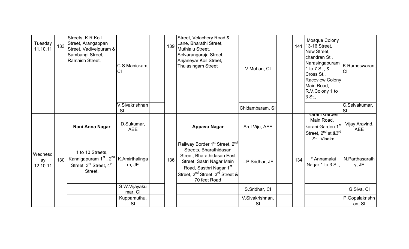| Tuesday<br>11.10.11       | 133 | Streets, K.R.Koil<br>Street, Arangappan<br>Street, Vadivelpuram &<br>Sambangi Street,<br>Ramaish Street,                                          | C.S.Manickam,<br>СI         | 139 | Street, Velachery Road &<br>Lane, Bharathi Street,<br>Muthialu Street,<br>Selvarangaraja Street,<br>Anjaneyar Koil Street,<br>Thulasingam Street                                                                                                   | V.Mohan, CI           |     | Mosque Colony<br>141 13-16 Street,<br>New Street,<br>chandran St.,<br>Narasingapuram<br>1 to 7 St., &<br>Cross St.,<br><b>Raceview Colony</b><br>Main Road,<br>R.V.Colony 1 to<br>3 St., | K.Rameswaran,<br>CI          |
|---------------------------|-----|---------------------------------------------------------------------------------------------------------------------------------------------------|-----------------------------|-----|----------------------------------------------------------------------------------------------------------------------------------------------------------------------------------------------------------------------------------------------------|-----------------------|-----|------------------------------------------------------------------------------------------------------------------------------------------------------------------------------------------|------------------------------|
|                           |     |                                                                                                                                                   | V.Sivakrishnan<br><b>SI</b> |     |                                                                                                                                                                                                                                                    | Chidambaram, SI       |     |                                                                                                                                                                                          | C.Selvakumar,                |
|                           |     | Rani Anna Nagar                                                                                                                                   | D.Sukumar,<br><b>AEE</b>    |     | <b>Appavu Nagar</b>                                                                                                                                                                                                                                | Arul Viju, AEE        |     | Karani Gargen<br>Main Road,<br>karani Garden 1st<br>Street, 2 <sup>nd</sup> st, & 3 <sup>rd</sup><br>St Visaka                                                                           | Vijay Aravind,<br><b>AEE</b> |
| Wednesd<br>ay<br>12.10.11 | 130 | 1 to 10 Streets,<br>Kannigapuram 1 <sup>st</sup> , 2 <sup>nd</sup>   K.Amirthalinga<br>Street, 3 <sup>rd</sup> Street, 4 <sup>th</sup><br>Street, | m, JE                       | 136 | Railway Border 1 <sup>st</sup> Street, 2 <sup>nd</sup><br>Streets, Bharathidasan<br>Street, Bharathidasan East<br>Street, Sastri Nagar Main<br>Road, Sasthri Nagar 1st<br>Street, 2 <sup>nd</sup> Street, 3 <sup>rd</sup> Street &<br>70 feet Road | L.P.Sridhar, JE       | 134 | * Annamalai<br>Nagar 1 to 3 St.,                                                                                                                                                         | N.Parthasarath<br>y, JE      |
|                           |     |                                                                                                                                                   | S.W.Vijayaku<br>mar, CI     |     |                                                                                                                                                                                                                                                    | S.Sridhar, CI         |     |                                                                                                                                                                                          | G.Siva, CI                   |
|                           |     |                                                                                                                                                   | Kuppamuthu,<br>SI           |     |                                                                                                                                                                                                                                                    | V.Sivakrishnan,<br>SI |     |                                                                                                                                                                                          | P.Gopalakrishn<br>an, SI     |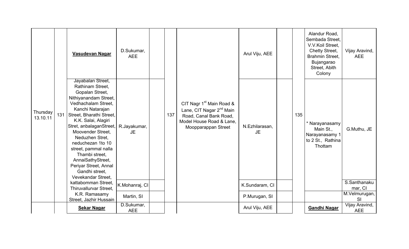|                      |     | Vasudevan Nagar                                                                                                                                                                                                                                                                                                                                                                                                      | D.Sukumar,<br><b>AEE</b> |     |                                                                                                                                                           | Arul Viju, AEE              |     | Alandur Road,<br>Sembada Street,<br>V.V.Koil Street,<br>Chetty Street,<br>Brahmin Street.<br>Bujangarao<br>Street, Abith<br>Colony | Vijay Aravind,<br><b>AEE</b> |
|----------------------|-----|----------------------------------------------------------------------------------------------------------------------------------------------------------------------------------------------------------------------------------------------------------------------------------------------------------------------------------------------------------------------------------------------------------------------|--------------------------|-----|-----------------------------------------------------------------------------------------------------------------------------------------------------------|-----------------------------|-----|------------------------------------------------------------------------------------------------------------------------------------|------------------------------|
| Thursday<br>13.10.11 | 131 | Jayabalan Street,<br>Rathinam Street,<br>Gopalan Street,<br>Nithiyanandam Street,<br>Vedhachalam Street,<br>Kanchi Natarajan<br>Street, Bharathi Street,<br>K.K. Salai, Alagiri<br>Stret, anbalaganStreet, R.Jayakumar,<br>Moovender Street.<br>Neduzhen Stret,<br>neduchezan 1to 10<br>street, pammal nalla<br>Thambi street,<br>AnnaiSathyStreet,<br>Periyar Street, Annal<br>Gandhi street,<br>Vevekandar Street. | <b>JE</b>                | 137 | CIT Nagr 1 <sup>st</sup> Main Road &<br>Lane, CIT Nagar 2 <sup>nd</sup> Main<br>Road, Canal Bank Road,<br>Model House Road & Lane.<br>Moopparappan Street | N.Ezhilarasan,<br><b>JE</b> | 135 | * Narayanasamy<br>Main St.,<br>Narayanasamy 1<br>to 2 St., Rathina<br>Thottam                                                      | G.Muthu, JE                  |
|                      |     | kattabomman Street,<br>Thiruvallurvar Street,                                                                                                                                                                                                                                                                                                                                                                        | K.Mohanraj, CI           |     |                                                                                                                                                           | K.Sundaram, CI              |     |                                                                                                                                    | S.Santhanaku<br>mar, CI      |
|                      |     | K.R. Ramasamy<br>Street, Jazhir Hussain                                                                                                                                                                                                                                                                                                                                                                              | Martin, SI               |     |                                                                                                                                                           | P.Murugan, SI               |     |                                                                                                                                    | M.Velmurugan,<br><b>SI</b>   |
|                      |     | <b>Sekar Nagar</b>                                                                                                                                                                                                                                                                                                                                                                                                   | D.Sukumar,<br><b>AEE</b> |     |                                                                                                                                                           | Arul Viju, AEE              |     | <b>Gandhi Nagar</b>                                                                                                                | Vijay Aravind,<br><b>AEE</b> |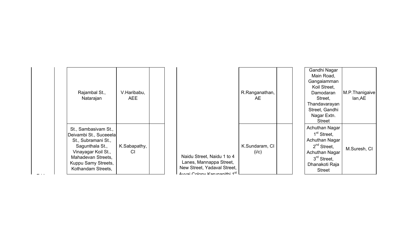| Rajambal St.,<br>Natarajan                                                                                                                                                         | V.Haribabu,<br><b>AEE</b> |                                                                                                                      | R.Ranganathan,<br>AE.   | Gandhi Nagar<br>Main Road,<br>Gangaiamman<br>Koil Street,<br>Damodaran<br>Street,<br>Thandavarayan<br>Street, Gandhi<br>Nagar Extn.<br><b>Street</b>                   | M.P. Thanigaive<br>lan, AE |
|------------------------------------------------------------------------------------------------------------------------------------------------------------------------------------|---------------------------|----------------------------------------------------------------------------------------------------------------------|-------------------------|------------------------------------------------------------------------------------------------------------------------------------------------------------------------|----------------------------|
| St., Sambasivam St.,<br>Deivambi St., Suceeela<br>St., Subramani St.,<br>Sagunthala St.,<br>Vinayagar Koil St.,<br>Mahadevan Streets,<br>Kuppu Samy Streets,<br>Kothandam Streets, | K.Sabapathy,<br>CI        | Naidu Street, Naidu 1 to 4<br>Lanes, Mannappa Street,<br>New Street, Yadaval Street,<br>Ausni Colony Korunopithi 1st | K.Sundaram, CI<br>(i/c) | Achuthan Nagar<br>1 <sup>st</sup> Street,<br>Achuthan Nagar<br>2 <sup>nd</sup> Street,<br>Achuthan Nagar<br>3 <sup>rd</sup> Street,<br>Dhanakoti Raja<br><b>Street</b> | M.Suresh, CI               |

 $-$  Friday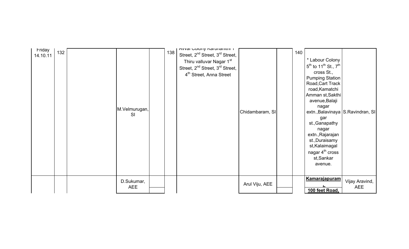| Friday<br>14.10.11 | 132 | M.Velmurugan,<br><b>SI</b> | 138 | Avval Goloriy Naturialiliti i<br>Street, 2 <sup>nd</sup> Street, 3 <sup>rd</sup> Street,<br>Thiru valluvar Nagar 1 <sup>st</sup><br>Street, 2 <sup>nd</sup> Street, 3 <sup>rd</sup> Street,<br>4 <sup>th</sup> Street, Anna Street | Chidambaram, SI | 140 | * Labour Colony<br>$5^{th}$ to 11 <sup>th</sup> St., $7^{th}$<br>cross St.,<br><b>Pumping Station</b><br>Road, Cart Track<br>road, Kamatchi<br>Amman st, Sakthi<br>avenue, Balaji<br>nagar<br>extn., Balavinaya S. Ravindran, SI<br>gar<br>st., Ganapathy<br>nagar<br>extn., Rajarajan<br>st., Duraisamy<br>st, Kalaimagal<br>nagar $4th$ cross<br>st, Sankar<br>avenue. |                              |
|--------------------|-----|----------------------------|-----|------------------------------------------------------------------------------------------------------------------------------------------------------------------------------------------------------------------------------------|-----------------|-----|--------------------------------------------------------------------------------------------------------------------------------------------------------------------------------------------------------------------------------------------------------------------------------------------------------------------------------------------------------------------------|------------------------------|
|                    |     | D.Sukumar,<br><b>AEE</b>   |     |                                                                                                                                                                                                                                    | Arul Viju, AEE  |     | <b>Kamarajapuram</b><br>100 feet Road,                                                                                                                                                                                                                                                                                                                                   | Vijay Aravind,<br><b>AEE</b> |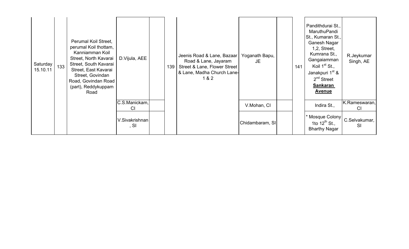| Saturday<br>15.10.11 | 133 | Perumal Koil Street,<br>perumal Koil thottam,<br>Kanniamman Koil<br>Street, North Kavarai<br>Street, South Kavarai<br>Street, East Kavarai<br>Street, Govindan<br>Road, Govindan Road<br>(part), Reddykuppam<br>Road | D. Vijula, AEE             | 139 | Jeenis Road & Lane, Bazaar<br>Road & Lane, Jayaram<br>Street & Lane, Flower Street<br>& Lane, Madha Church Lane-<br>1 & 2 | Yoganath Bapu,<br>JE. | 141 | Pandithdurai St.,<br>MaruthuPandi<br>St., Kumaran St.,<br>Ganesh Nagar<br>$1,2$ , Street,<br>Kumrana St.,<br>Gangaiamman<br>Koil $1st$ St.,<br>Janakpuri 1 <sup>st</sup> &<br>2 <sup>nd</sup> Street<br><b>Sankaran</b><br><b>Avenue</b> | R.Jeykumar<br>Singh, AE    |
|----------------------|-----|----------------------------------------------------------------------------------------------------------------------------------------------------------------------------------------------------------------------|----------------------------|-----|---------------------------------------------------------------------------------------------------------------------------|-----------------------|-----|------------------------------------------------------------------------------------------------------------------------------------------------------------------------------------------------------------------------------------------|----------------------------|
|                      |     |                                                                                                                                                                                                                      | C.S.Manickam,<br><b>CI</b> |     |                                                                                                                           | V.Mohan, CI           |     | Indira St.,                                                                                                                                                                                                                              | K.Rameswaran,<br><b>CI</b> |
|                      |     |                                                                                                                                                                                                                      | V.Sivakrishnan<br>, SI     |     |                                                                                                                           | Chidambaram, SI       |     | * Mosque Colony<br>1to $12^{th}$ St.,<br><b>Bharthy Nagar</b>                                                                                                                                                                            | C.Selvakumar,<br>SI        |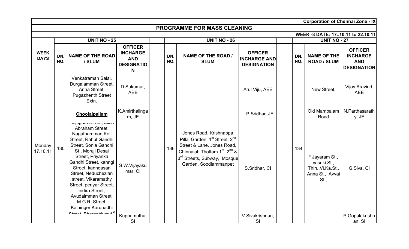|                            |            |                                                                                                                                                                                                                                                                                                                                                                                                        |                                                                           |            |                                                                                                                                                                                                                                             |                                                             |                     |            | <b>Corporation of Chennai Zone - IX</b>                                      |                                                                       |  |
|----------------------------|------------|--------------------------------------------------------------------------------------------------------------------------------------------------------------------------------------------------------------------------------------------------------------------------------------------------------------------------------------------------------------------------------------------------------|---------------------------------------------------------------------------|------------|---------------------------------------------------------------------------------------------------------------------------------------------------------------------------------------------------------------------------------------------|-------------------------------------------------------------|---------------------|------------|------------------------------------------------------------------------------|-----------------------------------------------------------------------|--|
|                            |            |                                                                                                                                                                                                                                                                                                                                                                                                        |                                                                           |            | <b>PROGRAMME FOR MASS CLEANING</b>                                                                                                                                                                                                          |                                                             |                     |            |                                                                              |                                                                       |  |
|                            |            |                                                                                                                                                                                                                                                                                                                                                                                                        |                                                                           |            |                                                                                                                                                                                                                                             |                                                             |                     |            | WEEK -3 DATE: 1710.11 to 22.10.11                                            |                                                                       |  |
|                            |            | <b>UNIT NO - 25</b>                                                                                                                                                                                                                                                                                                                                                                                    |                                                                           |            | <b>UNIT NO - 26</b>                                                                                                                                                                                                                         |                                                             | <b>UNIT NO - 27</b> |            |                                                                              |                                                                       |  |
| <b>WEEK</b><br><b>DAYS</b> | DN.<br>NO. | <b>NAME OF THE ROAD</b><br>/ SLUM                                                                                                                                                                                                                                                                                                                                                                      | <b>OFFICER</b><br><b>INCHARGE</b><br><b>AND</b><br><b>DESIGNATIO</b><br>N | DN.<br>NO. | <b>NAME OF THE ROAD /</b><br><b>SLUM</b>                                                                                                                                                                                                    | <b>OFFICER</b><br><b>INCHARGE AND</b><br><b>DESIGNATION</b> |                     | DN.<br>NO. | <b>NAME OF THE</b><br><b>ROAD / SLUM</b>                                     | <b>OFFICER</b><br><b>INCHARGE</b><br><b>AND</b><br><b>DESIGNATION</b> |  |
|                            |            | Venkatraman Salai,<br>Durgaiamman Street,<br>Anna Street,<br><b>Pugazhenth Street</b><br>Extn.                                                                                                                                                                                                                                                                                                         | D.Sukumar,<br><b>AEE</b>                                                  |            |                                                                                                                                                                                                                                             | Arul Viju, AEE                                              |                     |            | New Street.                                                                  | Vijay Aravind,<br><b>AEE</b>                                          |  |
|                            |            | Choolaipallam                                                                                                                                                                                                                                                                                                                                                                                          | K.Amirthalinga<br>m, JE                                                   |            |                                                                                                                                                                                                                                             | L.P.Sridhar, JE                                             |                     |            | Old Mambalam<br>Road                                                         | N.Parthasarath<br>y, JE                                               |  |
| Monday<br>17.10.11         | 130        | <del>Anjuyam otroct, misa</del><br>Abraham Street,<br>Nagathamman Koil<br>Street, Rahul Gandhi<br>Street, Sonia Gandhi<br>St., Moraji Desai<br>Street, Priyanka<br>Gandhi Street, kanngi<br>Street, kanndasan<br>Street, Neduchezlan<br>street, Vikaramathy<br>Street, periyar Street,<br>indira Street,<br>Avudaimman Street,<br>M.G.R. Street,<br>Kalainger Karunadhi<br>$\mathbf{A}$ D <sub>k</sub> | S.W.Vijayaku<br>mar, CI                                                   | 136        | Jones Road, Krishnappa<br>Pillai Garden, 1 <sup>st</sup> Street, 2 <sup>nd</sup><br>Street & Lane, Jones Road,<br>Chinnaiah Thottam 1 <sup>st</sup> , 2 <sup>nd</sup> &<br>3 <sup>rd</sup> Streets, Subway, Mosque<br>Garden, Soodiammanpet | S.Sridhar, CI                                               |                     | 134        | * Jayaram St.,<br>vasuki St.,<br>Thiru.Vi.Ka.St.,<br>Anna St., Avvai<br>St., | G.Siva, CI                                                            |  |
|                            |            |                                                                                                                                                                                                                                                                                                                                                                                                        | Kuppamuthu,<br>SI                                                         |            |                                                                                                                                                                                                                                             | V.Sivakrishnan,<br>SI                                       |                     |            |                                                                              | P.Gopalakrishn<br>an. SI                                              |  |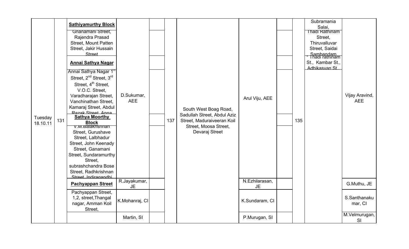| Tuesday<br>18.10.11 | 131 | <b>Sathiyamurthy Block</b><br>Gnanamani Street,<br>Rajendra Prasad<br>Street, Mount Patten<br>Street, Jakir Hussain<br>Street<br><b>Annai Sathya Nagar</b><br>Annai Sathya Nagar 1 <sup>st</sup><br>Street, 2 <sup>nd</sup> Street, 3 <sup>rd</sup><br>Street, 4 <sup>th</sup> Street,<br>V.O.C. Street,<br>Varadharajan Street,<br>Vanchinathan Street,<br>Kamaraj Street, Abdul<br>Razak Street Anna<br><b>Sathya Moorthy</b><br><b>Block</b><br>v.w.Balakrishnan<br>Street, Gurushave<br>Street, Lalbhadur<br>Street, John Keenady<br>Street, Ganamani<br>Street, Sundaramurthy<br>Street,<br>subrashchandra Bose<br>Street, Radhkrishnan<br>Street Indiragandhi | D.Sukumar,<br><b>AEE</b> | 137 | South West Boag Road,<br>Sadullah Street, Abdul Aziz<br>Street, Maduraiveeran Koil<br>Street, Moosa Street,<br>Devaraj Street | Arul Viju, AEE       | 135 | Subramania<br>Salai,<br>Thadi Rathinam<br>Street,<br>Thiruvalluvar<br>Street, Saidai<br>Sambandam<br>Thadi rathinam<br>St., Kambar St.,<br>Adhikasvan St | Vijay Aravind,<br><b>AEE</b> |
|---------------------|-----|---------------------------------------------------------------------------------------------------------------------------------------------------------------------------------------------------------------------------------------------------------------------------------------------------------------------------------------------------------------------------------------------------------------------------------------------------------------------------------------------------------------------------------------------------------------------------------------------------------------------------------------------------------------------|--------------------------|-----|-------------------------------------------------------------------------------------------------------------------------------|----------------------|-----|----------------------------------------------------------------------------------------------------------------------------------------------------------|------------------------------|
|                     |     | <b>Pachyappan Street</b>                                                                                                                                                                                                                                                                                                                                                                                                                                                                                                                                                                                                                                            | R.Jayakumar,<br>JE.      |     |                                                                                                                               | N.Ezhilarasan,<br>JE |     |                                                                                                                                                          | G.Muthu, JE                  |
|                     |     | Pachyappan Street,<br>1,2, street, Thangal<br>nagar, Amman Koil<br>Street,                                                                                                                                                                                                                                                                                                                                                                                                                                                                                                                                                                                          | K.Mohanraj, CI           |     |                                                                                                                               | K.Sundaram, CI       |     |                                                                                                                                                          | S.Santhanaku<br>mar, CI      |
|                     |     |                                                                                                                                                                                                                                                                                                                                                                                                                                                                                                                                                                                                                                                                     | Martin, SI               |     |                                                                                                                               | P.Murugan, SI        |     |                                                                                                                                                          | M.Velmurugan,<br>SI          |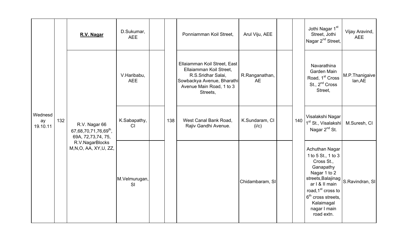|                           |     | R.V. Nagar                                                               | D.Sukumar,<br><b>AEE</b>  |     | Ponniamman Koil Street,                                                                                                                             | Arul Viju, AEE              |     | Jothi Nagar 1 <sup>st</sup><br>Street, Jothi<br>Nagar 2 <sup>nd</sup> Street,                                                                                                                                                 | Vijay Aravind,<br><b>AEE</b> |
|---------------------------|-----|--------------------------------------------------------------------------|---------------------------|-----|-----------------------------------------------------------------------------------------------------------------------------------------------------|-----------------------------|-----|-------------------------------------------------------------------------------------------------------------------------------------------------------------------------------------------------------------------------------|------------------------------|
|                           |     |                                                                          | V.Haribabu,<br><b>AEE</b> |     | Ellaiamman Koil Street, East<br>Ellaiamman Koil Street,<br>R.S.Sridhar Salai,<br>Sowbackya Avenue, Bharathi<br>Avenue Main Road, 1 to 3<br>Streets, | R.Ranganathan,<br><b>AE</b> |     | Navarathina<br>Garden Main<br>Road, 1 <sup>st</sup> Cross<br>St., 2 <sup>nd</sup> Cross<br>Street,                                                                                                                            | M.P.Thanigaive<br>lan, AE    |
| Wednesd<br>ay<br>19.10.11 | 132 | R.V. Nagar 66<br>67,68,70,71,76,69 <sup>th</sup> ,<br>69A, 72,73,74, 75, | K.Sabapathy,<br>CI        | 138 | West Canal Bank Road,<br>Rajiv Gandhi Avenue.                                                                                                       | K.Sundaram, CI<br>(i/c)     | 140 | Visalakshi Nagar<br>1 <sup>st</sup> St., Visalakshi<br>Nagar 2 <sup>nd</sup> St.                                                                                                                                              | M.Suresh, CI                 |
|                           |     | R.V.NagarBlocks<br>M, N, O, AA, XY, U, ZZ,                               | M.Velmurugan,<br>SI       |     |                                                                                                                                                     | Chidambaram, SI             |     | Achuthan Nagar<br>1 to 5 St., 1 to 3<br>Cross St.,<br>Ganapathy<br>Nagar 1 to 2<br>streets, Balajinag<br>ar I & II main<br>road, 1 <sup>st</sup> cross to<br>$6th$ cross streets,<br>Kalaimagal<br>nagar I main<br>road extn. | S.Ravindran, SI              |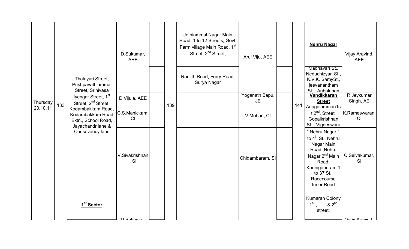|                      |     |                                                                                                                      | D.Sukumar,<br><b>AEE</b>   |     | Jothiammal Nagar Main<br>Road, 1 to 12 Streets, Govt.<br>Farm village Main Road, 1st<br>Street, 2 <sup>nd</sup> Street, | Arul Viju, AEE              |     | <b>Nehru Nagar</b>                                                                                                                                                               | Vijay Aravind,<br><b>AEE</b> |
|----------------------|-----|----------------------------------------------------------------------------------------------------------------------|----------------------------|-----|-------------------------------------------------------------------------------------------------------------------------|-----------------------------|-----|----------------------------------------------------------------------------------------------------------------------------------------------------------------------------------|------------------------------|
|                      |     | Thalayari Street,<br>Pushpavathiammal<br>Street, Srinivasa                                                           |                            |     | Ranjith Road, Ferry Road,<br>Surya Nagar                                                                                |                             |     | Madhavan St.,<br>Neduchizyan St.,<br>K.V.K. SamySt.,<br>jeevanantham<br>St Anbalagan                                                                                             |                              |
|                      |     | Iyengar Street, 1 <sup>st</sup>                                                                                      | D.Vijula, AEE              |     |                                                                                                                         | Yoganath Bapu,<br><b>JE</b> |     | Vandikkaran<br><b>Street</b>                                                                                                                                                     | R.Jeykumar<br>Singh, AE      |
| Thursday<br>20.10.11 | 133 | Street, 2 <sup>nd</sup> Street,<br>Kodambakkam Road,<br>Kodambakkam Road<br>Extn., School Road,<br>Jayachandr lane & | C.S.Manickam,<br><b>CI</b> | 139 |                                                                                                                         | V.Mohan, CI                 | 141 | Anagalamman1s<br>$t.2nd$ , Street,<br>Gopalkrishnan<br>St., Vigneswara                                                                                                           | K.Rameswaran,<br>CI          |
|                      |     | Consevancy lane                                                                                                      | V.Sivakrishnan<br>, SI     |     |                                                                                                                         | Chidambaram, SI             |     | * Nehru Nagar 1<br>to 4 <sup>th</sup> St., Nehru<br>Nagar Main<br>Road, Nehru<br>Nagar 2 <sup>nd</sup> Main<br>Road,<br>Kannigapuram 1<br>to 37 St.,<br>Racecourse<br>Inner Road | C.Selvakumar,<br><b>SI</b>   |
|                      |     | 1 <sup>st</sup> Sector                                                                                               | D. Culzumor                |     |                                                                                                                         |                             |     | <b>Kumaran Colony</b><br>$1^{\text{st}}$ .,<br>$82^{nd}$<br>street.                                                                                                              | Viiny Arnyind                |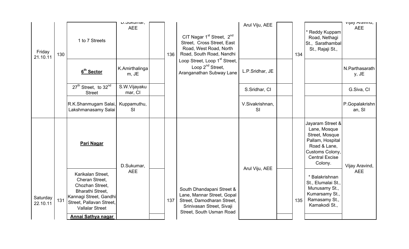| Friday<br>21.10.11   | 130 | 1 to 7 Streets                                                                                                                                                                   | L. Junuillai,<br><b>AEE</b> | 136 | CIT Nagar 1 <sup>st</sup> Street, 2 <sup>nd</sup><br>Street, Cross Street, East<br>Road, West Road, North<br>Road, South Road, Nandhi          | Arul Viju, AEE        | 134 | * Reddy Kuppam<br>Road, Nethagi<br>St., Sarathambal<br>St., Rajaji St.,                                                                       | vijay Alavillu,<br><b>AEE</b> |
|----------------------|-----|----------------------------------------------------------------------------------------------------------------------------------------------------------------------------------|-----------------------------|-----|------------------------------------------------------------------------------------------------------------------------------------------------|-----------------------|-----|-----------------------------------------------------------------------------------------------------------------------------------------------|-------------------------------|
|                      |     | 6 <sup>th</sup> Sector                                                                                                                                                           | K.Amirthalinga<br>m, JE     |     | Loop Street, Loop 1 <sup>st</sup> Street,<br>Loop $2^{nd}$ Street,<br>Aranganathan Subway Lane                                                 | L.P.Sridhar, JE       |     |                                                                                                                                               | N.Parthasarath<br>y, JE       |
|                      |     | 27 <sup>th</sup> Street, to 32 <sup>nd</sup><br><b>Street</b>                                                                                                                    | S.W.Vijayaku<br>mar, CI     |     |                                                                                                                                                | S.Sridhar, CI         |     |                                                                                                                                               | G.Siva, CI                    |
|                      |     | R.K.Shanmugam Salai,<br>Lakshmanasamy Salai                                                                                                                                      | Kuppamuthu,<br><b>SI</b>    |     |                                                                                                                                                | V.Sivakrishnan,<br>SI |     |                                                                                                                                               | P.Gopalakrishn<br>an, SI      |
|                      |     | Pari Nagar                                                                                                                                                                       | D.Sukumar,                  |     |                                                                                                                                                |                       |     | Jayaram Street &<br>Lane, Mosque<br>Street, Mosque<br>Pallam, Hospital<br>Road & Lane,<br>Customs Colony,<br><b>Central Excise</b><br>Colony. | Vijay Aravind,                |
| Saturday<br>22.10.11 | 131 | Karikalan Street,<br>Cheran Street,<br>Chozhan Street,<br>Bharathi Street,<br>Kannagi Street, Gandhi<br>Street, Pallavan Street,<br><b>Vallalar Street</b><br>Annai Sathya nagar | <b>AEE</b>                  | 137 | South Dhandapani Street &<br>Lane, Mannar Street, Gopal<br>Street, Damodharan Street,<br>Srinivasan Street, Sivaji<br>Street, South Usman Road | Arul Viju, AEE        | 135 | * Balakrishnan<br>St., Elumalai St.<br>Munusamy St.,<br>Kumarsamy St.,<br>Ramasamy St.,<br>Kamakodi St.,                                      | <b>AEE</b>                    |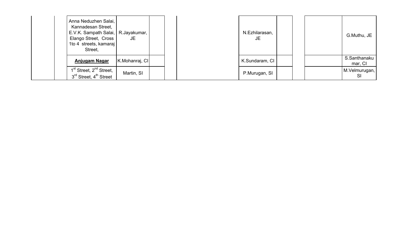| Anna Neduzhen Salai,<br>Kannadesan Street,<br>E.V.K. Sampath Salai,   R.Jayakumar,<br>Elango Street, Cross<br>1to 4 streets, kamaraj<br>Street, | JE             |  | N.Ezhilarasan,<br>JE |  | G.Muthu, JE             |
|-------------------------------------------------------------------------------------------------------------------------------------------------|----------------|--|----------------------|--|-------------------------|
| <b>Anjugam Nagar</b>                                                                                                                            | K.Mohanraj, Cl |  | K.Sundaram, CI       |  | S.Santhanaku<br>mar, CI |
| 1 <sup>st</sup> Street, 2 <sup>nd</sup> Street,<br>3 <sup>rd</sup> Street, 4 <sup>th</sup> Street                                               | Martin, SI     |  | P.Murugan, SI        |  | M.Velmurugan,           |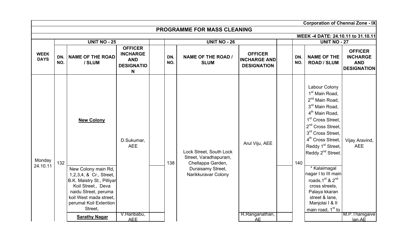|                            |            |                                                                                                                                                                                                                                        |                                                                           |            |                                                                                                                   |                                                             |            | <b>Corporation of Chennai Zone - IX</b>                                                                                                                                                                                                                                                                                                                                                                                                                                                                         |                                                                       |
|----------------------------|------------|----------------------------------------------------------------------------------------------------------------------------------------------------------------------------------------------------------------------------------------|---------------------------------------------------------------------------|------------|-------------------------------------------------------------------------------------------------------------------|-------------------------------------------------------------|------------|-----------------------------------------------------------------------------------------------------------------------------------------------------------------------------------------------------------------------------------------------------------------------------------------------------------------------------------------------------------------------------------------------------------------------------------------------------------------------------------------------------------------|-----------------------------------------------------------------------|
|                            |            |                                                                                                                                                                                                                                        |                                                                           |            | <b>PROGRAMME FOR MASS CLEANING</b>                                                                                |                                                             |            |                                                                                                                                                                                                                                                                                                                                                                                                                                                                                                                 |                                                                       |
|                            |            |                                                                                                                                                                                                                                        |                                                                           |            |                                                                                                                   |                                                             |            | WEEK -4 DATE: 24.10.11 to 31.10.11                                                                                                                                                                                                                                                                                                                                                                                                                                                                              |                                                                       |
|                            |            | <b>UNIT NO - 25</b>                                                                                                                                                                                                                    |                                                                           |            | <b>UNIT NO - 26</b>                                                                                               |                                                             |            | <b>UNIT NO - 27</b>                                                                                                                                                                                                                                                                                                                                                                                                                                                                                             |                                                                       |
| <b>WEEK</b><br><b>DAYS</b> | DN.<br>NO. | <b>NAME OF THE ROAD</b><br>/ SLUM                                                                                                                                                                                                      | <b>OFFICER</b><br><b>INCHARGE</b><br><b>AND</b><br><b>DESIGNATIO</b><br>N | DN.<br>NO. | <b>NAME OF THE ROAD /</b><br><b>SLUM</b>                                                                          | <b>OFFICER</b><br><b>INCHARGE AND</b><br><b>DESIGNATION</b> | DN.<br>NO. | <b>NAME OF THE</b><br><b>ROAD / SLUM</b>                                                                                                                                                                                                                                                                                                                                                                                                                                                                        | <b>OFFICER</b><br><b>INCHARGE</b><br><b>AND</b><br><b>DESIGNATION</b> |
| Monday<br>24.10.11         | 132        | <b>New Colony</b><br>New Colony main Rd,<br>1,2,3,4, & Cr., Street,<br>B.K. Maistry St., Pilliyar<br>Koil Street., Deva<br>naidu Street, peruma<br>koil West mada street,<br>perumal Koil Extention<br>Street,<br><b>Sarathy Nagar</b> | D.Sukumar,<br><b>AEE</b><br>V.Haribabu,<br><b>AEE</b>                     | 138        | Lock Street, South Lock<br>Street, Varadhapuram,<br>Chellappa Garden,<br>Duraisamy Street,<br>Narikkuravar Colony | Arul Viju, AEE<br>R.Ranganathan,<br><b>AE</b>               | 140        | Labour Colony<br>1 <sup>st</sup> Main Road,<br>2 <sup>nd</sup> Main Road,<br>3rd Main Road,<br>4 <sup>th</sup> Main Road,<br>1 <sup>st</sup> Cross Street,<br>2 <sup>nd</sup> Cross Street,<br>3rd Cross Street,<br>4 <sup>th</sup> Cross Street,<br>Reddy 1 <sup>st</sup> Street,<br>Reddy 2 <sup>nd</sup> Street.<br>* Kalaimagal<br>nagar I to III main<br>roads, 1 <sup>st</sup> & 2 <sup>nd</sup><br>cross streets,<br>Palaya kkaran<br>street & lane,<br>Manjolai I & II<br>main road, 1 <sup>st</sup> to | Vijay Aravind,<br><b>AEE</b><br>M.P. Thanigaive<br>lan.AE             |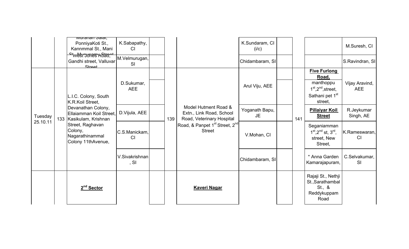|          | <u>wuranan Salai,</u><br>PonniyaKoti St.,<br>Kannmmal St., Mani          | K.Sabapathy,<br>CI         |     |                                                                               | K.Sundaram, CI<br>(i/c) |     |                                                                                                            | M.Suresh, CI                 |
|----------|--------------------------------------------------------------------------|----------------------------|-----|-------------------------------------------------------------------------------|-------------------------|-----|------------------------------------------------------------------------------------------------------------|------------------------------|
|          | <b>stwest cones Kotta,</b><br>Gandhi street, Valluvar<br>Street          | M.Velmurugan,<br><b>SI</b> |     |                                                                               | Chidambaram, SI         |     |                                                                                                            | S.Ravindran, SI              |
|          | L.I.C. Colony, South<br>K.R.Koil Street,                                 | D.Sukumar,<br><b>AEE</b>   |     |                                                                               | Arul Viju, AEE          |     | <b>Five Furlong</b><br>Road,<br>manthoppu<br>$1st, 2nd, street,$<br>Sathani pet 1 <sup>st</sup><br>street, | Vijay Aravind,<br><b>AEE</b> |
| Tuesday  | Devanathan Colony,<br>Ellaiamman Koil Street,<br>133 Kasikulam, Krishnan | D.Vijula, AEE              | 139 | Model Hutment Road &<br>Extn., Link Road, School<br>Road, Veterinary Hospital | Yoganath Bapu,<br>JE    | 141 | <b>Pillaiyar Koil</b><br><b>Street</b>                                                                     | R.Jeykumar<br>Singh, AE      |
| 25.10.11 | Street, Raghavan<br>Colony,<br>Nagarathinammal<br>Colony 11thAvenue,     | C.S.Manickam.<br>CI        |     | Road, & Panpet 1 <sup>st</sup> Street, 2 <sup>nd</sup><br><b>Street</b>       | V.Mohan, CI             |     | Seganiamman<br>$1^{st}$ , $2^{nd}$ st, $3^{rd}$ ,<br>street, New<br>Street,                                | K.Rameswaran,<br>CI          |
|          |                                                                          | V.Sivakrishnan<br>, SI     |     |                                                                               | Chidambaram, SI         |     | * Anna Garden<br>Kamarajapuram,                                                                            | C.Selvakumar,<br><b>SI</b>   |
|          | 2 <sup>nd</sup> Sector                                                   |                            |     | <b>Kaveri Nagar</b>                                                           |                         |     | Rajaji St., Nethji<br>St., Sarathambal<br>St., &<br>Reddykuppam<br>Road                                    |                              |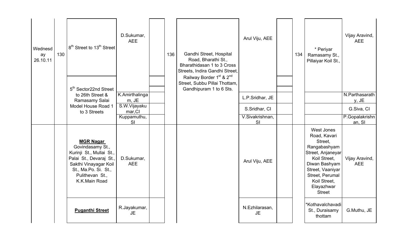| Wednesd<br>ay<br>26.10.11 | 130 | 8 <sup>th</sup> Street to 13 <sup>th</sup> Street                                                                                                                                | D.Sukumar,<br><b>AEE</b>         | 136 | Gandhi Street, Hospital<br>Road, Bharathi St.,<br>Bharathidasan 1 to 3 Cross<br>Streets, Indira Gandhi Street,<br>Railway Border 1 <sup>st</sup> & 2 <sup>nd</sup> | Arul Viju, AEE              | 134 | * Periyar<br>Ramasamy St.,<br>Pillaiyar Koil St.,                                                                                                                                                 | Vijay Aravind,<br><b>AEE</b> |
|---------------------------|-----|----------------------------------------------------------------------------------------------------------------------------------------------------------------------------------|----------------------------------|-----|--------------------------------------------------------------------------------------------------------------------------------------------------------------------|-----------------------------|-----|---------------------------------------------------------------------------------------------------------------------------------------------------------------------------------------------------|------------------------------|
|                           |     | 5 <sup>th</sup> Sector22nd Street<br>to 26th Street &                                                                                                                            | K.Amirthalinga                   |     | Street, Subbu Pillai Thottam,<br>Gandhipuram 1 to 6 Sts.                                                                                                           | L.P.Sridhar, JE             |     |                                                                                                                                                                                                   | N.Parthasarath               |
|                           |     | Ramasamy Salai<br>Model House Road 1<br>to 3 Streets                                                                                                                             | m, JE<br>S.W.Vijayaku<br>mar, CI |     |                                                                                                                                                                    | S.Sridhar, CI               |     |                                                                                                                                                                                                   | y, JE<br>G.Siva, CI          |
|                           |     |                                                                                                                                                                                  | Kuppamuthu,<br><b>SI</b>         |     |                                                                                                                                                                    | V.Sivakrishnan,<br>SI       |     |                                                                                                                                                                                                   | P.Gopalakrishn<br>an, SI     |
|                           |     | <b>MGR Nagar</b><br>Govindasamy St.,<br>Kurinji St., Mullai St.,<br>Palai St., Devaraj St.,<br>Sakthi Vinayagar Koil<br>St., Ma.Po. Si. St.,<br>Pulithevan St.,<br>K.K.Main Road | D.Sukumar,<br><b>AEE</b>         |     |                                                                                                                                                                    | Arul Viju, AEE              |     | West Jones<br>Road, Kavari<br>Street,<br>Rangabashyam<br>Street, Anjaneyar<br>Koil Street,<br>Diwan Bashyam<br>Street, Vaaniyar<br>Street, Perumal<br>Koil Street,<br>Elayazhwar<br><b>Street</b> | Vijay Aravind,<br><b>AEE</b> |
|                           |     | <b>Puganthi Street</b>                                                                                                                                                           | R.Jayakumar,<br><b>JE</b>        |     |                                                                                                                                                                    | N.Ezhilarasan,<br><b>JE</b> |     | *Kothavalchavadi<br>St., Duraisamy<br>thottam                                                                                                                                                     | G.Muthu, JE                  |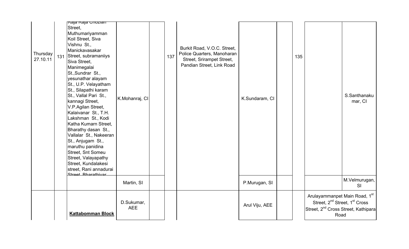| Thursday<br>27.10.11 | <mark>iRaja Raja Giloziari</mark><br>Street,<br>Muthumariyamman<br>Koil Street, Siva<br>Vishnu St.,<br>Manickavasakar<br>131 Street, subramaniiys<br>Siva Street,<br>Manimegalai<br>St., Sundrar St.,<br>yesunathar alayam<br>St., U.P. Velayatham<br>St., Silapathi karam<br>St., Vallal Pari St.,<br>kannagi Street,<br>V.P.Agilan Street,<br>Kalaivanar St., T.H.<br>Lakshman St., Kodi<br>Katha Kumarn Street,<br>Bharathy dasan St.,<br>Vallalar St., Nakeeran<br>St., Anjugam St.,<br>maruthu panidina<br>Street, Snt Someu<br>Street, Valayapathy<br>Street, Kundalakesi<br>street, Rani annadurai<br>Ctroot Pharathivar | K.Mohanraj, Cl           | 137 | Burkit Road, V.O.C. Street,<br>Police Quarters, Manoharan<br>Street, Srirampet Street,<br>Pandian Street, Link Road | K.Sundaram, CI | 135 |                                                                                                                                                   | S.Santhanaku<br>mar, CI |
|----------------------|---------------------------------------------------------------------------------------------------------------------------------------------------------------------------------------------------------------------------------------------------------------------------------------------------------------------------------------------------------------------------------------------------------------------------------------------------------------------------------------------------------------------------------------------------------------------------------------------------------------------------------|--------------------------|-----|---------------------------------------------------------------------------------------------------------------------|----------------|-----|---------------------------------------------------------------------------------------------------------------------------------------------------|-------------------------|
|                      |                                                                                                                                                                                                                                                                                                                                                                                                                                                                                                                                                                                                                                 | Martin, SI               |     |                                                                                                                     | P.Murugan, SI  |     |                                                                                                                                                   | M.Velmurugan,<br>SI     |
|                      | <b>Kattabomman Block</b>                                                                                                                                                                                                                                                                                                                                                                                                                                                                                                                                                                                                        | D.Sukumar,<br><b>AEE</b> |     |                                                                                                                     | Arul Viju, AEE |     | Arulayammanpet Main Road, 1st<br>Street, 2 <sup>nd</sup> Street, 1 <sup>st</sup> Cross<br>Street, 2 <sup>nd</sup> Cross Street, Kathipara<br>Road |                         |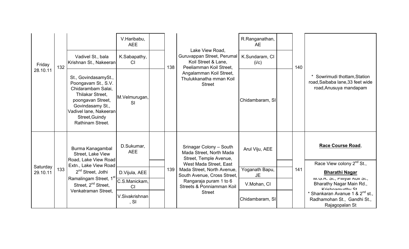| Friday   |     | Vadivel St., bala<br>Krishnan St., Nakeeran                                                                                                                                                    | V.Haribabu,<br><b>AEE</b><br>K.Sabapathy,<br>CI |     | Lake View Road,<br>Guruvappan Street, Perumal<br>Koil Street & Lane,                           | R.Ranganathan,<br><b>AE</b><br>K.Sundaram, CI<br>(i/c) |     |                                                                                              |
|----------|-----|------------------------------------------------------------------------------------------------------------------------------------------------------------------------------------------------|-------------------------------------------------|-----|------------------------------------------------------------------------------------------------|--------------------------------------------------------|-----|----------------------------------------------------------------------------------------------|
| 28.10.11 | 132 | St., GovindasamySt.,<br>Poongavam St., S.V.<br>Chidarambam Salai,<br>Thilakar Street,<br>poongavan Street,<br>Govindasamy St.,<br>Vadivel lane, Nakeeran<br>Street, Guindy<br>Rathinam Street. | M.Velmurugan,<br><b>SI</b>                      | 138 | Peeliamman Koil Street,<br>Angalamman Koil Street,<br>Thulukkanatha mman Koil<br><b>Street</b> | Chidambaram, SI                                        | 140 | Sowrimudi thottam, Station<br>road, Saibaba lane, 33 feet wide<br>road, Anusuya mandapam     |
|          |     | Burma Kanagambal<br>Street, Lake View<br>Road, Lake View Road                                                                                                                                  | D.Sukumar,<br><b>AEE</b>                        |     | Srinagar Colony - South<br>Mada Street, North Mada<br>Street, Temple Avenue,                   | Arul Viju, AEE                                         |     | Race Course Road,                                                                            |
| Saturday | 133 | Extn., Lake View Road                                                                                                                                                                          |                                                 | 139 | West Mada Street, East<br>Mada Street, North Avenue,                                           | Yoganath Bapu,                                         | 141 | Race View colony 2 <sup>nd</sup> St.,                                                        |
| 29.10.11 |     | 2 <sup>nd</sup> Street, Jothi                                                                                                                                                                  | D.Vijula, AEE                                   |     | South Avenue, Cross Street,                                                                    | JE.                                                    |     | <b>Bharathi Nagar</b>                                                                        |
|          |     | Ramalingam Street, 1st<br>Street, 2 <sup>nd</sup> Street,                                                                                                                                      | C.S.Manickam,<br>CI                             |     | Rangaraja puram 1 to 6<br>Streets & Ponniamman Koil                                            | V.Mohan, CI                                            |     | ועו.ש.ת. סו., רוווון או סו.,<br>Bharathy Nagar Main Rd.,<br>Krichnamurthy Ct                 |
|          |     | Venkatraman Street.                                                                                                                                                                            | V.Sivakrishnan<br>, SI                          |     | <b>Street</b>                                                                                  | Chidambaram, SI                                        |     | * Shankaran Avanue 1 & 2 <sup>nd</sup> st.,<br>Radhamohan St., Gandhi St.,<br>Rajagopalan St |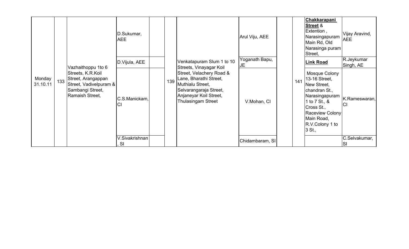|                    |     |                                                                                                          | D.Sukumar,<br><b>AEE</b>    |     |                                                                                                                                                         | Arul Viju, AEE        |     | Chakkarapani<br><b>Street &amp;</b><br>Extention,<br>Narasingapuram<br>Main Rd, Old<br>Narasinga puram<br>Street,                                                             | Vijay Aravind,<br><b>AEE</b> |
|--------------------|-----|----------------------------------------------------------------------------------------------------------|-----------------------------|-----|---------------------------------------------------------------------------------------------------------------------------------------------------------|-----------------------|-----|-------------------------------------------------------------------------------------------------------------------------------------------------------------------------------|------------------------------|
|                    |     | Vazhaithoppu 1to 6                                                                                       | D.Vijula, AEE               |     | Venkatapuram Slum 1 to 10<br>Streets, Vinayagar Koil                                                                                                    | Yoganath Bapu,<br>IJΕ |     | <b>Link Road</b>                                                                                                                                                              | R.Jeykumar<br>Singh, AE      |
| Monday<br>31.10.11 | 133 | Streets, K.R.Koil<br>Street, Arangappan<br>Street, Vadivelpuram &<br>Sambangi Street,<br>Ramaish Street, | C.S.Manickam,<br>CI         | 139 | Street, Velachery Road &<br>Lane, Bharathi Street,<br>Muthialu Street,<br>Selvarangaraja Street,<br>Anjaneyar Koil Street,<br><b>Thulasingam Street</b> | V.Mohan, CI           | 141 | Mosque Colony<br>13-16 Street,<br>New Street,<br>chandran St.,<br>Narasingapuram<br>1 to 7 St., &<br>Cross St.,<br>Raceview Colony<br>Main Road,<br>R.V.Colony 1 to<br>3 St., | K.Rameswaran,<br><b>CI</b>   |
|                    |     |                                                                                                          | V.Sivakrishnan<br><b>SI</b> |     |                                                                                                                                                         | Chidambaram, SI       |     |                                                                                                                                                                               | C.Selvakumar,<br>ISI         |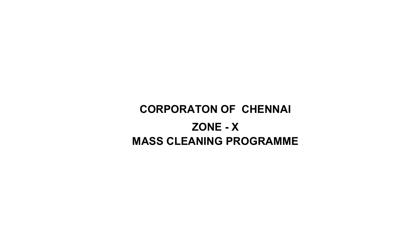# CORPORATON OF CHENNAI ZONE - XMASS CLEANING PROGRAMME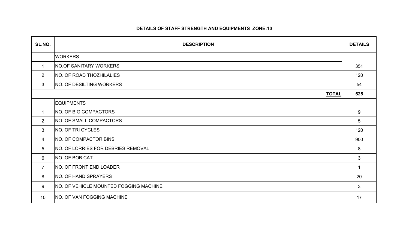#### DETAILS OF STAFF STRENGTH AND EQUIPMENTS ZONE:10

| SL.NO.          | <b>DESCRIPTION</b>                     | <b>DETAILS</b> |
|-----------------|----------------------------------------|----------------|
|                 | <b>WORKERS</b>                         |                |
| $\mathbf{1}$    | NO.OF SANITARY WORKERS                 | 351            |
| 2               | NO. OF ROAD THOZHILALIES               | 120            |
| 3               | <b>NO. OF DESILTING WORKERS</b>        | 54             |
|                 | <b>TOTAL</b>                           | 525            |
|                 | <b>EQUIPMENTS</b>                      |                |
| $\mathbf 1$     | NO. OF BIG COMPACTORS                  | 9              |
| $\overline{2}$  | NO. OF SMALL COMPACTORS                | 5              |
| 3               | NO. OF TRI CYCLES                      | 120            |
| $\overline{4}$  | NO. OF COMPACTOR BINS                  | 900            |
| $5\overline{)}$ | NO. OF LORRIES FOR DEBRIES REMOVAL     | 8              |
| 6               | <b>NO. OF BOB CAT</b>                  | 3              |
| $\overline{7}$  | NO. OF FRONT END LOADER                | $\overline{1}$ |
| 8               | NO. OF HAND SPRAYERS                   | 20             |
| 9               | NO. OF VEHICLE MOUNTED FOGGING MACHINE | 3              |
| 10              | <b>NO. OF VAN FOGGING MACHINE</b>      | 17             |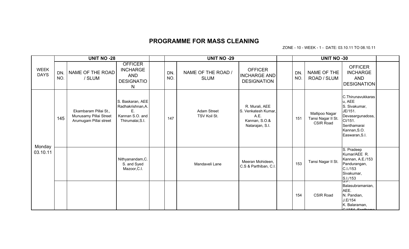#### PROGRAMME FOR MASS CLEANING

ZONE - 10 - WEEK - 1 - DATE: 03.10.11 TO 08.10.11

|                            |            | <b>UNIT NO -28</b>                                                        |                                                                                    |            | <b>UNIT NO -29</b>                 |                                                                                   |            | <b>UNIT NO -30</b>                                       |                                                                                                                                         |  |
|----------------------------|------------|---------------------------------------------------------------------------|------------------------------------------------------------------------------------|------------|------------------------------------|-----------------------------------------------------------------------------------|------------|----------------------------------------------------------|-----------------------------------------------------------------------------------------------------------------------------------------|--|
| <b>WEEK</b><br><b>DAYS</b> | DN.<br>NO. | NAME OF THE ROAD<br>/ SLUM                                                | <b>OFFICER</b><br><b>INCHARGE</b><br>AND<br><b>DESIGNATIO</b><br>N                 | DN.<br>NO. | NAME OF THE ROAD /<br><b>SLUM</b>  | <b>OFFICER</b><br><b>INCHARGE AND</b><br><b>DESIGNATION</b>                       | DN.<br>NO. | NAME OF THE<br>ROAD / SLUM                               | <b>OFFICER</b><br><b>INCHARGE</b><br><b>AND</b><br><b>DESIGNATION</b>                                                                   |  |
|                            | 145        | Ekambaram Pillai St.,<br>Munusamy Pillai Street<br>Arumugam Pillai street | S. Baskaran, AEE<br>Radhakrishnan, A.<br>F.<br>Kannan S.O. and<br>Thirumalai, S.I. | 147        | <b>Adam Street</b><br>TSV Koil St. | R. Murali, AEE<br>S. Venkatesh Kumar,<br>A.E.<br>Kannan, S.O.&<br>Natarajan, S.I. | 151        | Mallipoo Nagar<br>Tansi Nagar II St.<br><b>CSIR Road</b> | C.Thirunavukkaras<br>u, AEE<br>S. Sivakumar,<br>JE/151.<br>Devasargunadoss,<br>CI/151.<br>Senthamarai<br>Kannan, S.O.<br>Easwaran, S.I. |  |
| Monday<br>03.10.11         |            |                                                                           | Nithyanandam, C.<br>S. and Syed<br>Mazoor, C.I.                                    |            | Mandaveli Lane                     | Meeran Mohideen,<br>C.S & Parthiban, C.I.                                         | 153        | Tansi Nagar II St.                                       | S. Pradeep<br>Kumar/AEE R.<br>Kannan, A.E./153<br>Pandurangan,<br>C.I./153<br>Sivakumar,<br>S.I./153                                    |  |
|                            |            |                                                                           |                                                                                    |            |                                    |                                                                                   | 154        | <b>CSIR Road</b>                                         | 5.7.<br>Balasubramanian,<br>AEE.<br>N. Pandian,<br>J.E/154<br>K. Balaraman,<br>$C1/154$ Conthome                                        |  |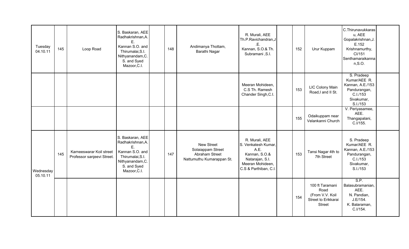| Tuesday<br>04.10.11   | 145 | Loop Road                                              | S. Baskaran, AEE<br>Radhakrishnan, A.<br>F.<br>Kannan S.O. and<br>Thirumalai, S.I.<br>Nithyanandam, C.<br>S. and Syed<br>Mazoor, C.I. | 148 | Andimanya Thottam,<br>Barathi Nagar                                                   | R. Murali, AEE<br>Th.P.Ravichandran,J<br>.E.<br>Kannan, S.O.& Th.<br>Subramani, S.I.                                           | 152 | Urur Kuppam                                                                        | C.Thirunavukkaras<br>u, AEE<br>Gopalakrishnan, J.<br>E.152<br>Krishnamurthy,<br>Cl/151<br>Senthamaraikanna<br>$n, S.$ O. |  |
|-----------------------|-----|--------------------------------------------------------|---------------------------------------------------------------------------------------------------------------------------------------|-----|---------------------------------------------------------------------------------------|--------------------------------------------------------------------------------------------------------------------------------|-----|------------------------------------------------------------------------------------|--------------------------------------------------------------------------------------------------------------------------|--|
|                       |     |                                                        |                                                                                                                                       |     |                                                                                       | Meeran Mohideen,<br>C.S Th. Ramesh<br>Chander Singh, C.I.                                                                      | 153 | LIC Colony Main<br>Road, I and II St.                                              | S. Pradeep<br>Kumar/AEE R.<br>Kannan, A.E./153<br>Pandurangan,<br>C.I./153<br>Sivakumar,<br>S.I./153                     |  |
|                       |     |                                                        |                                                                                                                                       |     |                                                                                       |                                                                                                                                | 155 | Odaikuppam near<br>Velankanni Church                                               | V. Periyasamee,<br>AEE.<br>Thangapalani,<br>C.I/155.                                                                     |  |
| Wednesday<br>05.10.11 | 145 | Karneeswarar Koil street<br>Professor sanjeevi Street. | S. Baskaran, AEE<br>Radhakrishnan, A.<br>Ε.<br>Kannan S.O. and<br>Thirumalai, S.I.<br>Nithyanandam, C.<br>S. and Syed<br>Mazoor, C.I. | 147 | <b>New Street</b><br>Solaiappam Street<br>Abraham Street<br>Nattumuthu Kumarappan St. | R. Murali, AEE<br>S. Venkatesh Kumar,<br>A.E.<br>Kannan, S.O.&<br>Natarajan, S.I.<br>Meeran Mohideen,<br>C.S & Parthiban, C.I. | 153 | Tansi Nagar 4th to<br>7th Street                                                   | S. Pradeep<br>Kumar/AEE R.<br>Kannan, A.E./153<br>Pandurangan,<br>C.I./153<br>Sivakumar,<br>S.I./153                     |  |
|                       |     |                                                        |                                                                                                                                       |     |                                                                                       |                                                                                                                                | 154 | 100 ft Taramani<br>Road<br>(From V.V. Koil<br>Street to Erikkarai<br><b>Street</b> | S.P.<br>Balasubramanian,<br>AEE.<br>N. Pandian,<br>J.E/154.<br>K. Balaraman,<br>C.I/154.                                 |  |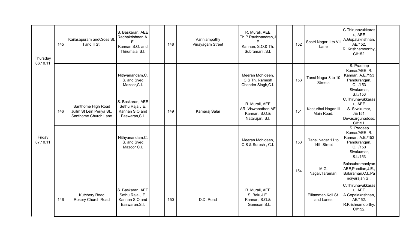| Thursday           | 145 | Kailasapuram andCross St<br>I and II St.                                | S. Baskaran, AEE<br>Radhakrishnan, A.<br>E.<br>Kannan S.O. and<br>Thirumalai, S.I. | 148 | Vanniampathy<br>Vinayagam Street | R. Murali, AEE<br>Th.P.Ravichandran,J<br>.E.<br>Kannan, S.O.& Th.<br>Subramani, S.I. | 152 | Sastri Nagar II to VII<br>Lane        | C.Thirunavukkaras<br>u, AEE<br>A.Gopalakrishnan,<br>AE/152.<br>R. Krishnamoorthy,<br>CI/152.         |  |
|--------------------|-----|-------------------------------------------------------------------------|------------------------------------------------------------------------------------|-----|----------------------------------|--------------------------------------------------------------------------------------|-----|---------------------------------------|------------------------------------------------------------------------------------------------------|--|
| 06.10.11           |     |                                                                         | Nithyanandam, C.<br>S. and Syed<br>Mazoor, C.I.                                    |     |                                  | Meeran Mohideen,<br>C.S Th. Ramesh<br>Chander Singh, C.I.                            | 153 | Tansi Nagar 8 to 10<br><b>Streets</b> | S. Pradeep<br>Kumar/AEE R.<br>Kannan, A.E./153<br>Pandurangan,<br>C.I./153<br>Sivakumar,<br>S.I./153 |  |
|                    | 146 | Santhome High Road<br>Juilm St Lein Periya St.,<br>Santhome Church Lane | S. Baskaran, AEE<br>Sethu Raja, J.E.<br>Kannan S.O and<br>Easwaran, S.I.           | 149 | Kamaraj Salai                    | R. Murali, AEE<br>AR. Viswanathan, AE<br>Kannan, S.O.&<br>Natarajan, S.I.            | 151 | Kasturibai Nagar III<br>Main Road.    | C.Thirunavukkaras<br>u, AEE<br>S. Sivakumar,<br>JE/151.<br>Devasargunadoss,<br>Cl/151.               |  |
| Friday<br>07.10.11 |     |                                                                         | Nithyanandam, C.<br>S. and Syed<br>Mazoor C.I.                                     |     |                                  | Meeran Mohideen,<br>C.S & Suresh, C.I.                                               | 153 | Tansi Nagar 11 to<br>14th Street      | S. Pradeep<br>Kumar/AEE R.<br>Kannan, A.E./153<br>Pandurangan,<br>C.I./153<br>Sivakumar,<br>S.I./153 |  |
|                    |     |                                                                         |                                                                                    |     |                                  |                                                                                      | 154 | M.G.<br>Nagar, Taramani               | Balasubramaniyan<br>AEE, Pandian, J.E.,<br>Balaraman, C.I., Pa<br>ndiyarajan S.I.                    |  |
|                    | 146 | Kutchery Road<br>Rosery Church Road                                     | S. Baskaran, AEE<br>Sethu Raja, J.E.<br>Kannan S.O and<br>Easwaran, S.I.           | 150 | D.D. Road                        | R. Murali, AEE<br>S. Balu, J.E.<br>Kannan, S.O.&<br>Ganesan, S.I                     |     | Elliamman Koil St.<br>and Lanes       | C.Thirunavukkaras<br>u, AEE<br>A.Gopalakrishnan,<br>AE/152.<br>R.Krishnamoorthy,<br>CI/152.          |  |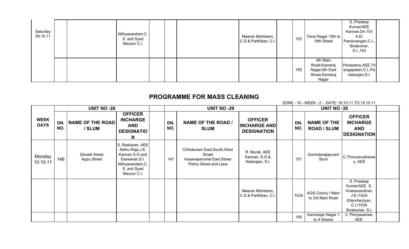| Saturday<br>08.10.11 |  | Nithyanandam, C.<br>S. and Syed<br>Mazoor C.I. |  | Meeran Mohideen,<br>C.S & Parthiban, C.I. | 153 | Tansi Nagar 15th to<br>18th Street                                       | S. Pradeep<br>Kumar/AEE<br>Kannan, Dn. 153<br>A.E/<br>Pandurangan, C.I.,<br>Sivakumar,<br>S.I., 153 |  |
|----------------------|--|------------------------------------------------|--|-------------------------------------------|-----|--------------------------------------------------------------------------|-----------------------------------------------------------------------------------------------------|--|
|                      |  |                                                |  |                                           | 155 | 4th Main<br>Road, Kamaraj<br>Nagar, 6th East<br>Street, Kamaraj<br>Nagar | Periasamy, AEE, Th<br>angapalani, C.I., Pa<br>ndiarajan, S.I.                                       |  |

#### PROGRAMME FOR MASS CLEANING

ZONE - 10 - WEEK - 2 - DATE: 10.10.11 TO 15.10.11

|                            |            | <b>UNIT NO -28</b>                |                                                                                                                            |            | <b>UNIT NO -29</b>                                                                             |                                                             |            | <b>UNIT NO -30</b>                       |                                                                                                             |  |
|----------------------------|------------|-----------------------------------|----------------------------------------------------------------------------------------------------------------------------|------------|------------------------------------------------------------------------------------------------|-------------------------------------------------------------|------------|------------------------------------------|-------------------------------------------------------------------------------------------------------------|--|
| <b>WEEK</b><br><b>DAYS</b> | DN.<br>NO. | <b>NAME OF THE ROAD</b><br>/ SLUM | <b>OFFICER</b><br><b>INCHARGE</b><br><b>AND</b><br><b>DESIGNATIO</b><br>N                                                  | DN.<br>NO. | <b>NAME OF THE ROAD /</b><br><b>SLUM</b>                                                       | <b>OFFICER</b><br><b>INCHARGE AND</b><br><b>DESIGNATION</b> | DN.<br>NO. | <b>NAME OF THE</b><br><b>ROAD / SLUM</b> | <b>OFFICER</b><br><b>INCHARGE</b><br><b>AND</b><br><b>DESIGNATION</b>                                       |  |
| Monday<br>10.10.11         | 146        | Devadi Street<br>Appu Street      | S. Baskaran, AEE<br>Sethu Raja, J.E.<br>Kannan S.O and<br>Easwaran, S.I.<br>Nithyanandam, C.<br>S. and Syed<br>Mazoor C.I. | 147        | Chitrakulam East, South, West<br>Street<br>Kesavaperumal East Street<br>Pitchu Street and Lane | R. Murali, AEE<br>Kannan, S.O.&<br>Natarajan, S.I.          | 151        | Govindarajapuram<br>Slum                 | C.Thirunavukkaras<br>u, AEE                                                                                 |  |
|                            |            |                                   |                                                                                                                            |            |                                                                                                | Meeran Mohideen,<br>C.S & Parthiban, C.I.                   | 153A       | AGS Colony I Main<br>to 3rd Main Road    | S. Pradeep<br>Kumar/AEE S.<br>Vivekanandhan,<br>J.E./153A<br>Ellancheziyan,<br>C.I./153A<br>Sivakumar, S.I. |  |
|                            |            |                                   |                                                                                                                            |            |                                                                                                |                                                             | 155        | Kamarajar Nagar 1<br>to 4 Streets        | V. Periyasamee,<br>AEE.                                                                                     |  |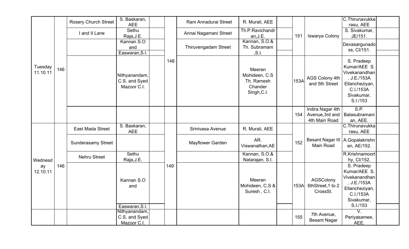|                     |     | <b>Rosery Church Street</b> | S. Baskaran,<br><b>AEE</b>                    |     | Rani Annadurai Street | R. Murali, AEE                                                   |      |                                                      | C.Thirunavukka<br>rasu, AEE                                                                                         |  |
|---------------------|-----|-----------------------------|-----------------------------------------------|-----|-----------------------|------------------------------------------------------------------|------|------------------------------------------------------|---------------------------------------------------------------------------------------------------------------------|--|
|                     |     | I and II Lane               | Sethu<br>Raja, J.E.                           |     | Annai Nagamani Street | Th.P.Ravichandr<br>an, J.E.                                      | 151  | Iswarya Colony                                       | S. Sivakumar,<br>JE/151.                                                                                            |  |
|                     |     |                             | Kannan S.O<br>and<br>Easwaran, S.I.           |     | Thiruvengadam Street  | Kannan, S.O.&<br>Th. Subramani<br>, S.1.                         |      |                                                      | Devasargunado<br>ss, Cl/151.                                                                                        |  |
| Tuesday<br>11.10.11 | 146 |                             | Nithyanandam,<br>C.S. and Syed<br>Mazoor C.I. | 148 |                       | Meeran<br>Mohideen, C.S.<br>Th. Ramesh<br>Chander<br>Singh, C.I. | 153A | AGS Colony 4th<br>and 5th Street                     | S. Pradeep<br>Kumar/AEE S.<br>Vivekanandhan<br>, J.E./153A<br>Ellancheziyan,<br>C.I./153A<br>Sivakumar,<br>S.I./153 |  |
|                     |     |                             |                                               |     |                       |                                                                  | 154  | Indira Nagar 4th<br>Avenue, 3rd and<br>4th Main Road | S.P.<br>Balasubramani<br>an, AEE.                                                                                   |  |
|                     |     | East Mada Street            | S. Baskaran,<br><b>AEE</b>                    |     | Srinivasa Avenue      | R. Murali, AEE                                                   |      |                                                      | C.Thirunavukka<br>rasu, AEE                                                                                         |  |
|                     |     | <b>Sunderasamy Street</b>   |                                               |     | Mayflower Garden      | AR.<br>Viswanathan, AE                                           | 152  | <b>Besant Nagar III</b><br>Main Road                 | A.Gopalakrishn<br>an, AE/152.                                                                                       |  |
| Wednesd             |     | <b>Nehru Street</b>         | Sethu<br>Raja, J.E.                           |     |                       | Kannan, S.O.&<br>Natarajan, S.I.                                 |      |                                                      | R.Krishnamoort<br>hy, Cl/152.                                                                                       |  |
| ay<br>12.10.11      | 146 |                             | Kannan S.O<br>and                             | 149 |                       | Meeran<br>Mohideen, C.S &<br>Suresh, C.I.                        | 153A | AGSColony<br>6thStreet, 1 to 2<br>CrossSt.           | S. Pradeep<br>Kumar/AEE S.<br>Vivekanandhan<br>, J.E./153A<br>Ellancheziyan,<br>C.I./153A<br>Sivakumar,             |  |
|                     |     |                             | Easwaran, S.I.<br>Nithyanandam,               |     |                       |                                                                  |      |                                                      | S.I./153<br>$\overline{V}$ .                                                                                        |  |
|                     |     |                             | C.S. and Syed<br>Mazoor C.I.                  |     |                       |                                                                  | 155  | 7th Avenue,<br><b>Besant Nagar</b>                   | Periyasamee,<br>AEE.                                                                                                |  |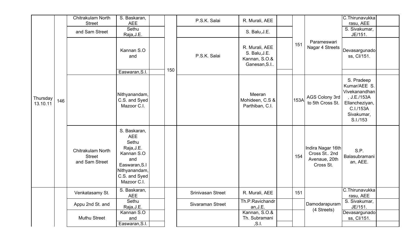|                      |     | Chitrakulam North<br><b>Street</b>                          | S. Baskaran,<br><b>AEE</b>                                                                                                               |     | P.S.K. Salai      | R. Murali, AEE                                                   |      |                                                                 | C.Thirunavukka<br>rasu, AEE                                                                                         |  |
|----------------------|-----|-------------------------------------------------------------|------------------------------------------------------------------------------------------------------------------------------------------|-----|-------------------|------------------------------------------------------------------|------|-----------------------------------------------------------------|---------------------------------------------------------------------------------------------------------------------|--|
|                      |     | and Sam Street                                              | Sethu<br>Raja, J.E.                                                                                                                      |     |                   | S. Balu, J.E.                                                    |      |                                                                 | S. Sivakumar,<br>JE/151.                                                                                            |  |
|                      |     |                                                             | Kannan S.O<br>and<br>Easwaran, S.I.                                                                                                      | 150 | P.S.K. Salai      | R. Murali, AEE<br>S. Balu, J.E.<br>Kannan, S.O.&<br>Ganesan, S.I | 151  | Parameswari<br>Nagar 4 Streets                                  | Devasargunado<br>ss, Cl/151.                                                                                        |  |
| Thursday<br>13.10.11 | 146 |                                                             | Nithyanandam,<br>C.S. and Syed<br>Mazoor C.I.                                                                                            |     |                   | Meeran<br>Mohideen, C.S &<br>Parthiban, C.I.                     | 153A | AGS Colony 3rd<br>to 5th Cross St.                              | S. Pradeep<br>Kumar/AEE S.<br>Vivekanandhan<br>, J.E./153A<br>Ellancheziyan,<br>C.I./153A<br>Sivakumar,<br>S.I./153 |  |
|                      |     | <b>Chitrakulam North</b><br><b>Street</b><br>and Sam Street | S. Baskaran,<br><b>AEE</b><br>Sethu<br>Raja, J.E.<br>Kannan S.O<br>and<br>Easwaran, S.I<br>Nithyanandam,<br>C.S. and Syed<br>Mazoor C.I. |     |                   |                                                                  | 154  | Indira Nagar 16th<br>Cross St 2nd<br>Avenaue, 20th<br>Cross St. | S.P.<br>Balasubramani<br>an, AEE.                                                                                   |  |
|                      |     | Venkatasamy St.                                             | S. Baskaran,<br><b>AEE</b>                                                                                                               |     | Srinivasan Street | R. Murali, AEE                                                   | 151  |                                                                 | C.Thirunavukka<br>rasu, AEE                                                                                         |  |
|                      |     | Appu 2nd St. and                                            | Sethu<br>Raja, J.E.                                                                                                                      |     | Sivaraman Street  | Th.P.Ravichandr<br>an, J.E.                                      |      | Damodarapuram<br>(4 Streets)                                    | S. Sivakumar,<br>JE/151.                                                                                            |  |
|                      |     | Muthu Street                                                | Kannan S.O<br>and<br>Easwaran, S.I.                                                                                                      |     |                   | Kannan, S.O.&<br>Th. Subramani<br>, S.1.                         |      |                                                                 | Devasargunado<br>ss, Cl/151.                                                                                        |  |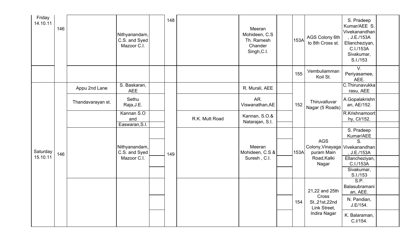| Friday<br>14.10.11 | 146 |                   | Nithyanandam,<br>C.S. and Syed<br>Mazoor C.I. | 148 |                | Meeran<br>Mohideen, C.S.<br>Th. Ramesh<br>Chander<br>Singh, C.I. | 153A | AGS Colony 6th<br>to 8th Cross st.           | S. Pradeep<br>Kumar/AEE S.<br>Vivekanandhan<br>, J.E./153A<br>Ellancheziyan,<br>C.I./153A<br>Sivakumar,<br>S.I./153 |  |
|--------------------|-----|-------------------|-----------------------------------------------|-----|----------------|------------------------------------------------------------------|------|----------------------------------------------|---------------------------------------------------------------------------------------------------------------------|--|
|                    |     |                   |                                               |     |                |                                                                  | 155  | Vembuliamman<br>Koil St.                     | V.<br>Periyasamee,<br>AEE.                                                                                          |  |
|                    |     | Appu 2nd Lane     | S. Baskaran,<br><b>AEE</b>                    |     |                | R. Murali, AEE                                                   |      |                                              | C.Thirunavukka<br>rasu, AEE                                                                                         |  |
|                    |     | Thandavarayan st. | Sethu<br>Raja, J.E.                           |     |                | AR.<br>Viswanathan, AE                                           | 152  | Thiruvalluvar<br>Nagar (5 Roads)             | A.Gopalakrishn<br>an, AE/152.                                                                                       |  |
|                    |     |                   | Kannan S.O<br>and<br>Easwaran, S.I.           |     | R.K. Mutt Road | Kannan, S.O.&<br>Natarajan, S.I.                                 |      |                                              | R.Krishnamoort<br>hy, Cl/152.                                                                                       |  |
|                    |     |                   |                                               |     |                |                                                                  |      |                                              | S. Pradeep<br>Kumar/AEE                                                                                             |  |
| Saturday           | 146 |                   | Nithyanandam,<br>C.S. and Syed                | 149 |                | Meeran<br>Mohideen, C.S &                                        | 153A | <b>AGS</b><br>Colony, Vinayaga<br>puram Main | S.<br>Vivekanandhan<br>, J.E./153A                                                                                  |  |
| 15.10.11           |     |                   | Mazoor C.I.                                   |     |                | Suresh, C.I.                                                     |      | Road, Kalki<br>Nagar                         | Ellancheziyan,<br>C.I./153A                                                                                         |  |
|                    |     |                   |                                               |     |                |                                                                  |      |                                              | Sivakumar,<br>S.I./153                                                                                              |  |
|                    |     |                   |                                               |     |                |                                                                  |      | 21,22 and 25th                               | S.P.<br>Balasubramani<br>an, AEE.                                                                                   |  |
|                    |     |                   |                                               |     |                |                                                                  | 154  | Cross<br>St., 21st, 22nd<br>Link Street,     | N. Pandian,<br>J.E/154.                                                                                             |  |
|                    |     |                   |                                               |     |                |                                                                  |      | Indira Nagar                                 | K. Balaraman,<br>C.I/154.                                                                                           |  |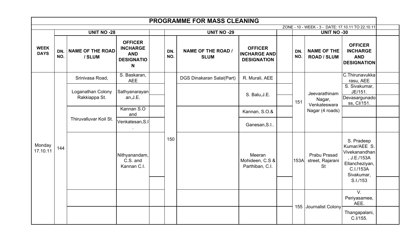|                            |            |                                   |                                                                           |            | <b>PROGRAMME FOR MASS CLEANING</b>       |                                                             |            |                                                   |                                                                                                         |  |
|----------------------------|------------|-----------------------------------|---------------------------------------------------------------------------|------------|------------------------------------------|-------------------------------------------------------------|------------|---------------------------------------------------|---------------------------------------------------------------------------------------------------------|--|
|                            |            |                                   |                                                                           |            |                                          |                                                             |            | ZONE - 10 - WEEK - 3 - DATE: 17.10.11 TO 22.10.11 |                                                                                                         |  |
|                            |            | <b>UNIT NO -28</b>                |                                                                           |            | <b>UNIT NO -29</b>                       |                                                             |            | <b>UNIT NO -30</b>                                |                                                                                                         |  |
| <b>WEEK</b><br><b>DAYS</b> | DN.<br>NO. | <b>NAME OF THE ROAD</b><br>/ SLUM | <b>OFFICER</b><br><b>INCHARGE</b><br><b>AND</b><br><b>DESIGNATIO</b><br>N | DN.<br>NO. | <b>NAME OF THE ROAD /</b><br><b>SLUM</b> | <b>OFFICER</b><br><b>INCHARGE AND</b><br><b>DESIGNATION</b> | DN.<br>NO. | <b>NAME OF THE</b><br><b>ROAD / SLUM</b>          | <b>OFFICER</b><br><b>INCHARGE</b><br><b>AND</b><br><b>DESIGNATION</b>                                   |  |
|                            |            | Srinivasa Road,                   | S. Baskaran,<br><b>AEE</b>                                                |            | <b>DGS Dinakaran Salai(Part)</b>         | R. Murali, AEE                                              |            |                                                   | C.Thirunavukka<br>rasu, AEE                                                                             |  |
|                            |            | Loganathan Colony                 | Sathyanarayan                                                             |            |                                          | S. Balu, J.E.                                               |            | Jeevarathinam                                     | S. Sivakumar,<br>JE/151.                                                                                |  |
|                            |            | Rakkiappa St.                     | an, J.E.                                                                  |            |                                          |                                                             | 151        | Nagar,<br>Venkateswara                            | Devasargunado<br>ss, Cl/151.                                                                            |  |
|                            |            | Thiruvalluvar Koil St.            | Kannan S.O<br>and                                                         |            |                                          | Kannan, S.O.&                                               |            | Nagar (4 roads)                                   |                                                                                                         |  |
|                            |            |                                   | Venkatesan, S.I                                                           |            |                                          | Ganesan, S.I                                                |            |                                                   |                                                                                                         |  |
| Monday<br>17.10.11         | 144        |                                   | Nithyanandam,<br>C.S. and<br>Kannan C.I.                                  | 150        |                                          | Meeran<br>Mohideen, C.S &<br>Parthiban, C.I.                | 153A       | Prabu Prasad<br>street, Rajarani<br><b>St</b>     | S. Pradeep<br>Kumar/AEE S.<br>Vivekanandhan<br>, J.E./153A<br>Ellancheziyan,<br>C.I./153A<br>Sivakumar, |  |
|                            |            |                                   |                                                                           |            |                                          |                                                             |            |                                                   | S.I./153                                                                                                |  |
|                            |            |                                   |                                                                           |            |                                          |                                                             |            | 155 Journalist Colony                             | $V_{\cdot}$<br>Periyasamee,<br>AEE.                                                                     |  |
|                            |            |                                   |                                                                           |            |                                          |                                                             |            |                                                   | Thangapalani,<br>C.I/155.                                                                               |  |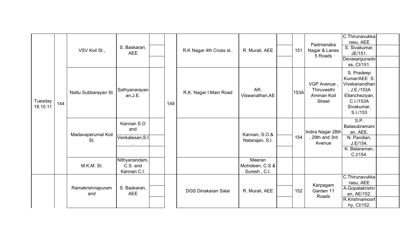|                     |     |                           |                                          |     |                            |                                           |      | Padmanaba                                                 | C.Thirunavukka<br>rasu, AEE                                                                                         |  |
|---------------------|-----|---------------------------|------------------------------------------|-----|----------------------------|-------------------------------------------|------|-----------------------------------------------------------|---------------------------------------------------------------------------------------------------------------------|--|
|                     |     | VSV Koil St.,             | S. Baskaran,<br><b>AEE</b>               |     | R.K Nagar 4th Cross st     | R. Murali, AEE                            | 151  | Nagar & Lanes<br>5 Roads                                  | S. Sivakumar,<br>JE/151.                                                                                            |  |
|                     |     |                           |                                          |     |                            |                                           |      |                                                           | Devasargunado<br>ss, Cl/151.                                                                                        |  |
| Tuesday<br>18.10.11 | 144 | Nattu Subbarayan St.      | Sathyanarayan<br>an, J.E.                | 149 | R.K. Nagar I Main Road     | AR.<br>Viswanathan, AE                    | 153A | VGP Avenue,<br>Thiruveethi<br>Amman Koil<br><b>Street</b> | S. Pradeep<br>Kumar/AEE S.<br>Vivekanandhan<br>, J.E./153A<br>Ellancheziyan,<br>C.I./153A<br>Sivakumar,<br>S.I./153 |  |
|                     |     |                           | Kannan S.O<br>and                        |     |                            |                                           |      | Indira Nagar 28th                                         | S.P.<br>Balasubramani<br>an, AEE.                                                                                   |  |
|                     |     | Madavaperumal Koil<br>St. | Venkatesan, S.I<br>$\sim$                |     |                            | Kannan, S.O.&<br>Natarajan, S.I.          | 154  | , 29th and 3rd<br>Avenue                                  | N. Pandian,<br>J.E/154.                                                                                             |  |
|                     |     |                           |                                          |     |                            |                                           |      |                                                           | K. Balaraman,<br>C.I/154.                                                                                           |  |
|                     |     | M.K.M. St.                | Nithyanandam,<br>C.S. and<br>Kannan C.I. |     |                            | Meeran<br>Mohideen, C.S &<br>Suresh, C.I. |      |                                                           |                                                                                                                     |  |
|                     |     |                           |                                          |     |                            |                                           |      |                                                           | C.Thirunavukka<br>rasu, AEE                                                                                         |  |
|                     |     | Ramakrishnapuram<br>and   | S. Baskaran,<br><b>AEE</b>               |     | <b>DGS Dinakaran Salai</b> | R. Murali, AEE                            | 152  | Karpagam<br>Garden 11<br>Roads                            | A.Gopalakrishn<br>an, AE/152.                                                                                       |  |
|                     |     |                           |                                          |     |                            |                                           |      |                                                           | R.Krishnamoort<br>hy, Cl/152.                                                                                       |  |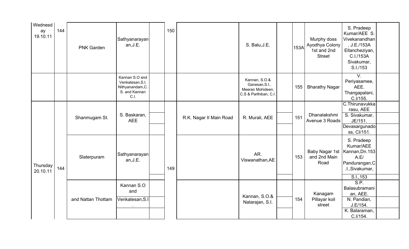| Wednesd<br>ay<br>19.10.11 | 144 | <b>PNK Garden</b>  | Sathyanarayan<br>an, J.E.                                                       | 150 |                         | S. Balu, J.E.                                                              | 153A | Murphy doss<br>Ayodhya Colony<br>1st and 2nd<br><b>Street</b> | S. Pradeep<br>Kumar/AEE S.<br>Vivekanandhan<br>, J.E./153A<br>Ellancheziyan,<br>C.I./153A<br>Sivakumar,<br>S.I./153 |  |
|---------------------------|-----|--------------------|---------------------------------------------------------------------------------|-----|-------------------------|----------------------------------------------------------------------------|------|---------------------------------------------------------------|---------------------------------------------------------------------------------------------------------------------|--|
|                           |     |                    | Kannan S.O and<br>Venkatesan, S.I.<br>Nithyanandam, C.<br>S. and Kannan<br>C.I. |     |                         | Kannan, S.O.&<br>Ganesan, S.I<br>Meeran Mohideen,<br>C.S & Parthiban, C.I. | 155  | <b>Bharathy Nagar</b>                                         | $V_{\cdot}$<br>Periyasamee,<br>AEE.<br>Thangapalani,<br>C.I/155.                                                    |  |
|                           |     | Shanmugam St.      | S. Baskaran,<br><b>AEE</b>                                                      |     | R.K. Nagar II Main Road | R. Murali, AEE                                                             | 151  | Dhanalakshmi<br>Avenue 3 Roads                                | C.Thirunavukka<br>rasu, AEE<br>S. Sivakumar,<br>JE/151.<br>Devasargunado<br>ss, Cl/151.                             |  |
| Thursday<br>20.10.11      | 144 | Slaterpuram        | Sathyanarayan<br>an, J.E.                                                       | 149 |                         | AR.<br>Viswanathan, AE                                                     | 153  | Baby Nagar 1st   Kannan, Dn. 153<br>and 2nd Main<br>Road      | S. Pradeep<br>Kumar/AEE<br>A.E/<br>Pandurangan, C<br>.I., Sivakumar,<br>S.I., 153                                   |  |
|                           |     | and Nattan Thottam | Kannan S.O<br>and<br>Venkatesan, S.I                                            |     |                         | Kannan, S.O.&<br>Natarajan, S.I.                                           | 154  | Kanagam<br>Pillayar koil<br>street                            | S.P.<br>Balasubramani<br>an, AEE.<br>N. Pandian,<br>J.E/154.<br>K. Balaraman,<br>C.I/154.                           |  |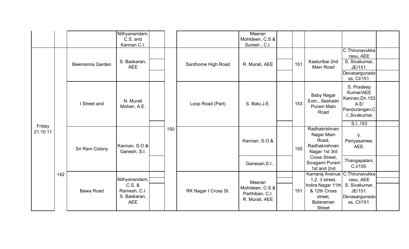|          |     |                  | Nithyanandam, |     |                      | Meeran          |     |                                |                                   |  |
|----------|-----|------------------|---------------|-----|----------------------|-----------------|-----|--------------------------------|-----------------------------------|--|
|          |     |                  | C.S. and      |     |                      | Mohideen, C.S & |     |                                |                                   |  |
|          |     |                  | Kannan C.I.   |     |                      | Suresh, C.I.    |     |                                |                                   |  |
|          |     |                  |               |     |                      |                 |     |                                | C.Thirunavukka                    |  |
|          |     |                  |               |     |                      |                 |     |                                | rasu, AEE                         |  |
|          |     | Beemanna Garden  | S. Baskaran,  |     | Santhome High Road   | R. Murali, AEE  | 151 | Kasturibai 2nd                 | S. Sivakumar,                     |  |
|          |     |                  | <b>AEE</b>    |     |                      |                 |     | Main Road                      | JE/151.                           |  |
|          |     |                  |               |     |                      |                 |     |                                | Devasargunado                     |  |
|          |     |                  |               |     |                      |                 |     |                                | ss, Cl/151.                       |  |
|          |     |                  |               |     |                      |                 |     |                                | S. Pradeep                        |  |
|          |     |                  |               |     |                      |                 |     | <b>Baby Nagar</b>              | Kumar/AEE                         |  |
|          |     |                  | N. Murali     |     |                      |                 |     | Extn., Seshadri                | Kannan, Dn. 153                   |  |
|          |     | I Street and     | Mohan, A.E.   |     | Loop Road (Part)     | S. Balu, J.E.   | 153 | Puram Main                     | A.E/                              |  |
|          |     |                  |               |     |                      |                 |     | Road                           | Pandurangan, C<br>.I., Sivakumar, |  |
|          |     |                  |               |     |                      |                 |     |                                |                                   |  |
| Friday   |     |                  |               |     |                      |                 |     |                                | S.I., 153                         |  |
| 21.10.11 |     |                  |               | 150 |                      |                 |     | Radhakrishnan                  |                                   |  |
|          |     |                  |               |     |                      |                 |     | Nagar Main                     | $V_{\cdot}$                       |  |
|          |     |                  | Kannan, S.O.& |     |                      | Kannan, S.O.&   |     | Road,<br>Radhakrishnan         | Periyasamee,                      |  |
|          |     | Sri Ram Colony   | Ganesh, S.I.  |     |                      |                 | 155 | Nagar 1st 3rd                  | AEE.                              |  |
|          |     |                  |               |     |                      |                 |     | Cross Street,                  |                                   |  |
|          |     |                  |               |     |                      | Ganesan, S.I    |     | Sivagami Puram                 | Thangapalani,                     |  |
|          |     |                  |               |     |                      |                 |     | 1st and 2nd                    | C.I/155.                          |  |
|          | 142 |                  |               |     |                      |                 |     | Kamaraj Avenue C. Thirunavukka |                                   |  |
|          |     |                  | Nithyanandam, |     |                      | Meeran          |     | $1,2,3$ street,                | rasu, AEE                         |  |
|          |     |                  | $C.S.$ &      |     |                      | Mohideen, C.S & |     | Indira Nagar 11th              | S. Sivakumar,                     |  |
|          |     | <b>Bawa Road</b> | Ramesh, C.I.  |     | RK Nagar I Cross St. | Parthiban, C.I. | 151 | & 12th Cross                   | JE/151.                           |  |
|          |     |                  | S. Baskaran,  |     |                      | R. Murali, AEE  |     | street,                        | Devasargunado                     |  |
|          |     |                  | <b>AEE</b>    |     |                      |                 |     | <b>Balaraman</b>               | ss, Cl/151.                       |  |
|          |     |                  |               |     |                      |                 |     | <b>Street</b>                  |                                   |  |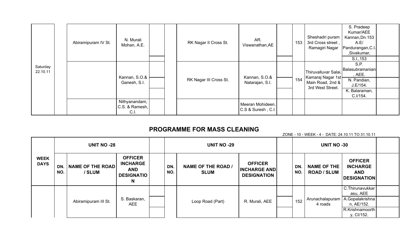|                      | Abiramipuram IV St. | N. Murali<br>Mohan, A.E.                |  | RK Nagar II Cross St.  | AR.<br>Viswanathan, AE                 | 153 | Sheshadri puram<br>3rd Cross street,<br>Ramagiri Nagar                            | S. Pradeep<br>Kumar/AEE<br>Kannan, Dn. 153<br>A.E/<br>Pandurangan, C.I.<br>,Sivakumar,    |  |
|----------------------|---------------------|-----------------------------------------|--|------------------------|----------------------------------------|-----|-----------------------------------------------------------------------------------|-------------------------------------------------------------------------------------------|--|
|                      |                     |                                         |  |                        |                                        |     |                                                                                   | S.I., 153                                                                                 |  |
| Saturday<br>22.10.11 |                     | Kannan, S.O.&<br>Ganesh, S.I.           |  | RK Nagar III Cross St. | Kannan, S.O.&<br>Natarajan, S.I.       | 154 | Thiruvalluvar Salai,<br>Kamaraj Nagar 1st<br>Main Road, 2nd &<br>3rd West Street. | S.P.<br>Balasubramanian<br>, AEE.<br>N. Pandian,<br>J.E/154.<br>K. Balaraman,<br>C.I/154. |  |
|                      |                     | Nithyanandam,<br>C.S. & Ramesh,<br>C.I. |  |                        | Meeran Mohideen,<br>C.S & Suresh, C.I. |     |                                                                                   |                                                                                           |  |

#### PROGRAMME FOR MASS CLEANING

|                            |            |                                   |                                                                           |            |                                          |                                                             |            | ZONE - 10 - WEEK - 4 - DATE: 24.10.11 TO 31.10.11 |                                                                                                |  |
|----------------------------|------------|-----------------------------------|---------------------------------------------------------------------------|------------|------------------------------------------|-------------------------------------------------------------|------------|---------------------------------------------------|------------------------------------------------------------------------------------------------|--|
|                            |            | <b>UNIT NO -28</b>                |                                                                           |            | <b>UNIT NO -29</b>                       |                                                             |            | <b>UNIT NO -30</b>                                |                                                                                                |  |
| <b>WEEK</b><br><b>DAYS</b> | DN.<br>NO. | <b>NAME OF THE ROAD</b><br>/ SLUM | <b>OFFICER</b><br><b>INCHARGE</b><br><b>AND</b><br><b>DESIGNATIO</b><br>N | DN.<br>NO. | <b>NAME OF THE ROAD /</b><br><b>SLUM</b> | <b>OFFICER</b><br><b>INCHARGE AND</b><br><b>DESIGNATION</b> | DN.<br>NO. | <b>NAME OF THE</b><br><b>ROAD / SLUM</b>          | <b>OFFICER</b><br><b>INCHARGE</b><br><b>AND</b><br><b>DESIGNATION</b>                          |  |
|                            |            | Abiramipuram III St.              | S. Baskaran,<br><b>AEE</b>                                                |            | Loop Road (Part)                         | R. Murali, AEE                                              | 152        | Arunachalapuram  <br>4 roads                      | C. Thirunavukkar<br>asu, AEE<br>A.Gopalakrishna<br>n, AE/152.<br>R.Krishnamoorth<br>y, Cl/152. |  |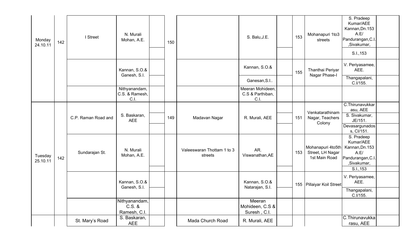| Monday<br>24.10.11  | 142 | I Street            | N. Murali<br>Mohan, A.E.                  | 150 |                                       | S. Balu, J.E.                                | 153 | Mohanapuri 1to3<br>streets                             | S. Pradeep<br>Kumar/AEE<br>Kannan, Dn. 153<br>A.E/<br>Pandurangan, C.I<br>,Sivakumar,<br>S.I., 153  |  |
|---------------------|-----|---------------------|-------------------------------------------|-----|---------------------------------------|----------------------------------------------|-----|--------------------------------------------------------|-----------------------------------------------------------------------------------------------------|--|
|                     |     |                     | Kannan, S.O.&<br>Ganesh, S.I.             |     |                                       | Kannan, S.O.&                                | 155 | Thanthai Periyar<br>Nagar Phase-I                      | V. Periyasamee,<br>AEE.                                                                             |  |
|                     |     |                     |                                           |     |                                       | Ganesan, S.I                                 |     |                                                        | Thangapalani,<br>C.I/155.                                                                           |  |
|                     |     |                     | Nithyanandam,<br>C.S. & Ramesh,<br>C.I.   |     |                                       | Meeran Mohideen,<br>C.S & Parthiban,<br>C.I. |     |                                                        |                                                                                                     |  |
|                     |     |                     |                                           |     |                                       |                                              |     | Venkatarathinam                                        | C. Thirunavukkar<br>asu, AEE                                                                        |  |
|                     |     | C.P. Raman Road and | S. Baskaran,<br><b>AEE</b>                | 149 | Madavan Nagar                         | R. Murali, AEE                               | 151 | Nagar, Teachers<br>Colony                              | S. Sivakumar,<br>JE/151.                                                                            |  |
|                     |     |                     |                                           |     |                                       |                                              |     |                                                        | Devasargunados<br>s, Cl/151.                                                                        |  |
| Tuesday<br>25.10.11 | 142 | Sundarajan St.      | N. Murali<br>Mohan, A.E.                  |     | Valeeswaran Thottam 1 to 3<br>streets | AR.<br>Viswanathan, AE                       | 153 | Mohanapuri 4to5th<br>Street, LH Nagar<br>1st Main Road | S. Pradeep<br>Kumar/AEE<br>Kannan, Dn. 153<br>A.E/<br>Pandurangan, C.I.<br>,Sivakumar,<br>S.I., 153 |  |
|                     |     |                     | Kannan, S.O.&<br>Ganesh, S.I.             |     |                                       | Kannan, S.O.&<br>Natarajan, S.I.             |     | 155 Pillaiyar Koil Street                              | V. Periyasamee,<br>AEE.                                                                             |  |
|                     |     |                     |                                           |     |                                       |                                              |     |                                                        | Thangapalani,<br>C.I/155.                                                                           |  |
|                     |     |                     | Nithyanandam,<br>$C.S.$ &<br>Ramesh, C.I. |     |                                       | Meeran<br>Mohideen, C.S &<br>Suresh, C.I.    |     |                                                        |                                                                                                     |  |
|                     |     | St. Mary's Road     | S. Baskaran,<br>AEE                       |     | Mada Church Road                      | R. Murali, AEE                               |     |                                                        | C.Thirunavukka<br>rasu, AEE                                                                         |  |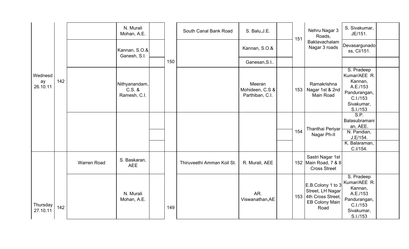|                             |     |                    | N. Murali<br>Mohan, A.E.                  |     | South Canal Bank Road      | S. Balu, J.E.                                | 151 | Nehru Nagar 3<br>Roads,                                                              | S. Sivakumar,<br>JE/151.                                                                                |  |
|-----------------------------|-----|--------------------|-------------------------------------------|-----|----------------------------|----------------------------------------------|-----|--------------------------------------------------------------------------------------|---------------------------------------------------------------------------------------------------------|--|
|                             |     |                    | Kannan, S.O.&<br>Ganesh, S.I.             |     |                            | Kannan, S.O.&                                |     | Baktavachalam<br>Nagar 3 roads                                                       | Devasargunado<br>ss, Cl/151.                                                                            |  |
|                             |     |                    |                                           | 150 |                            | Ganesan, S.I                                 |     |                                                                                      |                                                                                                         |  |
| Wednesd<br>ay<br>26.10.11   | 142 |                    | Nithyanandam,<br>$C.S.$ &<br>Ramesh, C.I. |     |                            | Meeran<br>Mohideen, C.S &<br>Parthiban, C.I. | 153 | Ramakrishna<br>Nagar 1st & 2nd<br>Main Road                                          | S. Pradeep<br>Kumar/AEE R.<br>Kannan,<br>A.E./153<br>Pandurangan,<br>C.I./153<br>Sivakumar,<br>S.I./153 |  |
|                             |     |                    |                                           |     |                            |                                              |     | Thanthai Periyar                                                                     | S.P.<br>Balasubramani<br>an, AEE.                                                                       |  |
|                             |     |                    |                                           |     |                            |                                              | 154 | Nagar Ph-II                                                                          | N. Pandian,<br>J.E/154.                                                                                 |  |
|                             |     |                    |                                           |     |                            |                                              |     |                                                                                      | K. Balaraman,<br>C.I/154.                                                                               |  |
|                             |     | <b>Warren Road</b> | S. Baskaran,<br><b>AEE</b>                |     | Thiruveethi Amman Koil St. | R. Murali, AEE                               |     | Sastri Nagar 1st<br>152 Main Road, 7 & 8<br><b>Cross Street</b>                      |                                                                                                         |  |
| Thursday<br>142<br>27.10.11 |     |                    | N. Murali<br>Mohan, A.E.                  | 149 |                            | AR.<br>Viswanathan, AE                       | 153 | E.B.Colony 1 to 3<br>Street, LH Nagar<br>4th Cross Street,<br>EB Colony Main<br>Road | S. Pradeep<br>Kumar/AEE R.<br>Kannan,<br>A.E./153<br>Pandurangan,<br>C.I./153<br>Sivakumar,<br>S.I./153 |  |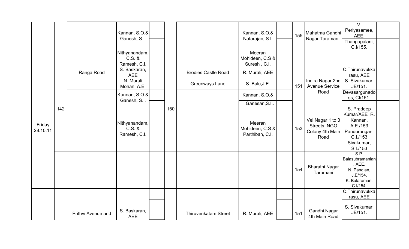|                    |     |                    | Kannan, S.O.&<br>Ganesh, S.I.             |     |                             | Kannan, S.O.&<br>Natarajan, S.I.                             | 155 | Mahatma Gandhi<br>Nagar Taramani,                           | $V_{\cdot}$<br>Periyasamee,<br>AEE.<br>Thangapalani,<br>C.I/155.                                        |  |
|--------------------|-----|--------------------|-------------------------------------------|-----|-----------------------------|--------------------------------------------------------------|-----|-------------------------------------------------------------|---------------------------------------------------------------------------------------------------------|--|
|                    |     |                    | Nithyanandam,<br>$C.S.$ &<br>Ramesh, C.I. |     |                             | Meeran<br>Mohideen, C.S &<br>Suresh, C.I.                    |     |                                                             |                                                                                                         |  |
|                    |     | Ranga Road         | S. Baskaran,<br><b>AEE</b>                |     | <b>Brodies Castle Road</b>  | R. Murali, AEE                                               |     |                                                             | C.Thirunavukka<br>rasu, AEE                                                                             |  |
|                    |     |                    | N. Murali<br>Mohan, A.E.                  |     | Greenways Lane              | S. Balu, J.E.                                                | 151 | Indira Nagar 2nd<br><b>Avenue Service</b>                   | S. Sivakumar,<br>JE/151.                                                                                |  |
|                    |     |                    | Kannan, S.O.&<br>Ganesh, S.I.             |     |                             | Kannan, S.O.&                                                |     | Road                                                        | Devasargunado<br>ss, Cl/151.                                                                            |  |
| Friday<br>28.10.11 | 142 |                    | Nithyanandam,<br>$C.S.$ &<br>Ramesh, C.I. | 150 |                             | Ganesan, S.I<br>Meeran<br>Mohideen, C.S &<br>Parthiban, C.I. | 153 | Vel Nagar 1 to 3<br>Streets, NGO<br>Colony 4th Main<br>Road | S. Pradeep<br>Kumar/AEE R.<br>Kannan,<br>A.E./153<br>Pandurangan,<br>C.I./153<br>Sivakumar,<br>S.I./153 |  |
|                    |     |                    |                                           |     |                             |                                                              |     | <b>Bharathi Nagar</b>                                       | S.P.<br>Balasubramanian<br>, AEE.                                                                       |  |
|                    |     |                    |                                           |     |                             |                                                              | 154 | Taramani                                                    | N. Pandian,<br>J.E/154.                                                                                 |  |
|                    |     |                    |                                           |     |                             |                                                              |     |                                                             | K. Balaraman,<br>C.I/154.                                                                               |  |
|                    |     |                    |                                           |     |                             |                                                              |     |                                                             | C.Thirunavukka<br>rasu, AEE                                                                             |  |
|                    |     | Prithvi Avenue and | S. Baskaran,<br><b>AEE</b>                |     | <b>Thiruvenkatam Street</b> | R. Murali, AEE                                               | 151 | Gandhi Nagar<br>4th Main Road                               | S. Sivakumar,<br>JE/151.                                                                                |  |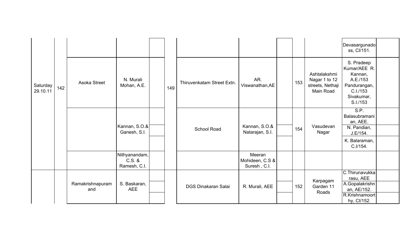|                      |     |                         |                                           |     |                            |                                           |     |                                                                | Devasargunado<br>ss, Cl/151.                                                                            |  |
|----------------------|-----|-------------------------|-------------------------------------------|-----|----------------------------|-------------------------------------------|-----|----------------------------------------------------------------|---------------------------------------------------------------------------------------------------------|--|
| Saturday<br>29.10.11 | 142 | Asoka Street            | N. Murali<br>Mohan, A.E.                  | 149 | Thiruvenkatam Street Extn. | AR.<br>Viswanathan, AE                    | 153 | Ashtalakshmi<br>Nagar 1 to 12<br>streets, Nethaji<br>Main Road | S. Pradeep<br>Kumar/AEE R.<br>Kannan,<br>A.E./153<br>Pandurangan,<br>C.I./153<br>Sivakumar,<br>S.I./153 |  |
|                      |     |                         | Kannan, S.O.&<br>Ganesh, S.I.             |     | <b>School Road</b>         | Kannan, S.O.&<br>Natarajan, S.I.          | 154 | Vasudevan<br>Nagar                                             | S.P.<br>Balasubramani<br>an, AEE.<br>N. Pandian,<br>J.E/154.                                            |  |
|                      |     |                         |                                           |     |                            |                                           |     |                                                                | K. Balaraman,<br>C.I/154.                                                                               |  |
|                      |     |                         | Nithyanandam,<br>$C.S.$ &<br>Ramesh, C.I. |     |                            | Meeran<br>Mohideen, C.S &<br>Suresh, C.I. |     |                                                                |                                                                                                         |  |
|                      |     | Ramakrishnapuram<br>and | S. Baskaran,<br><b>AEE</b>                |     | <b>DGS Dinakaran Salai</b> | R. Murali, AEE                            | 152 | Karpagam<br>Garden 11<br>Roads                                 | C.Thirunavukka<br>rasu, AEE<br>A.Gopalakrishn<br>an, AE/152.<br>R.Krishnamoort<br>hy, Cl/152.           |  |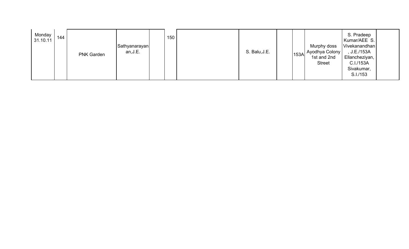| Monday<br>31.10.11 | 144 | <b>PNK Garden</b> | Sathyanarayan<br>an, J.E. |  | 150 |  | S. Balu, J.E. |  |  | Murphy doss<br>153A Ayodhya Colony  <br>1st and 2nd<br><b>Street</b> | S. Pradeep<br>Kumar/AEE S.<br>Vivekanandhan<br>J.E./153A<br>Ellancheziyan,<br>C.I./153A<br>Sivakumar,<br>S.I./153 |  |
|--------------------|-----|-------------------|---------------------------|--|-----|--|---------------|--|--|----------------------------------------------------------------------|-------------------------------------------------------------------------------------------------------------------|--|
|--------------------|-----|-------------------|---------------------------|--|-----|--|---------------|--|--|----------------------------------------------------------------------|-------------------------------------------------------------------------------------------------------------------|--|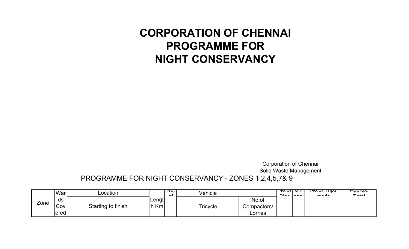## CORPORATION OF CHENNAIPROGRAMME FOR NIGHT CONSERVANCY

Corporation of ChennaiSolid Waste Management

PROGRAMME FOR NIGHT CONSERVANCY - ZONES 1,2,4,5,7& 9

|      | War                | Location           |               | ד סד<br>$\sim$ | Vehicle  |                                 | וווט ווט.טוו<br>Dinn | $\sim$ | <del>פעודד וט.טצו</del><br>modo | <del>Approx.</del><br>$T0$ tol |
|------|--------------------|--------------------|---------------|----------------|----------|---------------------------------|----------------------|--------|---------------------------------|--------------------------------|
| Zone | ds<br>Cov<br>lered | Starting to finish | Lengt<br>h Km |                | Tricycle | No.of<br>Compactors/<br>Lorries |                      |        |                                 |                                |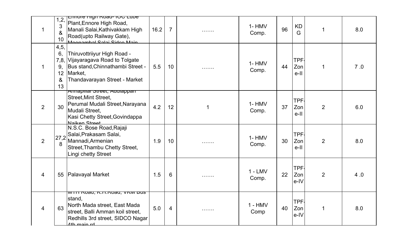| $\mathbf{1}$ | 1,2,<br>3<br>&<br>10                       | <b>ETTIOLE FIIGHT ROAD-TOU LUDE</b><br>Plant, Ennore High Road,<br>Manali Salai, Kathivakkam High<br>Road(upto Railway Gate),<br>Meanamhal Salai Sidco Main                | 16.2 | $\overline{7}$ |   | $1 - HMV$<br>Comp. | 96 | <b>KD</b><br>G               | $\mathbf 1$    | 8.0 |
|--------------|--------------------------------------------|----------------------------------------------------------------------------------------------------------------------------------------------------------------------------|------|----------------|---|--------------------|----|------------------------------|----------------|-----|
|              | 4, 5,<br>6,<br>7,8,<br>9.<br>12<br>&<br>13 | Thiruvottriiyur High Road -<br>Vijayaragava Road to Tolgate<br>Bus stand, Chinnathambi Street -<br>Market,<br>Thandavarayan Street - Market                                | 5.5  | 10             |   | $1 - HMV$<br>Comp. | 44 | TPF.<br>Zon<br>$e-II$        | $\mathbf 1$    | 7.0 |
| 2            | 30                                         | Annapmar Street, Audrappan<br><b>Street, Mint Street,</b><br>Perumal Mudali Street, Narayana<br>Mudali Street,<br>Kasi Chetty Street, Govindappa<br>Naiken Street          | 4.2  | 12             |   | $1 - HMV$<br>Comp. | 37 | <b>TPF</b><br>Zon<br>e-II    | $\overline{2}$ | 6.0 |
| 2            | 27,2<br>8                                  | N.S.C. Bose Road, Rajaji<br>Salai, Prakasam Salai,<br>Mannadi, Armenian<br>Street, Thambu Chetty Street,<br>Lingi chetty Street                                            | 1.9  | 10             | . | $1 - HMV$<br>Comp. | 30 | <b>TPF</b><br>Zon<br>$e-II$  | $\overline{2}$ | 8.0 |
| 4            | 55                                         | <b>Palavayal Market</b>                                                                                                                                                    | 1.5  | 6              | . | $1 - LMV$<br>Comp. | 22 | <b>TPF</b><br>Zon<br>$e$ -IV | $\overline{2}$ | 4.0 |
| 4            | 63                                         | <u>MIT Ruau, R.H.Ruau, VRM Dus</u><br>stand,<br>North Mada street, East Mada<br>street, Balli Amman koil street,<br>Redhills 3rd street, SIDCO Nagar<br><u>Ath main rd</u> | 5.0  | 4              | . | $1 - HMV$<br>Comp  | 40 | TPF-<br>Zon<br>e-IV          | $\mathbf 1$    | 8.0 |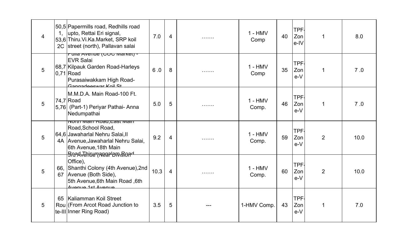| 4 | 1 <sub>1</sub><br>2C | 50,5 Papermills road, Redhills road<br>upto, Rettai Eri signal,<br>53,6 Thiru. Vi. Ka. Market, SRP koil<br>street (north), Pallavan salai                                                            | 7.0  | 4 | . | $1 - HMV$<br>Comp  | 40 | TPF-<br>Zon<br>$e$ -IV     | 1              | 8.0  |
|---|----------------------|------------------------------------------------------------------------------------------------------------------------------------------------------------------------------------------------------|------|---|---|--------------------|----|----------------------------|----------------|------|
| 5 |                      | <u>Pulla Avenue (COC Market) -</u><br><b>EVR Salai</b><br>68,7 Kilpauk Garden Road-Harleys<br>$0,71$ Road<br>Purasaiwakkam High Road-<br>Gangadeewar Koil St                                         | 6.0  | 8 | . | $1 - HMV$<br>Comp  | 35 | TPF-<br>Zon<br>$e-V$       | $\mathbf 1$    | 7.0  |
| 5 |                      | M.M.D.A. Main Road-100 Ft.<br>$74,7$ Road<br>5,76 (Part-1) Periyar Pathai- Anna<br>Nedumpathai                                                                                                       | 5.0  | 5 | . | $1 - HMV$<br>Comp. | 46 | TPF-<br>Zon<br>$e-V$       | 1              | 7.0  |
| 5 |                      | <u>iyorur iyiairi Koau,East iyiairi</u><br>Road, School Road,<br>64.6 Jawaharlal Nehru Salai, II<br>4A Avenue, Jawaharlal Nehru Salai,<br>6th Avenue, 18th Main<br><del>Soad^Ehiarnaeanam.Bouq</del> | 9.2  | 4 | . | $1 - HMV$<br>Comp. | 59 | <b>TPF</b><br>Zon<br>$e-V$ | $\overline{2}$ | 10.0 |
| 5 | 66.<br>67            | Office),<br>Shanthi Colony (4th Avenue), 2nd<br>Avenue (Both Side),<br>5th Avenue, 6th Main Road, 6th<br>Avenue 1st Avenue                                                                           | 10.3 | 4 |   | $1 - HMV$<br>Comp. | 60 | <b>TPF</b><br>Zon<br>$e-V$ | $\overline{2}$ | 10.0 |
| 5 | 65                   | Kaliamman Koil Street<br>Roul (From Arcot Road Junction to<br>te-III Inner Ring Road)                                                                                                                | 3.5  | 5 |   | 1-HMV Comp.        | 43 | <b>TPF</b><br>Zon<br>$e-V$ | 1              | 7.0  |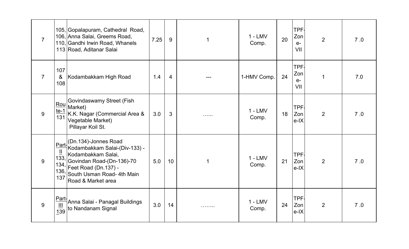| $\overline{7}$ |                                                | 105, Gopalapuram, Cathedral Road,<br>106, Anna Salai, Greems Road,<br>110, Gandhi Irwin Road, Whanels<br>113 Road, Aditanar Salai                                                                           | 7.25 | 9              | 1 | $1 - LMV$<br>Comp. | 20 | TPF.<br>Zon<br>$e-$<br>VII       | 2              | 7.0 |
|----------------|------------------------------------------------|-------------------------------------------------------------------------------------------------------------------------------------------------------------------------------------------------------------|------|----------------|---|--------------------|----|----------------------------------|----------------|-----|
| $\overline{7}$ | 107<br>&<br>108                                | Kodambakkam High Road                                                                                                                                                                                       | 1.4  | $\overline{4}$ |   | 1-HMV Comp.        | 24 | <b>TPF</b><br>Zon<br>$e-$<br>VII | $\mathbf{1}$   | 7.0 |
| 9              | Rou<br>$te-1$<br>$\overline{131}$              | Govindaswamy Street (Fish<br>Market)<br>K.K. Nagar (Commercial Area &<br>Vegetable Market)<br>Pillayar Koil St.                                                                                             | 3.0  | $\mathbf{3}$   |   | $1 - LMV$<br>Comp. | 18 | TPF.<br>Zon<br>$e-IX$            | $\overline{2}$ | 7.0 |
| 9              | $\overline{\mathsf{H}}$<br>133,<br>136,<br>137 | Part-(Dn.134)-Jonnes Road<br>Kodambakkam Salai-(Div-133) -<br>Kodambakkam Salai,<br>Govindan Road-(Dn-136)-70<br>$\frac{134}{122}$ Feet Road (Dn.137) -<br>South Usman Road- 4th Main<br>Road & Market area | 5.0  | 10             | 1 | $1 - LMV$<br>Comp. | 21 | <b>TPF</b><br>Zon<br>$e-IX$      | 2              | 7.0 |
| 9              | Part-<br>$\frac{\text{III}}{139}$              | Anna Salai - Panagal Buildings<br>to Nandanam Signal                                                                                                                                                        | 3.0  | 14             | . | $1 - LMV$<br>Comp. | 24 | <b>TPF</b><br>Zon<br>$e-IX$      | 2              | 7.0 |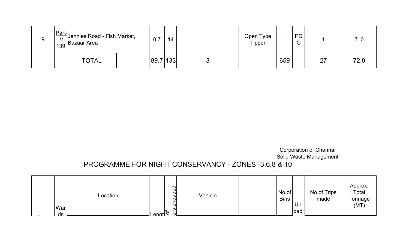|  | $\left \frac{\text{Part}}{\frac{IV}{139}}\right $ Jennies Road - Fish Market, | 0.7  | 14    | . | Open Type<br>.<br>Tipper | $---$ | <b>PD</b><br>G |    |      |
|--|-------------------------------------------------------------------------------|------|-------|---|--------------------------|-------|----------------|----|------|
|  | <b>TOTAL</b>                                                                  | 89.7 | ' 133 | ັ |                          | 659   |                | 27 | 72.0 |

Corporation of Chennai Solid Waste Management

### PROGRAMME FOR NIGHT CONSERVANCY - ZONES -3,6,8 & 10

| War<br>ds | Location | $\frac{1}{2}$ enat | engaged<br>ers | Vehicle | No.of<br><b>Bins</b> | Unl<br>oadi | No.of Trips<br>made | Approx.<br>Total<br>Tonnage<br>(MT) |
|-----------|----------|--------------------|----------------|---------|----------------------|-------------|---------------------|-------------------------------------|
|           |          |                    |                |         |                      |             |                     |                                     |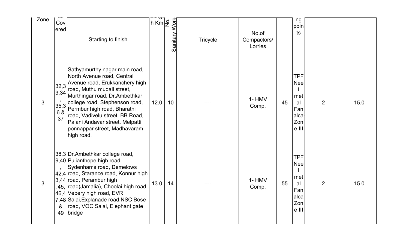| Zone         | Cov<br>ered                                | Starting to finish                                                                                                                                                                                                                                                                                                                                                                                   | $h$ Km $\overline{2}$ | <b>Work</b><br>Sanitary | <b>Tricycle</b> | No.of<br>Compactors/<br>Lorries |    | ng<br>poin<br>ts                                                      |                |      |
|--------------|--------------------------------------------|------------------------------------------------------------------------------------------------------------------------------------------------------------------------------------------------------------------------------------------------------------------------------------------------------------------------------------------------------------------------------------------------------|-----------------------|-------------------------|-----------------|---------------------------------|----|-----------------------------------------------------------------------|----------------|------|
| 3            | 6 &<br>37                                  | Sathyamurthy nagar main road,<br>North Avenue road, Central<br>$\left  \frac{1}{32,3} \right $ Avenue road, Erukkanchery high<br>road, Muthu mudali street,<br>3,34 Murthingar road, Dr.Ambethkar<br>$35,3$ college road, Stephenson road,<br>e s<br>Permbur high road, Bharathi<br>road, Vadivelu street, BB Road,<br>Palani Andavar street, Melpatti<br>ponnappar street, Madhavaram<br>high road. | 12.0                  | 10                      |                 | $1 - HMV$<br>Comp.              | 45 | <b>TPF</b><br><b>Nee</b><br>met<br>al<br>Fan<br>alca-<br>Zon<br>e III | $\overline{2}$ | 15.0 |
| $\mathbf{3}$ | $\overline{\phantom{a}}$<br>8 <sup>°</sup> | 38,3 Dr. Ambethkar college road,<br>9,40 Pulianthope high road,<br>Sydenhams road, Demelows<br>42,4 road, Starance road, Konnur high<br>3,44 road, Perambur high<br>,45, road(Jamalia), Choolai high road,<br>46,4 Vepery high road, EVR<br>7,48 Salai, Explanade road, NSC Bose<br>road, VOC Salai, Elephant gate<br>49 bridge                                                                      | 13.0                  | 14                      |                 | 1-HMV<br>Comp.                  | 55 | <b>TPF</b><br><b>Nee</b><br>met<br>al<br>Fan<br>alca<br>Zon<br>e III  | $\overline{2}$ | 15.0 |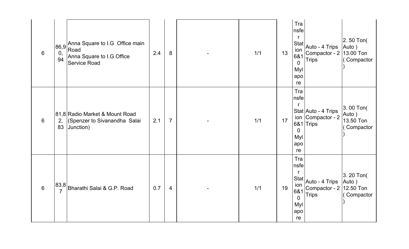| 6              | 0,<br>94 | $ 86,9 $ Anna Square to I.G Office main<br>Anna Square to I.G Office<br><b>Service Road</b> | 2.4 | 8              | 1/1 | 13 | Tra<br>nsfe<br>2.50 Ton(<br>Stat<br>Auto - 4 Trips<br>Auto)<br>ion<br>Compactor - 2 13.00 Ton<br>6&1<br><b>Trips</b><br>Compactor<br>$\Omega$<br>Myl<br>apo<br>re        |
|----------------|----------|---------------------------------------------------------------------------------------------|-----|----------------|-----|----|--------------------------------------------------------------------------------------------------------------------------------------------------------------------------|
| 6              | 2,<br>83 | 81,8 Radio Market & Mount Road<br>(Spenzer to Sivanandha Salai<br>Junction)                 | 2.1 | $\overline{7}$ | 1/1 | 17 | Tra<br>nsfe<br>3.00 Ton(<br>Stat Auto - 4 Trips<br>Auto)<br>ion Compactor - 2<br>13.50 Ton<br>6&1 Trips<br>Compactor<br>$\Omega$<br>Myl<br>apo<br>re                     |
| $6\phantom{1}$ |          | 83,8 Bharathi Salai & G.P. Road                                                             | 0.7 | 4              | 1/1 | 19 | Tra<br>nsfe<br>3. 20 Ton(<br>Stat Auto - 4 Trips<br>Auto)<br>ion<br>Compactor - 2<br>12.50 Ton<br>6&1<br><b>Trips</b><br>Compactor<br>$\overline{0}$<br>Myl<br>apo<br>re |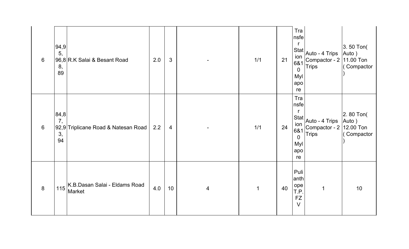| 6 | 94,9 <br>5,<br>8,<br>89 | 96,8 R.K Salai & Besant Road            | 2.0 | $\mathfrak{S}$  |   | 1/1         | 21 | Tra<br>nsfe<br><b>Stat</b><br>ion<br>6&1<br>$\overline{0}$<br>Myl<br>apo<br>re | Auto - 4 Trips<br>Compactor - $2 \mid 11.00$ Ton<br><b>Trips</b> | 3.50 Ton(<br>Auto)<br>Compactor              |
|---|-------------------------|-----------------------------------------|-----|-----------------|---|-------------|----|--------------------------------------------------------------------------------|------------------------------------------------------------------|----------------------------------------------|
| 6 | 84,8<br>7,<br>3,<br>94  | 92,9 Triplicane Road & Natesan Road     | 2.2 | $\overline{4}$  |   | 1/1         | 24 | Tra<br>nsfe<br>ion<br>6&1<br>$\overline{0}$<br>Myl<br>apo<br>re                | $ \text{Stat} $ Auto - 4 Trips<br>Compactor - 2<br><b>Trips</b>  | 2.80 Ton(<br>Auto)<br>12.00 Ton<br>Compactor |
| 8 | 115                     | K.B.Dasan Salai - Eldams Road<br>Market | 4.0 | 10 <sup>°</sup> | 4 | $\mathbf 1$ | 40 | Puli<br>anth<br>ope<br>T.P.<br><b>FZ</b><br>$\vee$                             | $\mathbf 1$                                                      | 10                                           |